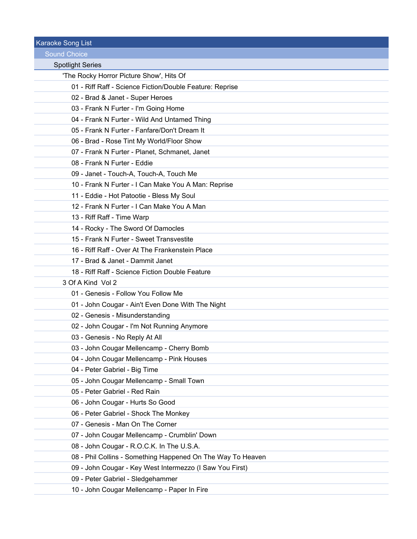Karaoke Song List

Sound Choice Spotlight Series 'The Rocky Horror Picture Show', Hits Of 01 - Riff Raff - Science Fiction/Double Feature: Reprise 02 - Brad & Janet - Super Heroes 03 - Frank N Furter - I'm Going Home 04 - Frank N Furter - Wild And Untamed Thing 05 - Frank N Furter - Fanfare/Don't Dream It 06 - Brad - Rose Tint My World/Floor Show 07 - Frank N Furter - Planet, Schmanet, Janet 08 - Frank N Furter - Eddie 09 - Janet - Touch-A, Touch-A, Touch Me 10 - Frank N Furter - I Can Make You A Man: Reprise 11 - Eddie - Hot Patootie - Bless My Soul 12 - Frank N Furter - I Can Make You A Man 13 - Riff Raff - Time Warp 14 - Rocky - The Sword Of Damocles 15 - Frank N Furter - Sweet Transvestite 16 - Riff Raff - Over At The Frankenstein Place 17 - Brad & Janet - Dammit Janet 18 - Riff Raff - Science Fiction Double Feature 3 Of A Kind Vol 2 01 - Genesis - Follow You Follow Me 01 - John Cougar - Ain't Even Done With The Night 02 - Genesis - Misunderstanding 02 - John Cougar - I'm Not Running Anymore 03 - Genesis - No Reply At All 03 - John Cougar Mellencamp - Cherry Bomb 04 - John Cougar Mellencamp - Pink Houses 04 - Peter Gabriel - Big Time 05 - John Cougar Mellencamp - Small Town 05 - Peter Gabriel - Red Rain 06 - John Cougar - Hurts So Good 06 - Peter Gabriel - Shock The Monkey 07 - Genesis - Man On The Corner 07 - John Cougar Mellencamp - Crumblin' Down 08 - John Cougar - R.O.C.K. In The U.S.A. 08 - Phil Collins - Something Happened On The Way To Heaven 09 - John Cougar - Key West Intermezzo (I Saw You First)

09 - Peter Gabriel - Sledgehammer

10 - John Cougar Mellencamp - Paper In Fire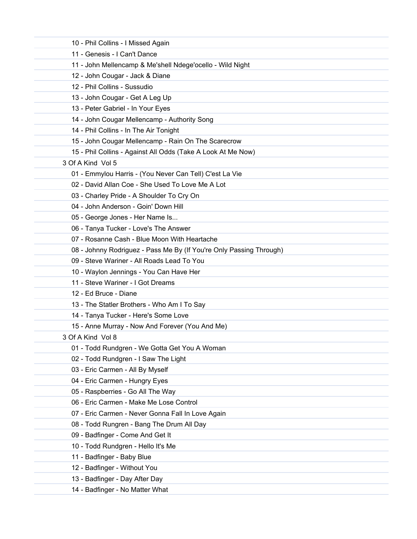|                   | 10 - Phil Collins - I Missed Again                                  |
|-------------------|---------------------------------------------------------------------|
|                   | 11 - Genesis - I Can't Dance                                        |
|                   | 11 - John Mellencamp & Me'shell Ndege'ocello - Wild Night           |
|                   | 12 - John Cougar - Jack & Diane                                     |
|                   | 12 - Phil Collins - Sussudio                                        |
|                   | 13 - John Cougar - Get A Leg Up                                     |
|                   | 13 - Peter Gabriel - In Your Eyes                                   |
|                   | 14 - John Cougar Mellencamp - Authority Song                        |
|                   | 14 - Phil Collins - In The Air Tonight                              |
|                   | 15 - John Cougar Mellencamp - Rain On The Scarecrow                 |
|                   | 15 - Phil Collins - Against All Odds (Take A Look At Me Now)        |
| 3 Of A Kind Vol 5 |                                                                     |
|                   | 01 - Emmylou Harris - (You Never Can Tell) C'est La Vie             |
|                   | 02 - David Allan Coe - She Used To Love Me A Lot                    |
|                   | 03 - Charley Pride - A Shoulder To Cry On                           |
|                   | 04 - John Anderson - Goin' Down Hill                                |
|                   | 05 - George Jones - Her Name Is                                     |
|                   | 06 - Tanya Tucker - Love's The Answer                               |
|                   | 07 - Rosanne Cash - Blue Moon With Heartache                        |
|                   | 08 - Johnny Rodriguez - Pass Me By (If You're Only Passing Through) |
|                   | 09 - Steve Wariner - All Roads Lead To You                          |
|                   | 10 - Waylon Jennings - You Can Have Her                             |
|                   | 11 - Steve Wariner - I Got Dreams                                   |
|                   | 12 - Ed Bruce - Diane                                               |
|                   | 13 - The Statler Brothers - Who Am I To Say                         |
|                   | 14 - Tanya Tucker - Here's Some Love                                |
|                   | 15 - Anne Murray - Now And Forever (You And Me)                     |
| 3 Of A Kind Vol 8 |                                                                     |
|                   | 01 - Todd Rundgren - We Gotta Get You A Woman                       |
|                   | 02 - Todd Rundgren - I Saw The Light                                |
|                   | 03 - Eric Carmen - All By Myself                                    |
|                   | 04 - Eric Carmen - Hungry Eyes                                      |
|                   | 05 - Raspberries - Go All The Way                                   |
|                   | 06 - Eric Carmen - Make Me Lose Control                             |
|                   | 07 - Eric Carmen - Never Gonna Fall In Love Again                   |
|                   | 08 - Todd Rungren - Bang The Drum All Day                           |
|                   | 09 - Badfinger - Come And Get It                                    |
|                   | 10 - Todd Rundgren - Hello It's Me                                  |
|                   | 11 - Badfinger - Baby Blue                                          |
|                   | 12 - Badfinger - Without You                                        |
|                   | 13 - Badfinger - Day After Day                                      |
|                   | 14 - Badfinger - No Matter What                                     |
|                   |                                                                     |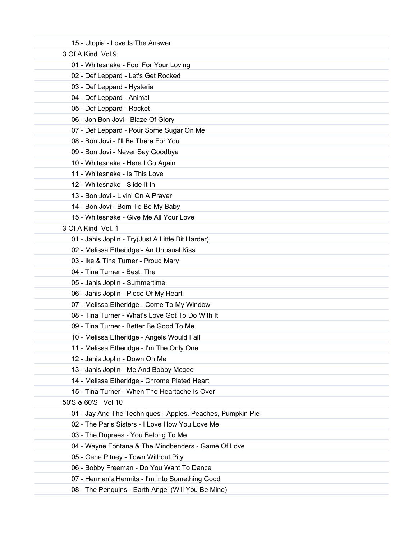| 15 - Utopia - Love Is The Answer                           |
|------------------------------------------------------------|
| 3 Of A Kind Vol 9                                          |
| 01 - Whitesnake - Fool For Your Loving                     |
| 02 - Def Leppard - Let's Get Rocked                        |
| 03 - Def Leppard - Hysteria                                |
| 04 - Def Leppard - Animal                                  |
| 05 - Def Leppard - Rocket                                  |
| 06 - Jon Bon Jovi - Blaze Of Glory                         |
| 07 - Def Leppard - Pour Some Sugar On Me                   |
| 08 - Bon Jovi - I'll Be There For You                      |
| 09 - Bon Jovi - Never Say Goodbye                          |
| 10 - Whitesnake - Here I Go Again                          |
| 11 - Whitesnake - Is This Love                             |
| 12 - Whitesnake - Slide It In                              |
| 13 - Bon Jovi - Livin' On A Prayer                         |
| 14 - Bon Jovi - Born To Be My Baby                         |
| 15 - Whitesnake - Give Me All Your Love                    |
| 3 Of A Kind Vol. 1                                         |
| 01 - Janis Joplin - Try(Just A Little Bit Harder)          |
| 02 - Melissa Etheridge - An Unusual Kiss                   |
| 03 - Ike & Tina Turner - Proud Mary                        |
| 04 - Tina Turner - Best, The                               |
| 05 - Janis Joplin - Summertime                             |
| 06 - Janis Joplin - Piece Of My Heart                      |
| 07 - Melissa Etheridge - Come To My Window                 |
| 08 - Tina Turner - What's Love Got To Do With It           |
| 09 - Tina Turner - Better Be Good To Me                    |
| 10 - Melissa Etheridge - Angels Would Fall                 |
| 11 - Melissa Etheridge - I'm The Only One                  |
| 12 - Janis Joplin - Down On Me                             |
| 13 - Janis Joplin - Me And Bobby Mcgee                     |
| 14 - Melissa Etheridge - Chrome Plated Heart               |
| 15 - Tina Turner - When The Heartache Is Over              |
| 50'S & 60'S Vol 10                                         |
| 01 - Jay And The Techniques - Apples, Peaches, Pumpkin Pie |
| 02 - The Paris Sisters - I Love How You Love Me            |
| 03 - The Duprees - You Belong To Me                        |
| 04 - Wayne Fontana & The Mindbenders - Game Of Love        |
| 05 - Gene Pitney - Town Without Pity                       |
| 06 - Bobby Freeman - Do You Want To Dance                  |
| 07 - Herman's Hermits - I'm Into Something Good            |
| 08 - The Penquins - Earth Angel (Will You Be Mine)         |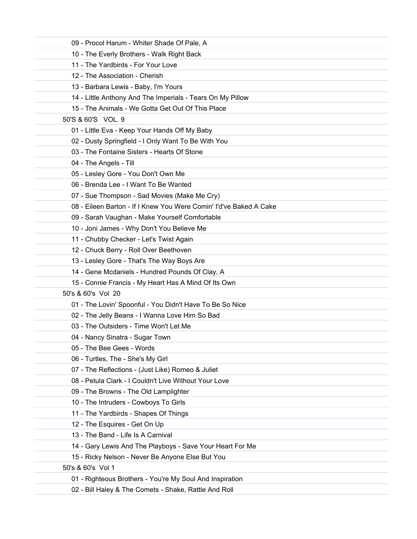| 09 - Procol Harum - Whiter Shade Of Pale, A                        |
|--------------------------------------------------------------------|
| 10 - The Everly Brothers - Walk Right Back                         |
| 11 - The Yardbirds - For Your Love                                 |
| 12 - The Association - Cherish                                     |
| 13 - Barbara Lewis - Baby, I'm Yours                               |
| 14 - Little Anthony And The Imperials - Tears On My Pillow         |
| 15 - The Animals - We Gotta Get Out Of This Place                  |
| 50'S & 60'S VOL. 9                                                 |
| 01 - Little Eva - Keep Your Hands Off My Baby                      |
| 02 - Dusty Springfield - I Only Want To Be With You                |
| 03 - The Fontaine Sisters - Hearts Of Stone                        |
| 04 - The Angels - Till                                             |
| 05 - Lesley Gore - You Don't Own Me                                |
| 06 - Brenda Lee - I Want To Be Wanted                              |
| 07 - Sue Thompson - Sad Movies (Make Me Cry)                       |
| 08 - Eileen Barton - If I Knew You Were Comin' I'd've Baked A Cake |
| 09 - Sarah Vaughan - Make Yourself Comfortable                     |
| 10 - Joni James - Why Don't You Believe Me                         |
| 11 - Chubby Checker - Let's Twist Again                            |
| 12 - Chuck Berry - Roll Over Beethoven                             |
| 13 - Lesley Gore - That's The Way Boys Are                         |
| 14 - Gene Mcdaniels - Hundred Pounds Of Clay, A                    |
| 15 - Connie Francis - My Heart Has A Mind Of Its Own               |
| 50's & 60's Vol 20                                                 |
| 01 - The Lovin' Spoonful - You Didn't Have To Be So Nice           |
| 02 - The Jelly Beans - I Wanna Love Him So Bad                     |
| 03 - The Outsiders - Time Won't Let Me                             |
| 04 - Nancy Sinatra - Sugar Town                                    |
| 05 - The Bee Gees - Words                                          |
| 06 - Turtles, The - She's My Girl                                  |
| 07 - The Reflections - (Just Like) Romeo & Juliet                  |
| 08 - Petula Clark - I Couldn't Live Without Your Love              |
| 09 - The Browns - The Old Lamplighter                              |
| 10 - The Intruders - Cowboys To Girls                              |
| 11 - The Yardbirds - Shapes Of Things                              |
| 12 - The Esquires - Get On Up                                      |
| 13 - The Band - Life Is A Carnival                                 |
| 14 - Gary Lewis And The Playboys - Save Your Heart For Me          |
| 15 - Ricky Nelson - Never Be Anyone Else But You                   |
| 50's & 60's Vol 1                                                  |
| 01 - Righteous Brothers - You're My Soul And Inspiration           |
| 02 - Bill Haley & The Comets - Shake, Rattle And Roll              |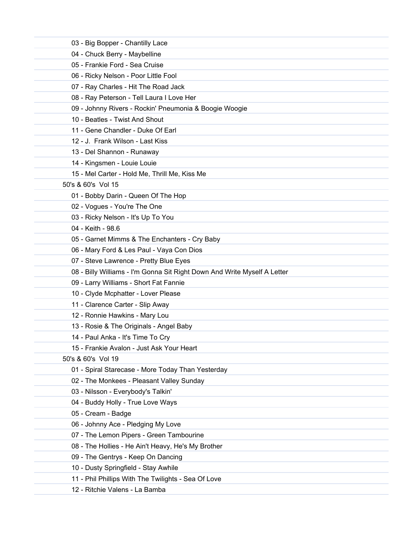| 03 - Big Bopper - Chantilly Lace                                         |
|--------------------------------------------------------------------------|
| 04 - Chuck Berry - Maybelline                                            |
| 05 - Frankie Ford - Sea Cruise                                           |
| 06 - Ricky Nelson - Poor Little Fool                                     |
| 07 - Ray Charles - Hit The Road Jack                                     |
| 08 - Ray Peterson - Tell Laura I Love Her                                |
| 09 - Johnny Rivers - Rockin' Pneumonia & Boogie Woogie                   |
| 10 - Beatles - Twist And Shout                                           |
| 11 - Gene Chandler - Duke Of Earl                                        |
| 12 - J. Frank Wilson - Last Kiss                                         |
| 13 - Del Shannon - Runaway                                               |
| 14 - Kingsmen - Louie Louie                                              |
| 15 - Mel Carter - Hold Me, Thrill Me, Kiss Me                            |
| 50's & 60's Vol 15                                                       |
| 01 - Bobby Darin - Queen Of The Hop                                      |
| 02 - Vogues - You're The One                                             |
| 03 - Ricky Nelson - It's Up To You                                       |
| 04 - Keith - 98.6                                                        |
| 05 - Garnet Mimms & The Enchanters - Cry Baby                            |
| 06 - Mary Ford & Les Paul - Vaya Con Dios                                |
| 07 - Steve Lawrence - Pretty Blue Eyes                                   |
| 08 - Billy Williams - I'm Gonna Sit Right Down And Write Myself A Letter |
| 09 - Larry Williams - Short Fat Fannie                                   |
| 10 - Clyde Mcphatter - Lover Please                                      |
| 11 - Clarence Carter - Slip Away                                         |
| 12 - Ronnie Hawkins - Mary Lou                                           |
| 13 - Rosie & The Originals - Angel Baby                                  |
| 14 - Paul Anka - It's Time To Cry                                        |
| 15 - Frankie Avalon - Just Ask Your Heart                                |
| 50's & 60's Vol 19                                                       |
| 01 - Spiral Starecase - More Today Than Yesterday                        |
| 02 - The Monkees - Pleasant Valley Sunday                                |
| 03 - Nilsson - Everybody's Talkin'                                       |
| 04 - Buddy Holly - True Love Ways                                        |
| 05 - Cream - Badge                                                       |
| 06 - Johnny Ace - Pledging My Love                                       |
| 07 - The Lemon Pipers - Green Tambourine                                 |
| 08 - The Hollies - He Ain't Heavy, He's My Brother                       |
| 09 - The Gentrys - Keep On Dancing                                       |
| 10 - Dusty Springfield - Stay Awhile                                     |
| 11 - Phil Phillips With The Twilights - Sea Of Love                      |
| 12 - Ritchie Valens - La Bamba                                           |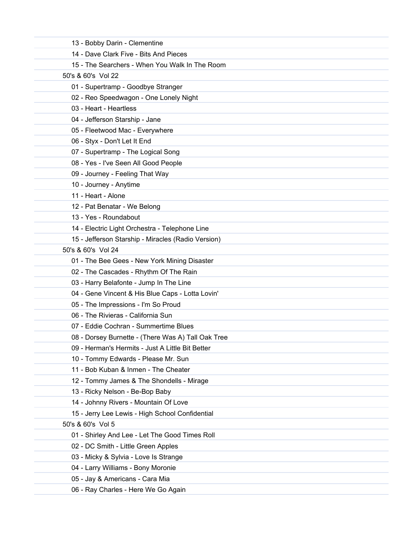| 13 - Bobby Darin - Clementine                      |
|----------------------------------------------------|
| 14 - Dave Clark Five - Bits And Pieces             |
| 15 - The Searchers - When You Walk In The Room     |
| 50's & 60's Vol 22                                 |
| 01 - Supertramp - Goodbye Stranger                 |
| 02 - Reo Speedwagon - One Lonely Night             |
| 03 - Heart - Heartless                             |
| 04 - Jefferson Starship - Jane                     |
| 05 - Fleetwood Mac - Everywhere                    |
| 06 - Styx - Don't Let It End                       |
| 07 - Supertramp - The Logical Song                 |
| 08 - Yes - I've Seen All Good People               |
| 09 - Journey - Feeling That Way                    |
| 10 - Journey - Anytime                             |
| 11 - Heart - Alone                                 |
| 12 - Pat Benatar - We Belong                       |
| 13 - Yes - Roundabout                              |
| 14 - Electric Light Orchestra - Telephone Line     |
| 15 - Jefferson Starship - Miracles (Radio Version) |
| 50's & 60's Vol 24                                 |
| 01 - The Bee Gees - New York Mining Disaster       |
| 02 - The Cascades - Rhythm Of The Rain             |
| 03 - Harry Belafonte - Jump In The Line            |
| 04 - Gene Vincent & His Blue Caps - Lotta Lovin'   |
| 05 - The Impressions - I'm So Proud                |
| 06 - The Rivieras - California Sun                 |
| 07 - Eddie Cochran - Summertime Blues              |
| 08 - Dorsey Burnette - (There Was A) Tall Oak Tree |
| 09 - Herman's Hermits - Just A Little Bit Better   |
| 10 - Tommy Edwards - Please Mr. Sun                |
| 11 - Bob Kuban & Inmen - The Cheater               |
| 12 - Tommy James & The Shondells - Mirage          |
| 13 - Ricky Nelson - Be-Bop Baby                    |
| 14 - Johnny Rivers - Mountain Of Love              |
| 15 - Jerry Lee Lewis - High School Confidential    |
| 50's & 60's Vol 5                                  |
| 01 - Shirley And Lee - Let The Good Times Roll     |
| 02 - DC Smith - Little Green Apples                |
| 03 - Micky & Sylvia - Love Is Strange              |
| 04 - Larry Williams - Bony Moronie                 |
| 05 - Jay & Americans - Cara Mia                    |
| 06 - Ray Charles - Here We Go Again                |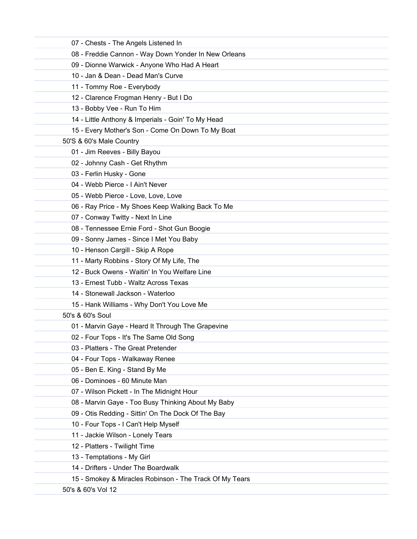| 07 - Chests - The Angels Listened In<br>08 - Freddie Cannon - Way Down Yonder In New Orleans |
|----------------------------------------------------------------------------------------------|
| 09 - Dionne Warwick - Anyone Who Had A Heart                                                 |
| 10 - Jan & Dean - Dead Man's Curve                                                           |
| 11 - Tommy Roe - Everybody                                                                   |
| 12 - Clarence Frogman Henry - But I Do                                                       |
| 13 - Bobby Vee - Run To Him                                                                  |
| 14 - Little Anthony & Imperials - Goin' To My Head                                           |
| 15 - Every Mother's Son - Come On Down To My Boat                                            |
| 50'S & 60's Male Country                                                                     |
| 01 - Jim Reeves - Billy Bayou                                                                |
| 02 - Johnny Cash - Get Rhythm                                                                |
| 03 - Ferlin Husky - Gone                                                                     |
| 04 - Webb Pierce - I Ain't Never                                                             |
|                                                                                              |
| 05 - Webb Pierce - Love, Love, Love                                                          |
| 06 - Ray Price - My Shoes Keep Walking Back To Me                                            |
| 07 - Conway Twitty - Next In Line                                                            |
| 08 - Tennessee Ernie Ford - Shot Gun Boogie                                                  |
| 09 - Sonny James - Since I Met You Baby                                                      |
| 10 - Henson Cargill - Skip A Rope                                                            |
| 11 - Marty Robbins - Story Of My Life, The                                                   |
| 12 - Buck Owens - Waitin' In You Welfare Line                                                |
| 13 - Ernest Tubb - Waltz Across Texas                                                        |
| 14 - Stonewall Jackson - Waterloo                                                            |
| 15 - Hank Williams - Why Don't You Love Me                                                   |
| 50's & 60's Soul                                                                             |
| 01 - Marvin Gaye - Heard It Through The Grapevine                                            |
| 02 - Four Tops - It's The Same Old Song                                                      |
| 03 - Platters - The Great Pretender                                                          |
| 04 - Four Tops - Walkaway Renee                                                              |
| 05 - Ben E. King - Stand By Me                                                               |
| 06 - Dominoes - 60 Minute Man                                                                |
| 07 - Wilson Pickett - In The Midnight Hour                                                   |
| 08 - Marvin Gaye - Too Busy Thinking About My Baby                                           |
| 09 - Otis Redding - Sittin' On The Dock Of The Bay                                           |
| 10 - Four Tops - I Can't Help Myself                                                         |
| 11 - Jackie Wilson - Lonely Tears                                                            |
| 12 - Platters - Twilight Time                                                                |
| 13 - Temptations - My Girl                                                                   |
| 14 - Drifters - Under The Boardwalk                                                          |
| 15 - Smokey & Miracles Robinson - The Track Of My Tears                                      |
| 50's & 60's Vol 12                                                                           |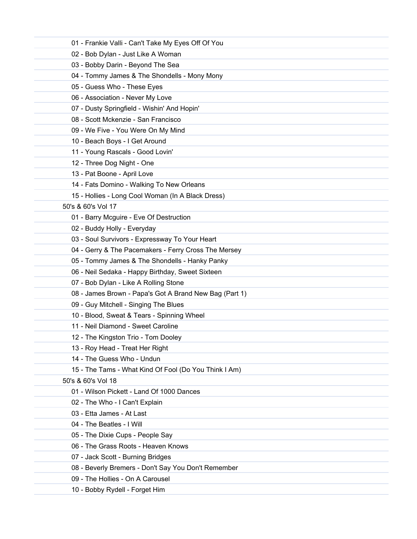| 01 - Frankie Valli - Can't Take My Eyes Off Of You     |
|--------------------------------------------------------|
| 02 - Bob Dylan - Just Like A Woman                     |
| 03 - Bobby Darin - Beyond The Sea                      |
| 04 - Tommy James & The Shondells - Mony Mony           |
| 05 - Guess Who - These Eyes                            |
| 06 - Association - Never My Love                       |
| 07 - Dusty Springfield - Wishin' And Hopin'            |
| 08 - Scott Mckenzie - San Francisco                    |
| 09 - We Five - You Were On My Mind                     |
| 10 - Beach Boys - I Get Around                         |
| 11 - Young Rascals - Good Lovin'                       |
| 12 - Three Dog Night - One                             |
| 13 - Pat Boone - April Love                            |
| 14 - Fats Domino - Walking To New Orleans              |
| 15 - Hollies - Long Cool Woman (In A Black Dress)      |
| 50's & 60's Vol 17                                     |
| 01 - Barry Mcguire - Eve Of Destruction                |
| 02 - Buddy Holly - Everyday                            |
| 03 - Soul Survivors - Expressway To Your Heart         |
| 04 - Gerry & The Pacemakers - Ferry Cross The Mersey   |
| 05 - Tommy James & The Shondells - Hanky Panky         |
| 06 - Neil Sedaka - Happy Birthday, Sweet Sixteen       |
| 07 - Bob Dylan - Like A Rolling Stone                  |
| 08 - James Brown - Papa's Got A Brand New Bag (Part 1) |
| 09 - Guy Mitchell - Singing The Blues                  |
| 10 - Blood, Sweat & Tears - Spinning Wheel             |
| 11 - Neil Diamond - Sweet Caroline                     |
| 12 - The Kingston Trio - Tom Dooley                    |
| 13 - Roy Head - Treat Her Right                        |
| 14 - The Guess Who - Undun                             |
| 15 - The Tams - What Kind Of Fool (Do You Think I Am)  |
| 50's & 60's Vol 18                                     |
| 01 - Wilson Pickett - Land Of 1000 Dances              |
| 02 - The Who - I Can't Explain                         |
| 03 - Etta James - At Last                              |
| 04 - The Beatles - I Will                              |
| 05 - The Dixie Cups - People Say                       |
| 06 - The Grass Roots - Heaven Knows                    |
| 07 - Jack Scott - Burning Bridges                      |
| 08 - Beverly Bremers - Don't Say You Don't Remember    |
| 09 - The Hollies - On A Carousel                       |
| 10 - Bobby Rydell - Forget Him                         |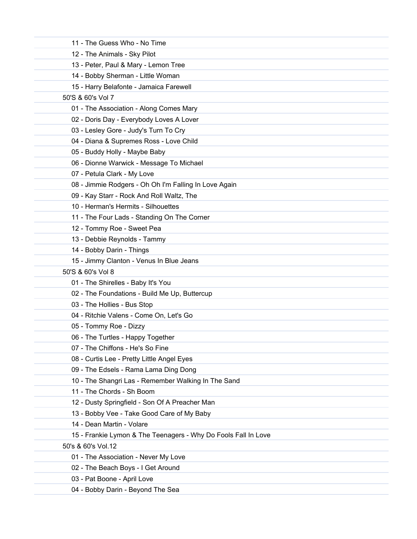| 11 - The Guess Who - No Time                                   |
|----------------------------------------------------------------|
| 12 - The Animals - Sky Pilot                                   |
| 13 - Peter, Paul & Mary - Lemon Tree                           |
| 14 - Bobby Sherman - Little Woman                              |
| 15 - Harry Belafonte - Jamaica Farewell                        |
| 50'S & 60's Vol 7                                              |
| 01 - The Association - Along Comes Mary                        |
| 02 - Doris Day - Everybody Loves A Lover                       |
| 03 - Lesley Gore - Judy's Turn To Cry                          |
| 04 - Diana & Supremes Ross - Love Child                        |
| 05 - Buddy Holly - Maybe Baby                                  |
| 06 - Dionne Warwick - Message To Michael                       |
| 07 - Petula Clark - My Love                                    |
| 08 - Jimmie Rodgers - Oh Oh I'm Falling In Love Again          |
| 09 - Kay Starr - Rock And Roll Waltz, The                      |
| 10 - Herman's Hermits - Silhouettes                            |
| 11 - The Four Lads - Standing On The Corner                    |
| 12 - Tommy Roe - Sweet Pea                                     |
| 13 - Debbie Reynolds - Tammy                                   |
| 14 - Bobby Darin - Things                                      |
| 15 - Jimmy Clanton - Venus In Blue Jeans                       |
| 50'S & 60's Vol 8                                              |
| 01 - The Shirelles - Baby It's You                             |
| 02 - The Foundations - Build Me Up, Buttercup                  |
| 03 - The Hollies - Bus Stop                                    |
| 04 - Ritchie Valens - Come On, Let's Go                        |
| 05 - Tommy Roe - Dizzy                                         |
| 06 - The Turtles - Happy Together                              |
| 07 - The Chiffons - He's So Fine                               |
| 08 - Curtis Lee - Pretty Little Angel Eyes                     |
| 09 - The Edsels - Rama Lama Ding Dong                          |
| 10 - The Shangri Las - Remember Walking In The Sand            |
| 11 - The Chords - Sh Boom                                      |
| 12 - Dusty Springfield - Son Of A Preacher Man                 |
| 13 - Bobby Vee - Take Good Care of My Baby                     |
| 14 - Dean Martin - Volare                                      |
| 15 - Frankie Lymon & The Teenagers - Why Do Fools Fall In Love |
| 50's & 60's Vol.12                                             |
| 01 - The Association - Never My Love                           |
| 02 - The Beach Boys - I Get Around                             |
| 03 - Pat Boone - April Love                                    |
| 04 - Bobby Darin - Beyond The Sea                              |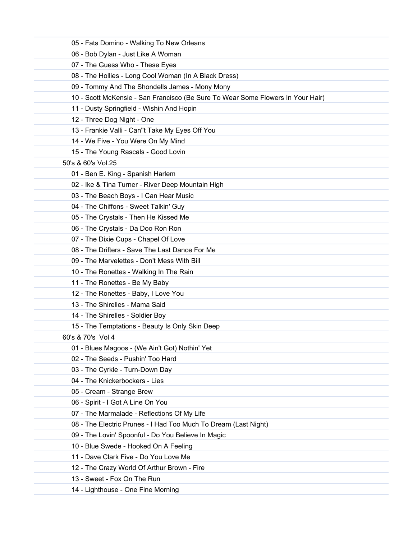| 05 - Fats Domino - Walking To New Orleans                                       |
|---------------------------------------------------------------------------------|
| 06 - Bob Dylan - Just Like A Woman                                              |
| 07 - The Guess Who - These Eyes                                                 |
| 08 - The Hollies - Long Cool Woman (In A Black Dress)                           |
| 09 - Tommy And The Shondells James - Mony Mony                                  |
| 10 - Scott McKensie - San Francisco (Be Sure To Wear Some Flowers In Your Hair) |
| 11 - Dusty Springfield - Wishin And Hopin                                       |
| 12 - Three Dog Night - One                                                      |
| 13 - Frankie Valli - Can"t Take My Eyes Off You                                 |
| 14 - We Five - You Were On My Mind                                              |
| 15 - The Young Rascals - Good Lovin                                             |
| 50's & 60's Vol.25                                                              |
| 01 - Ben E. King - Spanish Harlem                                               |
| 02 - Ike & Tina Turner - River Deep Mountain High                               |
| 03 - The Beach Boys - I Can Hear Music                                          |
| 04 - The Chiffons - Sweet Talkin' Guy                                           |
| 05 - The Crystals - Then He Kissed Me                                           |
| 06 - The Crystals - Da Doo Ron Ron                                              |
| 07 - The Dixie Cups - Chapel Of Love                                            |
| 08 - The Drifters - Save The Last Dance For Me                                  |
| 09 - The Marvelettes - Don't Mess With Bill                                     |
| 10 - The Ronettes - Walking In The Rain                                         |
| 11 - The Ronettes - Be My Baby                                                  |
| 12 - The Ronettes - Baby, I Love You                                            |
| 13 - The Shirelles - Mama Said                                                  |
| 14 - The Shirelles - Soldier Boy                                                |
| 15 - The Temptations - Beauty Is Only Skin Deep                                 |
| 60's & 70's Vol 4                                                               |
| 01 - Blues Magoos - (We Ain't Got) Nothin' Yet                                  |
| 02 - The Seeds - Pushin' Too Hard                                               |
| 03 - The Cyrkle - Turn-Down Day                                                 |
| 04 - The Knickerbockers - Lies                                                  |
| 05 - Cream - Strange Brew                                                       |
| 06 - Spirit - I Got A Line On You                                               |
| 07 - The Marmalade - Reflections Of My Life                                     |
| 08 - The Electric Prunes - I Had Too Much To Dream (Last Night)                 |
| 09 - The Lovin' Spoonful - Do You Believe In Magic                              |
| 10 - Blue Swede - Hooked On A Feeling                                           |
| 11 - Dave Clark Five - Do You Love Me                                           |
| 12 - The Crazy World Of Arthur Brown - Fire                                     |
| 13 - Sweet - Fox On The Run                                                     |
| 14 - Lighthouse - One Fine Morning                                              |
|                                                                                 |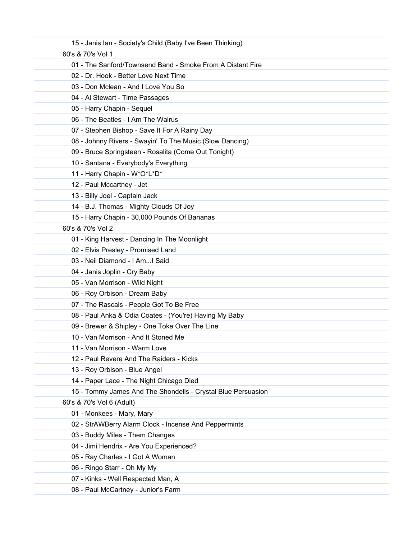| 15 - Janis Ian - Society's Child (Baby I've Been Thinking)   |
|--------------------------------------------------------------|
| 60's & 70's Vol 1                                            |
| 01 - The Sanford/Townsend Band - Smoke From A Distant Fire   |
| 02 - Dr. Hook - Better Love Next Time                        |
| 03 - Don Mclean - And I Love You So                          |
| 04 - Al Stewart - Time Passages                              |
| 05 - Harry Chapin - Sequel                                   |
| 06 - The Beatles - I Am The Walrus                           |
| 07 - Stephen Bishop - Save It For A Rainy Day                |
| 08 - Johnny Rivers - Swayin' To The Music (Slow Dancing)     |
| 09 - Bruce Springsteen - Rosalita (Come Out Tonight)         |
| 10 - Santana - Everybody's Everything                        |
| 11 - Harry Chapin - W*O*L*D*                                 |
| 12 - Paul Mccartney - Jet                                    |
| 13 - Billy Joel - Captain Jack                               |
| 14 - B.J. Thomas - Mighty Clouds Of Joy                      |
| 15 - Harry Chapin - 30,000 Pounds Of Bananas                 |
| 60's & 70's Vol 2                                            |
| 01 - King Harvest - Dancing In The Moonlight                 |
| 02 - Elvis Presley - Promised Land                           |
| 03 - Neil Diamond - I Am I Said                              |
| 04 - Janis Joplin - Cry Baby                                 |
| 05 - Van Morrison - Wild Night                               |
| 06 - Roy Orbison - Dream Baby                                |
| 07 - The Rascals - People Got To Be Free                     |
| 08 - Paul Anka & Odia Coates - (You're) Having My Baby       |
| 09 - Brewer & Shipley - One Toke Over The Line               |
| 10 - Van Morrison - And It Stoned Me                         |
| 11 - Van Morrison - Warm Love                                |
| 12 - Paul Revere And The Raiders - Kicks                     |
| 13 - Roy Orbison - Blue Angel                                |
| 14 - Paper Lace - The Night Chicago Died                     |
| 15 - Tommy James And The Shondells - Crystal Blue Persuasion |
| 60's & 70's Vol 6 (Adult)                                    |
| 01 - Monkees - Mary, Mary                                    |
| 02 - StrAWBerry Alarm Clock - Incense And Peppermints        |
| 03 - Buddy Miles - Them Changes                              |
| 04 - Jimi Hendrix - Are You Experienced?                     |
| 05 - Ray Charles - I Got A Woman                             |
| 06 - Ringo Starr - Oh My My                                  |
| 07 - Kinks - Well Respected Man, A                           |
| 08 - Paul McCartney - Junior's Farm                          |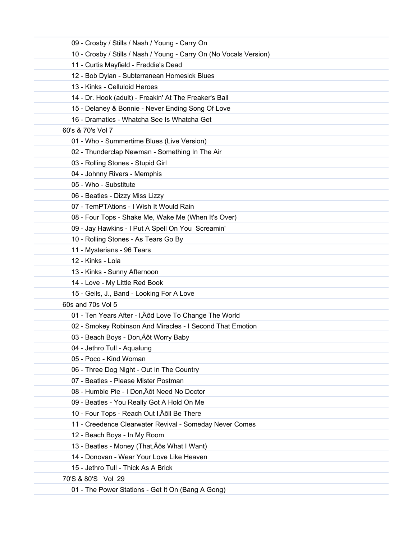| 09 - Crosby / Stills / Nash / Young - Carry On                     |
|--------------------------------------------------------------------|
| 10 - Crosby / Stills / Nash / Young - Carry On (No Vocals Version) |
| 11 - Curtis Mayfield - Freddie's Dead                              |
| 12 - Bob Dylan - Subterranean Homesick Blues                       |
| 13 - Kinks - Celluloid Heroes                                      |
| 14 - Dr. Hook (adult) - Freakin' At The Freaker's Ball             |
| 15 - Delaney & Bonnie - Never Ending Song Of Love                  |
| 16 - Dramatics - Whatcha See Is Whatcha Get                        |
| 60's & 70's Vol 7                                                  |
| 01 - Who - Summertime Blues (Live Version)                         |
| 02 - Thunderclap Newman - Something In The Air                     |
| 03 - Rolling Stones - Stupid Girl                                  |
| 04 - Johnny Rivers - Memphis                                       |
| 05 - Who - Substitute                                              |
| 06 - Beatles - Dizzy Miss Lizzy                                    |
| 07 - TemPTAtions - I Wish It Would Rain                            |
| 08 - Four Tops - Shake Me, Wake Me (When It's Over)                |
| 09 - Jay Hawkins - I Put A Spell On You Screamin'                  |
| 10 - Rolling Stones - As Tears Go By                               |
| 11 - Mysterians - 96 Tears                                         |
| 12 - Kinks - Lola                                                  |
| 13 - Kinks - Sunny Afternoon                                       |
| 14 - Love - My Little Red Book                                     |
| 15 - Geils, J., Band - Looking For A Love                          |
| 60s and 70s Vol 5                                                  |
| 01 - Ten Years After - I, Äôd Love To Change The World             |
| 02 - Smokey Robinson And Miracles - I Second That Emotion          |
| 03 - Beach Boys - Don, Äôt Worry Baby                              |
| 04 - Jethro Tull - Aqualung                                        |
| 05 - Poco - Kind Woman                                             |
| 06 - Three Dog Night - Out In The Country                          |
| 07 - Beatles - Please Mister Postman                               |
| 08 - Humble Pie - I Don, Äôt Need No Doctor                        |
| 09 - Beatles - You Really Got A Hold On Me                         |
| 10 - Four Tops - Reach Out I, Äôll Be There                        |
| 11 - Creedence Clearwater Revival - Someday Never Comes            |
| 12 - Beach Boys - In My Room                                       |
| 13 - Beatles - Money (That, Äôs What I Want)                       |
| 14 - Donovan - Wear Your Love Like Heaven                          |
| 15 - Jethro Tull - Thick As A Brick                                |
| 70'S & 80'S Vol 29                                                 |
| 01 - The Power Stations - Get It On (Bang A Gong)                  |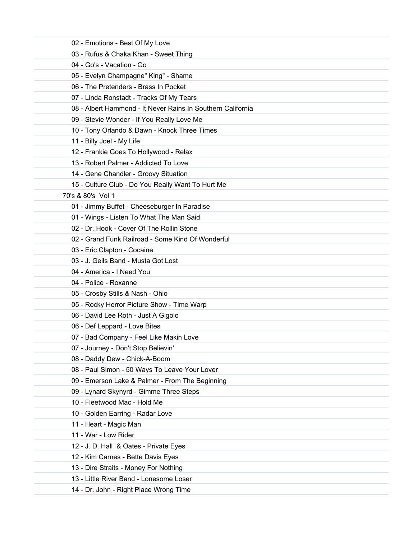| 02 - Emotions - Best Of My Love                             |
|-------------------------------------------------------------|
| 03 - Rufus & Chaka Khan - Sweet Thing                       |
| 04 - Go's - Vacation - Go                                   |
| 05 - Evelyn Champagne" King" - Shame                        |
| 06 - The Pretenders - Brass In Pocket                       |
| 07 - Linda Ronstadt - Tracks Of My Tears                    |
| 08 - Albert Hammond - It Never Rains In Southern California |
| 09 - Stevie Wonder - If You Really Love Me                  |
| 10 - Tony Orlando & Dawn - Knock Three Times                |
| 11 - Billy Joel - My Life                                   |
| 12 - Frankie Goes To Hollywood - Relax                      |
| 13 - Robert Palmer - Addicted To Love                       |
| 14 - Gene Chandler - Groovy Situation                       |
| 15 - Culture Club - Do You Really Want To Hurt Me           |
| 70's & 80's Vol 1                                           |
| 01 - Jimmy Buffet - Cheeseburger In Paradise                |
| 01 - Wings - Listen To What The Man Said                    |
| 02 - Dr. Hook - Cover Of The Rollin Stone                   |
| 02 - Grand Funk Railroad - Some Kind Of Wonderful           |
| 03 - Eric Clapton - Cocaine                                 |
| 03 - J. Geils Band - Musta Got Lost                         |
| 04 - America - I Need You                                   |
| 04 - Police - Roxanne                                       |
| 05 - Crosby Stills & Nash - Ohio                            |
| 05 - Rocky Horror Picture Show - Time Warp                  |
| 06 - David Lee Roth - Just A Gigolo                         |
| 06 - Def Leppard - Love Bites                               |
| 07 - Bad Company - Feel Like Makin Love                     |
| 07 - Journey - Don't Stop Believin'                         |
| 08 - Daddy Dew - Chick-A-Boom                               |
| 08 - Paul Simon - 50 Ways To Leave Your Lover               |
| 09 - Emerson Lake & Palmer - From The Beginning             |
| 09 - Lynard Skynyrd - Gimme Three Steps                     |
| 10 - Fleetwood Mac - Hold Me                                |
| 10 - Golden Earring - Radar Love                            |
| 11 - Heart - Magic Man                                      |
| 11 - War - Low Rider                                        |
| 12 - J. D. Hall & Oates - Private Eyes                      |
| 12 - Kim Carnes - Bette Davis Eyes                          |
| 13 - Dire Straits - Money For Nothing                       |
| 13 - Little River Band - Lonesome Loser                     |
| 14 - Dr. John - Right Place Wrong Time                      |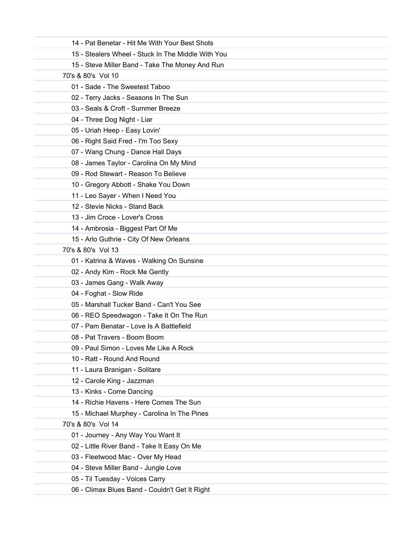| 14 - Pat Benetar - Hit Me With Your Best Shots     |
|----------------------------------------------------|
| 15 - Stealers Wheel - Stuck In The Middle With You |
| 15 - Steve Miller Band - Take The Money And Run    |
| 70's & 80's Vol 10                                 |
| 01 - Sade - The Sweetest Taboo                     |
| 02 - Terry Jacks - Seasons In The Sun              |
| 03 - Seals & Croft - Summer Breeze                 |
| 04 - Three Dog Night - Liar                        |
| 05 - Uriah Heep - Easy Lovin'                      |
| 06 - Right Said Fred - I'm Too Sexy                |
| 07 - Wang Chung - Dance Hall Days                  |
| 08 - James Taylor - Carolina On My Mind            |
| 09 - Rod Stewart - Reason To Believe               |
| 10 - Gregory Abbott - Shake You Down               |
| 11 - Leo Sayer - When I Need You                   |
| 12 - Stevie Nicks - Stand Back                     |
| 13 - Jim Croce - Lover's Cross                     |
| 14 - Ambrosia - Biggest Part Of Me                 |
| 15 - Arlo Guthrie - City Of New Orleans            |
| 70's & 80's Vol 13                                 |
| 01 - Katrina & Waves - Walking On Sunsine          |
| 02 - Andy Kim - Rock Me Gently                     |
| 03 - James Gang - Walk Away                        |
| 04 - Foghat - Slow Ride                            |
| 05 - Marshall Tucker Band - Can't You See          |
| 06 - REO Speedwagon - Take It On The Run           |
| 07 - Pam Benatar - Love Is A Battlefield           |
| 08 - Pat Travers - Boom Boom                       |
| 09 - Paul Simon - Loves Me Like A Rock             |
| 10 - Ratt - Round And Round                        |
| 11 - Laura Branigan - Solitare                     |
| 12 - Carole King - Jazzman                         |
| 13 - Kinks - Come Dancing                          |
| 14 - Richie Havens - Here Comes The Sun            |
| 15 - Michael Murphey - Carolina In The Pines       |
| 70's & 80's Vol 14                                 |
| 01 - Journey - Any Way You Want It                 |
| 02 - Little River Band - Take It Easy On Me        |
| 03 - Fleetwood Mac - Over My Head                  |
| 04 - Steve Miller Band - Jungle Love               |
| 05 - Til Tuesday - Voices Carry                    |
| 06 - Climax Blues Band - Couldn't Get It Right     |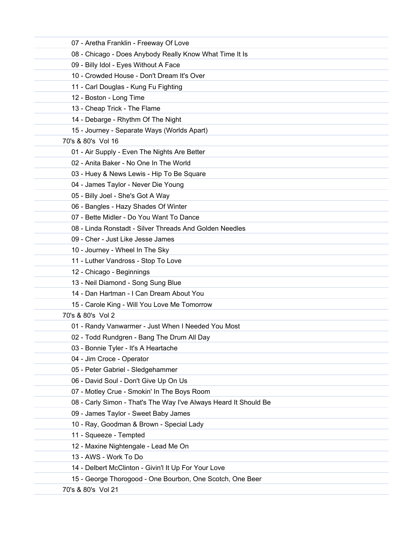| 07 - Aretha Franklin - Freeway Of Love                           |
|------------------------------------------------------------------|
| 08 - Chicago - Does Anybody Really Know What Time It Is          |
| 09 - Billy Idol - Eyes Without A Face                            |
| 10 - Crowded House - Don't Dream It's Over                       |
| 11 - Carl Douglas - Kung Fu Fighting                             |
| 12 - Boston - Long Time                                          |
| 13 - Cheap Trick - The Flame                                     |
| 14 - Debarge - Rhythm Of The Night                               |
| 15 - Journey - Separate Ways (Worlds Apart)                      |
| 70's & 80's Vol 16                                               |
| 01 - Air Supply - Even The Nights Are Better                     |
| 02 - Anita Baker - No One In The World                           |
| 03 - Huey & News Lewis - Hip To Be Square                        |
| 04 - James Taylor - Never Die Young                              |
| 05 - Billy Joel - She's Got A Way                                |
| 06 - Bangles - Hazy Shades Of Winter                             |
| 07 - Bette Midler - Do You Want To Dance                         |
| 08 - Linda Ronstadt - Silver Threads And Golden Needles          |
| 09 - Cher - Just Like Jesse James                                |
| 10 - Journey - Wheel In The Sky                                  |
| 11 - Luther Vandross - Stop To Love                              |
| 12 - Chicago - Beginnings                                        |
| 13 - Neil Diamond - Song Sung Blue                               |
| 14 - Dan Hartman - I Can Dream About You                         |
| 15 - Carole King - Will You Love Me Tomorrow                     |
| 70's & 80's Vol 2                                                |
| 01 - Randy Vanwarmer - Just When I Needed You Most               |
| 02 - Todd Rundgren - Bang The Drum All Day                       |
| 03 - Bonnie Tyler - It's A Heartache                             |
| 04 - Jim Croce - Operator                                        |
| 05 - Peter Gabriel - Sledgehammer                                |
| 06 - David Soul - Don't Give Up On Us                            |
| 07 - Motley Crue - Smokin' In The Boys Room                      |
| 08 - Carly Simon - That's The Way I've Always Heard It Should Be |
| 09 - James Taylor - Sweet Baby James                             |
| 10 - Ray, Goodman & Brown - Special Lady                         |
| 11 - Squeeze - Tempted                                           |
| 12 - Maxine Nightengale - Lead Me On                             |
| 13 - AWS - Work To Do                                            |
| 14 - Delbert McClinton - Givin'l It Up For Your Love             |
| 15 - George Thorogood - One Bourbon, One Scotch, One Beer        |
| 70's & 80's Vol 21                                               |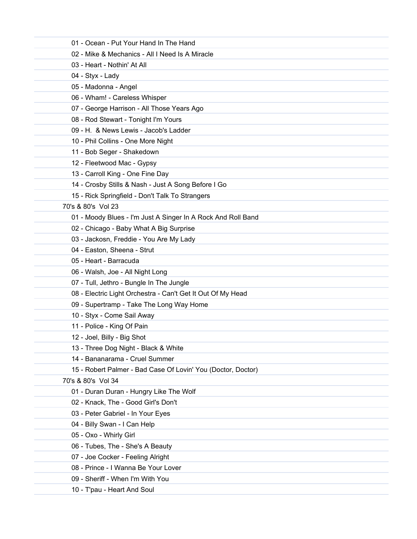| 01 - Ocean - Put Your Hand In The Hand                       |
|--------------------------------------------------------------|
| 02 - Mike & Mechanics - All I Need Is A Miracle              |
| 03 - Heart - Nothin' At All                                  |
| 04 - Styx - Lady                                             |
| 05 - Madonna - Angel                                         |
| 06 - Wham! - Careless Whisper                                |
| 07 - George Harrison - All Those Years Ago                   |
| 08 - Rod Stewart - Tonight I'm Yours                         |
| 09 - H. & News Lewis - Jacob's Ladder                        |
| 10 - Phil Collins - One More Night                           |
| 11 - Bob Seger - Shakedown                                   |
| 12 - Fleetwood Mac - Gypsy                                   |
| 13 - Carroll King - One Fine Day                             |
| 14 - Crosby Stills & Nash - Just A Song Before I Go          |
| 15 - Rick Springfield - Don't Talk To Strangers              |
| 70's & 80's Vol 23                                           |
| 01 - Moody Blues - I'm Just A Singer In A Rock And Roll Band |
| 02 - Chicago - Baby What A Big Surprise                      |
| 03 - Jackosn, Freddie - You Are My Lady                      |
| 04 - Easton, Sheena - Strut                                  |
| 05 - Heart - Barracuda                                       |
| 06 - Walsh, Joe - All Night Long                             |
| 07 - Tull, Jethro - Bungle In The Jungle                     |
| 08 - Electric Light Orchestra - Can't Get It Out Of My Head  |
| 09 - Supertramp - Take The Long Way Home                     |
| 10 - Styx - Come Sail Away                                   |
| 11 - Police - King Of Pain                                   |
| 12 - Joel, Billy - Big Shot                                  |
| 13 - Three Dog Night - Black & White                         |
| 14 - Bananarama - Cruel Summer                               |
| 15 - Robert Palmer - Bad Case Of Lovin' You (Doctor, Doctor) |
| 70's & 80's Vol 34                                           |
| 01 - Duran Duran - Hungry Like The Wolf                      |
| 02 - Knack, The - Good Girl's Don't                          |
| 03 - Peter Gabriel - In Your Eyes                            |
| 04 - Billy Swan - I Can Help                                 |
| 05 - Oxo - Whirly Girl                                       |
| 06 - Tubes, The - She's A Beauty                             |
| 07 - Joe Cocker - Feeling Alright                            |
| 08 - Prince - I Wanna Be Your Lover                          |
| 09 - Sheriff - When I'm With You                             |
| 10 - T'pau - Heart And Soul                                  |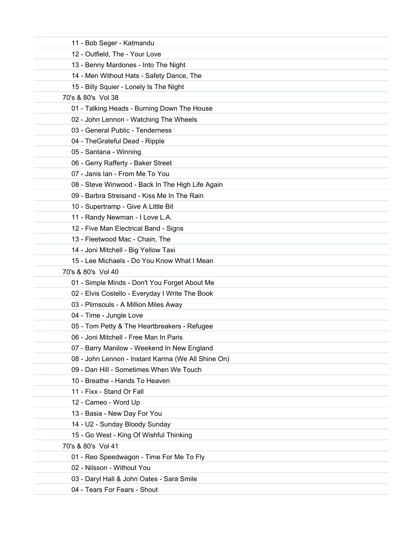| 11 - Bob Seger - Katmandu                          |
|----------------------------------------------------|
| 12 - Outfield, The - Your Love                     |
| 13 - Benny Mardones - Into The Night               |
| 14 - Men Without Hats - Safety Dance, The          |
| 15 - Billy Squier - Lonely Is The Night            |
| 70's & 80's Vol 38                                 |
| 01 - Talking Heads - Burning Down The House        |
| 02 - John Lennon - Watching The Wheels             |
| 03 - General Public - Tenderness                   |
| 04 - TheGrateful Dead - Ripple                     |
| 05 - Santana - Winning                             |
| 06 - Gerry Rafferty - Baker Street                 |
| 07 - Janis Ian - From Me To You                    |
| 08 - Steve Winwood - Back In The High Life Again   |
| 09 - Barbra Streisand - Kiss Me In The Rain        |
| 10 - Supertramp - Give A Little Bit                |
| 11 - Randy Newman - I Love L.A.                    |
| 12 - Five Man Electrical Band - Signs              |
| 13 - Fleetwood Mac - Chain, The                    |
| 14 - Joni Mitchell - Big Yellow Taxi               |
| 15 - Lee Michaels - Do You Know What I Mean        |
| 70's & 80's Vol 40                                 |
| 01 - Simple Minds - Don't You Forget About Me      |
| 02 - Elvis Costello - Everyday I Write The Book    |
| 03 - Plimsouls - A Million Miles Away              |
| 04 - Time - Jungle Love                            |
| 05 - Tom Petty & The Heartbreakers - Refugee       |
| 06 - Joni Mitchell - Free Man In Paris             |
| 07 - Barry Manilow - Weekend In New England        |
| 08 - John Lennon - Instant Karma (We All Shine On) |
| 09 - Dan Hill - Sometimes When We Touch            |
| 10 - Breathe - Hands To Heaven                     |
| 11 - Fixx - Stand Or Fall                          |
| 12 - Cameo - Word Up                               |
| 13 - Basia - New Day For You                       |
| 14 - U2 - Sunday Bloody Sunday                     |
| 15 - Go West - King Of Wishful Thinking            |
| 70's & 80's Vol 41                                 |
| 01 - Reo Speedwagon - Time For Me To Fly           |
| 02 - Nilsson - Without You                         |
| 03 - Daryl Hall & John Oates - Sara Smile          |
| 04 - Tears For Fears - Shout                       |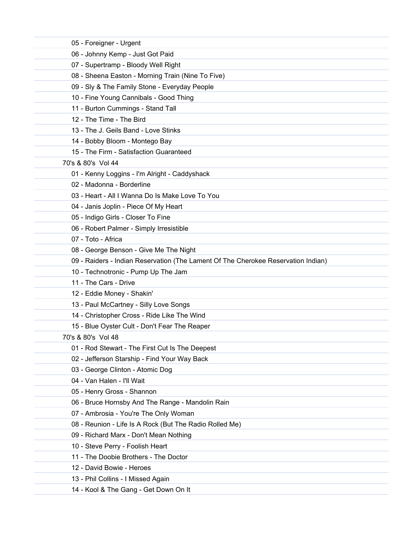| 05 - Foreigner - Urgent                                                           |
|-----------------------------------------------------------------------------------|
| 06 - Johnny Kemp - Just Got Paid                                                  |
| 07 - Supertramp - Bloody Well Right                                               |
| 08 - Sheena Easton - Morning Train (Nine To Five)                                 |
| 09 - Sly & The Family Stone - Everyday People                                     |
| 10 - Fine Young Cannibals - Good Thing                                            |
| 11 - Burton Cummings - Stand Tall                                                 |
| 12 - The Time - The Bird                                                          |
| 13 - The J. Geils Band - Love Stinks                                              |
| 14 - Bobby Bloom - Montego Bay                                                    |
| 15 - The Firm - Satisfaction Guaranteed                                           |
| 70's & 80's Vol 44                                                                |
| 01 - Kenny Loggins - I'm Alright - Caddyshack                                     |
| 02 - Madonna - Borderline                                                         |
| 03 - Heart - All I Wanna Do Is Make Love To You                                   |
| 04 - Janis Joplin - Piece Of My Heart                                             |
| 05 - Indigo Girls - Closer To Fine                                                |
| 06 - Robert Palmer - Simply Irresistible                                          |
| 07 - Toto - Africa                                                                |
| 08 - George Benson - Give Me The Night                                            |
| 09 - Raiders - Indian Reservation (The Lament Of The Cherokee Reservation Indian) |
| 10 - Technotronic - Pump Up The Jam                                               |
|                                                                                   |
| 11 - The Cars - Drive                                                             |
| 12 - Eddie Money - Shakin'                                                        |
| 13 - Paul McCartney - Silly Love Songs                                            |
| 14 - Christopher Cross - Ride Like The Wind                                       |
| 15 - Blue Oyster Cult - Don't Fear The Reaper                                     |
| 70's & 80's Vol 48                                                                |
| 01 - Rod Stewart - The First Cut Is The Deepest                                   |
| 02 - Jefferson Starship - Find Your Way Back                                      |
| 03 - George Clinton - Atomic Dog                                                  |
| 04 - Van Halen - I'll Wait                                                        |
| 05 - Henry Gross - Shannon                                                        |
| 06 - Bruce Hornsby And The Range - Mandolin Rain                                  |
| 07 - Ambrosia - You're The Only Woman                                             |
| 08 - Reunion - Life Is A Rock (But The Radio Rolled Me)                           |
| 09 - Richard Marx - Don't Mean Nothing                                            |
| 10 - Steve Perry - Foolish Heart                                                  |
| 11 - The Doobie Brothers - The Doctor                                             |
| 12 - David Bowie - Heroes                                                         |
| 13 - Phil Collins - I Missed Again                                                |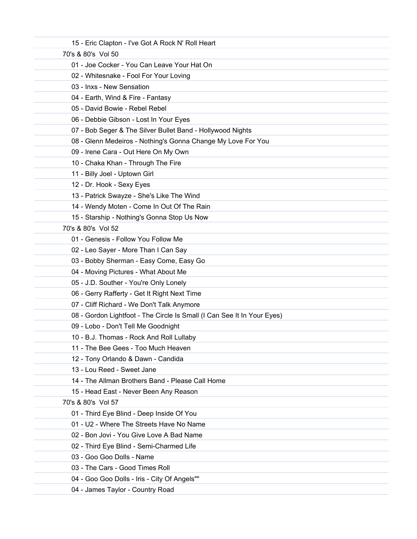| 15 - Eric Clapton - I've Got A Rock N' Roll Heart                       |
|-------------------------------------------------------------------------|
| 70's & 80's Vol 50                                                      |
| 01 - Joe Cocker - You Can Leave Your Hat On                             |
| 02 - Whitesnake - Fool For Your Loving                                  |
| 03 - Inxs - New Sensation                                               |
| 04 - Earth, Wind & Fire - Fantasy                                       |
| 05 - David Bowie - Rebel Rebel                                          |
| 06 - Debbie Gibson - Lost In Your Eyes                                  |
| 07 - Bob Seger & The Silver Bullet Band - Hollywood Nights              |
| 08 - Glenn Medeiros - Nothing's Gonna Change My Love For You            |
| 09 - Irene Cara - Out Here On My Own                                    |
| 10 - Chaka Khan - Through The Fire                                      |
| 11 - Billy Joel - Uptown Girl                                           |
| 12 - Dr. Hook - Sexy Eyes                                               |
| 13 - Patrick Swayze - She's Like The Wind                               |
| 14 - Wendy Moten - Come In Out Of The Rain                              |
| 15 - Starship - Nothing's Gonna Stop Us Now                             |
| 70's & 80's Vol 52                                                      |
| 01 - Genesis - Follow You Follow Me                                     |
| 02 - Leo Sayer - More Than I Can Say                                    |
| 03 - Bobby Sherman - Easy Come, Easy Go                                 |
| 04 - Moving Pictures - What About Me                                    |
| 05 - J.D. Souther - You're Only Lonely                                  |
| 06 - Gerry Rafferty - Get It Right Next Time                            |
| 07 - Cliff Richard - We Don't Talk Anymore                              |
| 08 - Gordon Lightfoot - The Circle Is Small (I Can See It In Your Eyes) |
| 09 - Lobo - Don't Tell Me Goodnight                                     |
| 10 - B.J. Thomas - Rock And Roll Lullaby                                |
| 11 - The Bee Gees - Too Much Heaven                                     |
| 12 - Tony Orlando & Dawn - Candida                                      |
| 13 - Lou Reed - Sweet Jane                                              |
| 14 - The Allman Brothers Band - Please Call Home                        |
| 15 - Head East - Never Been Any Reason                                  |
| 70's & 80's Vol 57                                                      |
| 01 - Third Eye Blind - Deep Inside Of You                               |
| 01 - U2 - Where The Streets Have No Name                                |
| 02 - Bon Jovi - You Give Love A Bad Name                                |
| 02 - Third Eye Blind - Semi-Charmed Life                                |
| 03 - Goo Goo Dolls - Name                                               |
| 03 - The Cars - Good Times Roll                                         |
| 04 - Goo Goo Dolls - Iris - City Of Angels""                            |
| 04 - James Taylor - Country Road                                        |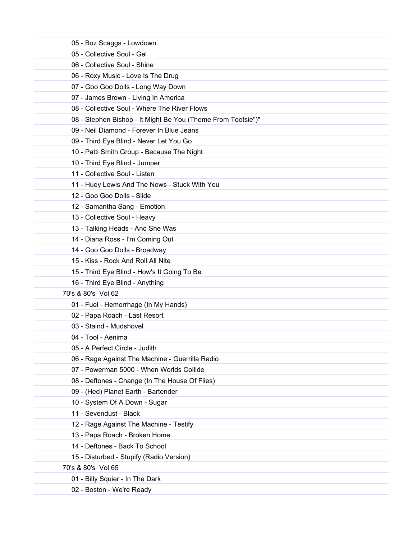| 05 - Boz Scaggs - Lowdown                                    |
|--------------------------------------------------------------|
| 05 - Collective Soul - Gel                                   |
| 06 - Collective Soul - Shine                                 |
| 06 - Roxy Music - Love Is The Drug                           |
| 07 - Goo Goo Dolls - Long Way Down                           |
| 07 - James Brown - Living In America                         |
| 08 - Collective Soul - Where The River Flows                 |
| 08 - Stephen Bishop - It Might Be You (Theme From Tootsie")" |
| 09 - Neil Diamond - Forever In Blue Jeans                    |
| 09 - Third Eye Blind - Never Let You Go                      |
| 10 - Patti Smith Group - Because The Night                   |
| 10 - Third Eye Blind - Jumper                                |
| 11 - Collective Soul - Listen                                |
| 11 - Huey Lewis And The News - Stuck With You                |
| 12 - Goo Goo Dolls - Slide                                   |
| 12 - Samantha Sang - Emotion                                 |
| 13 - Collective Soul - Heavy                                 |
| 13 - Talking Heads - And She Was                             |
| 14 - Diana Ross - I'm Coming Out                             |
| 14 - Goo Goo Dolls - Broadway                                |
| 15 - Kiss - Rock And Roll All Nite                           |
| 15 - Third Eye Blind - How's It Going To Be                  |
| 16 - Third Eye Blind - Anything                              |
| 70's & 80's Vol 62                                           |
| 01 - Fuel - Hemorrhage (In My Hands)                         |
| 02 - Papa Roach - Last Resort                                |
| 03 - Staind - Mudshovel                                      |
| 04 - Tool - Aenima                                           |
| 05 - A Perfect Circle - Judith                               |
| 06 - Rage Against The Machine - Guerrilla Radio              |
| 07 - Powerman 5000 - When Worlds Collide                     |
| 08 - Deftones - Change (In The House Of Flies)               |
| 09 - (Hed) Planet Earth - Bartender                          |
| 10 - System Of A Down - Sugar                                |
| 11 - Sevendust - Black                                       |
| 12 - Rage Against The Machine - Testify                      |
| 13 - Papa Roach - Broken Home                                |
| 14 - Deftones - Back To School                               |
| 15 - Disturbed - Stupify (Radio Version)                     |
| 70's & 80's Vol 65                                           |
| 01 - Billy Squier - In The Dark                              |
| 02 - Boston - We're Ready                                    |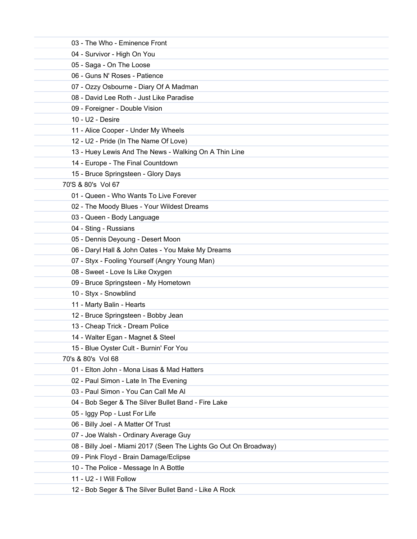| 03 - The Who - Eminence Front                                     |
|-------------------------------------------------------------------|
| 04 - Survivor - High On You                                       |
| 05 - Saga - On The Loose                                          |
| 06 - Guns N' Roses - Patience                                     |
| 07 - Ozzy Osbourne - Diary Of A Madman                            |
| 08 - David Lee Roth - Just Like Paradise                          |
| 09 - Foreigner - Double Vision                                    |
| 10 - U2 - Desire                                                  |
| 11 - Alice Cooper - Under My Wheels                               |
| 12 - U2 - Pride (In The Name Of Love)                             |
| 13 - Huey Lewis And The News - Walking On A Thin Line             |
| 14 - Europe - The Final Countdown                                 |
| 15 - Bruce Springsteen - Glory Days                               |
| 70'S & 80's Vol 67                                                |
| 01 - Queen - Who Wants To Live Forever                            |
| 02 - The Moody Blues - Your Wildest Dreams                        |
| 03 - Queen - Body Language                                        |
| 04 - Sting - Russians                                             |
| 05 - Dennis Deyoung - Desert Moon                                 |
| 06 - Daryl Hall & John Oates - You Make My Dreams                 |
| 07 - Styx - Fooling Yourself (Angry Young Man)                    |
| 08 - Sweet - Love Is Like Oxygen                                  |
| 09 - Bruce Springsteen - My Hometown                              |
| 10 - Styx - Snowblind                                             |
| 11 - Marty Balin - Hearts                                         |
| 12 - Bruce Springsteen - Bobby Jean                               |
| 13 - Cheap Trick - Dream Police                                   |
| 14 - Walter Egan - Magnet & Steel                                 |
| 15 - Blue Oyster Cult - Burnin' For You                           |
| 70's & 80's Vol 68                                                |
| 01 - Elton John - Mona Lisas & Mad Hatters                        |
| 02 - Paul Simon - Late In The Evening                             |
| 03 - Paul Simon - You Can Call Me Al                              |
| 04 - Bob Seger & The Silver Bullet Band - Fire Lake               |
| 05 - Iggy Pop - Lust For Life                                     |
| 06 - Billy Joel - A Matter Of Trust                               |
| 07 - Joe Walsh - Ordinary Average Guy                             |
| 08 - Billy Joel - Miami 2017 (Seen The Lights Go Out On Broadway) |
| 09 - Pink Floyd - Brain Damage/Eclipse                            |
| 10 - The Police - Message In A Bottle                             |
| 11 - U2 - I Will Follow                                           |
| 12 - Bob Seger & The Silver Bullet Band - Like A Rock             |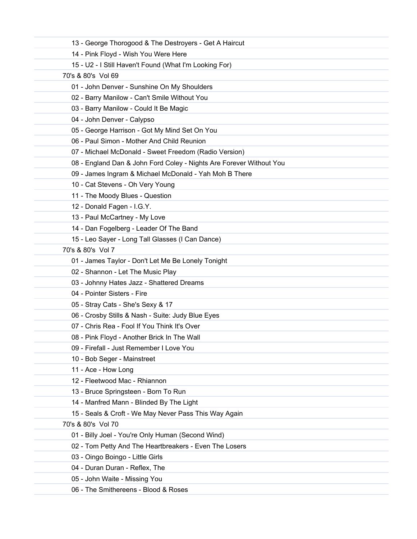| 13 - George Thorogood & The Destroyers - Get A Haircut              |  |
|---------------------------------------------------------------------|--|
| 14 - Pink Floyd - Wish You Were Here                                |  |
| 15 - U2 - I Still Haven't Found (What I'm Looking For)              |  |
| 70's & 80's Vol 69                                                  |  |
| 01 - John Denver - Sunshine On My Shoulders                         |  |
| 02 - Barry Manilow - Can't Smile Without You                        |  |
| 03 - Barry Manilow - Could It Be Magic                              |  |
| 04 - John Denver - Calypso                                          |  |
| 05 - George Harrison - Got My Mind Set On You                       |  |
| 06 - Paul Simon - Mother And Child Reunion                          |  |
| 07 - Michael McDonald - Sweet Freedom (Radio Version)               |  |
| 08 - England Dan & John Ford Coley - Nights Are Forever Without You |  |
| 09 - James Ingram & Michael McDonald - Yah Moh B There              |  |
| 10 - Cat Stevens - Oh Very Young                                    |  |
| 11 - The Moody Blues - Question                                     |  |
| 12 - Donald Fagen - I.G.Y.                                          |  |
| 13 - Paul McCartney - My Love                                       |  |
| 14 - Dan Fogelberg - Leader Of The Band                             |  |
| 15 - Leo Sayer - Long Tall Glasses (I Can Dance)                    |  |
| 70's & 80's Vol 7                                                   |  |
| 01 - James Taylor - Don't Let Me Be Lonely Tonight                  |  |
| 02 - Shannon - Let The Music Play                                   |  |
| 03 - Johnny Hates Jazz - Shattered Dreams                           |  |
| 04 - Pointer Sisters - Fire                                         |  |
| 05 - Stray Cats - She's Sexy & 17                                   |  |
| 06 - Crosby Stills & Nash - Suite: Judy Blue Eyes                   |  |
| 07 - Chris Rea - Fool If You Think It's Over                        |  |
| 08 - Pink Floyd - Another Brick In The Wall                         |  |
| 09 - Firefall - Just Remember I Love You                            |  |
| 10 - Bob Seger - Mainstreet                                         |  |
| 11 - Ace - How Long                                                 |  |
| 12 - Fleetwood Mac - Rhiannon                                       |  |
| 13 - Bruce Springsteen - Born To Run                                |  |
| 14 - Manfred Mann - Blinded By The Light                            |  |
| 15 - Seals & Croft - We May Never Pass This Way Again               |  |
| 70's & 80's Vol 70                                                  |  |
| 01 - Billy Joel - You're Only Human (Second Wind)                   |  |
| 02 - Tom Petty And The Heartbreakers - Even The Losers              |  |
| 03 - Oingo Boingo - Little Girls                                    |  |
| 04 - Duran Duran - Reflex, The                                      |  |
| 05 - John Waite - Missing You                                       |  |
| 06 - The Smithereens - Blood & Roses                                |  |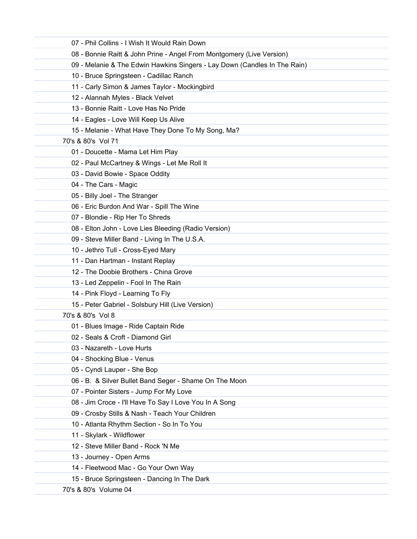| 07 - Phil Collins - I Wish It Would Rain Down                             |
|---------------------------------------------------------------------------|
| 08 - Bonnie Raitt & John Prine - Angel From Montgomery (Live Version)     |
| 09 - Melanie & The Edwin Hawkins Singers - Lay Down (Candles In The Rain) |
| 10 - Bruce Springsteen - Cadillac Ranch                                   |
| 11 - Carly Simon & James Taylor - Mockingbird                             |
| 12 - Alannah Myles - Black Velvet                                         |
| 13 - Bonnie Raitt - Love Has No Pride                                     |
| 14 - Eagles - Love Will Keep Us Alive                                     |
| 15 - Melanie - What Have They Done To My Song, Ma?                        |
| 70's & 80's Vol 71                                                        |
| 01 - Doucette - Mama Let Him Play                                         |
| 02 - Paul McCartney & Wings - Let Me Roll It                              |
| 03 - David Bowie - Space Oddity                                           |
| 04 - The Cars - Magic                                                     |
| 05 - Billy Joel - The Stranger                                            |
| 06 - Eric Burdon And War - Spill The Wine                                 |
| 07 - Blondie - Rip Her To Shreds                                          |
| 08 - Elton John - Love Lies Bleeding (Radio Version)                      |
| 09 - Steve Miller Band - Living In The U.S.A.                             |
| 10 - Jethro Tull - Cross-Eyed Mary                                        |
| 11 - Dan Hartman - Instant Replay                                         |
| 12 - The Doobie Brothers - China Grove                                    |
| 13 - Led Zeppelin - Fool In The Rain                                      |
| 14 - Pink Floyd - Learning To Fly                                         |
| 15 - Peter Gabriel - Solsbury Hill (Live Version)                         |
| 70's & 80's Vol 8                                                         |
| 01 - Blues Image - Ride Captain Ride                                      |
| 02 - Seals & Croft - Diamond Girl                                         |
| 03 - Nazareth - Love Hurts                                                |
| 04 - Shocking Blue - Venus                                                |
| 05 - Cyndi Lauper - She Bop                                               |
| 06 - B. & Silver Bullet Band Seger - Shame On The Moon                    |
| 07 - Pointer Sisters - Jump For My Love                                   |
| 08 - Jim Croce - I'll Have To Say I Love You In A Song                    |
| 09 - Crosby Stills & Nash - Teach Your Children                           |
| 10 - Atlanta Rhythm Section - So In To You                                |
| 11 - Skylark - Wildflower                                                 |
| 12 - Steve Miller Band - Rock 'N Me                                       |
| 13 - Journey - Open Arms                                                  |
| 14 - Fleetwood Mac - Go Your Own Way                                      |
| 15 - Bruce Springsteen - Dancing In The Dark                              |
| 70's & 80's Volume 04                                                     |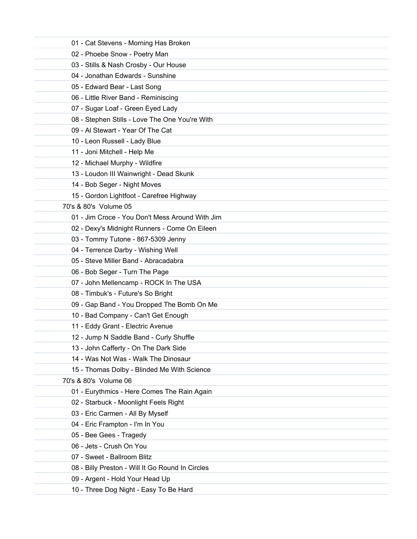| 01 - Cat Stevens - Morning Has Broken            |
|--------------------------------------------------|
| 02 - Phoebe Snow - Poetry Man                    |
| 03 - Stills & Nash Crosby - Our House            |
| 04 - Jonathan Edwards - Sunshine                 |
| 05 - Edward Bear - Last Song                     |
| 06 - Little River Band - Reminiscing             |
| 07 - Sugar Loaf - Green Eyed Lady                |
| 08 - Stephen Stills - Love The One You're With   |
| 09 - Al Stewart - Year Of The Cat                |
| 10 - Leon Russell - Lady Blue                    |
| 11 - Joni Mitchell - Help Me                     |
| 12 - Michael Murphy - Wildfire                   |
| 13 - Loudon III Wainwright - Dead Skunk          |
| 14 - Bob Seger - Night Moves                     |
| 15 - Gordon Lightfoot - Carefree Highway         |
| 70's & 80's Volume 05                            |
| 01 - Jim Croce - You Don't Mess Around With Jim  |
| 02 - Dexy's Midnight Runners - Come On Eileen    |
| 03 - Tommy Tutone - 867-5309 Jenny               |
| 04 - Terrence Darby - Wishing Well               |
| 05 - Steve Miller Band - Abracadabra             |
| 06 - Bob Seger - Turn The Page                   |
| 07 - John Mellencamp - ROCK In The USA           |
| 08 - Timbuk's - Future's So Bright               |
| 09 - Gap Band - You Dropped The Bomb On Me       |
| 10 - Bad Company - Can't Get Enough              |
| 11 - Eddy Grant - Electric Avenue                |
| 12 - Jump N Saddle Band - Curly Shuffle          |
| 13 - John Cafferty - On The Dark Side            |
| 14 - Was Not Was - Walk The Dinosaur             |
| 15 - Thomas Dolby - Blinded Me With Science      |
| 70's & 80's Volume 06                            |
| 01 - Eurythmics - Here Comes The Rain Again      |
| 02 - Starbuck - Moonlight Feels Right            |
| 03 - Eric Carmen - All By Myself                 |
| 04 - Eric Frampton - I'm In You                  |
| 05 - Bee Gees - Tragedy                          |
| 06 - Jets - Crush On You                         |
| 07 - Sweet - Ballroom Blitz                      |
| 08 - Billy Preston - Will It Go Round In Circles |
| 09 - Argent - Hold Your Head Up                  |
| 10 - Three Dog Night - Easy To Be Hard           |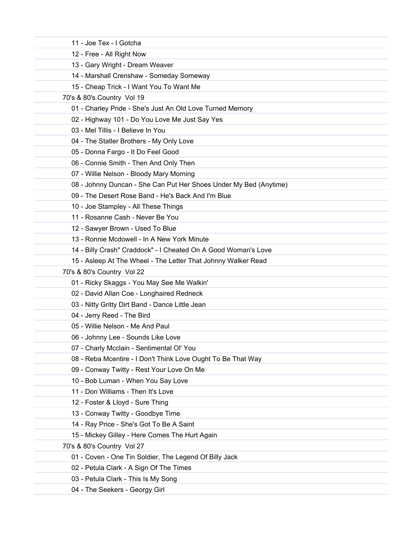| 11 - Joe Tex - I Gotcha                                           |
|-------------------------------------------------------------------|
| 12 - Free - All Right Now                                         |
| 13 - Gary Wright - Dream Weaver                                   |
| 14 - Marshall Crenshaw - Someday Someway                          |
| 15 - Cheap Trick - I Want You To Want Me                          |
| 70's & 80's Country Vol 19                                        |
| 01 - Charley Pride - She's Just An Old Love Turned Memory         |
| 02 - Highway 101 - Do You Love Me Just Say Yes                    |
| 03 - Mel Tillis - I Believe In You                                |
| 04 - The Statler Brothers - My Only Love                          |
| 05 - Donna Fargo - It Do Feel Good                                |
| 06 - Connie Smith - Then And Only Then                            |
| 07 - Willie Nelson - Bloody Mary Morning                          |
| 08 - Johnny Duncan - She Can Put Her Shoes Under My Bed (Anytime) |
| 09 - The Desert Rose Band - He's Back And I'm Blue                |
| 10 - Joe Stampley - All These Things                              |
| 11 - Rosanne Cash - Never Be You                                  |
| 12 - Sawyer Brown - Used To Blue                                  |
| 13 - Ronnie Mcdowell - In A New York Minute                       |
| 14 - Billy Crash" Craddock" - I Cheated On A Good Woman's Love    |
| 15 - Asleep At The Wheel - The Letter That Johnny Walker Read     |
| 70's & 80's Country Vol 22                                        |
| 01 - Ricky Skaggs - You May See Me Walkin'                        |
| 02 - David Allan Coe - Longhaired Redneck                         |
| 03 - Nitty Gritty Dirt Band - Dance Little Jean                   |
| 04 - Jerry Reed - The Bird                                        |
| 05 - Willie Nelson - Me And Paul                                  |
| 06 - Johnny Lee - Sounds Like Love                                |
|                                                                   |
| 07 - Charly Mcclain - Sentimental Ol' You                         |
| 08 - Reba Mcentire - I Don't Think Love Ought To Be That Way      |
| 09 - Conway Twitty - Rest Your Love On Me                         |
| 10 - Bob Luman - When You Say Love                                |
| 11 - Don Williams - Then It's Love                                |
| 12 - Foster & Lloyd - Sure Thing                                  |
| 13 - Conway Twitty - Goodbye Time                                 |
| 14 - Ray Price - She's Got To Be A Saint                          |
| 15 - Mickey Gilley - Here Comes The Hurt Again                    |
| 70's & 80's Country Vol 27                                        |
| 01 - Coven - One Tin Soldier, The Legend Of Billy Jack            |
| 02 - Petula Clark - A Sign Of The Times                           |
| 03 - Petula Clark - This Is My Song                               |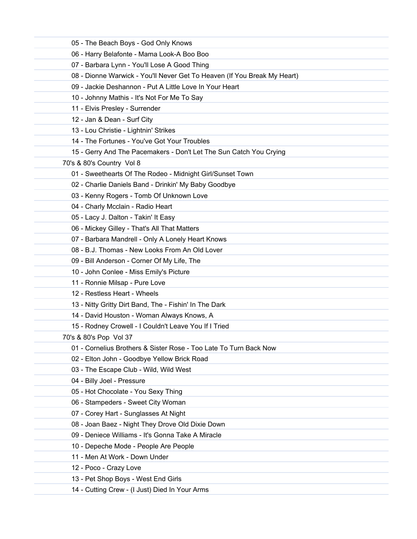| 05 - The Beach Boys - God Only Knows                                     |  |
|--------------------------------------------------------------------------|--|
| 06 - Harry Belafonte - Mama Look-A Boo Boo                               |  |
| 07 - Barbara Lynn - You'll Lose A Good Thing                             |  |
| 08 - Dionne Warwick - You'll Never Get To Heaven (If You Break My Heart) |  |
| 09 - Jackie Deshannon - Put A Little Love In Your Heart                  |  |
| 10 - Johnny Mathis - It's Not For Me To Say                              |  |
| 11 - Elvis Presley - Surrender                                           |  |
| 12 - Jan & Dean - Surf City                                              |  |
| 13 - Lou Christie - Lightnin' Strikes                                    |  |
| 14 - The Fortunes - You've Got Your Troubles                             |  |
| 15 - Gerry And The Pacemakers - Don't Let The Sun Catch You Crying       |  |
| 70's & 80's Country Vol 8                                                |  |
| 01 - Sweethearts Of The Rodeo - Midnight Girl/Sunset Town                |  |
| 02 - Charlie Daniels Band - Drinkin' My Baby Goodbye                     |  |
| 03 - Kenny Rogers - Tomb Of Unknown Love                                 |  |
| 04 - Charly Mcclain - Radio Heart                                        |  |
| 05 - Lacy J. Dalton - Takin' It Easy                                     |  |
| 06 - Mickey Gilley - That's All That Matters                             |  |
| 07 - Barbara Mandrell - Only A Lonely Heart Knows                        |  |
| 08 - B.J. Thomas - New Looks From An Old Lover                           |  |
| 09 - Bill Anderson - Corner Of My Life, The                              |  |
| 10 - John Conlee - Miss Emily's Picture                                  |  |
| 11 - Ronnie Milsap - Pure Love                                           |  |
| 12 - Restless Heart - Wheels                                             |  |
| 13 - Nitty Gritty Dirt Band, The - Fishin' In The Dark                   |  |
| 14 - David Houston - Woman Always Knows, A                               |  |
| 15 - Rodney Crowell - I Couldn't Leave You If I Tried                    |  |
| 70's & 80's Pop Vol 37                                                   |  |
| 01 - Cornelius Brothers & Sister Rose - Too Late To Turn Back Now        |  |
| 02 - Elton John - Goodbye Yellow Brick Road                              |  |
| 03 - The Escape Club - Wild, Wild West                                   |  |
| 04 - Billy Joel - Pressure                                               |  |
| 05 - Hot Chocolate - You Sexy Thing                                      |  |
| 06 - Stampeders - Sweet City Woman                                       |  |
| 07 - Corey Hart - Sunglasses At Night                                    |  |
| 08 - Joan Baez - Night They Drove Old Dixie Down                         |  |
| 09 - Deniece Williams - It's Gonna Take A Miracle                        |  |
| 10 - Depeche Mode - People Are People                                    |  |
| 11 - Men At Work - Down Under                                            |  |
| 12 - Poco - Crazy Love                                                   |  |
| 13 - Pet Shop Boys - West End Girls                                      |  |
| 14 - Cutting Crew - (I Just) Died In Your Arms                           |  |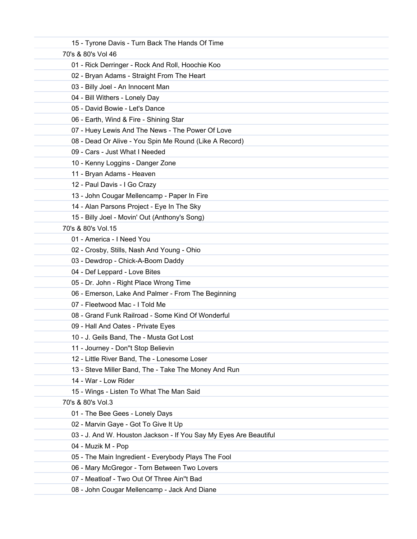| 15 - Tyrone Davis - Turn Back The Hands Of Time                   |
|-------------------------------------------------------------------|
| 70's & 80's Vol 46                                                |
| 01 - Rick Derringer - Rock And Roll, Hoochie Koo                  |
| 02 - Bryan Adams - Straight From The Heart                        |
| 03 - Billy Joel - An Innocent Man                                 |
| 04 - Bill Withers - Lonely Day                                    |
| 05 - David Bowie - Let's Dance                                    |
| 06 - Earth, Wind & Fire - Shining Star                            |
| 07 - Huey Lewis And The News - The Power Of Love                  |
| 08 - Dead Or Alive - You Spin Me Round (Like A Record)            |
| 09 - Cars - Just What I Needed                                    |
| 10 - Kenny Loggins - Danger Zone                                  |
| 11 - Bryan Adams - Heaven                                         |
| 12 - Paul Davis - I Go Crazy                                      |
| 13 - John Cougar Mellencamp - Paper In Fire                       |
| 14 - Alan Parsons Project - Eye In The Sky                        |
| 15 - Billy Joel - Movin' Out (Anthony's Song)                     |
| 70's & 80's Vol.15                                                |
| 01 - America - I Need You                                         |
| 02 - Crosby, Stills, Nash And Young - Ohio                        |
| 03 - Dewdrop - Chick-A-Boom Daddy                                 |
| 04 - Def Leppard - Love Bites                                     |
| 05 - Dr. John - Right Place Wrong Time                            |
| 06 - Emerson, Lake And Palmer - From The Beginning                |
| 07 - Fleetwood Mac - I Told Me                                    |
| 08 - Grand Funk Railroad - Some Kind Of Wonderful                 |
| 09 - Hall And Oates - Private Eyes                                |
| 10 - J. Geils Band, The - Musta Got Lost                          |
| 11 - Journey - Don"t Stop Believin                                |
| 12 - Little River Band, The - Lonesome Loser                      |
| 13 - Steve Miller Band, The - Take The Money And Run              |
| 14 - War - Low Rider                                              |
| 15 - Wings - Listen To What The Man Said                          |
| 70's & 80's Vol.3                                                 |
| 01 - The Bee Gees - Lonely Days                                   |
| 02 - Marvin Gaye - Got To Give It Up                              |
| 03 - J. And W. Houston Jackson - If You Say My Eyes Are Beautiful |
| 04 - Muzik M - Pop                                                |
| 05 - The Main Ingredient - Everybody Plays The Fool               |
| 06 - Mary McGregor - Torn Between Two Lovers                      |
| 07 - Meatloaf - Two Out Of Three Ain"t Bad                        |
| 08 - John Cougar Mellencamp - Jack And Diane                      |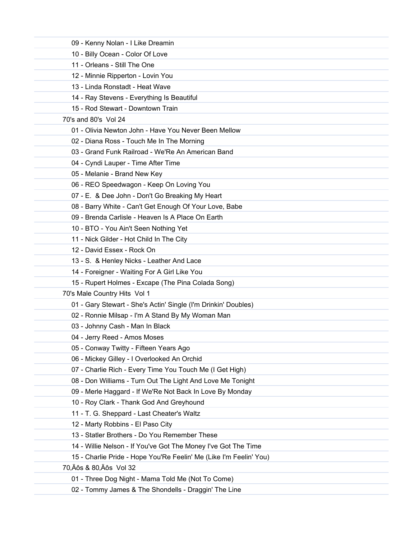| 09 - Kenny Nolan - I Like Dreamin                                  |
|--------------------------------------------------------------------|
| 10 - Billy Ocean - Color Of Love                                   |
| 11 - Orleans - Still The One                                       |
| 12 - Minnie Ripperton - Lovin You                                  |
| 13 - Linda Ronstadt - Heat Wave                                    |
| 14 - Ray Stevens - Everything Is Beautiful                         |
| 15 - Rod Stewart - Downtown Train                                  |
| 70's and 80's Vol 24                                               |
| 01 - Olivia Newton John - Have You Never Been Mellow               |
| 02 - Diana Ross - Touch Me In The Morning                          |
| 03 - Grand Funk Railroad - We'Re An American Band                  |
| 04 - Cyndi Lauper - Time After Time                                |
| 05 - Melanie - Brand New Key                                       |
| 06 - REO Speedwagon - Keep On Loving You                           |
| 07 - E. & Dee John - Don't Go Breaking My Heart                    |
| 08 - Barry White - Can't Get Enough Of Your Love, Babe             |
| 09 - Brenda Carlisle - Heaven Is A Place On Earth                  |
| 10 - BTO - You Ain't Seen Nothing Yet                              |
| 11 - Nick Gilder - Hot Child In The City                           |
| 12 - David Essex - Rock On                                         |
| 13 - S. & Henley Nicks - Leather And Lace                          |
| 14 - Foreigner - Waiting For A Girl Like You                       |
| 15 - Rupert Holmes - Excape (The Pina Colada Song)                 |
| 70's Male Country Hits Vol 1                                       |
| 01 - Gary Stewart - She's Actin' Single (I'm Drinkin' Doubles)     |
| 02 - Ronnie Milsap - I'm A Stand By My Woman Man                   |
| 03 - Johnny Cash - Man In Black                                    |
| 04 - Jerry Reed - Amos Moses                                       |
| 05 - Conway Twitty - Fifteen Years Ago                             |
| 06 - Mickey Gilley - I Overlooked An Orchid                        |
| 07 - Charlie Rich - Every Time You Touch Me (I Get High)           |
| 08 - Don Williams - Turn Out The Light And Love Me Tonight         |
| 09 - Merle Haggard - If We'Re Not Back In Love By Monday           |
| 10 - Roy Clark - Thank God And Greyhound                           |
| 11 - T. G. Sheppard - Last Cheater's Waltz                         |
| 12 - Marty Robbins - El Paso City                                  |
| 13 - Statler Brothers - Do You Remember These                      |
| 14 - Willie Nelson - If You've Got The Money I've Got The Time     |
| 15 - Charlie Pride - Hope You'Re Feelin' Me (Like I'm Feelin' You) |
| 70, Äôs & 80, Äôs Vol 32                                           |
| 01 - Three Dog Night - Mama Told Me (Not To Come)                  |
| 02 - Tommy James & The Shondells - Draggin' The Line               |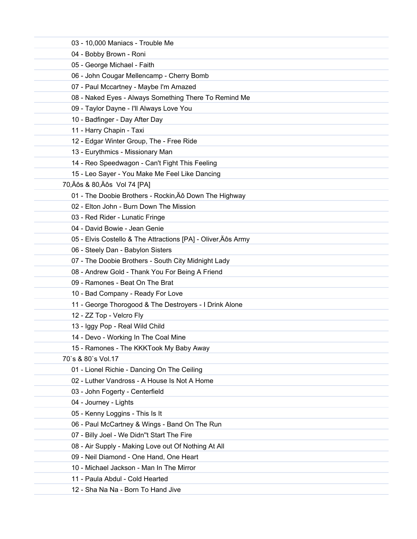| 03 - 10,000 Maniacs - Trouble Me                              |
|---------------------------------------------------------------|
| 04 - Bobby Brown - Roni                                       |
| 05 - George Michael - Faith                                   |
| 06 - John Cougar Mellencamp - Cherry Bomb                     |
| 07 - Paul Mccartney - Maybe I'm Amazed                        |
| 08 - Naked Eyes - Always Something There To Remind Me         |
| 09 - Taylor Dayne - I'll Always Love You                      |
| 10 - Badfinger - Day After Day                                |
| 11 - Harry Chapin - Taxi                                      |
| 12 - Edgar Winter Group, The - Free Ride                      |
| 13 - Eurythmics - Missionary Man                              |
| 14 - Reo Speedwagon - Can't Fight This Feeling                |
| 15 - Leo Sayer - You Make Me Feel Like Dancing                |
| 70, Äôs & 80, Äôs Vol 74 [PA]                                 |
| 01 - The Doobie Brothers - Rockin, Äô Down The Highway        |
| 02 - Elton John - Burn Down The Mission                       |
| 03 - Red Rider - Lunatic Fringe                               |
| 04 - David Bowie - Jean Genie                                 |
| 05 - Elvis Costello & The Attractions [PA] - Oliver, Äôs Army |
| 06 - Steely Dan - Babylon Sisters                             |
| 07 - The Doobie Brothers - South City Midnight Lady           |
| 08 - Andrew Gold - Thank You For Being A Friend               |
| 09 - Ramones - Beat On The Brat                               |
| 10 - Bad Company - Ready For Love                             |
| 11 - George Thorogood & The Destroyers - I Drink Alone        |
| 12 - ZZ Top - Velcro Fly                                      |
| 13 - Iggy Pop - Real Wild Child                               |
| 14 - Devo - Working In The Coal Mine                          |
| 15 - Ramones - The KKKTook My Baby Away                       |
| 70's & 80's Vol.17                                            |
| 01 - Lionel Richie - Dancing On The Ceiling                   |
| 02 - Luther Vandross - A House Is Not A Home                  |
| 03 - John Fogerty - Centerfield                               |
| 04 - Journey - Lights                                         |
| 05 - Kenny Loggins - This Is It                               |
| 06 - Paul McCartney & Wings - Band On The Run                 |
| 07 - Billy Joel - We Didn"t Start The Fire                    |
| 08 - Air Supply - Making Love out Of Nothing At All           |
| 09 - Neil Diamond - One Hand, One Heart                       |
| 10 - Michael Jackson - Man In The Mirror                      |
| 11 - Paula Abdul - Cold Hearted                               |
| 12 - Sha Na Na - Born To Hand Jive                            |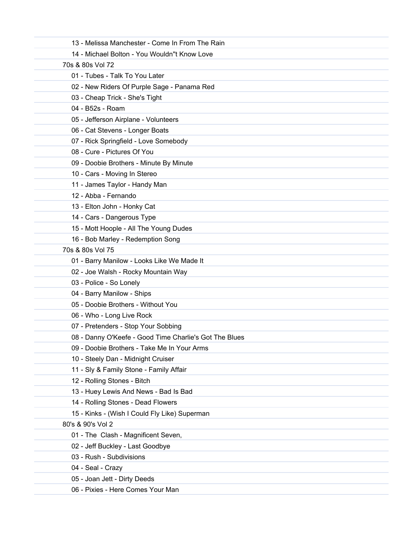| 13 - Melissa Manchester - Come In From The Rain        |  |
|--------------------------------------------------------|--|
| 14 - Michael Bolton - You Wouldn"t Know Love           |  |
| 70s & 80s Vol 72                                       |  |
| 01 - Tubes - Talk To You Later                         |  |
| 02 - New Riders Of Purple Sage - Panama Red            |  |
| 03 - Cheap Trick - She's Tight                         |  |
| 04 - B52s - Roam                                       |  |
| 05 - Jefferson Airplane - Volunteers                   |  |
| 06 - Cat Stevens - Longer Boats                        |  |
| 07 - Rick Springfield - Love Somebody                  |  |
| 08 - Cure - Pictures Of You                            |  |
| 09 - Doobie Brothers - Minute By Minute                |  |
| 10 - Cars - Moving In Stereo                           |  |
| 11 - James Taylor - Handy Man                          |  |
| 12 - Abba - Fernando                                   |  |
| 13 - Elton John - Honky Cat                            |  |
| 14 - Cars - Dangerous Type                             |  |
| 15 - Mott Hoople - All The Young Dudes                 |  |
| 16 - Bob Marley - Redemption Song                      |  |
| 70s & 80s Vol 75                                       |  |
| 01 - Barry Manilow - Looks Like We Made It             |  |
| 02 - Joe Walsh - Rocky Mountain Way                    |  |
| 03 - Police - So Lonely                                |  |
| 04 - Barry Manilow - Ships                             |  |
| 05 - Doobie Brothers - Without You                     |  |
| 06 - Who - Long Live Rock                              |  |
| 07 - Pretenders - Stop Your Sobbing                    |  |
| 08 - Danny O'Keefe - Good Time Charlie's Got The Blues |  |
| 09 - Doobie Brothers - Take Me In Your Arms            |  |
| 10 - Steely Dan - Midnight Cruiser                     |  |
| 11 - Sly & Family Stone - Family Affair                |  |
| 12 - Rolling Stones - Bitch                            |  |
| 13 - Huey Lewis And News - Bad Is Bad                  |  |
| 14 - Rolling Stones - Dead Flowers                     |  |
| 15 - Kinks - (Wish I Could Fly Like) Superman          |  |
| 80's & 90's Vol 2                                      |  |
| 01 - The Clash - Magnificent Seven,                    |  |
| 02 - Jeff Buckley - Last Goodbye                       |  |
| 03 - Rush - Subdivisions                               |  |
| 04 - Seal - Crazy                                      |  |
| 05 - Joan Jett - Dirty Deeds                           |  |
| 06 - Pixies - Here Comes Your Man                      |  |
|                                                        |  |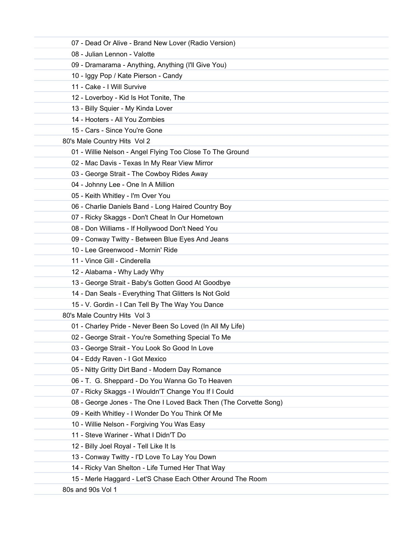| 07 - Dead Or Alive - Brand New Lover (Radio Version)              |
|-------------------------------------------------------------------|
| 08 - Julian Lennon - Valotte                                      |
| 09 - Dramarama - Anything, Anything (I'll Give You)               |
| 10 - Iggy Pop / Kate Pierson - Candy                              |
| 11 - Cake - I Will Survive                                        |
| 12 - Loverboy - Kid Is Hot Tonite, The                            |
| 13 - Billy Squier - My Kinda Lover                                |
| 14 - Hooters - All You Zombies                                    |
| 15 - Cars - Since You're Gone                                     |
| 80's Male Country Hits Vol 2                                      |
| 01 - Willie Nelson - Angel Flying Too Close To The Ground         |
| 02 - Mac Davis - Texas In My Rear View Mirror                     |
| 03 - George Strait - The Cowboy Rides Away                        |
| 04 - Johnny Lee - One In A Million                                |
| 05 - Keith Whitley - I'm Over You                                 |
| 06 - Charlie Daniels Band - Long Haired Country Boy               |
| 07 - Ricky Skaggs - Don't Cheat In Our Hometown                   |
| 08 - Don Williams - If Hollywood Don't Need You                   |
| 09 - Conway Twitty - Between Blue Eyes And Jeans                  |
| 10 - Lee Greenwood - Mornin' Ride                                 |
| 11 - Vince Gill - Cinderella                                      |
| 12 - Alabama - Why Lady Why                                       |
| 13 - George Strait - Baby's Gotten Good At Goodbye                |
| 14 - Dan Seals - Everything That Glitters Is Not Gold             |
| 15 - V. Gordin - I Can Tell By The Way You Dance                  |
| 80's Male Country Hits Vol 3                                      |
| 01 - Charley Pride - Never Been So Loved (In All My Life)         |
| 02 - George Strait - You're Something Special To Me               |
| 03 - George Strait - You Look So Good In Love                     |
| 04 - Eddy Raven - I Got Mexico                                    |
| 05 - Nitty Gritty Dirt Band - Modern Day Romance                  |
| 06 - T. G. Sheppard - Do You Wanna Go To Heaven                   |
| 07 - Ricky Skaggs - I Wouldn'T Change You If I Could              |
| 08 - George Jones - The One I Loved Back Then (The Corvette Song) |
| 09 - Keith Whitley - I Wonder Do You Think Of Me                  |
| 10 - Willie Nelson - Forgiving You Was Easy                       |
| 11 - Steve Wariner - What I Didn'T Do                             |
| 12 - Billy Joel Royal - Tell Like It Is                           |
| 13 - Conway Twitty - I'D Love To Lay You Down                     |
| 14 - Ricky Van Shelton - Life Turned Her That Way                 |
| 15 - Merle Haggard - Let'S Chase Each Other Around The Room       |
| 80s and 90s Vol 1                                                 |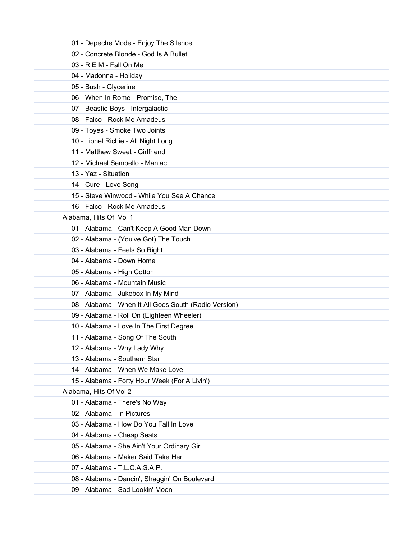| 01 - Depeche Mode - Enjoy The Silence                 |
|-------------------------------------------------------|
| 02 - Concrete Blonde - God Is A Bullet                |
| 03 - R E M - Fall On Me                               |
| 04 - Madonna - Holiday                                |
| 05 - Bush - Glycerine                                 |
| 06 - When In Rome - Promise, The                      |
| 07 - Beastie Boys - Intergalactic                     |
| 08 - Falco - Rock Me Amadeus                          |
| 09 - Toyes - Smoke Two Joints                         |
| 10 - Lionel Richie - All Night Long                   |
| 11 - Matthew Sweet - Girlfriend                       |
| 12 - Michael Sembello - Maniac                        |
| 13 - Yaz - Situation                                  |
| 14 - Cure - Love Song                                 |
| 15 - Steve Winwood - While You See A Chance           |
| 16 - Falco - Rock Me Amadeus                          |
| Alabama, Hits Of Vol 1                                |
| 01 - Alabama - Can't Keep A Good Man Down             |
| 02 - Alabama - (You've Got) The Touch                 |
| 03 - Alabama - Feels So Right                         |
| 04 - Alabama - Down Home                              |
| 05 - Alabama - High Cotton                            |
| 06 - Alabama - Mountain Music                         |
| 07 - Alabama - Jukebox In My Mind                     |
| 08 - Alabama - When It All Goes South (Radio Version) |
| 09 - Alabama - Roll On (Eighteen Wheeler)             |
| 10 - Alabama - Love In The First Degree               |
| 11 - Alabama - Song Of The South                      |
| 12 - Alabama - Why Lady Why                           |
| 13 - Alabama - Southern Star                          |
| 14 - Alabama - When We Make Love                      |
| 15 - Alabama - Forty Hour Week (For A Livin')         |
| Alabama, Hits Of Vol 2                                |
| 01 - Alabama - There's No Way                         |
| 02 - Alabama - In Pictures                            |
| 03 - Alabama - How Do You Fall In Love                |
| 04 - Alabama - Cheap Seats                            |
| 05 - Alabama - She Ain't Your Ordinary Girl           |
| 06 - Alabama - Maker Said Take Her                    |
| 07 - Alabama - T.L.C.A.S.A.P.                         |
| 08 - Alabama - Dancin', Shaggin' On Boulevard         |
| 09 - Alabama - Sad Lookin' Moon                       |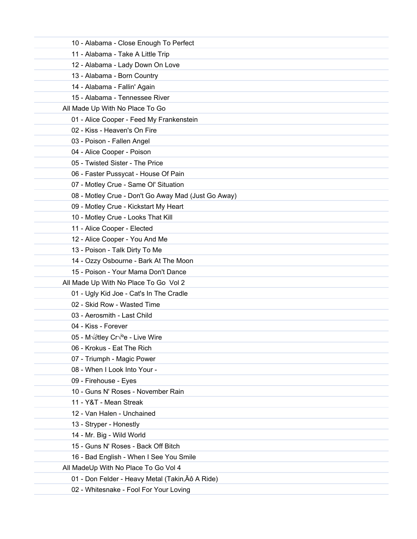| 10 - Alabama - Close Enough To Perfect              |
|-----------------------------------------------------|
| 11 - Alabama - Take A Little Trip                   |
| 12 - Alabama - Lady Down On Love                    |
| 13 - Alabama - Born Country                         |
| 14 - Alabama - Fallin' Again                        |
| 15 - Alabama - Tennessee River                      |
| All Made Up With No Place To Go                     |
| 01 - Alice Cooper - Feed My Frankenstein            |
| 02 - Kiss - Heaven's On Fire                        |
| 03 - Poison - Fallen Angel                          |
| 04 - Alice Cooper - Poison                          |
| 05 - Twisted Sister - The Price                     |
| 06 - Faster Pussycat - House Of Pain                |
| 07 - Motley Crue - Same Ol' Situation               |
| 08 - Motley Crue - Don't Go Away Mad (Just Go Away) |
| 09 - Motley Crue - Kickstart My Heart               |
| 10 - Motley Crue - Looks That Kill                  |
| 11 - Alice Cooper - Elected                         |
| 12 - Alice Cooper - You And Me                      |
| 13 - Poison - Talk Dirty To Me                      |
| 14 - Ozzy Osbourne - Bark At The Moon               |
| 15 - Poison - Your Mama Don't Dance                 |
| All Made Up With No Place To Go Vol 2               |
| 01 - Ugly Kid Joe - Cat's In The Cradle             |
| 02 - Skid Row - Wasted Time                         |
| 03 - Aerosmith - Last Child                         |
| 04 - Kiss - Forever                                 |
| 05 - Mötley Crüe - Live Wire                        |
| 06 - Krokus - Eat The Rich                          |
| 07 - Triumph - Magic Power                          |
| 08 - When I Look Into Your -                        |
| 09 - Firehouse - Eyes                               |
| 10 - Guns N' Roses - November Rain                  |
| 11 - Y&T - Mean Streak                              |
| 12 - Van Halen - Unchained                          |
| 13 - Stryper - Honestly                             |
| 14 - Mr. Big - Wild World                           |
| 15 - Guns N' Roses - Back Off Bitch                 |
| 16 - Bad English - When I See You Smile             |
| All MadeUp With No Place To Go Vol 4                |
| 01 - Don Felder - Heavy Metal (Takin, Äô A Ride)    |
| 02 - Whitesnake - Fool For Your Loving              |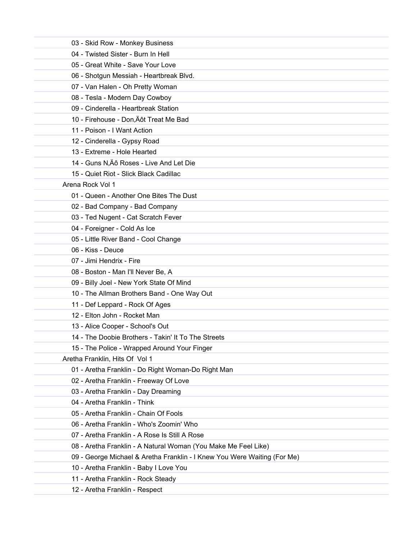| 03 - Skid Row - Monkey Business                                          |
|--------------------------------------------------------------------------|
| 04 - Twisted Sister - Burn In Hell                                       |
| 05 - Great White - Save Your Love                                        |
| 06 - Shotgun Messiah - Heartbreak Blvd.                                  |
| 07 - Van Halen - Oh Pretty Woman                                         |
| 08 - Tesla - Modern Day Cowboy                                           |
| 09 - Cinderella - Heartbreak Station                                     |
| 10 - Firehouse - Don, Äôt Treat Me Bad                                   |
| 11 - Poison - I Want Action                                              |
| 12 - Cinderella - Gypsy Road                                             |
| 13 - Extreme - Hole Hearted                                              |
| 14 - Guns N, Äô Roses - Live And Let Die                                 |
| 15 - Quiet Riot - Slick Black Cadillac                                   |
| Arena Rock Vol 1                                                         |
| 01 - Queen - Another One Bites The Dust                                  |
| 02 - Bad Company - Bad Company                                           |
| 03 - Ted Nugent - Cat Scratch Fever                                      |
| 04 - Foreigner - Cold As Ice                                             |
| 05 - Little River Band - Cool Change                                     |
| 06 - Kiss - Deuce                                                        |
| 07 - Jimi Hendrix - Fire                                                 |
| 08 - Boston - Man I'll Never Be, A                                       |
| 09 - Billy Joel - New York State Of Mind                                 |
| 10 - The Allman Brothers Band - One Way Out                              |
| 11 - Def Leppard - Rock Of Ages                                          |
| 12 - Elton John - Rocket Man                                             |
| 13 - Alice Cooper - School's Out                                         |
| 14 - The Doobie Brothers - Takin' It To The Streets                      |
| 15 - The Police - Wrapped Around Your Finger                             |
| Aretha Franklin, Hits Of Vol 1                                           |
| 01 - Aretha Franklin - Do Right Woman-Do Right Man                       |
| 02 - Aretha Franklin - Freeway Of Love                                   |
| 03 - Aretha Franklin - Day Dreaming                                      |
| 04 - Aretha Franklin - Think                                             |
| 05 - Aretha Franklin - Chain Of Fools                                    |
| 06 - Aretha Franklin - Who's Zoomin' Who                                 |
| 07 - Aretha Franklin - A Rose Is Still A Rose                            |
| 08 - Aretha Franklin - A Natural Woman (You Make Me Feel Like)           |
| 09 - George Michael & Aretha Franklin - I Knew You Were Waiting (For Me) |
| 10 - Aretha Franklin - Baby I Love You                                   |
| 11 - Aretha Franklin - Rock Steady                                       |
| 12 - Aretha Franklin - Respect                                           |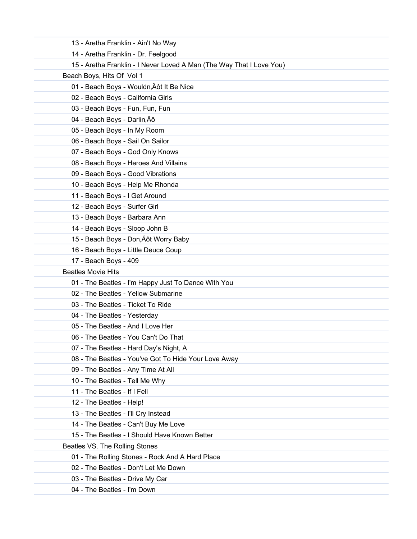| 13 - Aretha Franklin - Ain't No Way                                  |
|----------------------------------------------------------------------|
| 14 - Aretha Franklin - Dr. Feelgood                                  |
| 15 - Aretha Franklin - I Never Loved A Man (The Way That I Love You) |
| Beach Boys, Hits Of Vol 1                                            |
| 01 - Beach Boys - Wouldn, Äôt It Be Nice                             |
| 02 - Beach Boys - California Girls                                   |
| 03 - Beach Boys - Fun, Fun, Fun                                      |
| 04 - Beach Boys - Darlin, Äô                                         |
| 05 - Beach Boys - In My Room                                         |
| 06 - Beach Boys - Sail On Sailor                                     |
| 07 - Beach Boys - God Only Knows                                     |
| 08 - Beach Boys - Heroes And Villains                                |
| 09 - Beach Boys - Good Vibrations                                    |
| 10 - Beach Boys - Help Me Rhonda                                     |
| 11 - Beach Boys - I Get Around                                       |
| 12 - Beach Boys - Surfer Girl                                        |
| 13 - Beach Boys - Barbara Ann                                        |
| 14 - Beach Boys - Sloop John B                                       |
| 15 - Beach Boys - Don, Äôt Worry Baby                                |
| 16 - Beach Boys - Little Deuce Coup                                  |
| 17 - Beach Boys - 409                                                |
| <b>Beatles Movie Hits</b>                                            |
|                                                                      |
| 01 - The Beatles - I'm Happy Just To Dance With You                  |
| 02 - The Beatles - Yellow Submarine                                  |
| 03 - The Beatles - Ticket To Ride                                    |
| 04 - The Beatles - Yesterday                                         |
| 05 - The Beatles - And I Love Her                                    |
| 06 - The Beatles - You Can't Do That                                 |
| 07 - The Beatles - Hard Day's Night, A                               |
| 08 - The Beatles - You've Got To Hide Your Love Away                 |
| 09 - The Beatles - Any Time At All                                   |
| 10 - The Beatles - Tell Me Why                                       |
| 11 - The Beatles - If I Fell                                         |
| 12 - The Beatles - Help!                                             |
| 13 - The Beatles - I'll Cry Instead                                  |
| 14 - The Beatles - Can't Buy Me Love                                 |
| 15 - The Beatles - I Should Have Known Better                        |
| Beatles VS. The Rolling Stones                                       |
| 01 - The Rolling Stones - Rock And A Hard Place                      |
| 02 - The Beatles - Don't Let Me Down                                 |
| 03 - The Beatles - Drive My Car                                      |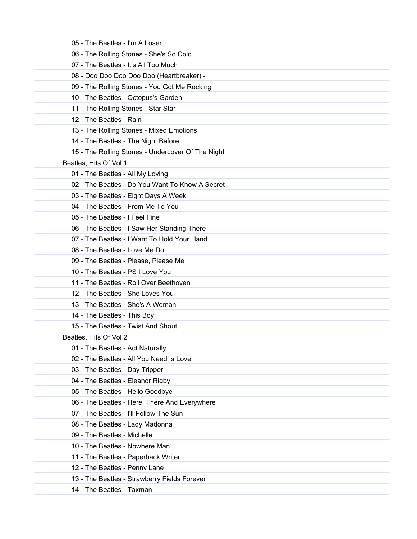| 05 - The Beatles - I'm A Loser                    |
|---------------------------------------------------|
| 06 - The Rolling Stones - She's So Cold           |
| 07 - The Beatles - It's All Too Much              |
| 08 - Doo Doo Doo Doo Doo (Heartbreaker) -         |
| 09 - The Rolling Stones - You Got Me Rocking      |
| 10 - The Beatles - Octopus's Garden               |
| 11 - The Rolling Stones - Star Star               |
| 12 - The Beatles - Rain                           |
| 13 - The Rolling Stones - Mixed Emotions          |
| 14 - The Beatles - The Night Before               |
| 15 - The Rolling Stones - Undercover Of The Night |
| Beatles, Hits Of Vol 1                            |
| 01 - The Beatles - All My Loving                  |
| 02 - The Beatles - Do You Want To Know A Secret   |
| 03 - The Beatles - Eight Days A Week              |
| 04 - The Beatles - From Me To You                 |
| 05 - The Beatles - I Feel Fine                    |
| 06 - The Beatles - I Saw Her Standing There       |
| 07 - The Beatles - I Want To Hold Your Hand       |
| 08 - The Beatles - Love Me Do                     |
| 09 - The Beatles - Please, Please Me              |
| 10 - The Beatles - PS I Love You                  |
| 11 - The Beatles - Roll Over Beethoven            |
| 12 - The Beatles - She Loves You                  |
| 13 - The Beatles - She's A Woman                  |
| 14 - The Beatles - This Boy                       |
| 15 - The Beatles - Twist And Shout                |
| Beatles, Hits Of Vol 2                            |
| 01 - The Beatles - Act Naturally                  |
| 02 - The Beatles - All You Need Is Love           |
| 03 - The Beatles - Day Tripper                    |
| 04 - The Beatles - Eleanor Rigby                  |
| 05 - The Beatles - Hello Goodbye                  |
| 06 - The Beatles - Here, There And Everywhere     |
| 07 - The Beatles - I'll Follow The Sun            |
| 08 - The Beatles - Lady Madonna                   |
| 09 - The Beatles - Michelle                       |
| 10 - The Beatles - Nowhere Man                    |
| 11 - The Beatles - Paperback Writer               |
| 12 - The Beatles - Penny Lane                     |
| 13 - The Beatles - Strawberry Fields Forever      |
| 14 - The Beatles - Taxman                         |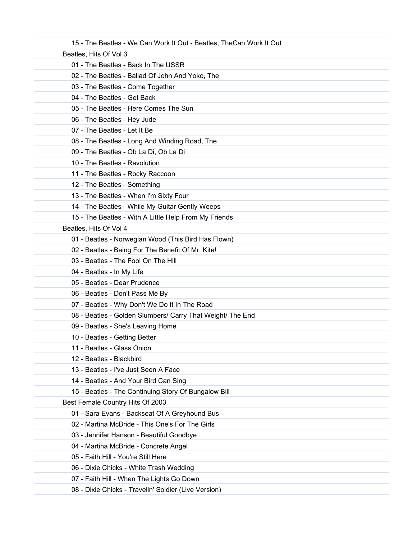| 15 - The Beatles - We Can Work It Out - Beatles, TheCan Work It Out |
|---------------------------------------------------------------------|
| Beatles, Hits Of Vol 3                                              |
| 01 - The Beatles - Back In The USSR                                 |
| 02 - The Beatles - Ballad Of John And Yoko, The                     |
| 03 - The Beatles - Come Together                                    |
| 04 - The Beatles - Get Back                                         |
| 05 - The Beatles - Here Comes The Sun                               |
| 06 - The Beatles - Hey Jude                                         |
| 07 - The Beatles - Let It Be                                        |
| 08 - The Beatles - Long And Winding Road, The                       |
| 09 - The Beatles - Ob La Di, Ob La Di                               |
| 10 - The Beatles - Revolution                                       |
| 11 - The Beatles - Rocky Raccoon                                    |
| 12 - The Beatles - Something                                        |
| 13 - The Beatles - When I'm Sixty Four                              |
| 14 - The Beatles - While My Guitar Gently Weeps                     |
| 15 - The Beatles - With A Little Help From My Friends               |
| Beatles, Hits Of Vol 4                                              |
| 01 - Beatles - Norwegian Wood (This Bird Has Flown)                 |
| 02 - Beatles - Being For The Benefit Of Mr. Kite!                   |
| 03 - Beatles - The Fool On The Hill                                 |
| 04 - Beatles - In My Life                                           |
| 05 - Beatles - Dear Prudence                                        |
| 06 - Beatles - Don't Pass Me By                                     |
| 07 - Beatles - Why Don't We Do It In The Road                       |
| 08 - Beatles - Golden Slumbers/ Carry That Weight/ The End          |
| 09 - Beatles - She's Leaving Home                                   |
| 10 - Beatles - Getting Better                                       |
| 11 - Beatles - Glass Onion                                          |
| 12 - Beatles - Blackbird                                            |
| 13 - Beatles - I've Just Seen A Face                                |
| 14 - Beatles - And Your Bird Can Sing                               |
| 15 - Beatles - The Continuing Story Of Bungalow Bill                |
| Best Female Country Hits Of 2003                                    |
| 01 - Sara Evans - Backseat Of A Greyhound Bus                       |
| 02 - Martina McBride - This One's For The Girls                     |
| 03 - Jennifer Hanson - Beautiful Goodbye                            |
| 04 - Martina McBride - Concrete Angel                               |
| 05 - Faith Hill - You're Still Here                                 |
| 06 - Dixie Chicks - White Trash Wedding                             |
| 07 - Faith Hill - When The Lights Go Down                           |
| 08 - Dixie Chicks - Travelin' Soldier (Live Version)                |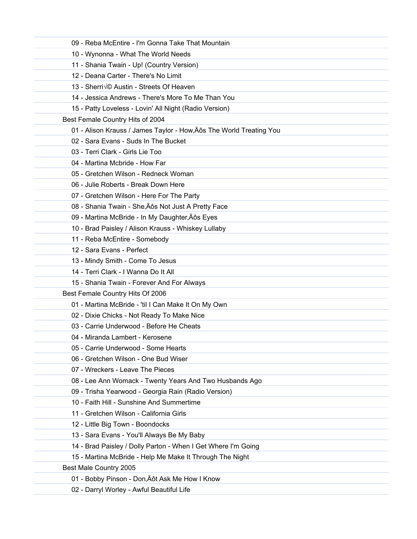| 09 - Reba McEntire - I'm Gonna Take That Mountain                   |
|---------------------------------------------------------------------|
| 10 - Wynonna - What The World Needs                                 |
| 11 - Shania Twain - Up! (Country Version)                           |
| 12 - Deana Carter - There's No Limit                                |
| 13 - Sherrié Austin - Streets Of Heaven                             |
| 14 - Jessica Andrews - There's More To Me Than You                  |
| 15 - Patty Loveless - Lovin' All Night (Radio Version)              |
| Best Female Country Hits of 2004                                    |
| 01 - Alison Krauss / James Taylor - How, Äôs The World Treating You |
| 02 - Sara Evans - Suds In The Bucket                                |
| 03 - Terri Clark - Girls Lie Too                                    |
| 04 - Martina Mcbride - How Far                                      |
| 05 - Gretchen Wilson - Redneck Woman                                |
| 06 - Julie Roberts - Break Down Here                                |
| 07 - Gretchen Wilson - Here For The Party                           |
| 08 - Shania Twain - She, Äôs Not Just A Pretty Face                 |
| 09 - Martina McBride - In My Daughter, Äôs Eyes                     |
| 10 - Brad Paisley / Alison Krauss - Whiskey Lullaby                 |
| 11 - Reba McEntire - Somebody                                       |
| 12 - Sara Evans - Perfect                                           |
| 13 - Mindy Smith - Come To Jesus                                    |
| 14 - Terri Clark - I Wanna Do It All                                |
| 15 - Shania Twain - Forever And For Always                          |
| Best Female Country Hits Of 2006                                    |
| 01 - Martina McBride - 'til I Can Make It On My Own                 |
| 02 - Dixie Chicks - Not Ready To Make Nice                          |
| 03 - Carrie Underwood - Before He Cheats                            |
| 04 - Miranda Lambert - Kerosene                                     |
| 05 - Carrie Underwood - Some Hearts                                 |
| 06 - Gretchen Wilson - One Bud Wiser                                |
| 07 - Wreckers - Leave The Pieces                                    |
| 08 - Lee Ann Womack - Twenty Years And Two Husbands Ago             |
| 09 - Trisha Yearwood - Georgia Rain (Radio Version)                 |
| 10 - Faith Hill - Sunshine And Summertime                           |
| 11 - Gretchen Wilson - California Girls                             |
| 12 - Little Big Town - Boondocks                                    |
| 13 - Sara Evans - You'll Always Be My Baby                          |
| 14 - Brad Paisley / Dolly Parton - When I Get Where I'm Going       |
| 15 - Martina McBride - Help Me Make It Through The Night            |
| Best Male Country 2005                                              |
| 01 - Bobby Pinson - Don, Äôt Ask Me How I Know                      |
| 02 - Darryl Worley - Awful Beautiful Life                           |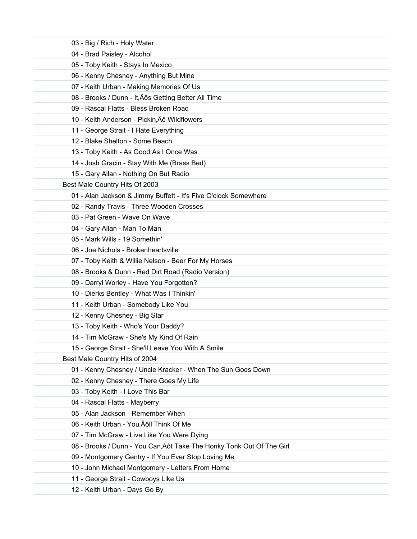| 03 - Big / Rich - Holy Water                                          |
|-----------------------------------------------------------------------|
| 04 - Brad Paisley - Alcohol                                           |
| 05 - Toby Keith - Stays In Mexico                                     |
| 06 - Kenny Chesney - Anything But Mine                                |
| 07 - Keith Urban - Making Memories Of Us                              |
| 08 - Brooks / Dunn - It, Äôs Getting Better All Time                  |
| 09 - Rascal Flatts - Bless Broken Road                                |
| 10 - Keith Anderson - Pickin, Äô Wildflowers                          |
| 11 - George Strait - I Hate Everything                                |
| 12 - Blake Shelton - Some Beach                                       |
| 13 - Toby Keith - As Good As I Once Was                               |
| 14 - Josh Gracin - Stay With Me (Brass Bed)                           |
| 15 - Gary Allan - Nothing On But Radio                                |
| Best Male Country Hits Of 2003                                        |
| 01 - Alan Jackson & Jimmy Buffett - It's Five O'clock Somewhere       |
| 02 - Randy Travis - Three Wooden Crosses                              |
| 03 - Pat Green - Wave On Wave                                         |
| 04 - Gary Allan - Man To Man                                          |
| 05 - Mark Wills - 19 Somethin'                                        |
| 06 - Joe Nichols - Brokenheartsville                                  |
| 07 - Toby Keith & Willie Nelson - Beer For My Horses                  |
| 08 - Brooks & Dunn - Red Dirt Road (Radio Version)                    |
| 09 - Darryl Worley - Have You Forgotten?                              |
| 10 - Dierks Bentley - What Was I Thinkin'                             |
| 11 - Keith Urban - Somebody Like You                                  |
| 12 - Kenny Chesney - Big Star                                         |
| 13 - Toby Keith - Who's Your Daddy?                                   |
| 14 - Tim McGraw - She's My Kind Of Rain                               |
| 15 - George Strait - She'll Leave You With A Smile                    |
| Best Male Country Hits of 2004                                        |
| 01 - Kenny Chesney / Uncle Kracker - When The Sun Goes Down           |
| 02 - Kenny Chesney - There Goes My Life                               |
| 03 - Toby Keith - I Love This Bar                                     |
| 04 - Rascal Flatts - Mayberry                                         |
| 05 - Alan Jackson - Remember When                                     |
| 06 - Keith Urban - You, Äôll Think Of Me                              |
| 07 - Tim McGraw - Live Like You Were Dying                            |
| 08 - Brooks / Dunn - You Can, Äôt Take The Honky Tonk Out Of The Girl |
| 09 - Montgomery Gentry - If You Ever Stop Loving Me                   |
| 10 - John Michael Montgomery - Letters From Home                      |
| 11 - George Strait - Cowboys Like Us                                  |
| 12 - Keith Urban - Days Go By                                         |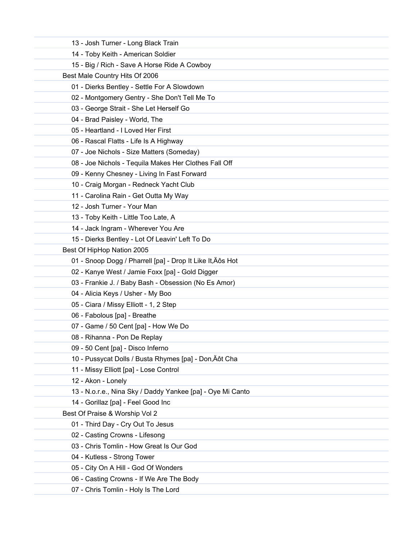| 13 - Josh Turner - Long Black Train                        |
|------------------------------------------------------------|
| 14 - Toby Keith - American Soldier                         |
| 15 - Big / Rich - Save A Horse Ride A Cowboy               |
| Best Male Country Hits Of 2006                             |
| 01 - Dierks Bentley - Settle For A Slowdown                |
| 02 - Montgomery Gentry - She Don't Tell Me To              |
| 03 - George Strait - She Let Herself Go                    |
| 04 - Brad Paisley - World, The                             |
| 05 - Heartland - I Loved Her First                         |
| 06 - Rascal Flatts - Life Is A Highway                     |
| 07 - Joe Nichols - Size Matters (Someday)                  |
| 08 - Joe Nichols - Tequila Makes Her Clothes Fall Off      |
| 09 - Kenny Chesney - Living In Fast Forward                |
| 10 - Craig Morgan - Redneck Yacht Club                     |
| 11 - Carolina Rain - Get Outta My Way                      |
| 12 - Josh Turner - Your Man                                |
| 13 - Toby Keith - Little Too Late, A                       |
| 14 - Jack Ingram - Wherever You Are                        |
| 15 - Dierks Bentley - Lot Of Leavin' Left To Do            |
| Best Of HipHop Nation 2005                                 |
| 01 - Snoop Dogg / Pharrell [pa] - Drop It Like It, Äôs Hot |
| 02 - Kanye West / Jamie Foxx [pa] - Gold Digger            |
| 03 - Frankie J. / Baby Bash - Obsession (No Es Amor)       |
| 04 - Alicia Keys / Usher - My Boo                          |
| 05 - Ciara / Missy Elliott - 1, 2 Step                     |
| 06 - Fabolous [pa] - Breathe                               |
| 07 - Game / 50 Cent [pa] - How We Do                       |
| 08 - Rihanna - Pon De Replay                               |
| 09 - 50 Cent [pa] - Disco Inferno                          |
| 10 - Pussycat Dolls / Busta Rhymes [pa] - Don, Äôt Cha     |
| 11 - Missy Elliott [pa] - Lose Control                     |
| 12 - Akon - Lonely                                         |
| 13 - N.o.r.e., Nina Sky / Daddy Yankee [pa] - Oye Mi Canto |
| 14 - Gorillaz [pa] - Feel Good Inc                         |
| Best Of Praise & Worship Vol 2                             |
| 01 - Third Day - Cry Out To Jesus                          |
| 02 - Casting Crowns - Lifesong                             |
| 03 - Chris Tomlin - How Great Is Our God                   |
| 04 - Kutless - Strong Tower                                |
| 05 - City On A Hill - God Of Wonders                       |
| 06 - Casting Crowns - If We Are The Body                   |
| 07 - Chris Tomlin - Holy Is The Lord                       |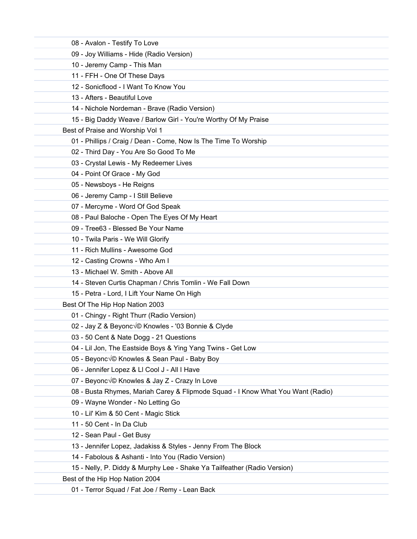| 08 - Avalon - Testify To Love                                                   |
|---------------------------------------------------------------------------------|
| 09 - Joy Williams - Hide (Radio Version)                                        |
| 10 - Jeremy Camp - This Man                                                     |
| 11 - FFH - One Of These Days                                                    |
| 12 - Sonicflood - I Want To Know You                                            |
| 13 - Afters - Beautiful Love                                                    |
| 14 - Nichole Nordeman - Brave (Radio Version)                                   |
| 15 - Big Daddy Weave / Barlow Girl - You're Worthy Of My Praise                 |
| Best of Praise and Worship Vol 1                                                |
| 01 - Phillips / Craig / Dean - Come, Now Is The Time To Worship                 |
| 02 - Third Day - You Are So Good To Me                                          |
| 03 - Crystal Lewis - My Redeemer Lives                                          |
| 04 - Point Of Grace - My God                                                    |
| 05 - Newsboys - He Reigns                                                       |
| 06 - Jeremy Camp - I Still Believe                                              |
| 07 - Mercyme - Word Of God Speak                                                |
| 08 - Paul Baloche - Open The Eyes Of My Heart                                   |
| 09 - Tree63 - Blessed Be Your Name                                              |
| 10 - Twila Paris - We Will Glorify                                              |
| 11 - Rich Mullins - Awesome God                                                 |
| 12 - Casting Crowns - Who Am I                                                  |
| 13 - Michael W. Smith - Above All                                               |
| 14 - Steven Curtis Chapman / Chris Tomlin - We Fall Down                        |
| 15 - Petra - Lord, I Lift Your Name On High                                     |
| Best Of The Hip Hop Nation 2003                                                 |
| 01 - Chingy - Right Thurr (Radio Version)                                       |
| 02 - Jay Z & Beyoncé Knowles - '03 Bonnie & Clyde                               |
| 03 - 50 Cent & Nate Dogg - 21 Questions                                         |
| 04 - Lil Jon, The Eastside Boys & Ying Yang Twins - Get Low                     |
| 05 - Beyoncé Knowles & Sean Paul - Baby Boy                                     |
| 06 - Jennifer Lopez & Ll Cool J - All I Have                                    |
| 07 - Beyoncé Knowles & Jay Z - Crazy In Love                                    |
| 08 - Busta Rhymes, Mariah Carey & Flipmode Squad - I Know What You Want (Radio) |
| 09 - Wayne Wonder - No Letting Go                                               |
| 10 - Lil' Kim & 50 Cent - Magic Stick                                           |
| 11 - 50 Cent - In Da Club                                                       |
| 12 - Sean Paul - Get Busy                                                       |
| 13 - Jennifer Lopez, Jadakiss & Styles - Jenny From The Block                   |
| 14 - Fabolous & Ashanti - Into You (Radio Version)                              |
| 15 - Nelly, P. Diddy & Murphy Lee - Shake Ya Tailfeather (Radio Version)        |
| Best of the Hip Hop Nation 2004                                                 |
| 01 - Terror Squad / Fat Joe / Remy - Lean Back                                  |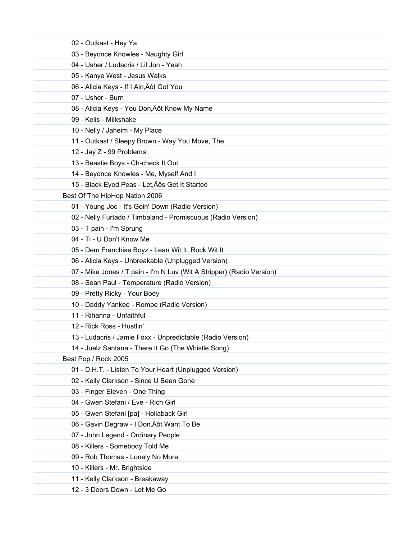| 02 - Outkast - Hey Ya                                                 |
|-----------------------------------------------------------------------|
| 03 - Beyonce Knowles - Naughty Girl                                   |
| 04 - Usher / Ludacris / Lil Jon - Yeah                                |
| 05 - Kanye West - Jesus Walks                                         |
| 06 - Alicia Keys - If I Ain, Äôt Got You                              |
| 07 - Usher - Burn                                                     |
| 08 - Alicia Keys - You Don, Äôt Know My Name                          |
| 09 - Kelis - Milkshake                                                |
| 10 - Nelly / Jaheim - My Place                                        |
| 11 - Outkast / Sleepy Brown - Way You Move, The                       |
| 12 - Jay Z - 99 Problems                                              |
| 13 - Beastie Boys - Ch-check It Out                                   |
| 14 - Beyonce Knowles - Me, Myself And I                               |
| 15 - Black Eyed Peas - Let, Äôs Get It Started                        |
| Best Of The HipHop Nation 2006                                        |
| 01 - Young Joc - It's Goin' Down (Radio Version)                      |
| 02 - Nelly Furtado / Timbaland - Promiscuous (Radio Version)          |
| 03 - T pain - I'm Sprung                                              |
| 04 - Ti - U Don't Know Me                                             |
| 05 - Dem Franchise Boyz - Lean Wit It, Rock Wit It                    |
| 06 - Alicia Keys - Unbreakable (Unplugged Version)                    |
| 07 - Mike Jones / T pain - I'm N Luv (Wit A Stripper) (Radio Version) |
| 08 - Sean Paul - Temperature (Radio Version)                          |
| 09 - Pretty Ricky - Your Body                                         |
| 10 - Daddy Yankee - Rompe (Radio Version)                             |
| 11 - Rihanna - Unfaithful                                             |
| 12 - Rick Ross - Hustlin'                                             |
| 13 - Ludacris / Jamie Foxx - Unpredictable (Radio Version)            |
| 14 - Juelz Santana - There It Go (The Whistle Song)                   |
| Best Pop / Rock 2005                                                  |
| 01 - D.H.T. - Listen To Your Heart (Unplugged Version)                |
| 02 - Kelly Clarkson - Since U Been Gone                               |
| 03 - Finger Eleven - One Thing                                        |
| 04 - Gwen Stefani / Eve - Rich Girl                                   |
| 05 - Gwen Stefani [pa] - Hollaback Girl                               |
| 06 - Gavin Degraw - I Don, Äôt Want To Be                             |
| 07 - John Legend - Ordinary People                                    |
| 08 - Killers - Somebody Told Me                                       |
| 09 - Rob Thomas - Lonely No More                                      |
| 10 - Killers - Mr. Brightside                                         |
| 11 - Kelly Clarkson - Breakaway                                       |
| 12 - 3 Doors Down - Let Me Go                                         |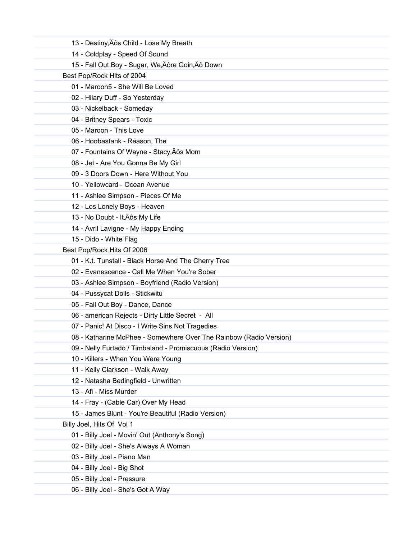| 13 - Destiny, Äôs Child - Lose My Breath                           |
|--------------------------------------------------------------------|
| 14 - Coldplay - Speed Of Sound                                     |
| 15 - Fall Out Boy - Sugar, We, Äôre Goin, Äô Down                  |
| Best Pop/Rock Hits of 2004                                         |
| 01 - Maroon5 - She Will Be Loved                                   |
| 02 - Hilary Duff - So Yesterday                                    |
| 03 - Nickelback - Someday                                          |
| 04 - Britney Spears - Toxic                                        |
| 05 - Maroon - This Love                                            |
| 06 - Hoobastank - Reason, The                                      |
| 07 - Fountains Of Wayne - Stacy, Äôs Mom                           |
| 08 - Jet - Are You Gonna Be My Girl                                |
| 09 - 3 Doors Down - Here Without You                               |
| 10 - Yellowcard - Ocean Avenue                                     |
| 11 - Ashlee Simpson - Pieces Of Me                                 |
| 12 - Los Lonely Boys - Heaven                                      |
| 13 - No Doubt - It, Äôs My Life                                    |
| 14 - Avril Lavigne - My Happy Ending                               |
| 15 - Dido - White Flag                                             |
| Best Pop/Rock Hits Of 2006                                         |
| 01 - K.t. Tunstall - Black Horse And The Cherry Tree               |
| 02 - Evanescence - Call Me When You're Sober                       |
| 03 - Ashlee Simpson - Boyfriend (Radio Version)                    |
| 04 - Pussycat Dolls - Stickwitu                                    |
| 05 - Fall Out Boy - Dance, Dance                                   |
| 06 - american Rejects - Dirty Little Secret - All                  |
| 07 - Panic! At Disco - I Write Sins Not Tragedies                  |
| 08 - Katharine McPhee - Somewhere Over The Rainbow (Radio Version) |
| 09 - Nelly Furtado / Timbaland - Promiscuous (Radio Version)       |
| 10 - Killers - When You Were Young                                 |
| 11 - Kelly Clarkson - Walk Away                                    |
| 12 - Natasha Bedingfield - Unwritten                               |
| 13 - Afi - Miss Murder                                             |
| 14 - Fray - (Cable Car) Over My Head                               |
| 15 - James Blunt - You're Beautiful (Radio Version)                |
| Billy Joel, Hits Of Vol 1                                          |
| 01 - Billy Joel - Movin' Out (Anthony's Song)                      |
| 02 - Billy Joel - She's Always A Woman                             |
| 03 - Billy Joel - Piano Man                                        |
| 04 - Billy Joel - Big Shot                                         |
| 05 - Billy Joel - Pressure                                         |
| 06 - Billy Joel - She's Got A Way                                  |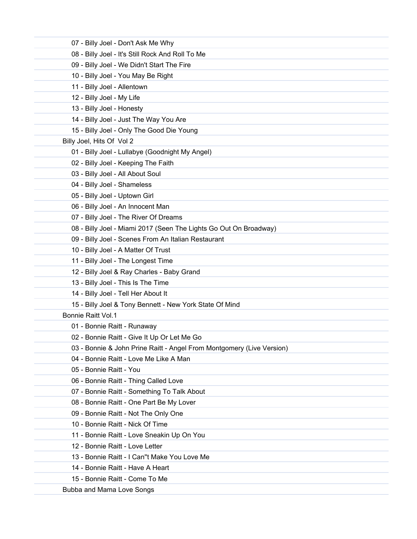| 07 - Billy Joel - Don't Ask Me Why<br>08 - Billy Joel - It's Still Rock And Roll To Me<br>09 - Billy Joel - We Didn't Start The Fire<br>10 - Billy Joel - You May Be Right<br>11 - Billy Joel - Allentown<br>12 - Billy Joel - My Life<br>13 - Billy Joel - Honesty<br>14 - Billy Joel - Just The Way You Are<br>15 - Billy Joel - Only The Good Die Young<br>Billy Joel, Hits Of Vol 2<br>01 - Billy Joel - Lullabye (Goodnight My Angel)<br>02 - Billy Joel - Keeping The Faith<br>03 - Billy Joel - All About Soul<br>04 - Billy Joel - Shameless<br>05 - Billy Joel - Uptown Girl<br>06 - Billy Joel - An Innocent Man<br>07 - Billy Joel - The River Of Dreams<br>08 - Billy Joel - Miami 2017 (Seen The Lights Go Out On Broadway)<br>09 - Billy Joel - Scenes From An Italian Restaurant<br>10 - Billy Joel - A Matter Of Trust<br>11 - Billy Joel - The Longest Time<br>12 - Billy Joel & Ray Charles - Baby Grand<br>13 - Billy Joel - This Is The Time<br>14 - Billy Joel - Tell Her About It<br>15 - Billy Joel & Tony Bennett - New York State Of Mind<br><b>Bonnie Raitt Vol.1</b><br>01 - Bonnie Raitt - Runaway<br>02 - Bonnie Raitt - Give It Up Or Let Me Go<br>03 - Bonnie & John Prine Raitt - Angel From Montgomery (Live Version)<br>04 - Bonnie Raitt - Love Me Like A Man<br>05 - Bonnie Raitt - You<br>06 - Bonnie Raitt - Thing Called Love<br>07 - Bonnie Raitt - Something To Talk About<br>08 - Bonnie Raitt - One Part Be My Lover<br>09 - Bonnie Raitt - Not The Only One<br>10 - Bonnie Raitt - Nick Of Time<br>11 - Bonnie Raitt - Love Sneakin Up On You<br>12 - Bonnie Raitt - Love Letter<br>13 - Bonnie Raitt - I Can"t Make You Love Me<br>14 - Bonnie Raitt - Have A Heart<br>15 - Bonnie Raitt - Come To Me |  |
|----------------------------------------------------------------------------------------------------------------------------------------------------------------------------------------------------------------------------------------------------------------------------------------------------------------------------------------------------------------------------------------------------------------------------------------------------------------------------------------------------------------------------------------------------------------------------------------------------------------------------------------------------------------------------------------------------------------------------------------------------------------------------------------------------------------------------------------------------------------------------------------------------------------------------------------------------------------------------------------------------------------------------------------------------------------------------------------------------------------------------------------------------------------------------------------------------------------------------------------------------------------------------------------------------------------------------------------------------------------------------------------------------------------------------------------------------------------------------------------------------------------------------------------------------------------------------------------------------------------------------------------------------------------------------------------------------------------------------------------------------|--|
|                                                                                                                                                                                                                                                                                                                                                                                                                                                                                                                                                                                                                                                                                                                                                                                                                                                                                                                                                                                                                                                                                                                                                                                                                                                                                                                                                                                                                                                                                                                                                                                                                                                                                                                                                    |  |
|                                                                                                                                                                                                                                                                                                                                                                                                                                                                                                                                                                                                                                                                                                                                                                                                                                                                                                                                                                                                                                                                                                                                                                                                                                                                                                                                                                                                                                                                                                                                                                                                                                                                                                                                                    |  |
|                                                                                                                                                                                                                                                                                                                                                                                                                                                                                                                                                                                                                                                                                                                                                                                                                                                                                                                                                                                                                                                                                                                                                                                                                                                                                                                                                                                                                                                                                                                                                                                                                                                                                                                                                    |  |
|                                                                                                                                                                                                                                                                                                                                                                                                                                                                                                                                                                                                                                                                                                                                                                                                                                                                                                                                                                                                                                                                                                                                                                                                                                                                                                                                                                                                                                                                                                                                                                                                                                                                                                                                                    |  |
|                                                                                                                                                                                                                                                                                                                                                                                                                                                                                                                                                                                                                                                                                                                                                                                                                                                                                                                                                                                                                                                                                                                                                                                                                                                                                                                                                                                                                                                                                                                                                                                                                                                                                                                                                    |  |
|                                                                                                                                                                                                                                                                                                                                                                                                                                                                                                                                                                                                                                                                                                                                                                                                                                                                                                                                                                                                                                                                                                                                                                                                                                                                                                                                                                                                                                                                                                                                                                                                                                                                                                                                                    |  |
|                                                                                                                                                                                                                                                                                                                                                                                                                                                                                                                                                                                                                                                                                                                                                                                                                                                                                                                                                                                                                                                                                                                                                                                                                                                                                                                                                                                                                                                                                                                                                                                                                                                                                                                                                    |  |
|                                                                                                                                                                                                                                                                                                                                                                                                                                                                                                                                                                                                                                                                                                                                                                                                                                                                                                                                                                                                                                                                                                                                                                                                                                                                                                                                                                                                                                                                                                                                                                                                                                                                                                                                                    |  |
|                                                                                                                                                                                                                                                                                                                                                                                                                                                                                                                                                                                                                                                                                                                                                                                                                                                                                                                                                                                                                                                                                                                                                                                                                                                                                                                                                                                                                                                                                                                                                                                                                                                                                                                                                    |  |
|                                                                                                                                                                                                                                                                                                                                                                                                                                                                                                                                                                                                                                                                                                                                                                                                                                                                                                                                                                                                                                                                                                                                                                                                                                                                                                                                                                                                                                                                                                                                                                                                                                                                                                                                                    |  |
|                                                                                                                                                                                                                                                                                                                                                                                                                                                                                                                                                                                                                                                                                                                                                                                                                                                                                                                                                                                                                                                                                                                                                                                                                                                                                                                                                                                                                                                                                                                                                                                                                                                                                                                                                    |  |
|                                                                                                                                                                                                                                                                                                                                                                                                                                                                                                                                                                                                                                                                                                                                                                                                                                                                                                                                                                                                                                                                                                                                                                                                                                                                                                                                                                                                                                                                                                                                                                                                                                                                                                                                                    |  |
|                                                                                                                                                                                                                                                                                                                                                                                                                                                                                                                                                                                                                                                                                                                                                                                                                                                                                                                                                                                                                                                                                                                                                                                                                                                                                                                                                                                                                                                                                                                                                                                                                                                                                                                                                    |  |
|                                                                                                                                                                                                                                                                                                                                                                                                                                                                                                                                                                                                                                                                                                                                                                                                                                                                                                                                                                                                                                                                                                                                                                                                                                                                                                                                                                                                                                                                                                                                                                                                                                                                                                                                                    |  |
|                                                                                                                                                                                                                                                                                                                                                                                                                                                                                                                                                                                                                                                                                                                                                                                                                                                                                                                                                                                                                                                                                                                                                                                                                                                                                                                                                                                                                                                                                                                                                                                                                                                                                                                                                    |  |
|                                                                                                                                                                                                                                                                                                                                                                                                                                                                                                                                                                                                                                                                                                                                                                                                                                                                                                                                                                                                                                                                                                                                                                                                                                                                                                                                                                                                                                                                                                                                                                                                                                                                                                                                                    |  |
|                                                                                                                                                                                                                                                                                                                                                                                                                                                                                                                                                                                                                                                                                                                                                                                                                                                                                                                                                                                                                                                                                                                                                                                                                                                                                                                                                                                                                                                                                                                                                                                                                                                                                                                                                    |  |
|                                                                                                                                                                                                                                                                                                                                                                                                                                                                                                                                                                                                                                                                                                                                                                                                                                                                                                                                                                                                                                                                                                                                                                                                                                                                                                                                                                                                                                                                                                                                                                                                                                                                                                                                                    |  |
|                                                                                                                                                                                                                                                                                                                                                                                                                                                                                                                                                                                                                                                                                                                                                                                                                                                                                                                                                                                                                                                                                                                                                                                                                                                                                                                                                                                                                                                                                                                                                                                                                                                                                                                                                    |  |
|                                                                                                                                                                                                                                                                                                                                                                                                                                                                                                                                                                                                                                                                                                                                                                                                                                                                                                                                                                                                                                                                                                                                                                                                                                                                                                                                                                                                                                                                                                                                                                                                                                                                                                                                                    |  |
|                                                                                                                                                                                                                                                                                                                                                                                                                                                                                                                                                                                                                                                                                                                                                                                                                                                                                                                                                                                                                                                                                                                                                                                                                                                                                                                                                                                                                                                                                                                                                                                                                                                                                                                                                    |  |
|                                                                                                                                                                                                                                                                                                                                                                                                                                                                                                                                                                                                                                                                                                                                                                                                                                                                                                                                                                                                                                                                                                                                                                                                                                                                                                                                                                                                                                                                                                                                                                                                                                                                                                                                                    |  |
|                                                                                                                                                                                                                                                                                                                                                                                                                                                                                                                                                                                                                                                                                                                                                                                                                                                                                                                                                                                                                                                                                                                                                                                                                                                                                                                                                                                                                                                                                                                                                                                                                                                                                                                                                    |  |
|                                                                                                                                                                                                                                                                                                                                                                                                                                                                                                                                                                                                                                                                                                                                                                                                                                                                                                                                                                                                                                                                                                                                                                                                                                                                                                                                                                                                                                                                                                                                                                                                                                                                                                                                                    |  |
|                                                                                                                                                                                                                                                                                                                                                                                                                                                                                                                                                                                                                                                                                                                                                                                                                                                                                                                                                                                                                                                                                                                                                                                                                                                                                                                                                                                                                                                                                                                                                                                                                                                                                                                                                    |  |
|                                                                                                                                                                                                                                                                                                                                                                                                                                                                                                                                                                                                                                                                                                                                                                                                                                                                                                                                                                                                                                                                                                                                                                                                                                                                                                                                                                                                                                                                                                                                                                                                                                                                                                                                                    |  |
|                                                                                                                                                                                                                                                                                                                                                                                                                                                                                                                                                                                                                                                                                                                                                                                                                                                                                                                                                                                                                                                                                                                                                                                                                                                                                                                                                                                                                                                                                                                                                                                                                                                                                                                                                    |  |
|                                                                                                                                                                                                                                                                                                                                                                                                                                                                                                                                                                                                                                                                                                                                                                                                                                                                                                                                                                                                                                                                                                                                                                                                                                                                                                                                                                                                                                                                                                                                                                                                                                                                                                                                                    |  |
|                                                                                                                                                                                                                                                                                                                                                                                                                                                                                                                                                                                                                                                                                                                                                                                                                                                                                                                                                                                                                                                                                                                                                                                                                                                                                                                                                                                                                                                                                                                                                                                                                                                                                                                                                    |  |
|                                                                                                                                                                                                                                                                                                                                                                                                                                                                                                                                                                                                                                                                                                                                                                                                                                                                                                                                                                                                                                                                                                                                                                                                                                                                                                                                                                                                                                                                                                                                                                                                                                                                                                                                                    |  |
|                                                                                                                                                                                                                                                                                                                                                                                                                                                                                                                                                                                                                                                                                                                                                                                                                                                                                                                                                                                                                                                                                                                                                                                                                                                                                                                                                                                                                                                                                                                                                                                                                                                                                                                                                    |  |
|                                                                                                                                                                                                                                                                                                                                                                                                                                                                                                                                                                                                                                                                                                                                                                                                                                                                                                                                                                                                                                                                                                                                                                                                                                                                                                                                                                                                                                                                                                                                                                                                                                                                                                                                                    |  |
|                                                                                                                                                                                                                                                                                                                                                                                                                                                                                                                                                                                                                                                                                                                                                                                                                                                                                                                                                                                                                                                                                                                                                                                                                                                                                                                                                                                                                                                                                                                                                                                                                                                                                                                                                    |  |
|                                                                                                                                                                                                                                                                                                                                                                                                                                                                                                                                                                                                                                                                                                                                                                                                                                                                                                                                                                                                                                                                                                                                                                                                                                                                                                                                                                                                                                                                                                                                                                                                                                                                                                                                                    |  |
|                                                                                                                                                                                                                                                                                                                                                                                                                                                                                                                                                                                                                                                                                                                                                                                                                                                                                                                                                                                                                                                                                                                                                                                                                                                                                                                                                                                                                                                                                                                                                                                                                                                                                                                                                    |  |
|                                                                                                                                                                                                                                                                                                                                                                                                                                                                                                                                                                                                                                                                                                                                                                                                                                                                                                                                                                                                                                                                                                                                                                                                                                                                                                                                                                                                                                                                                                                                                                                                                                                                                                                                                    |  |
|                                                                                                                                                                                                                                                                                                                                                                                                                                                                                                                                                                                                                                                                                                                                                                                                                                                                                                                                                                                                                                                                                                                                                                                                                                                                                                                                                                                                                                                                                                                                                                                                                                                                                                                                                    |  |
|                                                                                                                                                                                                                                                                                                                                                                                                                                                                                                                                                                                                                                                                                                                                                                                                                                                                                                                                                                                                                                                                                                                                                                                                                                                                                                                                                                                                                                                                                                                                                                                                                                                                                                                                                    |  |
|                                                                                                                                                                                                                                                                                                                                                                                                                                                                                                                                                                                                                                                                                                                                                                                                                                                                                                                                                                                                                                                                                                                                                                                                                                                                                                                                                                                                                                                                                                                                                                                                                                                                                                                                                    |  |
|                                                                                                                                                                                                                                                                                                                                                                                                                                                                                                                                                                                                                                                                                                                                                                                                                                                                                                                                                                                                                                                                                                                                                                                                                                                                                                                                                                                                                                                                                                                                                                                                                                                                                                                                                    |  |
|                                                                                                                                                                                                                                                                                                                                                                                                                                                                                                                                                                                                                                                                                                                                                                                                                                                                                                                                                                                                                                                                                                                                                                                                                                                                                                                                                                                                                                                                                                                                                                                                                                                                                                                                                    |  |
| Bubba and Mama Love Songs                                                                                                                                                                                                                                                                                                                                                                                                                                                                                                                                                                                                                                                                                                                                                                                                                                                                                                                                                                                                                                                                                                                                                                                                                                                                                                                                                                                                                                                                                                                                                                                                                                                                                                                          |  |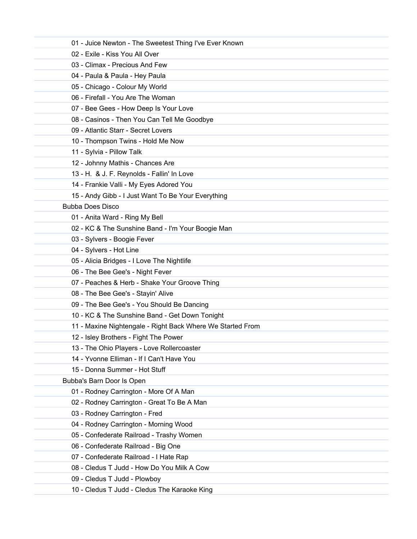| 01 - Juice Newton - The Sweetest Thing I've Ever Known     |
|------------------------------------------------------------|
| 02 - Exile - Kiss You All Over                             |
| 03 - Climax - Precious And Few                             |
| 04 - Paula & Paula - Hey Paula                             |
| 05 - Chicago - Colour My World                             |
| 06 - Firefall - You Are The Woman                          |
| 07 - Bee Gees - How Deep Is Your Love                      |
| 08 - Casinos - Then You Can Tell Me Goodbye                |
| 09 - Atlantic Starr - Secret Lovers                        |
| 10 - Thompson Twins - Hold Me Now                          |
| 11 - Sylvia - Pillow Talk                                  |
| 12 - Johnny Mathis - Chances Are                           |
| 13 - H. & J. F. Reynolds - Fallin' In Love                 |
| 14 - Frankie Valli - My Eyes Adored You                    |
| 15 - Andy Gibb - I Just Want To Be Your Everything         |
| <b>Bubba Does Disco</b>                                    |
| 01 - Anita Ward - Ring My Bell                             |
| 02 - KC & The Sunshine Band - I'm Your Boogie Man          |
| 03 - Sylvers - Boogie Fever                                |
| 04 - Sylvers - Hot Line                                    |
| 05 - Alicia Bridges - I Love The Nightlife                 |
| 06 - The Bee Gee's - Night Fever                           |
| 07 - Peaches & Herb - Shake Your Groove Thing              |
| 08 - The Bee Gee's - Stayin' Alive                         |
| 09 - The Bee Gee's - You Should Be Dancing                 |
| 10 - KC & The Sunshine Band - Get Down Tonight             |
| 11 - Maxine Nightengale - Right Back Where We Started From |
| 12 - Isley Brothers - Fight The Power                      |
| 13 - The Ohio Players - Love Rollercoaster                 |
| 14 - Yvonne Elliman - If I Can't Have You                  |
| 15 - Donna Summer - Hot Stuff                              |
| Bubba's Barn Door Is Open                                  |
| 01 - Rodney Carrington - More Of A Man                     |
| 02 - Rodney Carrington - Great To Be A Man                 |
| 03 - Rodney Carrington - Fred                              |
| 04 - Rodney Carrington - Morning Wood                      |
| 05 - Confederate Railroad - Trashy Women                   |
| 06 - Confederate Railroad - Big One                        |
| 07 - Confederate Railroad - I Hate Rap                     |
| 08 - Cledus T Judd - How Do You Milk A Cow                 |
| 09 - Cledus T Judd - Plowboy                               |
| 10 - Cledus T Judd - Cledus The Karaoke King               |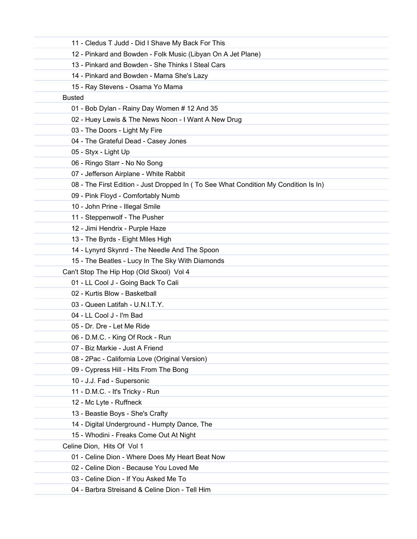| 11 - Cledus T Judd - Did I Shave My Back For This                                   |  |
|-------------------------------------------------------------------------------------|--|
| 12 - Pinkard and Bowden - Folk Music (Libyan On A Jet Plane)                        |  |
| 13 - Pinkard and Bowden - She Thinks I Steal Cars                                   |  |
| 14 - Pinkard and Bowden - Mama She's Lazy                                           |  |
| 15 - Ray Stevens - Osama Yo Mama                                                    |  |
| <b>Busted</b>                                                                       |  |
| 01 - Bob Dylan - Rainy Day Women # 12 And 35                                        |  |
| 02 - Huey Lewis & The News Noon - I Want A New Drug                                 |  |
| 03 - The Doors - Light My Fire                                                      |  |
| 04 - The Grateful Dead - Casey Jones                                                |  |
| 05 - Styx - Light Up                                                                |  |
| 06 - Ringo Starr - No No Song                                                       |  |
| 07 - Jefferson Airplane - White Rabbit                                              |  |
| 08 - The First Edition - Just Dropped In (To See What Condition My Condition Is In) |  |
| 09 - Pink Floyd - Comfortably Numb                                                  |  |
| 10 - John Prine - Illegal Smile                                                     |  |
| 11 - Steppenwolf - The Pusher                                                       |  |
| 12 - Jimi Hendrix - Purple Haze                                                     |  |
| 13 - The Byrds - Eight Miles High                                                   |  |
| 14 - Lynyrd Skynrd - The Needle And The Spoon                                       |  |
| 15 - The Beatles - Lucy In The Sky With Diamonds                                    |  |
| Can't Stop The Hip Hop (Old Skool) Vol 4                                            |  |
| 01 - LL Cool J - Going Back To Cali                                                 |  |
| 02 - Kurtis Blow - Basketball                                                       |  |
| 03 - Queen Latifah - U.N.I.T.Y.                                                     |  |
| 04 - LL Cool J - I'm Bad                                                            |  |
| 05 - Dr. Dre - Let Me Ride                                                          |  |
| 06 - D.M.C. - King Of Rock - Run                                                    |  |
| 07 - Biz Markie - Just A Friend                                                     |  |
| 08 - 2Pac - California Love (Original Version)                                      |  |
| 09 - Cypress Hill - Hits From The Bong                                              |  |
| 10 - J.J. Fad - Supersonic                                                          |  |
| 11 - D.M.C. - It's Tricky - Run                                                     |  |
| 12 - Mc Lyte - Ruffneck                                                             |  |
| 13 - Beastie Boys - She's Crafty                                                    |  |
| 14 - Digital Underground - Humpty Dance, The                                        |  |
| 15 - Whodini - Freaks Come Out At Night                                             |  |
| Celine Dion, Hits Of Vol 1                                                          |  |
| 01 - Celine Dion - Where Does My Heart Beat Now                                     |  |
| 02 - Celine Dion - Because You Loved Me                                             |  |
| 03 - Celine Dion - If You Asked Me To                                               |  |
| 04 - Barbra Streisand & Celine Dion - Tell Him                                      |  |
|                                                                                     |  |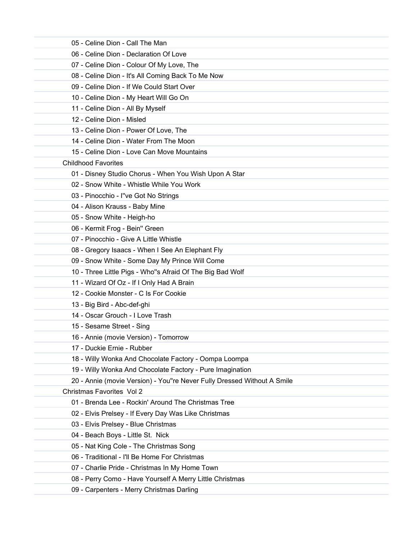| 05 - Celine Dion - Call The Man                                         |
|-------------------------------------------------------------------------|
| 06 - Celine Dion - Declaration Of Love                                  |
| 07 - Celine Dion - Colour Of My Love, The                               |
| 08 - Celine Dion - It's All Coming Back To Me Now                       |
| 09 - Celine Dion - If We Could Start Over                               |
| 10 - Celine Dion - My Heart Will Go On                                  |
| 11 - Celine Dion - All By Myself                                        |
| 12 - Celine Dion - Misled                                               |
| 13 - Celine Dion - Power Of Love, The                                   |
| 14 - Celine Dion - Water From The Moon                                  |
| 15 - Celine Dion - Love Can Move Mountains                              |
| <b>Childhood Favorites</b>                                              |
| 01 - Disney Studio Chorus - When You Wish Upon A Star                   |
| 02 - Snow White - Whistle While You Work                                |
| 03 - Pinocchio - I"ve Got No Strings                                    |
| 04 - Alison Krauss - Baby Mine                                          |
| 05 - Snow White - Heigh-ho                                              |
| 06 - Kermit Frog - Bein" Green                                          |
| 07 - Pinocchio - Give A Little Whistle                                  |
| 08 - Gregory Isaacs - When I See An Elephant Fly                        |
| 09 - Snow White - Some Day My Prince Will Come                          |
| 10 - Three Little Pigs - Who"s Afraid Of The Big Bad Wolf               |
| 11 - Wizard Of Oz - If I Only Had A Brain                               |
| 12 - Cookie Monster - C Is For Cookie                                   |
| 13 - Big Bird - Abc-def-ghi                                             |
| 14 - Oscar Grouch - I Love Trash                                        |
| 15 - Sesame Street - Sing                                               |
| 16 - Annie (movie Version) - Tomorrow                                   |
| 17 - Duckie Ernie - Rubber                                              |
| 18 - Willy Wonka And Chocolate Factory - Oompa Loompa                   |
| 19 - Willy Wonka And Chocolate Factory - Pure Imagination               |
| 20 - Annie (movie Version) - You"re Never Fully Dressed Without A Smile |
| Christmas Favorites Vol 2                                               |
| 01 - Brenda Lee - Rockin' Around The Christmas Tree                     |
| 02 - Elvis Prelsey - If Every Day Was Like Christmas                    |
| 03 - Elvis Prelsey - Blue Christmas                                     |
| 04 - Beach Boys - Little St. Nick                                       |
| 05 - Nat King Cole - The Christmas Song                                 |
| 06 - Traditional - I'll Be Home For Christmas                           |
| 07 - Charlie Pride - Christmas In My Home Town                          |
| 08 - Perry Como - Have Yourself A Merry Little Christmas                |
| 09 - Carpenters - Merry Christmas Darling                               |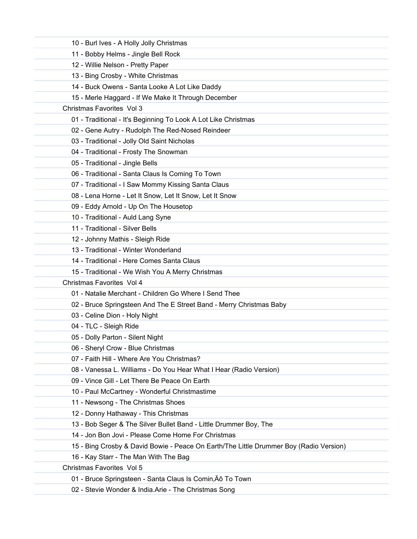| 10 - Burl Ives - A Holly Jolly Christmas                                               |
|----------------------------------------------------------------------------------------|
| 11 - Bobby Helms - Jingle Bell Rock                                                    |
| 12 - Willie Nelson - Pretty Paper                                                      |
| 13 - Bing Crosby - White Christmas                                                     |
| 14 - Buck Owens - Santa Looke A Lot Like Daddy                                         |
| 15 - Merle Haggard - If We Make It Through December                                    |
| Christmas Favorites Vol 3                                                              |
| 01 - Traditional - It's Beginning To Look A Lot Like Christmas                         |
| 02 - Gene Autry - Rudolph The Red-Nosed Reindeer                                       |
| 03 - Traditional - Jolly Old Saint Nicholas                                            |
| 04 - Traditional - Frosty The Snowman                                                  |
| 05 - Traditional - Jingle Bells                                                        |
| 06 - Traditional - Santa Claus Is Coming To Town                                       |
| 07 - Traditional - I Saw Mommy Kissing Santa Claus                                     |
| 08 - Lena Horne - Let It Snow, Let It Snow, Let It Snow                                |
| 09 - Eddy Arnold - Up On The Housetop                                                  |
| 10 - Traditional - Auld Lang Syne                                                      |
| 11 - Traditional - Silver Bells                                                        |
| 12 - Johnny Mathis - Sleigh Ride                                                       |
| 13 - Traditional - Winter Wonderland                                                   |
| 14 - Traditional - Here Comes Santa Claus                                              |
| 15 - Traditional - We Wish You A Merry Christmas                                       |
| Christmas Favorites Vol 4                                                              |
| 01 - Natalie Merchant - Children Go Where I Send Thee                                  |
| 02 - Bruce Springsteen And The E Street Band - Merry Christmas Baby                    |
| 03 - Celine Dion - Holy Night                                                          |
| 04 - TLC - Sleigh Ride                                                                 |
| 05 - Dolly Parton - Silent Night                                                       |
| 06 - Sheryl Crow - Blue Christmas                                                      |
| 07 - Faith Hill - Where Are You Christmas?                                             |
| 08 - Vanessa L. Williams - Do You Hear What I Hear (Radio Version)                     |
| 09 - Vince Gill - Let There Be Peace On Earth                                          |
| 10 - Paul McCartney - Wonderful Christmastime                                          |
| 11 - Newsong - The Christmas Shoes                                                     |
| 12 - Donny Hathaway - This Christmas                                                   |
| 13 - Bob Seger & The Silver Bullet Band - Little Drummer Boy, The                      |
| 14 - Jon Bon Jovi - Please Come Home For Christmas                                     |
| 15 - Bing Crosby & David Bowie - Peace On Earth/The Little Drummer Boy (Radio Version) |
| 16 - Kay Starr - The Man With The Bag                                                  |
| Christmas Favorites Vol 5                                                              |
| 01 - Bruce Springsteen - Santa Claus Is Comin, Äô To Town                              |
| 02 - Stevie Wonder & India.Arie - The Christmas Song                                   |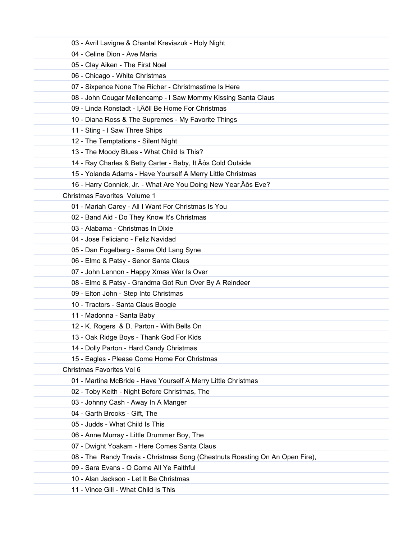| 03 - Avril Lavigne & Chantal Kreviazuk - Holy Night                          |
|------------------------------------------------------------------------------|
| 04 - Celine Dion - Ave Maria                                                 |
| 05 - Clay Aiken - The First Noel                                             |
| 06 - Chicago - White Christmas                                               |
| 07 - Sixpence None The Richer - Christmastime Is Here                        |
| 08 - John Cougar Mellencamp - I Saw Mommy Kissing Santa Claus                |
| 09 - Linda Ronstadt - I,Äôll Be Home For Christmas                           |
| 10 - Diana Ross & The Supremes - My Favorite Things                          |
| 11 - Sting - I Saw Three Ships                                               |
| 12 - The Temptations - Silent Night                                          |
| 13 - The Moody Blues - What Child Is This?                                   |
| 14 - Ray Charles & Betty Carter - Baby, It, Äôs Cold Outside                 |
| 15 - Yolanda Adams - Have Yourself A Merry Little Christmas                  |
| 16 - Harry Connick, Jr. - What Are You Doing New Year, Äôs Eve?              |
| Christmas Favorites Volume 1                                                 |
| 01 - Mariah Carey - All I Want For Christmas Is You                          |
| 02 - Band Aid - Do They Know It's Christmas                                  |
| 03 - Alabama - Christmas In Dixie                                            |
| 04 - Jose Feliciano - Feliz Navidad                                          |
| 05 - Dan Fogelberg - Same Old Lang Syne                                      |
| 06 - Elmo & Patsy - Senor Santa Claus                                        |
| 07 - John Lennon - Happy Xmas War Is Over                                    |
| 08 - Elmo & Patsy - Grandma Got Run Over By A Reindeer                       |
| 09 - Elton John - Step Into Christmas                                        |
| 10 - Tractors - Santa Claus Boogie                                           |
| 11 - Madonna - Santa Baby                                                    |
| 12 - K. Rogers & D. Parton - With Bells On                                   |
| 13 - Oak Ridge Boys - Thank God For Kids                                     |
| 14 - Dolly Parton - Hard Candy Christmas                                     |
| 15 - Eagles - Please Come Home For Christmas                                 |
| Christmas Favorites Vol 6                                                    |
| 01 - Martina McBride - Have Yourself A Merry Little Christmas                |
| 02 - Toby Keith - Night Before Christmas, The                                |
| 03 - Johnny Cash - Away In A Manger                                          |
| 04 - Garth Brooks - Gift, The                                                |
| 05 - Judds - What Child Is This                                              |
| 06 - Anne Murray - Little Drummer Boy, The                                   |
| 07 - Dwight Yoakam - Here Comes Santa Claus                                  |
| 08 - The Randy Travis - Christmas Song (Chestnuts Roasting On An Open Fire), |
| 09 - Sara Evans - O Come All Ye Faithful                                     |
| 10 - Alan Jackson - Let It Be Christmas                                      |
| 11 - Vince Gill - What Child Is This                                         |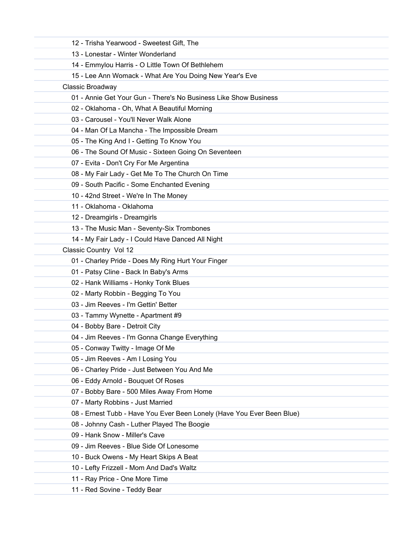| 12 - Trisha Yearwood - Sweetest Gift, The                              |
|------------------------------------------------------------------------|
| 13 - Lonestar - Winter Wonderland                                      |
| 14 - Emmylou Harris - O Little Town Of Bethlehem                       |
| 15 - Lee Ann Womack - What Are You Doing New Year's Eve                |
| Classic Broadway                                                       |
| 01 - Annie Get Your Gun - There's No Business Like Show Business       |
| 02 - Oklahoma - Oh, What A Beautiful Morning                           |
| 03 - Carousel - You'll Never Walk Alone                                |
| 04 - Man Of La Mancha - The Impossible Dream                           |
| 05 - The King And I - Getting To Know You                              |
| 06 - The Sound Of Music - Sixteen Going On Seventeen                   |
| 07 - Evita - Don't Cry For Me Argentina                                |
| 08 - My Fair Lady - Get Me To The Church On Time                       |
| 09 - South Pacific - Some Enchanted Evening                            |
| 10 - 42nd Street - We're In The Money                                  |
| 11 - Oklahoma - Oklahoma                                               |
| 12 - Dreamgirls - Dreamgirls                                           |
| 13 - The Music Man - Seventy-Six Trombones                             |
| 14 - My Fair Lady - I Could Have Danced All Night                      |
| Classic Country Vol 12                                                 |
| 01 - Charley Pride - Does My Ring Hurt Your Finger                     |
| 01 - Patsy Cline - Back In Baby's Arms                                 |
| 02 - Hank Williams - Honky Tonk Blues                                  |
| 02 - Marty Robbin - Begging To You                                     |
| 03 - Jim Reeves - I'm Gettin' Better                                   |
| 03 - Tammy Wynette - Apartment #9                                      |
| 04 - Bobby Bare - Detroit City                                         |
| 04 - Jim Reeves - I'm Gonna Change Everything                          |
| 05 - Conway Twitty - Image Of Me                                       |
| 05 - Jim Reeves - Am I Losing You                                      |
| 06 - Charley Pride - Just Between You And Me                           |
| 06 - Eddy Arnold - Bouquet Of Roses                                    |
| 07 - Bobby Bare - 500 Miles Away From Home                             |
| 07 - Marty Robbins - Just Married                                      |
| 08 - Ernest Tubb - Have You Ever Been Lonely (Have You Ever Been Blue) |
| 08 - Johnny Cash - Luther Played The Boogie                            |
| 09 - Hank Snow - Miller's Cave                                         |
| 09 - Jim Reeves - Blue Side Of Lonesome                                |
| 10 - Buck Owens - My Heart Skips A Beat                                |
| 10 - Lefty Frizzell - Mom And Dad's Waltz                              |
| 11 - Ray Price - One More Time                                         |
| 11 - Red Sovine - Teddy Bear                                           |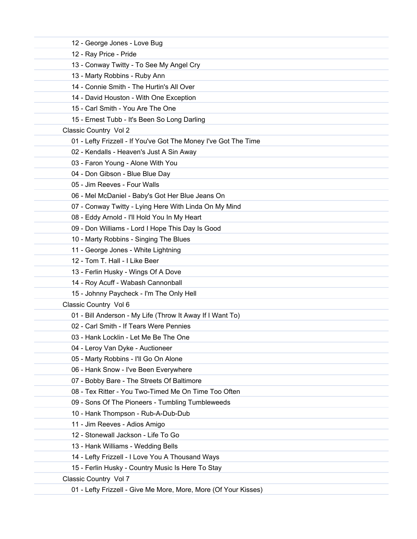| 12 - George Jones - Love Bug                                    |
|-----------------------------------------------------------------|
| 12 - Ray Price - Pride                                          |
| 13 - Conway Twitty - To See My Angel Cry                        |
| 13 - Marty Robbins - Ruby Ann                                   |
| 14 - Connie Smith - The Hurtin's All Over                       |
| 14 - David Houston - With One Exception                         |
| 15 - Carl Smith - You Are The One                               |
| 15 - Ernest Tubb - It's Been So Long Darling                    |
| Classic Country Vol 2                                           |
| 01 - Lefty Frizzell - If You've Got The Money I've Got The Time |
| 02 - Kendalls - Heaven's Just A Sin Away                        |
| 03 - Faron Young - Alone With You                               |
| 04 - Don Gibson - Blue Blue Day                                 |
| 05 - Jim Reeves - Four Walls                                    |
| 06 - Mel McDaniel - Baby's Got Her Blue Jeans On                |
| 07 - Conway Twitty - Lying Here With Linda On My Mind           |
| 08 - Eddy Arnold - I'll Hold You In My Heart                    |
| 09 - Don Williams - Lord I Hope This Day Is Good                |
| 10 - Marty Robbins - Singing The Blues                          |
| 11 - George Jones - White Lightning                             |
| 12 - Tom T. Hall - I Like Beer                                  |
| 13 - Ferlin Husky - Wings Of A Dove                             |
| 14 - Roy Acuff - Wabash Cannonball                              |
| 15 - Johnny Paycheck - I'm The Only Hell                        |
| Classic Country Vol 6                                           |
| 01 - Bill Anderson - My Life (Throw It Away If I Want To)       |
| 02 - Carl Smith - If Tears Were Pennies                         |
| 03 - Hank Locklin - Let Me Be The One                           |
| 04 - Leroy Van Dyke - Auctioneer                                |
| 05 - Marty Robbins - I'll Go On Alone                           |
| 06 - Hank Snow - I've Been Everywhere                           |
| 07 - Bobby Bare - The Streets Of Baltimore                      |
| 08 - Tex Ritter - You Two-Timed Me On Time Too Often            |
| 09 - Sons Of The Pioneers - Tumbling Tumbleweeds                |
| 10 - Hank Thompson - Rub-A-Dub-Dub                              |
| 11 - Jim Reeves - Adios Amigo                                   |
| 12 - Stonewall Jackson - Life To Go                             |
| 13 - Hank Williams - Wedding Bells                              |
| 14 - Lefty Frizzell - I Love You A Thousand Ways                |
| 15 - Ferlin Husky - Country Music Is Here To Stay               |
| Classic Country Vol 7                                           |
| 01 - Lefty Frizzell - Give Me More, More, More (Of Your Kisses) |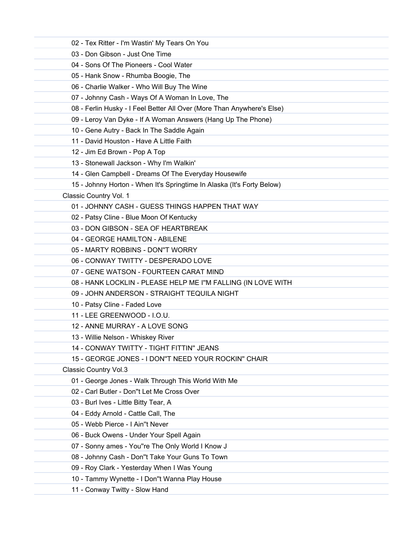| 02 - Tex Ritter - I'm Wastin' My Tears On You                          |
|------------------------------------------------------------------------|
| 03 - Don Gibson - Just One Time                                        |
| 04 - Sons Of The Pioneers - Cool Water                                 |
| 05 - Hank Snow - Rhumba Boogie, The                                    |
| 06 - Charlie Walker - Who Will Buy The Wine                            |
| 07 - Johnny Cash - Ways Of A Woman In Love, The                        |
| 08 - Ferlin Husky - I Feel Better All Over (More Than Anywhere's Else) |
| 09 - Leroy Van Dyke - If A Woman Answers (Hang Up The Phone)           |
| 10 - Gene Autry - Back In The Saddle Again                             |
| 11 - David Houston - Have A Little Faith                               |
| 12 - Jim Ed Brown - Pop A Top                                          |
| 13 - Stonewall Jackson - Why I'm Walkin'                               |
| 14 - Glen Campbell - Dreams Of The Everyday Housewife                  |
| 15 - Johnny Horton - When It's Springtime In Alaska (It's Forty Below) |
| Classic Country Vol. 1                                                 |
| 01 - JOHNNY CASH - GUESS THINGS HAPPEN THAT WAY                        |
| 02 - Patsy Cline - Blue Moon Of Kentucky                               |
| 03 - DON GIBSON - SEA OF HEARTBREAK                                    |
| 04 - GEORGE HAMILTON - ABILENE                                         |
| 05 - MARTY ROBBINS - DON"T WORRY                                       |
| 06 - CONWAY TWITTY - DESPERADO LOVE                                    |
| 07 - GENE WATSON - FOURTEEN CARAT MIND                                 |
| 08 - HANK LOCKLIN - PLEASE HELP ME I"M FALLING (IN LOVE WITH           |
| 09 - JOHN ANDERSON - STRAIGHT TEQUILA NIGHT                            |
| 10 - Patsy Cline - Faded Love                                          |
| 11 - LEE GREENWOOD - I.O.U.                                            |
| 12 - ANNE MURRAY - A LOVE SONG                                         |
| 13 - Willie Nelson - Whiskey River                                     |
| 14 - CONWAY TWITTY - TIGHT FITTIN" JEANS                               |
| 15 - GEORGE JONES - I DON"T NEED YOUR ROCKIN" CHAIR                    |
| <b>Classic Country Vol.3</b>                                           |
| 01 - George Jones - Walk Through This World With Me                    |
| 02 - Carl Butler - Don"t Let Me Cross Over                             |
| 03 - Burl Ives - Little Bitty Tear, A                                  |
| 04 - Eddy Arnold - Cattle Call, The                                    |
| 05 - Webb Pierce - I Ain"t Never                                       |
| 06 - Buck Owens - Under Your Spell Again                               |
| 07 - Sonny ames - You"re The Only World I Know J                       |
| 08 - Johnny Cash - Don"t Take Your Guns To Town                        |
| 09 - Roy Clark - Yesterday When I Was Young                            |
| 10 - Tammy Wynette - I Don"t Wanna Play House                          |
| 11 - Conway Twitty - Slow Hand                                         |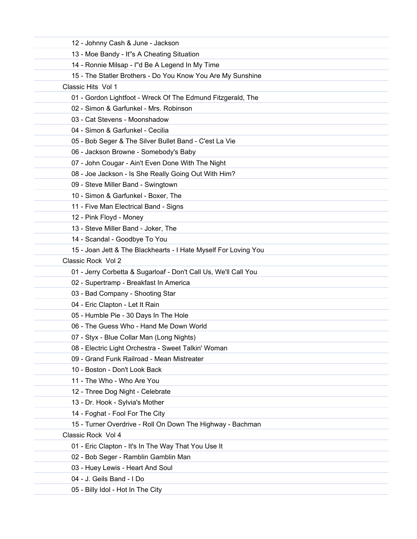| 12 - Johnny Cash & June - Jackson                               |
|-----------------------------------------------------------------|
| 13 - Moe Bandy - It"s A Cheating Situation                      |
| 14 - Ronnie Milsap - I"d Be A Legend In My Time                 |
| 15 - The Statler Brothers - Do You Know You Are My Sunshine     |
| Classic Hits Vol 1                                              |
| 01 - Gordon Lightfoot - Wreck Of The Edmund Fitzgerald, The     |
| 02 - Simon & Garfunkel - Mrs. Robinson                          |
| 03 - Cat Stevens - Moonshadow                                   |
| 04 - Simon & Garfunkel - Cecilia                                |
| 05 - Bob Seger & The Silver Bullet Band - C'est La Vie          |
| 06 - Jackson Browne - Somebody's Baby                           |
| 07 - John Cougar - Ain't Even Done With The Night               |
| 08 - Joe Jackson - Is She Really Going Out With Him?            |
| 09 - Steve Miller Band - Swingtown                              |
| 10 - Simon & Garfunkel - Boxer, The                             |
| 11 - Five Man Electrical Band - Signs                           |
| 12 - Pink Floyd - Money                                         |
| 13 - Steve Miller Band - Joker, The                             |
| 14 - Scandal - Goodbye To You                                   |
| 15 - Joan Jett & The Blackhearts - I Hate Myself For Loving You |
| Classic Rock Vol 2                                              |
| 01 - Jerry Corbetta & Sugarloaf - Don't Call Us, We'll Call You |
| 02 - Supertramp - Breakfast In America                          |
| 03 - Bad Company - Shooting Star                                |
| 04 - Eric Clapton - Let It Rain                                 |
| 05 - Humble Pie - 30 Days In The Hole                           |
| 06 - The Guess Who - Hand Me Down World                         |
| 07 - Styx - Blue Collar Man (Long Nights)                       |
| 08 - Electric Light Orchestra - Sweet Talkin' Woman             |
| 09 - Grand Funk Railroad - Mean Mistreater                      |
| 10 - Boston - Don't Look Back                                   |
| 11 - The Who - Who Are You                                      |
| 12 - Three Dog Night - Celebrate                                |
| 13 - Dr. Hook - Sylvia's Mother                                 |
| 14 - Foghat - Fool For The City                                 |
| 15 - Turner Overdrive - Roll On Down The Highway - Bachman      |
| Classic Rock Vol 4                                              |
| 01 - Eric Clapton - It's In The Way That You Use It             |
| 02 - Bob Seger - Ramblin Gamblin Man                            |
| 03 - Huey Lewis - Heart And Soul                                |
| 04 - J. Geils Band - I Do                                       |
| 05 - Billy Idol - Hot In The City                               |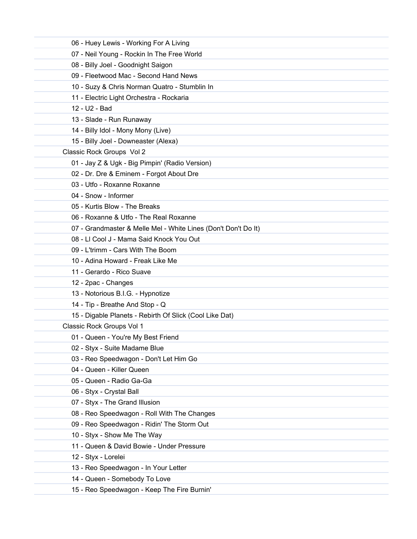| 06 - Huey Lewis - Working For A Living                         |
|----------------------------------------------------------------|
| 07 - Neil Young - Rockin In The Free World                     |
| 08 - Billy Joel - Goodnight Saigon                             |
| 09 - Fleetwood Mac - Second Hand News                          |
| 10 - Suzy & Chris Norman Quatro - Stumblin In                  |
| 11 - Electric Light Orchestra - Rockaria                       |
| 12 - U2 - Bad                                                  |
| 13 - Slade - Run Runaway                                       |
| 14 - Billy Idol - Mony Mony (Live)                             |
| 15 - Billy Joel - Downeaster (Alexa)                           |
| Classic Rock Groups Vol 2                                      |
| 01 - Jay Z & Ugk - Big Pimpin' (Radio Version)                 |
| 02 - Dr. Dre & Eminem - Forgot About Dre                       |
| 03 - Utfo - Roxanne Roxanne                                    |
| 04 - Snow - Informer                                           |
| 05 - Kurtis Blow - The Breaks                                  |
| 06 - Roxanne & Utfo - The Real Roxanne                         |
| 07 - Grandmaster & Melle Mel - White Lines (Don't Don't Do It) |
| 08 - Ll Cool J - Mama Said Knock You Out                       |
| 09 - L'trimm - Cars With The Boom                              |
| 10 - Adina Howard - Freak Like Me                              |
| 11 - Gerardo - Rico Suave                                      |
| 12 - 2pac - Changes                                            |
| 13 - Notorious B.I.G. - Hypnotize                              |
| 14 - Tip - Breathe And Stop - Q                                |
| 15 - Digable Planets - Rebirth Of Slick (Cool Like Dat)        |
| Classic Rock Groups Vol 1                                      |
| 01 - Queen - You're My Best Friend                             |
| 02 - Styx - Suite Madame Blue                                  |
| 03 - Reo Speedwagon - Don't Let Him Go                         |
| 04 - Queen - Killer Queen                                      |
| 05 - Queen - Radio Ga-Ga                                       |
| 06 - Styx - Crystal Ball                                       |
| 07 - Styx - The Grand Illusion                                 |
| 08 - Reo Speedwagon - Roll With The Changes                    |
| 09 - Reo Speedwagon - Ridin' The Storm Out                     |
| 10 - Styx - Show Me The Way                                    |
| 11 - Queen & David Bowie - Under Pressure                      |
| 12 - Styx - Lorelei                                            |
| 13 - Reo Speedwagon - In Your Letter                           |
| 14 - Queen - Somebody To Love                                  |
| 15 - Reo Speedwagon - Keep The Fire Burnin'                    |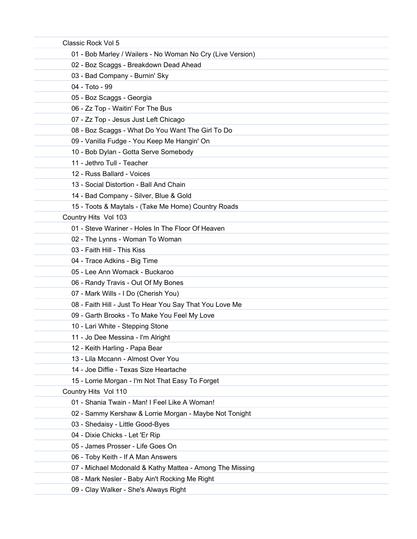| Classic Rock Vol 5                                         |
|------------------------------------------------------------|
| 01 - Bob Marley / Wailers - No Woman No Cry (Live Version) |
| 02 - Boz Scaggs - Breakdown Dead Ahead                     |
| 03 - Bad Company - Burnin' Sky                             |
| 04 - Toto - 99                                             |
| 05 - Boz Scaggs - Georgia                                  |
| 06 - Zz Top - Waitin' For The Bus                          |
| 07 - Zz Top - Jesus Just Left Chicago                      |
| 08 - Boz Scaggs - What Do You Want The Girl To Do          |
| 09 - Vanilla Fudge - You Keep Me Hangin' On                |
| 10 - Bob Dylan - Gotta Serve Somebody                      |
| 11 - Jethro Tull - Teacher                                 |
| 12 - Russ Ballard - Voices                                 |
| 13 - Social Distortion - Ball And Chain                    |
| 14 - Bad Company - Silver, Blue & Gold                     |
| 15 - Toots & Maytals - (Take Me Home) Country Roads        |
| Country Hits Vol 103                                       |
| 01 - Steve Wariner - Holes In The Floor Of Heaven          |
| 02 - The Lynns - Woman To Woman                            |
| 03 - Faith Hill - This Kiss                                |
| 04 - Trace Adkins - Big Time                               |
| 05 - Lee Ann Womack - Buckaroo                             |
| 06 - Randy Travis - Out Of My Bones                        |
| 07 - Mark Wills - I Do (Cherish You)                       |
| 08 - Faith Hill - Just To Hear You Say That You Love Me    |
| 09 - Garth Brooks - To Make You Feel My Love               |
| 10 - Lari White - Stepping Stone                           |
| 11 - Jo Dee Messina - I'm Alright                          |
| 12 - Keith Harling - Papa Bear                             |
| 13 - Lila Mccann - Almost Over You                         |
| 14 - Joe Diffie - Texas Size Heartache                     |
| 15 - Lorrie Morgan - I'm Not That Easy To Forget           |
| Country Hits Vol 110                                       |
| 01 - Shania Twain - Man! I Feel Like A Woman!              |
| 02 - Sammy Kershaw & Lorrie Morgan - Maybe Not Tonight     |
| 03 - Shedaisy - Little Good-Byes                           |
| 04 - Dixie Chicks - Let 'Er Rip                            |
| 05 - James Prosser - Life Goes On                          |
| 06 - Toby Keith - If A Man Answers                         |
| 07 - Michael Mcdonald & Kathy Mattea - Among The Missing   |
| 08 - Mark Nesler - Baby Ain't Rocking Me Right             |
| 09 - Clay Walker - She's Always Right                      |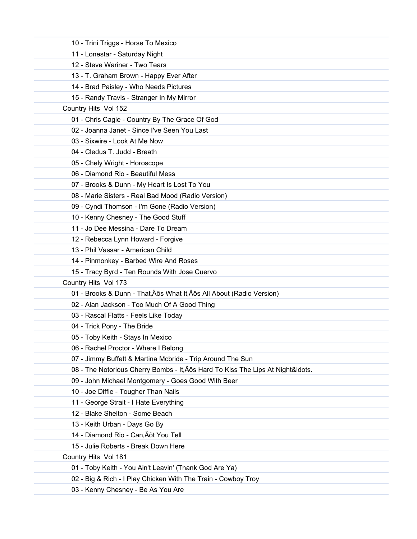| 10 - Trini Triggs - Horse To Mexico                                             |
|---------------------------------------------------------------------------------|
| 11 - Lonestar - Saturday Night                                                  |
| 12 - Steve Wariner - Two Tears                                                  |
| 13 - T. Graham Brown - Happy Ever After                                         |
| 14 - Brad Paisley - Who Needs Pictures                                          |
| 15 - Randy Travis - Stranger In My Mirror                                       |
| Country Hits Vol 152                                                            |
| 01 - Chris Cagle - Country By The Grace Of God                                  |
| 02 - Joanna Janet - Since I've Seen You Last                                    |
| 03 - Sixwire - Look At Me Now                                                   |
| 04 - Cledus T. Judd - Breath                                                    |
| 05 - Chely Wright - Horoscope                                                   |
| 06 - Diamond Rio - Beautiful Mess                                               |
| 07 - Brooks & Dunn - My Heart Is Lost To You                                    |
| 08 - Marie Sisters - Real Bad Mood (Radio Version)                              |
| 09 - Cyndi Thomson - I'm Gone (Radio Version)                                   |
| 10 - Kenny Chesney - The Good Stuff                                             |
| 11 - Jo Dee Messina - Dare To Dream                                             |
| 12 - Rebecca Lynn Howard - Forgive                                              |
| 13 - Phil Vassar - American Child                                               |
| 14 - Pinmonkey - Barbed Wire And Roses                                          |
| 15 - Tracy Byrd - Ten Rounds With Jose Cuervo                                   |
| Country Hits Vol 173                                                            |
| 01 - Brooks & Dunn - That, Äôs What It, Äôs All About (Radio Version)           |
| 02 - Alan Jackson - Too Much Of A Good Thing                                    |
| 03 - Rascal Flatts - Feels Like Today                                           |
| 04 - Trick Pony - The Bride                                                     |
| 05 - Toby Keith - Stays In Mexico                                               |
| 06 - Rachel Proctor - Where I Belong                                            |
| 07 - Jimmy Buffett & Martina Mcbride - Trip Around The Sun                      |
| 08 - The Notorious Cherry Bombs - It, Äôs Hard To Kiss The Lips At Night&Idots. |
| 09 - John Michael Montgomery - Goes Good With Beer                              |
| 10 - Joe Diffie - Tougher Than Nails                                            |
| 11 - George Strait - I Hate Everything                                          |
| 12 - Blake Shelton - Some Beach                                                 |
| 13 - Keith Urban - Days Go By                                                   |
| 14 - Diamond Rio - Can, Äôt You Tell                                            |
| 15 - Julie Roberts - Break Down Here                                            |
| Country Hits Vol 181                                                            |
| 01 - Toby Keith - You Ain't Leavin' (Thank God Are Ya)                          |
| 02 - Big & Rich - I Play Chicken With The Train - Cowboy Troy                   |
| 03 - Kenny Chesney - Be As You Are                                              |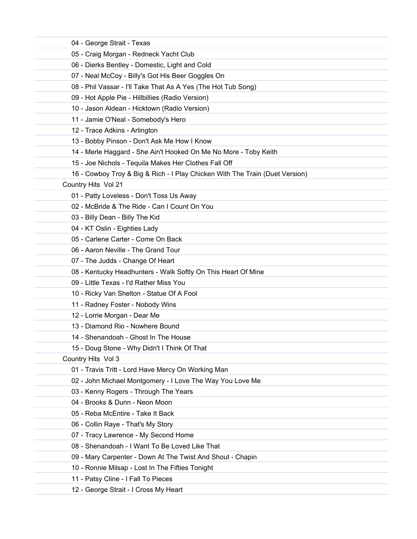| 04 - George Strait - Texas                                                   |
|------------------------------------------------------------------------------|
| 05 - Craig Morgan - Redneck Yacht Club                                       |
| 06 - Dierks Bentley - Domestic, Light and Cold                               |
| 07 - Neal McCoy - Billy's Got His Beer Goggles On                            |
| 08 - Phil Vassar - I'll Take That As A Yes (The Hot Tub Song)                |
| 09 - Hot Apple Pie - Hillbillies (Radio Version)                             |
| 10 - Jason Aldean - Hicktown (Radio Version)                                 |
| 11 - Jamie O'Neal - Somebody's Hero                                          |
| 12 - Trace Adkins - Arlington                                                |
| 13 - Bobby Pinson - Don't Ask Me How I Know                                  |
| 14 - Merle Haggard - She Ain't Hooked On Me No More - Toby Keith             |
| 15 - Joe Nichols - Tequila Makes Her Clothes Fall Off                        |
| 16 - Cowboy Troy & Big & Rich - I Play Chicken With The Train (Duet Version) |
| Country Hits Vol 21                                                          |
| 01 - Patty Loveless - Don't Toss Us Away                                     |
| 02 - McBride & The Ride - Can I Count On You                                 |
| 03 - Billy Dean - Billy The Kid                                              |
| 04 - KT Oslin - Eighties Lady                                                |
| 05 - Carlene Carter - Come On Back                                           |
| 06 - Aaron Neville - The Grand Tour                                          |
| 07 - The Judds - Change Of Heart                                             |
| 08 - Kentucky Headhunters - Walk Softly On This Heart Of Mine                |
| 09 - Little Texas - I'd Rather Miss You                                      |
| 10 - Ricky Van Shelton - Statue Of A Fool                                    |
| 11 - Radney Foster - Nobody Wins                                             |
| 12 - Lorrie Morgan - Dear Me                                                 |
| 13 - Diamond Rio - Nowhere Bound                                             |
| 14 - Shenandoah - Ghost In The House                                         |
| 15 - Doug Stone - Why Didn't I Think Of That                                 |
| Country Hits Vol 3                                                           |
| 01 - Travis Tritt - Lord Have Mercy On Working Man                           |
| 02 - John Michael Montgomery - I Love The Way You Love Me                    |
| 03 - Kenny Rogers - Through The Years                                        |
| 04 - Brooks & Dunn - Neon Moon                                               |
| 05 - Reba McEntire - Take It Back                                            |
| 06 - Collin Raye - That's My Story                                           |
| 07 - Tracy Lawrence - My Second Home                                         |
| 08 - Shenandoah - I Want To Be Loved Like That                               |
| 09 - Mary Carpenter - Down At The Twist And Shout - Chapin                   |
| 10 - Ronnie Milsap - Lost In The Fifties Tonight                             |
| 11 - Patsy Cline - I Fall To Pieces                                          |
| 12 - George Strait - I Cross My Heart                                        |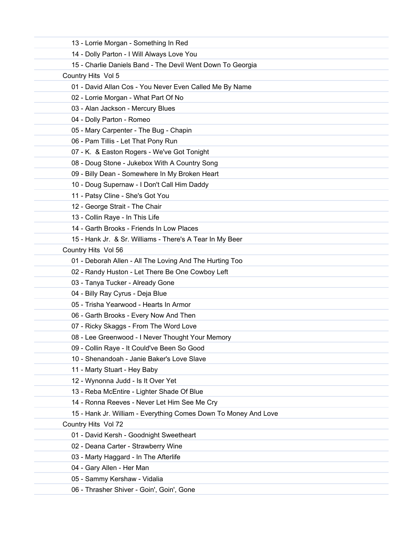| 13 - Lorrie Morgan - Something In Red                           |
|-----------------------------------------------------------------|
| 14 - Dolly Parton - I Will Always Love You                      |
| 15 - Charlie Daniels Band - The Devil Went Down To Georgia      |
| Country Hits Vol 5                                              |
| 01 - David Allan Cos - You Never Even Called Me By Name         |
| 02 - Lorrie Morgan - What Part Of No                            |
| 03 - Alan Jackson - Mercury Blues                               |
| 04 - Dolly Parton - Romeo                                       |
| 05 - Mary Carpenter - The Bug - Chapin                          |
| 06 - Pam Tillis - Let That Pony Run                             |
| 07 - K. & Easton Rogers - We've Got Tonight                     |
| 08 - Doug Stone - Jukebox With A Country Song                   |
| 09 - Billy Dean - Somewhere In My Broken Heart                  |
| 10 - Doug Supernaw - I Don't Call Him Daddy                     |
| 11 - Patsy Cline - She's Got You                                |
| 12 - George Strait - The Chair                                  |
| 13 - Collin Raye - In This Life                                 |
| 14 - Garth Brooks - Friends In Low Places                       |
| 15 - Hank Jr. & Sr. Williams - There's A Tear In My Beer        |
| Country Hits Vol 56                                             |
| 01 - Deborah Allen - All The Loving And The Hurting Too         |
| 02 - Randy Huston - Let There Be One Cowboy Left                |
| 03 - Tanya Tucker - Already Gone                                |
| 04 - Billy Ray Cyrus - Deja Blue                                |
| 05 - Trisha Yearwood - Hearts In Armor                          |
| 06 - Garth Brooks - Every Now And Then                          |
| 07 - Ricky Skaggs - From The Word Love                          |
| 08 - Lee Greenwood - I Never Thought Your Memory                |
| 09 - Collin Raye - It Could've Been So Good                     |
| 10 - Shenandoah - Janie Baker's Love Slave                      |
| 11 - Marty Stuart - Hey Baby                                    |
| 12 - Wynonna Judd - Is It Over Yet                              |
| 13 - Reba McEntire - Lighter Shade Of Blue                      |
| 14 - Ronna Reeves - Never Let Him See Me Cry                    |
| 15 - Hank Jr. William - Everything Comes Down To Money And Love |
| Country Hits Vol 72                                             |
| 01 - David Kersh - Goodnight Sweetheart                         |
| 02 - Deana Carter - Strawberry Wine                             |
| 03 - Marty Haggard - In The Afterlife                           |
| 04 - Gary Allen - Her Man                                       |
| 05 - Sammy Kershaw - Vidalia                                    |
| 06 - Thrasher Shiver - Goin', Goin', Gone                       |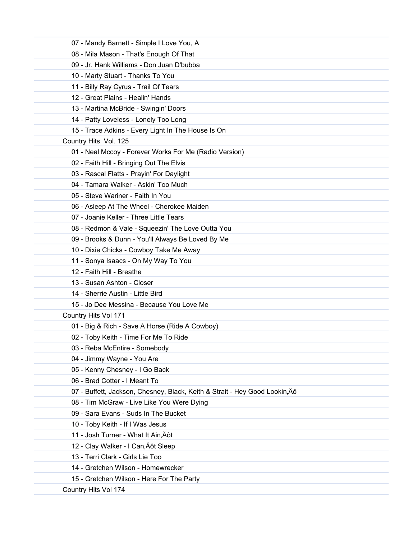| 07 - Mandy Barnett - Simple I Love You, A                                   |
|-----------------------------------------------------------------------------|
| 08 - Mila Mason - That's Enough Of That                                     |
| 09 - Jr. Hank Williams - Don Juan D'bubba                                   |
| 10 - Marty Stuart - Thanks To You                                           |
| 11 - Billy Ray Cyrus - Trail Of Tears                                       |
| 12 - Great Plains - Healin' Hands                                           |
| 13 - Martina McBride - Swingin' Doors                                       |
| 14 - Patty Loveless - Lonely Too Long                                       |
| 15 - Trace Adkins - Every Light In The House Is On                          |
| Country Hits Vol. 125                                                       |
| 01 - Neal Mccoy - Forever Works For Me (Radio Version)                      |
| 02 - Faith Hill - Bringing Out The Elvis                                    |
| 03 - Rascal Flatts - Prayin' For Daylight                                   |
| 04 - Tamara Walker - Askin' Too Much                                        |
| 05 - Steve Wariner - Faith In You                                           |
| 06 - Asleep At The Wheel - Cherokee Maiden                                  |
| 07 - Joanie Keller - Three Little Tears                                     |
| 08 - Redmon & Vale - Squeezin' The Love Outta You                           |
| 09 - Brooks & Dunn - You'll Always Be Loved By Me                           |
| 10 - Dixie Chicks - Cowboy Take Me Away                                     |
| 11 - Sonya Isaacs - On My Way To You                                        |
| 12 - Faith Hill - Breathe                                                   |
| 13 - Susan Ashton - Closer                                                  |
| 14 - Sherrie Austin - Little Bird                                           |
| 15 - Jo Dee Messina - Because You Love Me                                   |
| Country Hits Vol 171                                                        |
| 01 - Big & Rich - Save A Horse (Ride A Cowboy)                              |
| 02 - Toby Keith - Time For Me To Ride                                       |
| 03 - Reba McEntire - Somebody                                               |
| 04 - Jimmy Wayne - You Are                                                  |
| 05 - Kenny Chesney - I Go Back                                              |
| 06 - Brad Cotter - I Meant To                                               |
| 07 - Buffett, Jackson, Chesney, Black, Keith & Strait - Hey Good Lookin, Äô |
| 08 - Tim McGraw - Live Like You Were Dying                                  |
| 09 - Sara Evans - Suds In The Bucket                                        |
| 10 - Toby Keith - If I Was Jesus                                            |
| 11 - Josh Turner - What It Ain, Äôt                                         |
| 12 - Clay Walker - I Can, Äôt Sleep                                         |
| 13 - Terri Clark - Girls Lie Too                                            |
| 14 - Gretchen Wilson - Homewrecker                                          |
| 15 - Gretchen Wilson - Here For The Party                                   |
| Country Hits Vol 174                                                        |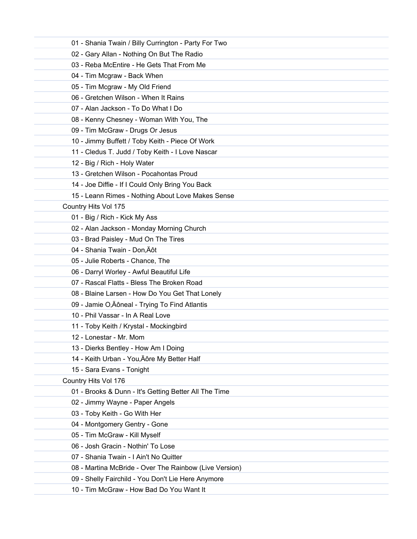| 01 - Shania Twain / Billy Currington - Party For Two   |
|--------------------------------------------------------|
| 02 - Gary Allan - Nothing On But The Radio             |
| 03 - Reba McEntire - He Gets That From Me              |
| 04 - Tim Mcgraw - Back When                            |
| 05 - Tim Mcgraw - My Old Friend                        |
| 06 - Gretchen Wilson - When It Rains                   |
| 07 - Alan Jackson - To Do What I Do                    |
| 08 - Kenny Chesney - Woman With You, The               |
| 09 - Tim McGraw - Drugs Or Jesus                       |
| 10 - Jimmy Buffett / Toby Keith - Piece Of Work        |
| 11 - Cledus T. Judd / Toby Keith - I Love Nascar       |
| 12 - Big / Rich - Holy Water                           |
| 13 - Gretchen Wilson - Pocahontas Proud                |
| 14 - Joe Diffie - If I Could Only Bring You Back       |
| 15 - Leann Rimes - Nothing About Love Makes Sense      |
| Country Hits Vol 175                                   |
| 01 - Big / Rich - Kick My Ass                          |
| 02 - Alan Jackson - Monday Morning Church              |
| 03 - Brad Paisley - Mud On The Tires                   |
| 04 - Shania Twain - Don, Äôt                           |
| 05 - Julie Roberts - Chance, The                       |
| 06 - Darryl Worley - Awful Beautiful Life              |
| 07 - Rascal Flatts - Bless The Broken Road             |
| 08 - Blaine Larsen - How Do You Get That Lonely        |
| 09 - Jamie O, Äôneal - Trying To Find Atlantis         |
| 10 - Phil Vassar - In A Real Love                      |
| 11 - Toby Keith / Krystal - Mockingbird                |
| 12 - Lonestar - Mr. Mom                                |
| 13 - Dierks Bentley - How Am I Doing                   |
| 14 - Keith Urban - You, Äôre My Better Half            |
| 15 - Sara Evans - Tonight                              |
| Country Hits Vol 176                                   |
| 01 - Brooks & Dunn - It's Getting Better All The Time  |
| 02 - Jimmy Wayne - Paper Angels                        |
| 03 - Toby Keith - Go With Her                          |
| 04 - Montgomery Gentry - Gone                          |
| 05 - Tim McGraw - Kill Myself                          |
| 06 - Josh Gracin - Nothin' To Lose                     |
| 07 - Shania Twain - I Ain't No Quitter                 |
| 08 - Martina McBride - Over The Rainbow (Live Version) |
| 09 - Shelly Fairchild - You Don't Lie Here Anymore     |
| 10 - Tim McGraw - How Bad Do You Want It               |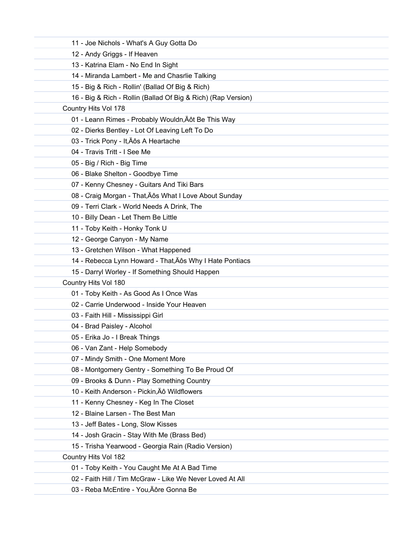| 11 - Joe Nichols - What's A Guy Gotta Do                      |  |
|---------------------------------------------------------------|--|
| 12 - Andy Griggs - If Heaven                                  |  |
| 13 - Katrina Elam - No End In Sight                           |  |
| 14 - Miranda Lambert - Me and Chasrlie Talking                |  |
| 15 - Big & Rich - Rollin' (Ballad Of Big & Rich)              |  |
| 16 - Big & Rich - Rollin (Ballad Of Big & Rich) (Rap Version) |  |
| Country Hits Vol 178                                          |  |
| 01 - Leann Rimes - Probably Wouldn, Äôt Be This Way           |  |
| 02 - Dierks Bentley - Lot Of Leaving Left To Do               |  |
| 03 - Trick Pony - It, Äôs A Heartache                         |  |
| 04 - Travis Tritt - I See Me                                  |  |
| 05 - Big / Rich - Big Time                                    |  |
| 06 - Blake Shelton - Goodbye Time                             |  |
| 07 - Kenny Chesney - Guitars And Tiki Bars                    |  |
| 08 - Craig Morgan - That, Äôs What I Love About Sunday        |  |
| 09 - Terri Clark - World Needs A Drink, The                   |  |
| 10 - Billy Dean - Let Them Be Little                          |  |
| 11 - Toby Keith - Honky Tonk U                                |  |
| 12 - George Canyon - My Name                                  |  |
| 13 - Gretchen Wilson - What Happened                          |  |
| 14 - Rebecca Lynn Howard - That, Äôs Why I Hate Pontiacs      |  |
| 15 - Darryl Worley - If Something Should Happen               |  |
| Country Hits Vol 180                                          |  |
| 01 - Toby Keith - As Good As I Once Was                       |  |
| 02 - Carrie Underwood - Inside Your Heaven                    |  |
| 03 - Faith Hill - Mississippi Girl                            |  |
| 04 - Brad Paisley - Alcohol                                   |  |
| 05 - Erika Jo - I Break Things                                |  |
| 06 - Van Zant - Help Somebody                                 |  |
| 07 - Mindy Smith - One Moment More                            |  |
| 08 - Montgomery Gentry - Something To Be Proud Of             |  |
| 09 - Brooks & Dunn - Play Something Country                   |  |
| 10 - Keith Anderson - Pickin, Äô Wildflowers                  |  |
| 11 - Kenny Chesney - Keg In The Closet                        |  |
| 12 - Blaine Larsen - The Best Man                             |  |
| 13 - Jeff Bates - Long, Slow Kisses                           |  |
| 14 - Josh Gracin - Stay With Me (Brass Bed)                   |  |
| 15 - Trisha Yearwood - Georgia Rain (Radio Version)           |  |
| Country Hits Vol 182                                          |  |
| 01 - Toby Keith - You Caught Me At A Bad Time                 |  |
| 02 - Faith Hill / Tim McGraw - Like We Never Loved At All     |  |
| 03 - Reba McEntire - You, Äôre Gonna Be                       |  |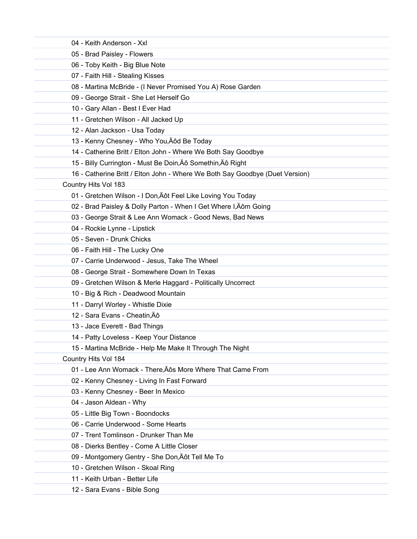| 04 - Keith Anderson - Xxl                                                    |
|------------------------------------------------------------------------------|
| 05 - Brad Paisley - Flowers                                                  |
| 06 - Toby Keith - Big Blue Note                                              |
| 07 - Faith Hill - Stealing Kisses                                            |
| 08 - Martina McBride - (I Never Promised You A) Rose Garden                  |
| 09 - George Strait - She Let Herself Go                                      |
| 10 - Gary Allan - Best I Ever Had                                            |
| 11 - Gretchen Wilson - All Jacked Up                                         |
| 12 - Alan Jackson - Usa Today                                                |
| 13 - Kenny Chesney - Who You, Äôd Be Today                                   |
| 14 - Catherine Britt / Elton John - Where We Both Say Goodbye                |
| 15 - Billy Currington - Must Be Doin, Äô Somethin, Äô Right                  |
| 16 - Catherine Britt / Elton John - Where We Both Say Goodbye (Duet Version) |
| Country Hits Vol 183                                                         |
| 01 - Gretchen Wilson - I Don, Äôt Feel Like Loving You Today                 |
| 02 - Brad Paisley & Dolly Parton - When I Get Where I, Äôm Going             |
| 03 - George Strait & Lee Ann Womack - Good News, Bad News                    |
| 04 - Rockie Lynne - Lipstick                                                 |
| 05 - Seven - Drunk Chicks                                                    |
| 06 - Faith Hill - The Lucky One                                              |
| 07 - Carrie Underwood - Jesus, Take The Wheel                                |
| 08 - George Strait - Somewhere Down In Texas                                 |
| 09 - Gretchen Wilson & Merle Haggard - Politically Uncorrect                 |
| 10 - Big & Rich - Deadwood Mountain                                          |
| 11 - Darryl Worley - Whistle Dixie                                           |
| 12 - Sara Evans - Cheatin, Äô                                                |
| 13 - Jace Everett - Bad Things                                               |
| 14 - Patty Loveless - Keep Your Distance                                     |
| 15 - Martina McBride - Help Me Make It Through The Night                     |
| Country Hits Vol 184                                                         |
| 01 - Lee Ann Womack - There, Äôs More Where That Came From                   |
| 02 - Kenny Chesney - Living In Fast Forward                                  |
| 03 - Kenny Chesney - Beer In Mexico                                          |
| 04 - Jason Aldean - Why                                                      |
| 05 - Little Big Town - Boondocks                                             |
| 06 - Carrie Underwood - Some Hearts                                          |
| 07 - Trent Tomlinson - Drunker Than Me                                       |
| 08 - Dierks Bentley - Come A Little Closer                                   |
| 09 - Montgomery Gentry - She Don, Äôt Tell Me To                             |
| 10 - Gretchen Wilson - Skoal Ring                                            |
| 11 - Keith Urban - Better Life                                               |
| 12 - Sara Evans - Bible Song                                                 |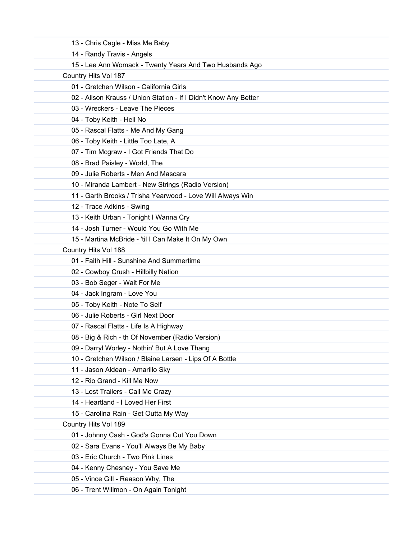| 13 - Chris Cagle - Miss Me Baby                                  |  |
|------------------------------------------------------------------|--|
| 14 - Randy Travis - Angels                                       |  |
| 15 - Lee Ann Womack - Twenty Years And Two Husbands Ago          |  |
| Country Hits Vol 187                                             |  |
| 01 - Gretchen Wilson - California Girls                          |  |
| 02 - Alison Krauss / Union Station - If I Didn't Know Any Better |  |
| 03 - Wreckers - Leave The Pieces                                 |  |
| 04 - Toby Keith - Hell No                                        |  |
| 05 - Rascal Flatts - Me And My Gang                              |  |
| 06 - Toby Keith - Little Too Late, A                             |  |
| 07 - Tim Mcgraw - I Got Friends That Do                          |  |
| 08 - Brad Paisley - World, The                                   |  |
| 09 - Julie Roberts - Men And Mascara                             |  |
| 10 - Miranda Lambert - New Strings (Radio Version)               |  |
| 11 - Garth Brooks / Trisha Yearwood - Love Will Always Win       |  |
| 12 - Trace Adkins - Swing                                        |  |
| 13 - Keith Urban - Tonight I Wanna Cry                           |  |
| 14 - Josh Turner - Would You Go With Me                          |  |
| 15 - Martina McBride - 'til I Can Make It On My Own              |  |
| Country Hits Vol 188                                             |  |
| 01 - Faith Hill - Sunshine And Summertime                        |  |
| 02 - Cowboy Crush - Hillbilly Nation                             |  |
| 03 - Bob Seger - Wait For Me                                     |  |
| 04 - Jack Ingram - Love You                                      |  |
| 05 - Toby Keith - Note To Self                                   |  |
| 06 - Julie Roberts - Girl Next Door                              |  |
| 07 - Rascal Flatts - Life Is A Highway                           |  |
| 08 - Big & Rich - th Of November (Radio Version)                 |  |
| 09 - Darryl Worley - Nothin' But A Love Thang                    |  |
| 10 - Gretchen Wilson / Blaine Larsen - Lips Of A Bottle          |  |
| 11 - Jason Aldean - Amarillo Sky                                 |  |
| 12 - Rio Grand - Kill Me Now                                     |  |
| 13 - Lost Trailers - Call Me Crazy                               |  |
| 14 - Heartland - I Loved Her First                               |  |
| 15 - Carolina Rain - Get Outta My Way                            |  |
| Country Hits Vol 189                                             |  |
| 01 - Johnny Cash - God's Gonna Cut You Down                      |  |
| 02 - Sara Evans - You'll Always Be My Baby                       |  |
| 03 - Eric Church - Two Pink Lines                                |  |
| 04 - Kenny Chesney - You Save Me                                 |  |
| 05 - Vince Gill - Reason Why, The                                |  |
| 06 - Trent Willmon - On Again Tonight                            |  |
|                                                                  |  |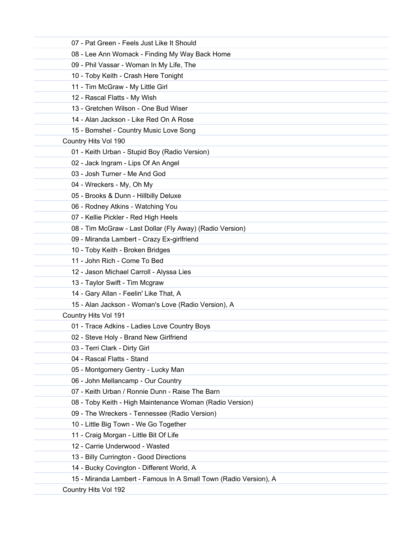| 07 - Pat Green - Feels Just Like It Should                       |
|------------------------------------------------------------------|
| 08 - Lee Ann Womack - Finding My Way Back Home                   |
| 09 - Phil Vassar - Woman In My Life, The                         |
| 10 - Toby Keith - Crash Here Tonight                             |
| 11 - Tim McGraw - My Little Girl                                 |
| 12 - Rascal Flatts - My Wish                                     |
| 13 - Gretchen Wilson - One Bud Wiser                             |
| 14 - Alan Jackson - Like Red On A Rose                           |
| 15 - Bomshel - Country Music Love Song                           |
| Country Hits Vol 190                                             |
| 01 - Keith Urban - Stupid Boy (Radio Version)                    |
| 02 - Jack Ingram - Lips Of An Angel                              |
| 03 - Josh Turner - Me And God                                    |
| 04 - Wreckers - My, Oh My                                        |
| 05 - Brooks & Dunn - Hillbilly Deluxe                            |
| 06 - Rodney Atkins - Watching You                                |
| 07 - Kellie Pickler - Red High Heels                             |
| 08 - Tim McGraw - Last Dollar (Fly Away) (Radio Version)         |
| 09 - Miranda Lambert - Crazy Ex-girlfriend                       |
| 10 - Toby Keith - Broken Bridges                                 |
| 11 - John Rich - Come To Bed                                     |
| 12 - Jason Michael Carroll - Alyssa Lies                         |
| 13 - Taylor Swift - Tim Mcgraw                                   |
| 14 - Gary Allan - Feelin' Like That, A                           |
| 15 - Alan Jackson - Woman's Love (Radio Version), A              |
| Country Hits Vol 191                                             |
| 01 - Trace Adkins - Ladies Love Country Boys                     |
| 02 - Steve Holy - Brand New Girlfriend                           |
| 03 - Terri Clark - Dirty Girl                                    |
| 04 - Rascal Flatts - Stand                                       |
| 05 - Montgomery Gentry - Lucky Man                               |
| 06 - John Mellancamp - Our Country                               |
| 07 - Keith Urban / Ronnie Dunn - Raise The Barn                  |
| 08 - Toby Keith - High Maintenance Woman (Radio Version)         |
| 09 - The Wreckers - Tennessee (Radio Version)                    |
| 10 - Little Big Town - We Go Together                            |
| 11 - Craig Morgan - Little Bit Of Life                           |
| 12 - Carrie Underwood - Wasted                                   |
| 13 - Billy Currington - Good Directions                          |
| 14 - Bucky Covington - Different World, A                        |
| 15 - Miranda Lambert - Famous In A Small Town (Radio Version), A |
| Country Hits Vol 192                                             |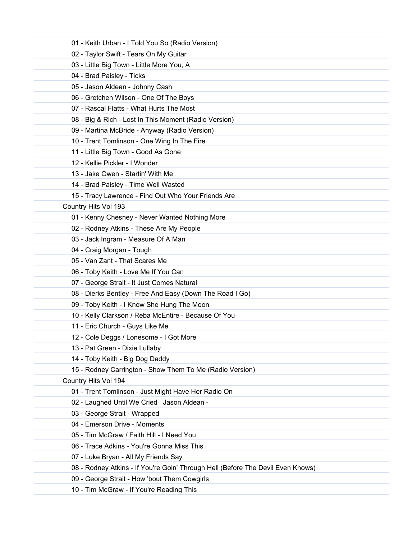| 01 - Keith Urban - I Told You So (Radio Version)                                |
|---------------------------------------------------------------------------------|
| 02 - Taylor Swift - Tears On My Guitar                                          |
| 03 - Little Big Town - Little More You, A                                       |
| 04 - Brad Paisley - Ticks                                                       |
| 05 - Jason Aldean - Johnny Cash                                                 |
| 06 - Gretchen Wilson - One Of The Boys                                          |
| 07 - Rascal Flatts - What Hurts The Most                                        |
| 08 - Big & Rich - Lost In This Moment (Radio Version)                           |
| 09 - Martina McBride - Anyway (Radio Version)                                   |
| 10 - Trent Tomlinson - One Wing In The Fire                                     |
| 11 - Little Big Town - Good As Gone                                             |
| 12 - Kellie Pickler - I Wonder                                                  |
| 13 - Jake Owen - Startin' With Me                                               |
| 14 - Brad Paisley - Time Well Wasted                                            |
| 15 - Tracy Lawrence - Find Out Who Your Friends Are                             |
| Country Hits Vol 193                                                            |
| 01 - Kenny Chesney - Never Wanted Nothing More                                  |
| 02 - Rodney Atkins - These Are My People                                        |
| 03 - Jack Ingram - Measure Of A Man                                             |
| 04 - Craig Morgan - Tough                                                       |
| 05 - Van Zant - That Scares Me                                                  |
| 06 - Toby Keith - Love Me If You Can                                            |
| 07 - George Strait - It Just Comes Natural                                      |
| 08 - Dierks Bentley - Free And Easy (Down The Road I Go)                        |
| 09 - Toby Keith - I Know She Hung The Moon                                      |
| 10 - Kelly Clarkson / Reba McEntire - Because Of You                            |
| 11 - Eric Church - Guys Like Me                                                 |
| 12 - Cole Deggs / Lonesome - I Got More                                         |
| 13 - Pat Green - Dixie Lullaby                                                  |
| 14 - Toby Keith - Big Dog Daddy                                                 |
| 15 - Rodney Carrington - Show Them To Me (Radio Version)                        |
| Country Hits Vol 194                                                            |
| 01 - Trent Tomlinson - Just Might Have Her Radio On                             |
| 02 - Laughed Until We Cried Jason Aldean -                                      |
| 03 - George Strait - Wrapped                                                    |
| 04 - Emerson Drive - Moments                                                    |
| 05 - Tim McGraw / Faith Hill - I Need You                                       |
| 06 - Trace Adkins - You're Gonna Miss This                                      |
| 07 - Luke Bryan - All My Friends Say                                            |
| 08 - Rodney Atkins - If You're Goin' Through Hell (Before The Devil Even Knows) |
| 09 - George Strait - How 'bout Them Cowgirls                                    |
| 10 - Tim McGraw - If You're Reading This                                        |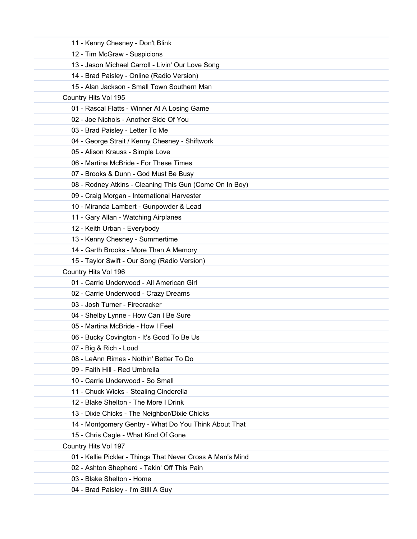| 11 - Kenny Chesney - Don't Blink                           |
|------------------------------------------------------------|
| 12 - Tim McGraw - Suspicions                               |
| 13 - Jason Michael Carroll - Livin' Our Love Song          |
| 14 - Brad Paisley - Online (Radio Version)                 |
| 15 - Alan Jackson - Small Town Southern Man                |
| Country Hits Vol 195                                       |
| 01 - Rascal Flatts - Winner At A Losing Game               |
| 02 - Joe Nichols - Another Side Of You                     |
| 03 - Brad Paisley - Letter To Me                           |
| 04 - George Strait / Kenny Chesney - Shiftwork             |
| 05 - Alison Krauss - Simple Love                           |
| 06 - Martina McBride - For These Times                     |
| 07 - Brooks & Dunn - God Must Be Busy                      |
| 08 - Rodney Atkins - Cleaning This Gun (Come On In Boy)    |
| 09 - Craig Morgan - International Harvester                |
| 10 - Miranda Lambert - Gunpowder & Lead                    |
| 11 - Gary Allan - Watching Airplanes                       |
| 12 - Keith Urban - Everybody                               |
| 13 - Kenny Chesney - Summertime                            |
| 14 - Garth Brooks - More Than A Memory                     |
| 15 - Taylor Swift - Our Song (Radio Version)               |
| Country Hits Vol 196                                       |
| 01 - Carrie Underwood - All American Girl                  |
| 02 - Carrie Underwood - Crazy Dreams                       |
| 03 - Josh Turner - Firecracker                             |
| 04 - Shelby Lynne - How Can I Be Sure                      |
| 05 - Martina McBride - How I Feel                          |
| 06 - Bucky Covington - It's Good To Be Us                  |
| 07 - Big & Rich - Loud                                     |
| 08 - LeAnn Rimes - Nothin' Better To Do                    |
| 09 - Faith Hill - Red Umbrella                             |
| 10 - Carrie Underwood - So Small                           |
| 11 - Chuck Wicks - Stealing Cinderella                     |
| 12 - Blake Shelton - The More I Drink                      |
| 13 - Dixie Chicks - The Neighbor/Dixie Chicks              |
| 14 - Montgomery Gentry - What Do You Think About That      |
| 15 - Chris Cagle - What Kind Of Gone                       |
| Country Hits Vol 197                                       |
| 01 - Kellie Pickler - Things That Never Cross A Man's Mind |
| 02 - Ashton Shepherd - Takin' Off This Pain                |
| 03 - Blake Shelton - Home                                  |
| 04 - Brad Paisley - I'm Still A Guy                        |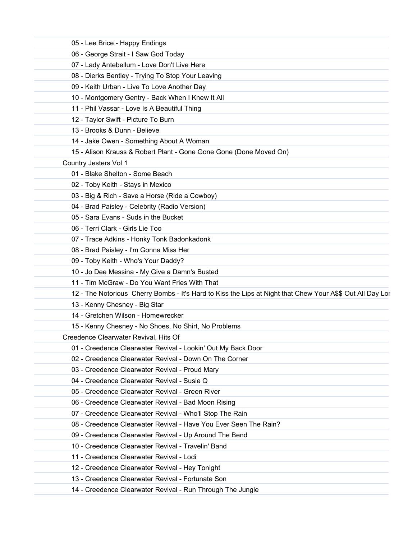|                       | 05 - Lee Brice - Happy Endings                                                                             |
|-----------------------|------------------------------------------------------------------------------------------------------------|
|                       | 06 - George Strait - I Saw God Today                                                                       |
|                       | 07 - Lady Antebellum - Love Don't Live Here                                                                |
|                       | 08 - Dierks Bentley - Trying To Stop Your Leaving                                                          |
|                       | 09 - Keith Urban - Live To Love Another Day                                                                |
|                       | 10 - Montgomery Gentry - Back When I Knew It All                                                           |
|                       | 11 - Phil Vassar - Love Is A Beautiful Thing                                                               |
|                       | 12 - Taylor Swift - Picture To Burn                                                                        |
|                       | 13 - Brooks & Dunn - Believe                                                                               |
|                       | 14 - Jake Owen - Something About A Woman                                                                   |
|                       | 15 - Alison Krauss & Robert Plant - Gone Gone Gone (Done Moved On)                                         |
| Country Jesters Vol 1 |                                                                                                            |
|                       | 01 - Blake Shelton - Some Beach                                                                            |
|                       | 02 - Toby Keith - Stays in Mexico                                                                          |
|                       | 03 - Big & Rich - Save a Horse (Ride a Cowboy)                                                             |
|                       | 04 - Brad Paisley - Celebrity (Radio Version)                                                              |
|                       | 05 - Sara Evans - Suds in the Bucket                                                                       |
|                       | 06 - Terri Clark - Girls Lie Too                                                                           |
|                       | 07 - Trace Adkins - Honky Tonk Badonkadonk                                                                 |
|                       | 08 - Brad Paisley - I'm Gonna Miss Her                                                                     |
|                       | 09 - Toby Keith - Who's Your Daddy?                                                                        |
|                       | 10 - Jo Dee Messina - My Give a Damn's Busted                                                              |
|                       | 11 - Tim McGraw - Do You Want Fries With That                                                              |
|                       | 12 - The Notorious Cherry Bombs - It's Hard to Kiss the Lips at Night that Chew Your A\$\$ Out All Day Lor |
|                       | 13 - Kenny Chesney - Big Star                                                                              |
|                       | 14 - Gretchen Wilson - Homewrecker                                                                         |
|                       | 15 - Kenny Chesney - No Shoes, No Shirt, No Problems                                                       |
|                       | Creedence Clearwater Revival, Hits Of                                                                      |
|                       | 01 - Creedence Clearwater Revival - Lookin' Out My Back Door                                               |
|                       | 02 - Creedence Clearwater Revival - Down On The Corner                                                     |
|                       | 03 - Creedence Clearwater Revival - Proud Mary                                                             |
|                       | 04 - Creedence Clearwater Revival - Susie Q                                                                |
|                       | 05 - Creedence Clearwater Revival - Green River                                                            |
|                       | 06 - Creedence Clearwater Revival - Bad Moon Rising                                                        |
|                       | 07 - Creedence Clearwater Revival - Who'll Stop The Rain                                                   |
|                       | 08 - Creedence Clearwater Revival - Have You Ever Seen The Rain?                                           |
|                       | 09 - Creedence Clearwater Revival - Up Around The Bend                                                     |
|                       | 10 - Creedence Clearwater Revival - Travelin' Band                                                         |
|                       | 11 - Creedence Clearwater Revival - Lodi                                                                   |
|                       | 12 - Creedence Clearwater Revival - Hey Tonight                                                            |
|                       | 13 - Creedence Clearwater Revival - Fortunate Son                                                          |
|                       | 14 - Creedence Clearwater Revival - Run Through The Jungle                                                 |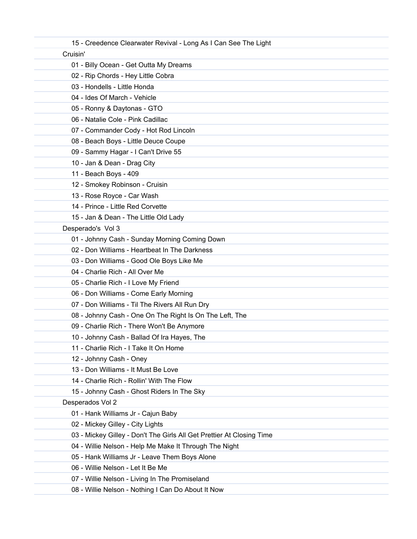| 15 - Creedence Clearwater Revival - Long As I Can See The Light       |
|-----------------------------------------------------------------------|
| Cruisin'                                                              |
| 01 - Billy Ocean - Get Outta My Dreams                                |
| 02 - Rip Chords - Hey Little Cobra                                    |
| 03 - Hondells - Little Honda                                          |
| 04 - Ides Of March - Vehicle                                          |
| 05 - Ronny & Daytonas - GTO                                           |
| 06 - Natalie Cole - Pink Cadillac                                     |
| 07 - Commander Cody - Hot Rod Lincoln                                 |
| 08 - Beach Boys - Little Deuce Coupe                                  |
| 09 - Sammy Hagar - I Can't Drive 55                                   |
| 10 - Jan & Dean - Drag City                                           |
| 11 - Beach Boys - 409                                                 |
| 12 - Smokey Robinson - Cruisin                                        |
| 13 - Rose Royce - Car Wash                                            |
| 14 - Prince - Little Red Corvette                                     |
| 15 - Jan & Dean - The Little Old Lady                                 |
| Desperado's Vol 3                                                     |
| 01 - Johnny Cash - Sunday Morning Coming Down                         |
| 02 - Don Williams - Heartbeat In The Darkness                         |
| 03 - Don Williams - Good Ole Boys Like Me                             |
| 04 - Charlie Rich - All Over Me                                       |
| 05 - Charlie Rich - I Love My Friend                                  |
| 06 - Don Williams - Come Early Morning                                |
| 07 - Don Williams - Til The Rivers All Run Dry                        |
| 08 - Johnny Cash - One On The Right Is On The Left, The               |
| 09 - Charlie Rich - There Won't Be Anymore                            |
| 10 - Johnny Cash - Ballad Of Ira Hayes, The                           |
| 11 - Charlie Rich - I Take It On Home                                 |
| 12 - Johnny Cash - Oney                                               |
| 13 - Don Williams - It Must Be Love                                   |
| 14 - Charlie Rich - Rollin' With The Flow                             |
| 15 - Johnny Cash - Ghost Riders In The Sky                            |
| Desperados Vol 2                                                      |
| 01 - Hank Williams Jr - Cajun Baby                                    |
| 02 - Mickey Gilley - City Lights                                      |
| 03 - Mickey Gilley - Don't The Girls All Get Prettier At Closing Time |
| 04 - Willie Nelson - Help Me Make It Through The Night                |
| 05 - Hank Williams Jr - Leave Them Boys Alone                         |
| 06 - Willie Nelson - Let It Be Me                                     |
| 07 - Willie Nelson - Living In The Promiseland                        |
| 08 - Willie Nelson - Nothing I Can Do About It Now                    |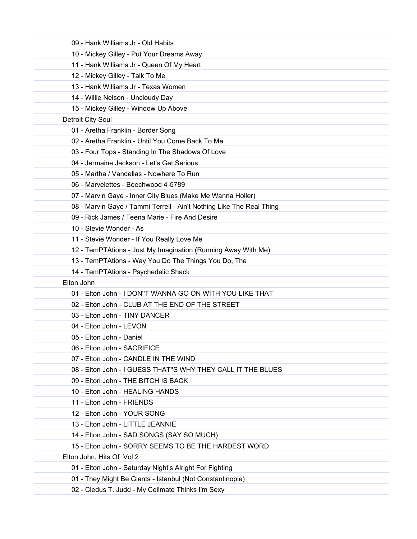| 09 - Hank Williams Jr - Old Habits                                   |
|----------------------------------------------------------------------|
| 10 - Mickey Gilley - Put Your Dreams Away                            |
| 11 - Hank Williams Jr - Queen Of My Heart                            |
| 12 - Mickey Gilley - Talk To Me                                      |
| 13 - Hank Williams Jr - Texas Women                                  |
| 14 - Willie Nelson - Uncloudy Day                                    |
| 15 - Mickey Gilley - Window Up Above                                 |
| <b>Detroit City Soul</b>                                             |
| 01 - Aretha Franklin - Border Song                                   |
| 02 - Aretha Franklin - Until You Come Back To Me                     |
| 03 - Four Tops - Standing In The Shadows Of Love                     |
| 04 - Jermaine Jackson - Let's Get Serious                            |
| 05 - Martha / Vandellas - Nowhere To Run                             |
| 06 - Marvelettes - Beechwood 4-5789                                  |
| 07 - Marvin Gaye - Inner City Blues (Make Me Wanna Holler)           |
| 08 - Marvin Gaye / Tammi Terrell - Ain't Nothing Like The Real Thing |
| 09 - Rick James / Teena Marie - Fire And Desire                      |
| 10 - Stevie Wonder - As                                              |
| 11 - Stevie Wonder - If You Really Love Me                           |
| 12 - TemPTAtions - Just My Imagination (Running Away With Me)        |
| 13 - TemPTAtions - Way You Do The Things You Do, The                 |
|                                                                      |
| 14 - TemPTAtions - Psychedelic Shack                                 |
| Elton John                                                           |
| 01 - Elton John - I DON"T WANNA GO ON WITH YOU LIKE THAT             |
| 02 - Elton John - CLUB AT THE END OF THE STREET                      |
| 03 - Elton John - TINY DANCER                                        |
| 04 - Elton John - LEVON                                              |
| 05 - Elton John - Daniel                                             |
| 06 - Elton John - SACRIFICE                                          |
| 07 - Elton John - CANDLE IN THE WIND                                 |
| 08 - Elton John - I GUESS THAT"S WHY THEY CALL IT THE BLUES          |
| 09 - Elton John - THE BITCH IS BACK                                  |
| 10 - Elton John - HEALING HANDS                                      |
| 11 - Elton John - FRIENDS                                            |
| 12 - Elton John - YOUR SONG                                          |
| 13 - Elton John - LITTLE JEANNIE                                     |
| 14 - Elton John - SAD SONGS (SAY SO MUCH)                            |
| 15 - Elton John - SORRY SEEMS TO BE THE HARDEST WORD                 |
| Elton John, Hits Of Vol 2                                            |
| 01 - Elton John - Saturday Night's Alright For Fighting              |
| 01 - They Might Be Giants - Istanbul (Not Constantinople)            |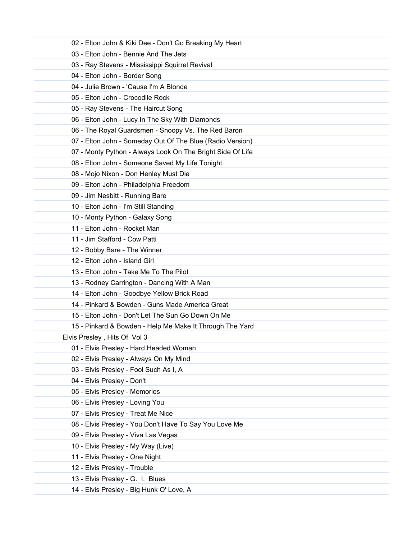| 02 - Elton John & Kiki Dee - Don't Go Breaking My Heart    |
|------------------------------------------------------------|
| 03 - Elton John - Bennie And The Jets                      |
| 03 - Ray Stevens - Mississippi Squirrel Revival            |
| 04 - Elton John - Border Song                              |
| 04 - Julie Brown - 'Cause I'm A Blonde                     |
| 05 - Elton John - Crocodile Rock                           |
| 05 - Ray Stevens - The Haircut Song                        |
| 06 - Elton John - Lucy In The Sky With Diamonds            |
| 06 - The Royal Guardsmen - Snoopy Vs. The Red Baron        |
| 07 - Elton John - Someday Out Of The Blue (Radio Version)  |
| 07 - Monty Python - Always Look On The Bright Side Of Life |
| 08 - Elton John - Someone Saved My Life Tonight            |
| 08 - Mojo Nixon - Don Henley Must Die                      |
| 09 - Elton John - Philadelphia Freedom                     |
| 09 - Jim Nesbitt - Running Bare                            |
| 10 - Elton John - I'm Still Standing                       |
| 10 - Monty Python - Galaxy Song                            |
| 11 - Elton John - Rocket Man                               |
| 11 - Jim Stafford - Cow Patti                              |
| 12 - Bobby Bare - The Winner                               |
| 12 - Elton John - Island Girl                              |
| 13 - Elton John - Take Me To The Pilot                     |
| 13 - Rodney Carrington - Dancing With A Man                |
| 14 - Elton John - Goodbye Yellow Brick Road                |
| 14 - Pinkard & Bowden - Guns Made America Great            |
| 15 - Elton John - Don't Let The Sun Go Down On Me          |
| 15 - Pinkard & Bowden - Help Me Make It Through The Yard   |
| Elvis Presley, Hits Of Vol 3                               |
| 01 - Elvis Presley - Hard Headed Woman                     |
| 02 - Elvis Presley - Always On My Mind                     |
| 03 - Elvis Presley - Fool Such As I, A                     |
| 04 - Elvis Presley - Don't                                 |
| 05 - Elvis Presley - Memories                              |
| 06 - Elvis Presley - Loving You                            |
| 07 - Elvis Presley - Treat Me Nice                         |
| 08 - Elvis Presley - You Don't Have To Say You Love Me     |
| 09 - Elvis Presley - Viva Las Vegas                        |
| 10 - Elvis Presley - My Way (Live)                         |
| 11 - Elvis Presley - One Night                             |
| 12 - Elvis Presley - Trouble                               |
| 13 - Elvis Presley - G. I. Blues                           |
| 14 - Elvis Presley - Big Hunk O' Love, A                   |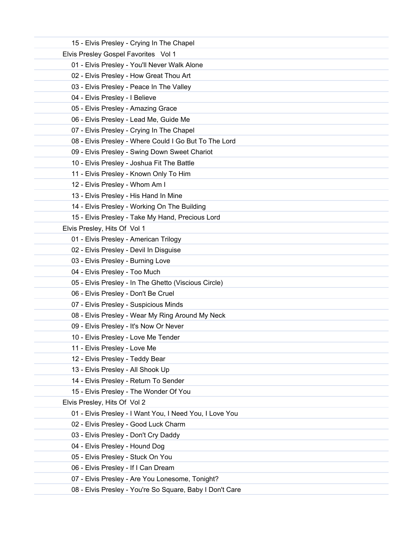| 15 - Elvis Presley - Crying In The Chapel                |
|----------------------------------------------------------|
| Elvis Presley Gospel Favorites Vol 1                     |
| 01 - Elvis Presley - You'll Never Walk Alone             |
| 02 - Elvis Presley - How Great Thou Art                  |
| 03 - Elvis Presley - Peace In The Valley                 |
| 04 - Elvis Presley - I Believe                           |
| 05 - Elvis Presley - Amazing Grace                       |
| 06 - Elvis Presley - Lead Me, Guide Me                   |
| 07 - Elvis Presley - Crying In The Chapel                |
| 08 - Elvis Presley - Where Could I Go But To The Lord    |
| 09 - Elvis Presley - Swing Down Sweet Chariot            |
| 10 - Elvis Presley - Joshua Fit The Battle               |
| 11 - Elvis Presley - Known Only To Him                   |
| 12 - Elvis Presley - Whom Am I                           |
| 13 - Elvis Presley - His Hand In Mine                    |
| 14 - Elvis Presley - Working On The Building             |
| 15 - Elvis Presley - Take My Hand, Precious Lord         |
| Elvis Presley, Hits Of Vol 1                             |
| 01 - Elvis Presley - American Trilogy                    |
| 02 - Elvis Presley - Devil In Disguise                   |
| 03 - Elvis Presley - Burning Love                        |
| 04 - Elvis Presley - Too Much                            |
| 05 - Elvis Presley - In The Ghetto (Viscious Circle)     |
| 06 - Elvis Presley - Don't Be Cruel                      |
| 07 - Elvis Presley - Suspicious Minds                    |
| 08 - Elvis Presley - Wear My Ring Around My Neck         |
| 09 - Elvis Presley - It's Now Or Never                   |
| 10 - Elvis Presley - Love Me Tender                      |
| 11 - Elvis Presley - Love Me                             |
| 12 - Elvis Presley - Teddy Bear                          |
| 13 - Elvis Presley - All Shook Up                        |
| 14 - Elvis Presley - Return To Sender                    |
| 15 - Elvis Presley - The Wonder Of You                   |
| Elvis Presley, Hits Of Vol 2                             |
| 01 - Elvis Presley - I Want You, I Need You, I Love You  |
| 02 - Elvis Presley - Good Luck Charm                     |
| 03 - Elvis Presley - Don't Cry Daddy                     |
| 04 - Elvis Presley - Hound Dog                           |
| 05 - Elvis Presley - Stuck On You                        |
| 06 - Elvis Presley - If I Can Dream                      |
| 07 - Elvis Presley - Are You Lonesome, Tonight?          |
| 08 - Elvis Presley - You're So Square, Baby I Don't Care |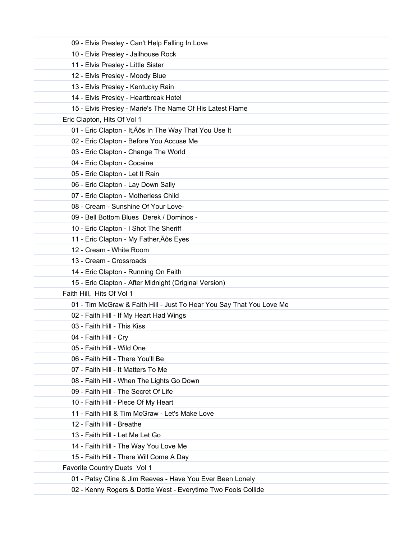| 09 - Elvis Presley - Can't Help Falling In Love                      |
|----------------------------------------------------------------------|
| 10 - Elvis Presley - Jailhouse Rock                                  |
| 11 - Elvis Presley - Little Sister                                   |
| 12 - Elvis Presley - Moody Blue                                      |
| 13 - Elvis Presley - Kentucky Rain                                   |
| 14 - Elvis Presley - Heartbreak Hotel                                |
| 15 - Elvis Presley - Marie's The Name Of His Latest Flame            |
| Eric Clapton, Hits Of Vol 1                                          |
| 01 - Eric Clapton - It, Äôs In The Way That You Use It               |
| 02 - Eric Clapton - Before You Accuse Me                             |
| 03 - Eric Clapton - Change The World                                 |
| 04 - Eric Clapton - Cocaine                                          |
| 05 - Eric Clapton - Let It Rain                                      |
| 06 - Eric Clapton - Lay Down Sally                                   |
| 07 - Eric Clapton - Motherless Child                                 |
| 08 - Cream - Sunshine Of Your Love-                                  |
| 09 - Bell Bottom Blues Derek / Dominos -                             |
| 10 - Eric Clapton - I Shot The Sheriff                               |
| 11 - Eric Clapton - My Father, Äôs Eyes                              |
| 12 - Cream - White Room                                              |
| 13 - Cream - Crossroads                                              |
| 14 - Eric Clapton - Running On Faith                                 |
| 15 - Eric Clapton - After Midnight (Original Version)                |
| Faith Hill, Hits Of Vol 1                                            |
| 01 - Tim McGraw & Faith Hill - Just To Hear You Say That You Love Me |
| 02 - Faith Hill - If My Heart Had Wings                              |
| 03 - Faith Hill - This Kiss                                          |
| 04 - Faith Hill - Cry                                                |
| 05 - Faith Hill - Wild One                                           |
| 06 - Faith Hill - There You'll Be                                    |
| 07 - Faith Hill - It Matters To Me                                   |
| 08 - Faith Hill - When The Lights Go Down                            |
| 09 - Faith Hill - The Secret Of Life                                 |
| 10 - Faith Hill - Piece Of My Heart                                  |
| 11 - Faith Hill & Tim McGraw - Let's Make Love                       |
| 12 - Faith Hill - Breathe                                            |
| 13 - Faith Hill - Let Me Let Go                                      |
| 14 - Faith Hill - The Way You Love Me                                |
| 15 - Faith Hill - There Will Come A Day                              |
| Favorite Country Duets Vol 1                                         |
| 01 - Patsy Cline & Jim Reeves - Have You Ever Been Lonely            |
| 02 - Kenny Rogers & Dottie West - Everytime Two Fools Collide        |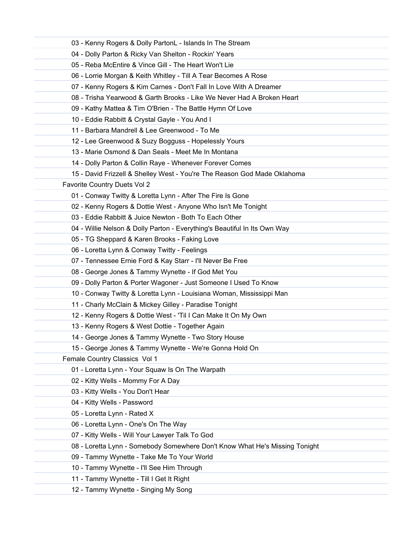| 03 - Kenny Rogers & Dolly PartonL - Islands In The Stream                   |  |
|-----------------------------------------------------------------------------|--|
| 04 - Dolly Parton & Ricky Van Shelton - Rockin' Years                       |  |
| 05 - Reba McEntire & Vince Gill - The Heart Won't Lie                       |  |
| 06 - Lorrie Morgan & Keith Whitley - Till A Tear Becomes A Rose             |  |
| 07 - Kenny Rogers & Kim Carnes - Don't Fall In Love With A Dreamer          |  |
| 08 - Trisha Yearwood & Garth Brooks - Like We Never Had A Broken Heart      |  |
| 09 - Kathy Mattea & Tim O'Brien - The Battle Hymn Of Love                   |  |
| 10 - Eddie Rabbitt & Crystal Gayle - You And I                              |  |
| 11 - Barbara Mandrell & Lee Greenwood - To Me                               |  |
| 12 - Lee Greenwood & Suzy Bogguss - Hopelessly Yours                        |  |
| 13 - Marie Osmond & Dan Seals - Meet Me In Montana                          |  |
| 14 - Dolly Parton & Collin Raye - Whenever Forever Comes                    |  |
| 15 - David Frizzell & Shelley West - You're The Reason God Made Oklahoma    |  |
| Favorite Country Duets Vol 2                                                |  |
| 01 - Conway Twitty & Loretta Lynn - After The Fire Is Gone                  |  |
| 02 - Kenny Rogers & Dottie West - Anyone Who Isn't Me Tonight               |  |
| 03 - Eddie Rabbitt & Juice Newton - Both To Each Other                      |  |
| 04 - Willie Nelson & Dolly Parton - Everything's Beautiful In Its Own Way   |  |
| 05 - TG Sheppard & Karen Brooks - Faking Love                               |  |
| 06 - Loretta Lynn & Conway Twitty - Feelings                                |  |
| 07 - Tennessee Ernie Ford & Kay Starr - I'll Never Be Free                  |  |
| 08 - George Jones & Tammy Wynette - If God Met You                          |  |
| 09 - Dolly Parton & Porter Wagoner - Just Someone I Used To Know            |  |
| 10 - Conway Twitty & Loretta Lynn - Louisiana Woman, Mississippi Man        |  |
| 11 - Charly McClain & Mickey Gilley - Paradise Tonight                      |  |
| 12 - Kenny Rogers & Dottie West - 'Til I Can Make It On My Own              |  |
| 13 - Kenny Rogers & West Dottie - Together Again                            |  |
| 14 - George Jones & Tammy Wynette - Two Story House                         |  |
| 15 - George Jones & Tammy Wynette - We're Gonna Hold On                     |  |
| Female Country Classics Vol 1                                               |  |
| 01 - Loretta Lynn - Your Squaw Is On The Warpath                            |  |
| 02 - Kitty Wells - Mommy For A Day                                          |  |
| 03 - Kitty Wells - You Don't Hear                                           |  |
| 04 - Kitty Wells - Password                                                 |  |
| 05 - Loretta Lynn - Rated X                                                 |  |
| 06 - Loretta Lynn - One's On The Way                                        |  |
| 07 - Kitty Wells - Will Your Lawyer Talk To God                             |  |
| 08 - Loretta Lynn - Somebody Somewhere Don't Know What He's Missing Tonight |  |
| 09 - Tammy Wynette - Take Me To Your World                                  |  |
| 10 - Tammy Wynette - I'll See Him Through                                   |  |
| 11 - Tammy Wynette - Till I Get It Right                                    |  |
| 12 - Tammy Wynette - Singing My Song                                        |  |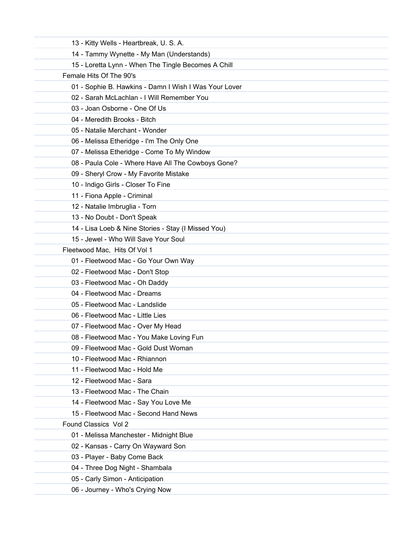| 13 - Kitty Wells - Heartbreak, U. S. A.               |
|-------------------------------------------------------|
| 14 - Tammy Wynette - My Man (Understands)             |
| 15 - Loretta Lynn - When The Tingle Becomes A Chill   |
| Female Hits Of The 90's                               |
| 01 - Sophie B. Hawkins - Damn I Wish I Was Your Lover |
| 02 - Sarah McLachlan - I Will Remember You            |
| 03 - Joan Osborne - One Of Us                         |
| 04 - Meredith Brooks - Bitch                          |
| 05 - Natalie Merchant - Wonder                        |
| 06 - Melissa Etheridge - I'm The Only One             |
| 07 - Melissa Etheridge - Come To My Window            |
| 08 - Paula Cole - Where Have All The Cowboys Gone?    |
| 09 - Sheryl Crow - My Favorite Mistake                |
| 10 - Indigo Girls - Closer To Fine                    |
| 11 - Fiona Apple - Criminal                           |
| 12 - Natalie Imbruglia - Torn                         |
| 13 - No Doubt - Don't Speak                           |
| 14 - Lisa Loeb & Nine Stories - Stay (I Missed You)   |
| 15 - Jewel - Who Will Save Your Soul                  |
| Fleetwood Mac, Hits Of Vol 1                          |
| 01 - Fleetwood Mac - Go Your Own Way                  |
| 02 - Fleetwood Mac - Don't Stop                       |
| 03 - Fleetwood Mac - Oh Daddy                         |
| 04 - Fleetwood Mac - Dreams                           |
| 05 - Fleetwood Mac - Landslide                        |
| 06 - Fleetwood Mac - Little Lies                      |
| 07 - Fleetwood Mac - Over My Head                     |
| 08 - Fleetwood Mac - You Make Loving Fun              |
| 09 - Fleetwood Mac - Gold Dust Woman                  |
| 10 - Fleetwood Mac - Rhiannon                         |
| 11 - Fleetwood Mac - Hold Me                          |
| 12 - Fleetwood Mac - Sara                             |
| 13 - Fleetwood Mac - The Chain                        |
| 14 - Fleetwood Mac - Say You Love Me                  |
| 15 - Fleetwood Mac - Second Hand News                 |
| Found Classics Vol 2                                  |
| 01 - Melissa Manchester - Midnight Blue               |
| 02 - Kansas - Carry On Wayward Son                    |
| 03 - Player - Baby Come Back                          |
| 04 - Three Dog Night - Shambala                       |
| 05 - Carly Simon - Anticipation                       |
| 06 - Journey - Who's Crying Now                       |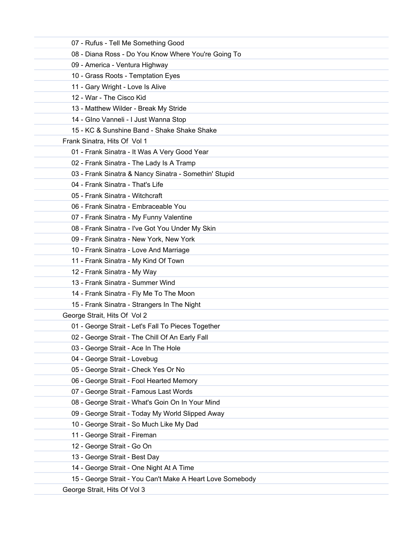| 07 - Rufus - Tell Me Something Good                       |
|-----------------------------------------------------------|
| 08 - Diana Ross - Do You Know Where You're Going To       |
| 09 - America - Ventura Highway                            |
| 10 - Grass Roots - Temptation Eyes                        |
| 11 - Gary Wright - Love Is Alive                          |
| 12 - War - The Cisco Kid                                  |
| 13 - Matthew Wilder - Break My Stride                     |
| 14 - Glno Vanneli - I Just Wanna Stop                     |
| 15 - KC & Sunshine Band - Shake Shake Shake               |
| Frank Sinatra, Hits Of Vol 1                              |
| 01 - Frank Sinatra - It Was A Very Good Year              |
| 02 - Frank Sinatra - The Lady Is A Tramp                  |
| 03 - Frank Sinatra & Nancy Sinatra - Somethin' Stupid     |
| 04 - Frank Sinatra - That's Life                          |
| 05 - Frank Sinatra - Witchcraft                           |
| 06 - Frank Sinatra - Embraceable You                      |
| 07 - Frank Sinatra - My Funny Valentine                   |
| 08 - Frank Sinatra - I've Got You Under My Skin           |
| 09 - Frank Sinatra - New York, New York                   |
| 10 - Frank Sinatra - Love And Marriage                    |
| 11 - Frank Sinatra - My Kind Of Town                      |
| 12 - Frank Sinatra - My Way                               |
| 13 - Frank Sinatra - Summer Wind                          |
| 14 - Frank Sinatra - Fly Me To The Moon                   |
| 15 - Frank Sinatra - Strangers In The Night               |
| George Strait, Hits Of Vol 2                              |
| 01 - George Strait - Let's Fall To Pieces Together        |
| 02 - George Strait - The Chill Of An Early Fall           |
| 03 - George Strait - Ace In The Hole                      |
| 04 - George Strait - Lovebug                              |
| 05 - George Strait - Check Yes Or No                      |
| 06 - George Strait - Fool Hearted Memory                  |
| 07 - George Strait - Famous Last Words                    |
| 08 - George Strait - What's Goin On In Your Mind          |
| 09 - George Strait - Today My World Slipped Away          |
| 10 - George Strait - So Much Like My Dad                  |
| 11 - George Strait - Fireman                              |
| 12 - George Strait - Go On                                |
| 13 - George Strait - Best Day                             |
| 14 - George Strait - One Night At A Time                  |
| 15 - George Strait - You Can't Make A Heart Love Somebody |
| George Strait, Hits Of Vol 3                              |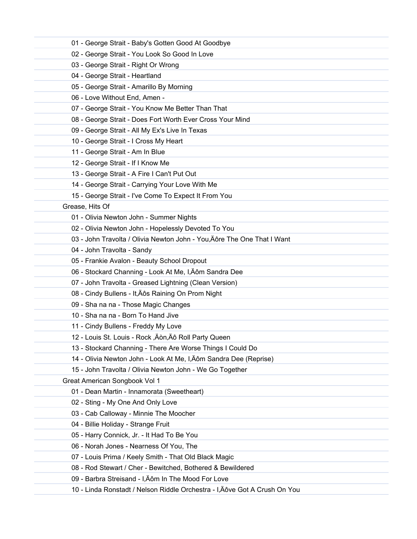| 01 - George Strait - Baby's Gotten Good At Goodbye                         |  |
|----------------------------------------------------------------------------|--|
| 02 - George Strait - You Look So Good In Love                              |  |
| 03 - George Strait - Right Or Wrong                                        |  |
| 04 - George Strait - Heartland                                             |  |
| 05 - George Strait - Amarillo By Morning                                   |  |
| 06 - Love Without End, Amen -                                              |  |
| 07 - George Strait - You Know Me Better Than That                          |  |
| 08 - George Strait - Does Fort Worth Ever Cross Your Mind                  |  |
| 09 - George Strait - All My Ex's Live In Texas                             |  |
| 10 - George Strait - I Cross My Heart                                      |  |
| 11 - George Strait - Am In Blue                                            |  |
| 12 - George Strait - If I Know Me                                          |  |
| 13 - George Strait - A Fire I Can't Put Out                                |  |
| 14 - George Strait - Carrying Your Love With Me                            |  |
| 15 - George Strait - I've Come To Expect It From You                       |  |
| Grease, Hits Of                                                            |  |
| 01 - Olivia Newton John - Summer Nights                                    |  |
| 02 - Olivia Newton John - Hopelessly Devoted To You                        |  |
| 03 - John Travolta / Olivia Newton John - You, Äôre The One That I Want    |  |
| 04 - John Travolta - Sandy                                                 |  |
| 05 - Frankie Avalon - Beauty School Dropout                                |  |
| 06 - Stockard Channing - Look At Me, I, Äôm Sandra Dee                     |  |
| 07 - John Travolta - Greased Lightning (Clean Version)                     |  |
| 08 - Cindy Bullens - It, Äôs Raining On Prom Night                         |  |
| 09 - Sha na na - Those Magic Changes                                       |  |
| 10 - Sha na na - Born To Hand Jive                                         |  |
| 11 - Cindy Bullens - Freddy My Love                                        |  |
| 12 - Louis St. Louis - Rock , Äòn, Äô Roll Party Queen                     |  |
| 13 - Stockard Channing - There Are Worse Things I Could Do                 |  |
| 14 - Olivia Newton John - Look At Me, I, Äôm Sandra Dee (Reprise)          |  |
| 15 - John Travolta / Olivia Newton John - We Go Together                   |  |
| Great American Songbook Vol 1                                              |  |
| 01 - Dean Martin - Innamorata (Sweetheart)                                 |  |
| 02 - Sting - My One And Only Love                                          |  |
| 03 - Cab Calloway - Minnie The Moocher                                     |  |
| 04 - Billie Holiday - Strange Fruit                                        |  |
| 05 - Harry Connick, Jr. - It Had To Be You                                 |  |
| 06 - Norah Jones - Nearness Of You, The                                    |  |
| 07 - Louis Prima / Keely Smith - That Old Black Magic                      |  |
| 08 - Rod Stewart / Cher - Bewitched, Bothered & Bewildered                 |  |
| 09 - Barbra Streisand - I, Äôm In The Mood For Love                        |  |
| 10 - Linda Ronstadt / Nelson Riddle Orchestra - I, Äôve Got A Crush On You |  |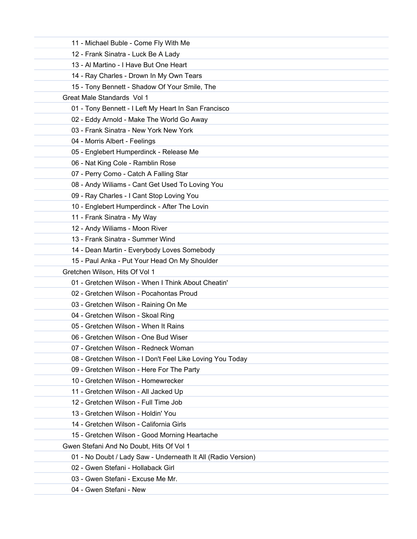| 11 - Michael Buble - Come Fly With Me                        |
|--------------------------------------------------------------|
| 12 - Frank Sinatra - Luck Be A Lady                          |
| 13 - Al Martino - I Have But One Heart                       |
| 14 - Ray Charles - Drown In My Own Tears                     |
| 15 - Tony Bennett - Shadow Of Your Smile, The                |
| Great Male Standards Vol 1                                   |
| 01 - Tony Bennett - I Left My Heart In San Francisco         |
| 02 - Eddy Arnold - Make The World Go Away                    |
| 03 - Frank Sinatra - New York New York                       |
| 04 - Morris Albert - Feelings                                |
| 05 - Englebert Humperdinck - Release Me                      |
| 06 - Nat King Cole - Ramblin Rose                            |
| 07 - Perry Como - Catch A Falling Star                       |
| 08 - Andy Wiliams - Cant Get Used To Loving You              |
| 09 - Ray Charles - I Cant Stop Loving You                    |
| 10 - Englebert Humperdinck - After The Lovin                 |
| 11 - Frank Sinatra - My Way                                  |
| 12 - Andy Wiliams - Moon River                               |
| 13 - Frank Sinatra - Summer Wind                             |
| 14 - Dean Martin - Everybody Loves Somebody                  |
| 15 - Paul Anka - Put Your Head On My Shoulder                |
| Gretchen Wilson, Hits Of Vol 1                               |
| 01 - Gretchen Wilson - When I Think About Cheatin'           |
| 02 - Gretchen Wilson - Pocahontas Proud                      |
| 03 - Gretchen Wilson - Raining On Me                         |
| 04 - Gretchen Wilson - Skoal Ring                            |
| 05 - Gretchen Wilson - When It Rains                         |
| 06 - Gretchen Wilson - One Bud Wiser                         |
| 07 - Gretchen Wilson - Redneck Woman                         |
| 08 - Gretchen Wilson - I Don't Feel Like Loving You Today    |
| 09 - Gretchen Wilson - Here For The Party                    |
| 10 - Gretchen Wilson - Homewrecker                           |
| 11 - Gretchen Wilson - All Jacked Up                         |
| 12 - Gretchen Wilson - Full Time Job                         |
| 13 - Gretchen Wilson - Holdin' You                           |
| 14 - Gretchen Wilson - California Girls                      |
| 15 - Gretchen Wilson - Good Morning Heartache                |
| Gwen Stefani And No Doubt, Hits Of Vol 1                     |
| 01 - No Doubt / Lady Saw - Underneath It All (Radio Version) |
| 02 - Gwen Stefani - Hollaback Girl                           |
| 03 - Gwen Stefani - Excuse Me Mr.                            |
| 04 - Gwen Stefani - New                                      |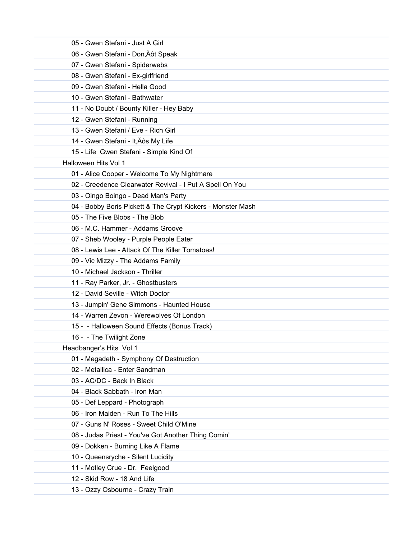| 05 - Gwen Stefani - Just A Girl                             |
|-------------------------------------------------------------|
| 06 - Gwen Stefani - Don, Äôt Speak                          |
| 07 - Gwen Stefani - Spiderwebs                              |
| 08 - Gwen Stefani - Ex-girlfriend                           |
| 09 - Gwen Stefani - Hella Good                              |
| 10 - Gwen Stefani - Bathwater                               |
| 11 - No Doubt / Bounty Killer - Hey Baby                    |
| 12 - Gwen Stefani - Running                                 |
| 13 - Gwen Stefani / Eve - Rich Girl                         |
| 14 - Gwen Stefani - It, Äôs My Life                         |
| 15 - Life Gwen Stefani - Simple Kind Of                     |
| Halloween Hits Vol 1                                        |
| 01 - Alice Cooper - Welcome To My Nightmare                 |
| 02 - Creedence Clearwater Revival - I Put A Spell On You    |
| 03 - Oingo Boingo - Dead Man's Party                        |
| 04 - Bobby Boris Pickett & The Crypt Kickers - Monster Mash |
| 05 - The Five Blobs - The Blob                              |
| 06 - M.C. Hammer - Addams Groove                            |
| 07 - Sheb Wooley - Purple People Eater                      |
| 08 - Lewis Lee - Attack Of The Killer Tomatoes!             |
| 09 - Vic Mizzy - The Addams Family                          |
| 10 - Michael Jackson - Thriller                             |
| 11 - Ray Parker, Jr. - Ghostbusters                         |
| 12 - David Seville - Witch Doctor                           |
| 13 - Jumpin' Gene Simmons - Haunted House                   |
| 14 - Warren Zevon - Werewolves Of London                    |
| 15 - - Halloween Sound Effects (Bonus Track)                |
| 16 - - The Twilight Zone                                    |
| Headbanger's Hits Vol 1                                     |
| 01 - Megadeth - Symphony Of Destruction                     |
| 02 - Metallica - Enter Sandman                              |
| 03 - AC/DC - Back In Black                                  |
| 04 - Black Sabbath - Iron Man                               |
| 05 - Def Leppard - Photograph                               |
| 06 - Iron Maiden - Run To The Hills                         |
| 07 - Guns N' Roses - Sweet Child O'Mine                     |
| 08 - Judas Priest - You've Got Another Thing Comin'         |
| 09 - Dokken - Burning Like A Flame                          |
| 10 - Queensryche - Silent Lucidity                          |
| 11 - Motley Crue - Dr. Feelgood                             |
| 12 - Skid Row - 18 And Life                                 |
| 13 - Ozzy Osbourne - Crazy Train                            |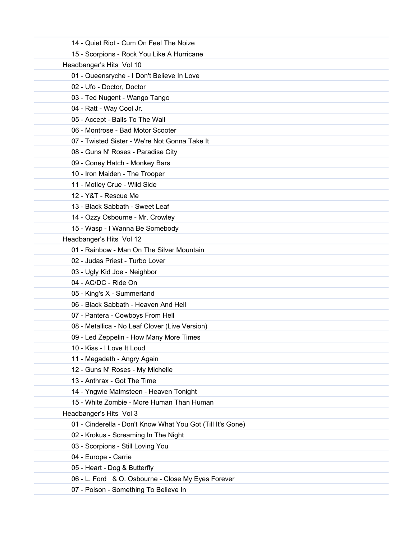| 14 - Quiet Riot - Cum On Feel The Noize                    |
|------------------------------------------------------------|
| 15 - Scorpions - Rock You Like A Hurricane                 |
| Headbanger's Hits Vol 10                                   |
| 01 - Queensryche - I Don't Believe In Love                 |
| 02 - Ufo - Doctor, Doctor                                  |
| 03 - Ted Nugent - Wango Tango                              |
| 04 - Ratt - Way Cool Jr.                                   |
| 05 - Accept - Balls To The Wall                            |
| 06 - Montrose - Bad Motor Scooter                          |
| 07 - Twisted Sister - We're Not Gonna Take It              |
| 08 - Guns N' Roses - Paradise City                         |
| 09 - Coney Hatch - Monkey Bars                             |
| 10 - Iron Maiden - The Trooper                             |
| 11 - Motley Crue - Wild Side                               |
| 12 - Y&T - Rescue Me                                       |
| 13 - Black Sabbath - Sweet Leaf                            |
| 14 - Ozzy Osbourne - Mr. Crowley                           |
| 15 - Wasp - I Wanna Be Somebody                            |
| Headbanger's Hits Vol 12                                   |
| 01 - Rainbow - Man On The Silver Mountain                  |
| 02 - Judas Priest - Turbo Lover                            |
| 03 - Ugly Kid Joe - Neighbor                               |
| 04 - AC/DC - Ride On                                       |
| 05 - King's X - Summerland                                 |
| 06 - Black Sabbath - Heaven And Hell                       |
| 07 - Pantera - Cowboys From Hell                           |
| 08 - Metallica - No Leaf Clover (Live Version)             |
| 09 - Led Zeppelin - How Many More Times                    |
| 10 - Kiss - I Love It Loud                                 |
| 11 - Megadeth - Angry Again                                |
| 12 - Guns N' Roses - My Michelle                           |
| 13 - Anthrax - Got The Time                                |
| 14 - Yngwie Malmsteen - Heaven Tonight                     |
| 15 - White Zombie - More Human Than Human                  |
| Headbanger's Hits Vol 3                                    |
| 01 - Cinderella - Don't Know What You Got (Till It's Gone) |
| 02 - Krokus - Screaming In The Night                       |
| 03 - Scorpions - Still Loving You                          |
| 04 - Europe - Carrie                                       |
| 05 - Heart - Dog & Butterfly                               |
| 06 - L. Ford & O. Osbourne - Close My Eyes Forever         |
| 07 - Poison - Something To Believe In                      |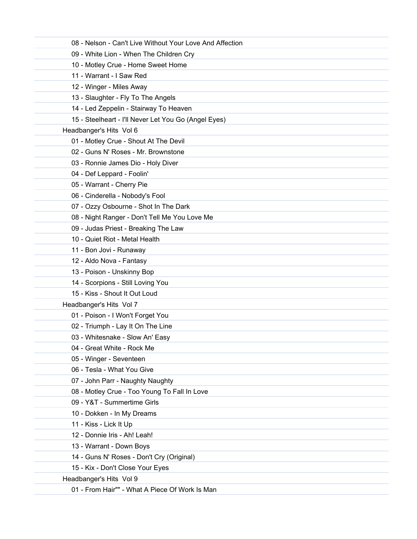| 08 - Nelson - Can't Live Without Your Love And Affection |
|----------------------------------------------------------|
| 09 - White Lion - When The Children Cry                  |
| 10 - Motley Crue - Home Sweet Home                       |
| 11 - Warrant - I Saw Red                                 |
| 12 - Winger - Miles Away                                 |
| 13 - Slaughter - Fly To The Angels                       |
| 14 - Led Zeppelin - Stairway To Heaven                   |
| 15 - Steelheart - I'll Never Let You Go (Angel Eyes)     |
| Headbanger's Hits Vol 6                                  |
| 01 - Motley Crue - Shout At The Devil                    |
| 02 - Guns N' Roses - Mr. Brownstone                      |
| 03 - Ronnie James Dio - Holy Diver                       |
| 04 - Def Leppard - Foolin'                               |
| 05 - Warrant - Cherry Pie                                |
| 06 - Cinderella - Nobody's Fool                          |
| 07 - Ozzy Osbourne - Shot In The Dark                    |
| 08 - Night Ranger - Don't Tell Me You Love Me            |
| 09 - Judas Priest - Breaking The Law                     |
| 10 - Quiet Riot - Metal Health                           |
| 11 - Bon Jovi - Runaway                                  |
| 12 - Aldo Nova - Fantasy                                 |
| 13 - Poison - Unskinny Bop                               |
| 14 - Scorpions - Still Loving You                        |
| 15 - Kiss - Shout It Out Loud                            |
| Headbanger's Hits Vol 7                                  |
| 01 - Poison - I Won't Forget You                         |
| 02 - Triumph - Lay It On The Line                        |
| 03 - Whitesnake - Slow An' Easy                          |
| 04 - Great White - Rock Me                               |
| 05 - Winger - Seventeen                                  |
| 06 - Tesla - What You Give                               |
| 07 - John Parr - Naughty Naughty                         |
| 08 - Motley Crue - Too Young To Fall In Love             |
| 09 - Y&T - Summertime Girls                              |
| 10 - Dokken - In My Dreams                               |
| 11 - Kiss - Lick It Up                                   |
| 12 - Donnie Iris - Ah! Leah!                             |
| 13 - Warrant - Down Boys                                 |
| 14 - Guns N' Roses - Don't Cry (Original)                |
| 15 - Kix - Don't Close Your Eyes                         |
| Headbanger's Hits Vol 9                                  |
| 01 - From Hair"" - What A Piece Of Work Is Man           |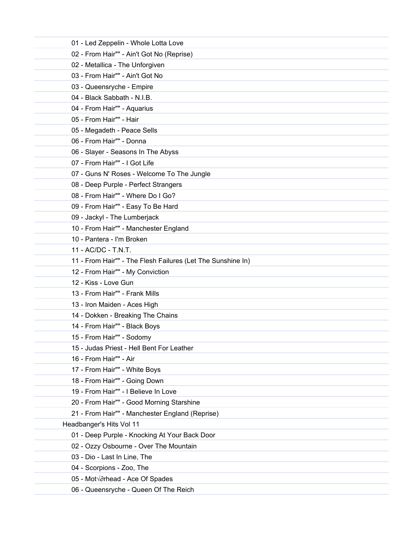| 01 - Led Zeppelin - Whole Lotta Love                        |
|-------------------------------------------------------------|
| 02 - From Hair"" - Ain't Got No (Reprise)                   |
| 02 - Metallica - The Unforgiven                             |
| 03 - From Hair"" - Ain't Got No                             |
| 03 - Queensryche - Empire                                   |
| 04 - Black Sabbath - N.I.B.                                 |
| 04 - From Hair"" - Aquarius                                 |
| 05 - From Hair"" - Hair                                     |
| 05 - Megadeth - Peace Sells                                 |
| 06 - From Hair"" - Donna                                    |
| 06 - Slayer - Seasons In The Abyss                          |
| 07 - From Hair"" - I Got Life                               |
| 07 - Guns N' Roses - Welcome To The Jungle                  |
| 08 - Deep Purple - Perfect Strangers                        |
| 08 - From Hair"" - Where Do I Go?                           |
| 09 - From Hair"" - Easy To Be Hard                          |
| 09 - Jackyl - The Lumberjack                                |
| 10 - From Hair"" - Manchester England                       |
| 10 - Pantera - I'm Broken                                   |
| 11 - AC/DC - T.N.T.                                         |
| 11 - From Hair"" - The Flesh Failures (Let The Sunshine In) |
| 12 - From Hair"" - My Conviction                            |
| 12 - Kiss - Love Gun                                        |
| 13 - From Hair"" - Frank Mills                              |
| 13 - Iron Maiden - Aces High                                |
| 14 - Dokken - Breaking The Chains                           |
| 14 - From Hair"" - Black Boys                               |
| 15 - From Hair"" - Sodomy                                   |
| 15 - Judas Priest - Hell Bent For Leather                   |
| 16 - From Hair"" - Air                                      |
| 17 - From Hair"" - White Boys                               |
| 18 - From Hair"" - Going Down                               |
| 19 - From Hair"" - I Believe In Love                        |
| 20 - From Hair"" - Good Morning Starshine                   |
| 21 - From Hair"" - Manchester England (Reprise)             |
| Headbanger's Hits Vol 11                                    |
| 01 - Deep Purple - Knocking At Your Back Door               |
| 02 - Ozzy Osbourne - Over The Mountain                      |
| 03 - Dio - Last In Line, The                                |
| 04 - Scorpions - Zoo, The                                   |
| 05 - Motörhead - Ace Of Spades                              |
| 06 - Queensryche - Queen Of The Reich                       |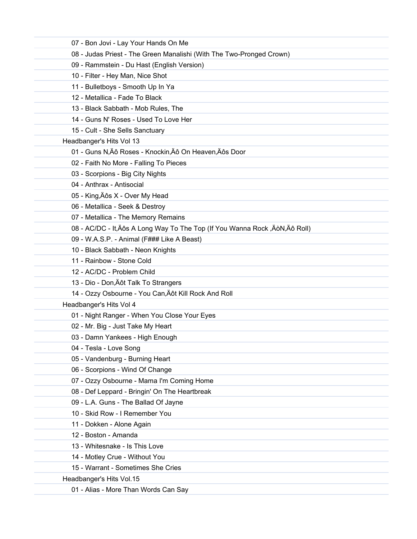| 07 - Bon Jovi - Lay Your Hands On Me                                       |  |
|----------------------------------------------------------------------------|--|
| 08 - Judas Priest - The Green Manalishi (With The Two-Pronged Crown)       |  |
| 09 - Rammstein - Du Hast (English Version)                                 |  |
| 10 - Filter - Hey Man, Nice Shot                                           |  |
| 11 - Bulletboys - Smooth Up In Ya                                          |  |
| 12 - Metallica - Fade To Black                                             |  |
| 13 - Black Sabbath - Mob Rules, The                                        |  |
| 14 - Guns N' Roses - Used To Love Her                                      |  |
| 15 - Cult - She Sells Sanctuary                                            |  |
| Headbanger's Hits Vol 13                                                   |  |
| 01 - Guns N, Äô Roses - Knockin, Äô On Heaven, Äôs Door                    |  |
| 02 - Faith No More - Falling To Pieces                                     |  |
| 03 - Scorpions - Big City Nights                                           |  |
| 04 - Anthrax - Antisocial                                                  |  |
| 05 - King, Äôs X - Over My Head                                            |  |
| 06 - Metallica - Seek & Destroy                                            |  |
| 07 - Metallica - The Memory Remains                                        |  |
| 08 - AC/DC - It,Äôs A Long Way To The Top (If You Wanna Rock ,ÄòN,Äô Roll) |  |
| 09 - W.A.S.P. - Animal (F### Like A Beast)                                 |  |
| 10 - Black Sabbath - Neon Knights                                          |  |
| 11 - Rainbow - Stone Cold                                                  |  |
| 12 - AC/DC - Problem Child                                                 |  |
| 13 - Dio - Don, Äôt Talk To Strangers                                      |  |
| 14 - Ozzy Osbourne - You Can, Äôt Kill Rock And Roll                       |  |
| Headbanger's Hits Vol 4                                                    |  |
| 01 - Night Ranger - When You Close Your Eyes                               |  |
| 02 - Mr. Big - Just Take My Heart                                          |  |
| 03 - Damn Yankees - High Enough                                            |  |
| 04 - Tesla - Love Song                                                     |  |
| 05 - Vandenburg - Burning Heart                                            |  |
| 06 - Scorpions - Wind Of Change                                            |  |
| 07 - Ozzy Osbourne - Mama I'm Coming Home                                  |  |
| 08 - Def Leppard - Bringin' On The Heartbreak                              |  |
| 09 - L.A. Guns - The Ballad Of Jayne                                       |  |
| 10 - Skid Row - I Remember You                                             |  |
| 11 - Dokken - Alone Again                                                  |  |
| 12 - Boston - Amanda                                                       |  |
| 13 - Whitesnake - Is This Love                                             |  |
| 14 - Motley Crue - Without You                                             |  |
| 15 - Warrant - Sometimes She Cries                                         |  |
| Headbanger's Hits Vol.15                                                   |  |
| 01 - Alias - More Than Words Can Say                                       |  |
|                                                                            |  |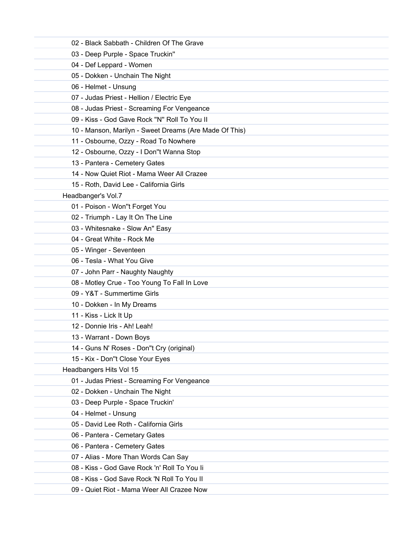| 02 - Black Sabbath - Children Of The Grave             |
|--------------------------------------------------------|
| 03 - Deep Purple - Space Truckin"                      |
| 04 - Def Leppard - Women                               |
| 05 - Dokken - Unchain The Night                        |
| 06 - Helmet - Unsung                                   |
| 07 - Judas Priest - Hellion / Electric Eye             |
| 08 - Judas Priest - Screaming For Vengeance            |
| 09 - Kiss - God Gave Rock "N" Roll To You II           |
| 10 - Manson, Marilyn - Sweet Dreams (Are Made Of This) |
| 11 - Osbourne, Ozzy - Road To Nowhere                  |
| 12 - Osbourne, Ozzy - I Don"t Wanna Stop               |
| 13 - Pantera - Cemetery Gates                          |
| 14 - Now Quiet Riot - Mama Weer All Crazee             |
| 15 - Roth, David Lee - California Girls                |
| Headbanger's Vol.7                                     |
| 01 - Poison - Won"t Forget You                         |
| 02 - Triumph - Lay It On The Line                      |
| 03 - Whitesnake - Slow An" Easy                        |
| 04 - Great White - Rock Me                             |
| 05 - Winger - Seventeen                                |
| 06 - Tesla - What You Give                             |
| 07 - John Parr - Naughty Naughty                       |
| 08 - Motley Crue - Too Young To Fall In Love           |
| 09 - Y&T - Summertime Girls                            |
| 10 - Dokken - In My Dreams                             |
| 11 - Kiss - Lick It Up                                 |
| 12 - Donnie Iris - Ah! Leah!                           |
| 13 - Warrant - Down Boys                               |
| 14 - Guns N' Roses - Don"t Cry (original)              |
| 15 - Kix - Don"t Close Your Eyes                       |
| Headbangers Hits Vol 15                                |
| 01 - Judas Priest - Screaming For Vengeance            |
| 02 - Dokken - Unchain The Night                        |
| 03 - Deep Purple - Space Truckin'                      |
| 04 - Helmet - Unsung                                   |
| 05 - David Lee Roth - California Girls                 |
| 06 - Pantera - Cemetary Gates                          |
| 06 - Pantera - Cemetery Gates                          |
| 07 - Alias - More Than Words Can Say                   |
| 08 - Kiss - God Gave Rock 'n' Roll To You li           |
| 08 - Kiss - God Save Rock 'N Roll To You II            |
| 09 - Quiet Riot - Mama Weer All Crazee Now             |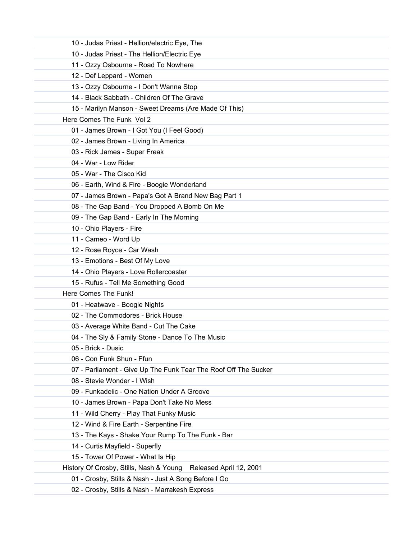| 10 - Judas Priest - Hellion/electric Eye, The                      |
|--------------------------------------------------------------------|
| 10 - Judas Priest - The Hellion/Electric Eye                       |
| 11 - Ozzy Osbourne - Road To Nowhere                               |
| 12 - Def Leppard - Women                                           |
| 13 - Ozzy Osbourne - I Don't Wanna Stop                            |
| 14 - Black Sabbath - Children Of The Grave                         |
| 15 - Marilyn Manson - Sweet Dreams (Are Made Of This)              |
| Here Comes The Funk Vol 2                                          |
| 01 - James Brown - I Got You (I Feel Good)                         |
| 02 - James Brown - Living In America                               |
| 03 - Rick James - Super Freak                                      |
| 04 - War - Low Rider                                               |
| 05 - War - The Cisco Kid                                           |
| 06 - Earth, Wind & Fire - Boogie Wonderland                        |
| 07 - James Brown - Papa's Got A Brand New Bag Part 1               |
| 08 - The Gap Band - You Dropped A Bomb On Me                       |
| 09 - The Gap Band - Early In The Morning                           |
| 10 - Ohio Players - Fire                                           |
| 11 - Cameo - Word Up                                               |
| 12 - Rose Royce - Car Wash                                         |
| 13 - Emotions - Best Of My Love                                    |
| 14 - Ohio Players - Love Rollercoaster                             |
| 15 - Rufus - Tell Me Something Good                                |
| Here Comes The Funk!                                               |
| 01 - Heatwave - Boogie Nights                                      |
| 02 - The Commodores - Brick House                                  |
| 03 - Average White Band - Cut The Cake                             |
| 04 - The Sly & Family Stone - Dance To The Music                   |
| 05 - Brick - Dusic                                                 |
| 06 - Con Funk Shun - Ffun                                          |
| 07 - Parliament - Give Up The Funk Tear The Roof Off The Sucker    |
| 08 - Stevie Wonder - I Wish                                        |
| 09 - Funkadelic - One Nation Under A Groove                        |
| 10 - James Brown - Papa Don't Take No Mess                         |
| 11 - Wild Cherry - Play That Funky Music                           |
| 12 - Wind & Fire Earth - Serpentine Fire                           |
| 13 - The Kays - Shake Your Rump To The Funk - Bar                  |
| 14 - Curtis Mayfield - Superfly                                    |
| 15 - Tower Of Power - What Is Hip                                  |
| History Of Crosby, Stills, Nash & Young<br>Released April 12, 2001 |
| 01 - Crosby, Stills & Nash - Just A Song Before I Go               |
| 02 - Crosby, Stills & Nash - Marrakesh Express                     |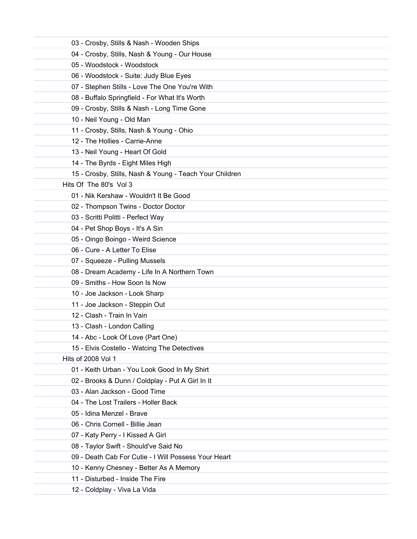| 03 - Crosby, Stills & Nash - Wooden Ships               |
|---------------------------------------------------------|
| 04 - Crosby, Stills, Nash & Young - Our House           |
| 05 - Woodstock - Woodstock                              |
| 06 - Woodstock - Suite: Judy Blue Eyes                  |
| 07 - Stephen Stills - Love The One You're With          |
| 08 - Buffalo Springfield - For What It's Worth          |
| 09 - Crosby, Stills & Nash - Long Time Gone             |
| 10 - Neil Young - Old Man                               |
| 11 - Crosby, Stills, Nash & Young - Ohio                |
| 12 - The Hollies - Carrie-Anne                          |
| 13 - Neil Young - Heart Of Gold                         |
| 14 - The Byrds - Eight Miles High                       |
| 15 - Crosby, Stills, Nash & Young - Teach Your Children |
| Hits Of The 80's Vol 3                                  |
| 01 - Nik Kershaw - Wouldn't It Be Good                  |
| 02 - Thompson Twins - Doctor Doctor                     |
| 03 - Scritti Politti - Perfect Way                      |
| 04 - Pet Shop Boys - It's A Sin                         |
| 05 - Oingo Boingo - Weird Science                       |
| 06 - Cure - A Letter To Elise                           |
| 07 - Squeeze - Pulling Mussels                          |
| 08 - Dream Academy - Life In A Northern Town            |
| 09 - Smiths - How Soon Is Now                           |
| 10 - Joe Jackson - Look Sharp                           |
| 11 - Joe Jackson - Steppin Out                          |
| 12 - Clash - Train In Vain                              |
| 13 - Clash - London Calling                             |
| 14 - Abc - Look Of Love (Part One)                      |
| 15 - Elvis Costello - Watcing The Detectives            |
| Hits of 2008 Vol 1                                      |
| 01 - Keith Urban - You Look Good In My Shirt            |
| 02 - Brooks & Dunn / Coldplay - Put A Girl In It        |
| 03 - Alan Jackson - Good Time                           |
| 04 - The Lost Trailers - Holler Back                    |
| 05 - Idina Menzel - Brave                               |
| 06 - Chris Cornell - Billie Jean                        |
| 07 - Katy Perry - I Kissed A Girl                       |
| 08 - Taylor Swift - Should've Said No                   |
| 09 - Death Cab For Cutie - I Will Possess Your Heart    |
| 10 - Kenny Chesney - Better As A Memory                 |
| 11 - Disturbed - Inside The Fire                        |
| 12 - Coldplay - Viva La Vida                            |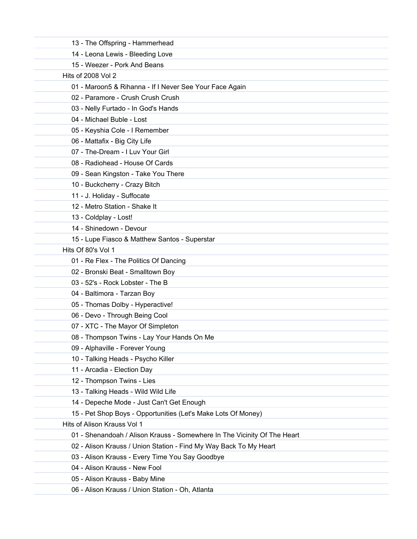| 13 - The Offspring - Hammerhead                                          |
|--------------------------------------------------------------------------|
| 14 - Leona Lewis - Bleeding Love                                         |
| 15 - Weezer - Pork And Beans                                             |
| Hits of 2008 Vol 2                                                       |
| 01 - Maroon5 & Rihanna - If I Never See Your Face Again                  |
| 02 - Paramore - Crush Crush Crush                                        |
| 03 - Nelly Furtado - In God's Hands                                      |
| 04 - Michael Buble - Lost                                                |
| 05 - Keyshia Cole - I Remember                                           |
| 06 - Mattafix - Big City Life                                            |
| 07 - The-Dream - I Luv Your Girl                                         |
| 08 - Radiohead - House Of Cards                                          |
| 09 - Sean Kingston - Take You There                                      |
| 10 - Buckcherry - Crazy Bitch                                            |
| 11 - J. Holiday - Suffocate                                              |
| 12 - Metro Station - Shake It                                            |
| 13 - Coldplay - Lost!                                                    |
| 14 - Shinedown - Devour                                                  |
| 15 - Lupe Fiasco & Matthew Santos - Superstar                            |
| Hits Of 80's Vol 1                                                       |
| 01 - Re Flex - The Politics Of Dancing                                   |
| 02 - Bronski Beat - Smalltown Boy                                        |
| 03 - 52's - Rock Lobster - The B                                         |
| 04 - Baltimora - Tarzan Boy                                              |
| 05 - Thomas Dolby - Hyperactive!                                         |
| 06 - Devo - Through Being Cool                                           |
| 07 - XTC - The Mayor Of Simpleton                                        |
| 08 - Thompson Twins - Lay Your Hands On Me                               |
| 09 - Alphaville - Forever Young                                          |
| 10 - Talking Heads - Psycho Killer                                       |
| 11 - Arcadia - Election Day                                              |
| 12 - Thompson Twins - Lies                                               |
| 13 - Talking Heads - Wild Wild Life                                      |
| 14 - Depeche Mode - Just Can't Get Enough                                |
| 15 - Pet Shop Boys - Opportunities (Let's Make Lots Of Money)            |
| Hits of Alison Krauss Vol 1                                              |
| 01 - Shenandoah / Alison Krauss - Somewhere In The Vicinity Of The Heart |
| 02 - Alison Krauss / Union Station - Find My Way Back To My Heart        |
| 03 - Alison Krauss - Every Time You Say Goodbye                          |
| 04 - Alison Krauss - New Fool                                            |
| 05 - Alison Krauss - Baby Mine                                           |
| 06 - Alison Krauss / Union Station - Oh, Atlanta                         |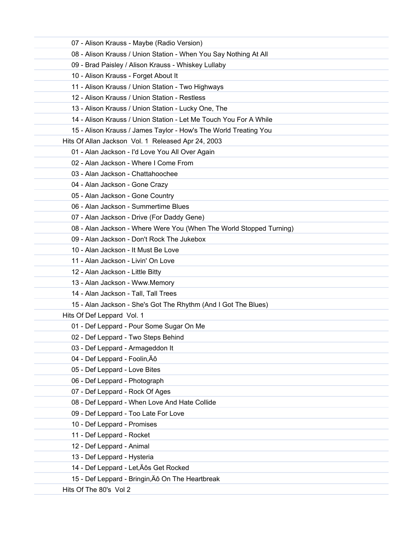| 07 - Alison Krauss - Maybe (Radio Version)                          |  |
|---------------------------------------------------------------------|--|
| 08 - Alison Krauss / Union Station - When You Say Nothing At All    |  |
| 09 - Brad Paisley / Alison Krauss - Whiskey Lullaby                 |  |
| 10 - Alison Krauss - Forget About It                                |  |
| 11 - Alison Krauss / Union Station - Two Highways                   |  |
| 12 - Alison Krauss / Union Station - Restless                       |  |
| 13 - Alison Krauss / Union Station - Lucky One, The                 |  |
| 14 - Alison Krauss / Union Station - Let Me Touch You For A While   |  |
| 15 - Alison Krauss / James Taylor - How's The World Treating You    |  |
| Hits Of Allan Jackson Vol. 1 Released Apr 24, 2003                  |  |
| 01 - Alan Jackson - I'd Love You All Over Again                     |  |
| 02 - Alan Jackson - Where I Come From                               |  |
| 03 - Alan Jackson - Chattahoochee                                   |  |
| 04 - Alan Jackson - Gone Crazy                                      |  |
| 05 - Alan Jackson - Gone Country                                    |  |
| 06 - Alan Jackson - Summertime Blues                                |  |
| 07 - Alan Jackson - Drive (For Daddy Gene)                          |  |
| 08 - Alan Jackson - Where Were You (When The World Stopped Turning) |  |
| 09 - Alan Jackson - Don't Rock The Jukebox                          |  |
| 10 - Alan Jackson - It Must Be Love                                 |  |
| 11 - Alan Jackson - Livin' On Love                                  |  |
| 12 - Alan Jackson - Little Bitty                                    |  |
| 13 - Alan Jackson - Www.Memory                                      |  |
| 14 - Alan Jackson - Tall, Tall Trees                                |  |
| 15 - Alan Jackson - She's Got The Rhythm (And I Got The Blues)      |  |
| Hits Of Def Leppard Vol. 1                                          |  |
| 01 - Def Leppard - Pour Some Sugar On Me                            |  |
| 02 - Def Leppard - Two Steps Behind                                 |  |
| 03 - Def Leppard - Armageddon It                                    |  |
| 04 - Def Leppard - Foolin, Äô                                       |  |
| 05 - Def Leppard - Love Bites                                       |  |
| 06 - Def Leppard - Photograph                                       |  |
| 07 - Def Leppard - Rock Of Ages                                     |  |
| 08 - Def Leppard - When Love And Hate Collide                       |  |
| 09 - Def Leppard - Too Late For Love                                |  |
| 10 - Def Leppard - Promises                                         |  |
| 11 - Def Leppard - Rocket                                           |  |
| 12 - Def Leppard - Animal                                           |  |
| 13 - Def Leppard - Hysteria                                         |  |
| 14 - Def Leppard - Let, Äôs Get Rocked                              |  |
| 15 - Def Leppard - Bringin, Äô On The Heartbreak                    |  |
| Hits Of The 80's Vol 2                                              |  |
|                                                                     |  |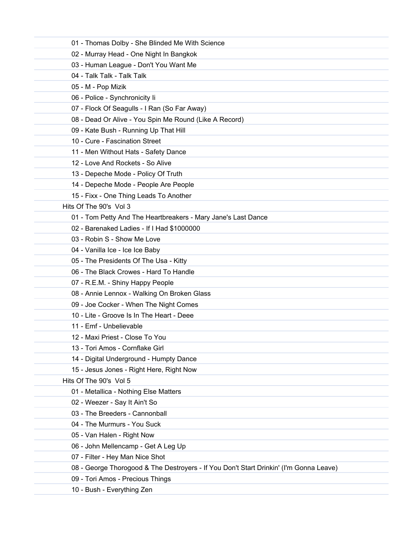| 01 - Thomas Dolby - She Blinded Me With Science                                        |
|----------------------------------------------------------------------------------------|
| 02 - Murray Head - One Night In Bangkok                                                |
| 03 - Human League - Don't You Want Me                                                  |
| 04 - Talk Talk - Talk Talk                                                             |
| 05 - M - Pop Mizik                                                                     |
| 06 - Police - Synchronicity li                                                         |
| 07 - Flock Of Seagulls - I Ran (So Far Away)                                           |
| 08 - Dead Or Alive - You Spin Me Round (Like A Record)                                 |
| 09 - Kate Bush - Running Up That Hill                                                  |
| 10 - Cure - Fascination Street                                                         |
| 11 - Men Without Hats - Safety Dance                                                   |
| 12 - Love And Rockets - So Alive                                                       |
| 13 - Depeche Mode - Policy Of Truth                                                    |
| 14 - Depeche Mode - People Are People                                                  |
| 15 - Fixx - One Thing Leads To Another                                                 |
| Hits Of The 90's Vol 3                                                                 |
| 01 - Tom Petty And The Heartbreakers - Mary Jane's Last Dance                          |
| 02 - Barenaked Ladies - If I Had \$1000000                                             |
| 03 - Robin S - Show Me Love                                                            |
| 04 - Vanilla Ice - Ice Ice Baby                                                        |
| 05 - The Presidents Of The Usa - Kitty                                                 |
| 06 - The Black Crowes - Hard To Handle                                                 |
| 07 - R.E.M. - Shiny Happy People                                                       |
| 08 - Annie Lennox - Walking On Broken Glass                                            |
| 09 - Joe Cocker - When The Night Comes                                                 |
| 10 - Lite - Groove Is In The Heart - Deee                                              |
| 11 - Emf - Unbelievable                                                                |
| 12 - Maxi Priest - Close To You                                                        |
| 13 - Tori Amos - Cornflake Girl                                                        |
| 14 - Digital Underground - Humpty Dance                                                |
| 15 - Jesus Jones - Right Here, Right Now                                               |
| Hits Of The 90's Vol 5                                                                 |
| 01 - Metallica - Nothing Else Matters                                                  |
| 02 - Weezer - Say It Ain't So                                                          |
| 03 - The Breeders - Cannonball                                                         |
| 04 - The Murmurs - You Suck                                                            |
| 05 - Van Halen - Right Now                                                             |
| 06 - John Mellencamp - Get A Leg Up                                                    |
| 07 - Filter - Hey Man Nice Shot                                                        |
| 08 - George Thorogood & The Destroyers - If You Don't Start Drinkin' (I'm Gonna Leave) |
| 09 - Tori Amos - Precious Things                                                       |
| 10 - Bush - Everything Zen                                                             |
|                                                                                        |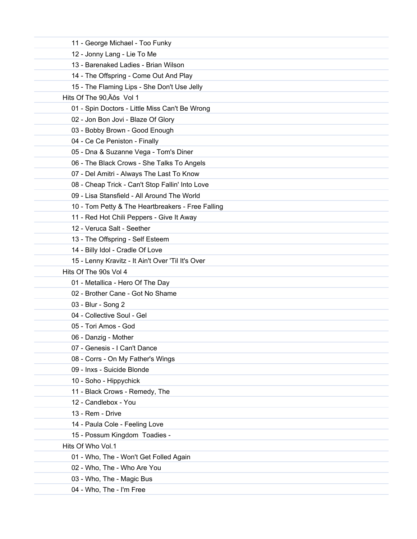| 11 - George Michael - Too Funky                   |
|---------------------------------------------------|
| 12 - Jonny Lang - Lie To Me                       |
| 13 - Barenaked Ladies - Brian Wilson              |
| 14 - The Offspring - Come Out And Play            |
| 15 - The Flaming Lips - She Don't Use Jelly       |
| Hits Of The 90, Äôs Vol 1                         |
| 01 - Spin Doctors - Little Miss Can't Be Wrong    |
| 02 - Jon Bon Jovi - Blaze Of Glory                |
| 03 - Bobby Brown - Good Enough                    |
| 04 - Ce Ce Peniston - Finally                     |
| 05 - Dna & Suzanne Vega - Tom's Diner             |
| 06 - The Black Crows - She Talks To Angels        |
| 07 - Del Amitri - Always The Last To Know         |
| 08 - Cheap Trick - Can't Stop Fallin' Into Love   |
| 09 - Lisa Stansfield - All Around The World       |
| 10 - Tom Petty & The Heartbreakers - Free Falling |
| 11 - Red Hot Chili Peppers - Give It Away         |
| 12 - Veruca Salt - Seether                        |
| 13 - The Offspring - Self Esteem                  |
| 14 - Billy Idol - Cradle Of Love                  |
| 15 - Lenny Kravitz - It Ain't Over 'Til It's Over |
| Hits Of The 90s Vol 4                             |
| 01 - Metallica - Hero Of The Day                  |
| 02 - Brother Cane - Got No Shame                  |
| 03 - Blur - Song 2                                |
| 04 - Collective Soul - Gel                        |
| 05 - Tori Amos - God                              |
| 06 - Danzig - Mother                              |
| 07 - Genesis - I Can't Dance                      |
| 08 - Corrs - On My Father's Wings                 |
| 09 - Inxs - Suicide Blonde                        |
| 10 - Soho - Hippychick                            |
| 11 - Black Crows - Remedy, The                    |
| 12 - Candlebox - You                              |
| 13 - Rem - Drive                                  |
| 14 - Paula Cole - Feeling Love                    |
| 15 - Possum Kingdom Toadies -                     |
| Hits Of Who Vol.1                                 |
| 01 - Who, The - Won't Get Folled Again            |
| 02 - Who, The - Who Are You                       |
| 03 - Who, The - Magic Bus                         |
| 04 - Who, The - I'm Free                          |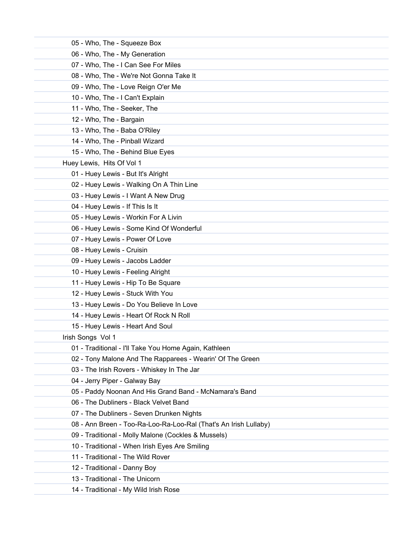| 05 - Who, The - Squeeze Box                                      |
|------------------------------------------------------------------|
| 06 - Who, The - My Generation                                    |
| 07 - Who, The - I Can See For Miles                              |
| 08 - Who, The - We're Not Gonna Take It                          |
| 09 - Who, The - Love Reign O'er Me                               |
| 10 - Who, The - I Can't Explain                                  |
| 11 - Who, The - Seeker, The                                      |
| 12 - Who, The - Bargain                                          |
| 13 - Who, The - Baba O'Riley                                     |
| 14 - Who, The - Pinball Wizard                                   |
| 15 - Who, The - Behind Blue Eyes                                 |
| Huey Lewis, Hits Of Vol 1                                        |
| 01 - Huey Lewis - But It's Alright                               |
| 02 - Huey Lewis - Walking On A Thin Line                         |
| 03 - Huey Lewis - I Want A New Drug                              |
| 04 - Huey Lewis - If This Is It                                  |
| 05 - Huey Lewis - Workin For A Livin                             |
| 06 - Huey Lewis - Some Kind Of Wonderful                         |
| 07 - Huey Lewis - Power Of Love                                  |
| 08 - Huey Lewis - Cruisin                                        |
| 09 - Huey Lewis - Jacobs Ladder                                  |
| 10 - Huey Lewis - Feeling Alright                                |
| 11 - Huey Lewis - Hip To Be Square                               |
| 12 - Huey Lewis - Stuck With You                                 |
| 13 - Huey Lewis - Do You Believe In Love                         |
| 14 - Huey Lewis - Heart Of Rock N Roll                           |
| 15 - Huey Lewis - Heart And Soul                                 |
| Irish Songs Vol 1                                                |
| 01 - Traditional - I'll Take You Home Again, Kathleen            |
| 02 - Tony Malone And The Rapparees - Wearin' Of The Green        |
| 03 - The Irish Rovers - Whiskey In The Jar                       |
| 04 - Jerry Piper - Galway Bay                                    |
| 05 - Paddy Noonan And His Grand Band - McNamara's Band           |
| 06 - The Dubliners - Black Velvet Band                           |
| 07 - The Dubliners - Seven Drunken Nights                        |
| 08 - Ann Breen - Too-Ra-Loo-Ra-Loo-Ral (That's An Irish Lullaby) |
| 09 - Traditional - Molly Malone (Cockles & Mussels)              |
| 10 - Traditional - When Irish Eyes Are Smiling                   |
| 11 - Traditional - The Wild Rover                                |
| 12 - Traditional - Danny Boy                                     |
| 13 - Traditional - The Unicorn                                   |
| 14 - Traditional - My Wild Irish Rose                            |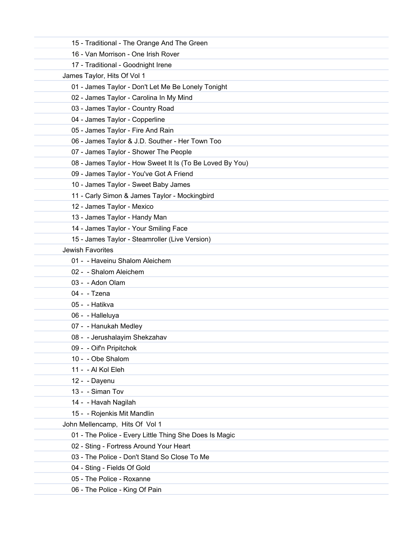| 15 - Traditional - The Orange And The Green              |
|----------------------------------------------------------|
| 16 - Van Morrison - One Irish Rover                      |
| 17 - Traditional - Goodnight Irene                       |
| James Taylor, Hits Of Vol 1                              |
| 01 - James Taylor - Don't Let Me Be Lonely Tonight       |
| 02 - James Taylor - Carolina In My Mind                  |
| 03 - James Taylor - Country Road                         |
| 04 - James Taylor - Copperline                           |
| 05 - James Taylor - Fire And Rain                        |
| 06 - James Taylor & J.D. Souther - Her Town Too          |
| 07 - James Taylor - Shower The People                    |
| 08 - James Taylor - How Sweet It Is (To Be Loved By You) |
| 09 - James Taylor - You've Got A Friend                  |
| 10 - James Taylor - Sweet Baby James                     |
| 11 - Carly Simon & James Taylor - Mockingbird            |
| 12 - James Taylor - Mexico                               |
| 13 - James Taylor - Handy Man                            |
| 14 - James Taylor - Your Smiling Face                    |
| 15 - James Taylor - Steamroller (Live Version)           |
| <b>Jewish Favorites</b>                                  |
| 01 - - Haveinu Shalom Aleichem                           |
| 02 - - Shalom Aleichem                                   |
| 03 - - Adon Olam                                         |
| 04 - - Tzena                                             |
| 05 - - Hatikva                                           |
| 06 - - Halleluya                                         |
| 07 - - Hanukah Medley                                    |
| 08 - - Jerushalayim Shekzahav                            |
| 09 - - Oif'n Pripitchok                                  |
| 10 - - Obe Shalom                                        |
| 11 - - Al Kol Eleh                                       |
| 12 - - Dayenu                                            |
| 13 - - Siman Tov                                         |
| 14 - - Havah Nagilah                                     |
| 15 - - Rojenkis Mit Mandlin                              |
| John Mellencamp, Hits Of Vol 1                           |
| 01 - The Police - Every Little Thing She Does Is Magic   |
| 02 - Sting - Fortress Around Your Heart                  |
| 03 - The Police - Don't Stand So Close To Me             |
| 04 - Sting - Fields Of Gold                              |
| 05 - The Police - Roxanne                                |
| 06 - The Police - King Of Pain                           |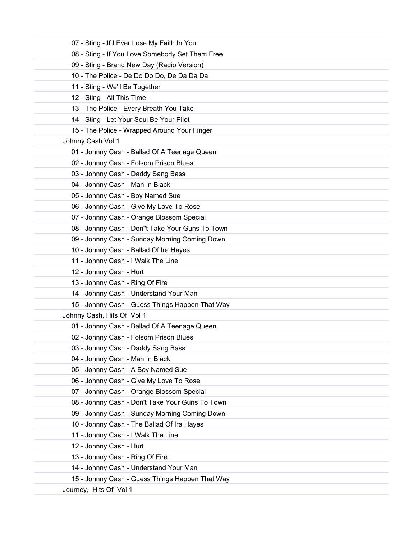| 07 - Sting - If I Ever Lose My Faith In You     |
|-------------------------------------------------|
| 08 - Sting - If You Love Somebody Set Them Free |
| 09 - Sting - Brand New Day (Radio Version)      |
| 10 - The Police - De Do Do Do, De Da Da Da      |
| 11 - Sting - We'll Be Together                  |
| 12 - Sting - All This Time                      |
| 13 - The Police - Every Breath You Take         |
| 14 - Sting - Let Your Soul Be Your Pilot        |
| 15 - The Police - Wrapped Around Your Finger    |
| Johnny Cash Vol.1                               |
| 01 - Johnny Cash - Ballad Of A Teenage Queen    |
| 02 - Johnny Cash - Folsom Prison Blues          |
| 03 - Johnny Cash - Daddy Sang Bass              |
| 04 - Johnny Cash - Man In Black                 |
| 05 - Johnny Cash - Boy Named Sue                |
| 06 - Johnny Cash - Give My Love To Rose         |
| 07 - Johnny Cash - Orange Blossom Special       |
| 08 - Johnny Cash - Don"t Take Your Guns To Town |
| 09 - Johnny Cash - Sunday Morning Coming Down   |
| 10 - Johnny Cash - Ballad Of Ira Hayes          |
| 11 - Johnny Cash - I Walk The Line              |
| 12 - Johnny Cash - Hurt                         |
| 13 - Johnny Cash - Ring Of Fire                 |
| 14 - Johnny Cash - Understand Your Man          |
| 15 - Johnny Cash - Guess Things Happen That Way |
| Johnny Cash, Hits Of Vol 1                      |
| 01 - Johnny Cash - Ballad Of A Teenage Queen    |
| 02 - Johnny Cash - Folsom Prison Blues          |
| 03 - Johnny Cash - Daddy Sang Bass              |
| 04 - Johnny Cash - Man In Black                 |
| 05 - Johnny Cash - A Boy Named Sue              |
| 06 - Johnny Cash - Give My Love To Rose         |
| 07 - Johnny Cash - Orange Blossom Special       |
| 08 - Johnny Cash - Don't Take Your Guns To Town |
| 09 - Johnny Cash - Sunday Morning Coming Down   |
| 10 - Johnny Cash - The Ballad Of Ira Hayes      |
| 11 - Johnny Cash - I Walk The Line              |
| 12 - Johnny Cash - Hurt                         |
| 13 - Johnny Cash - Ring Of Fire                 |
| 14 - Johnny Cash - Understand Your Man          |
| 15 - Johnny Cash - Guess Things Happen That Way |
| Journey, Hits Of Vol 1                          |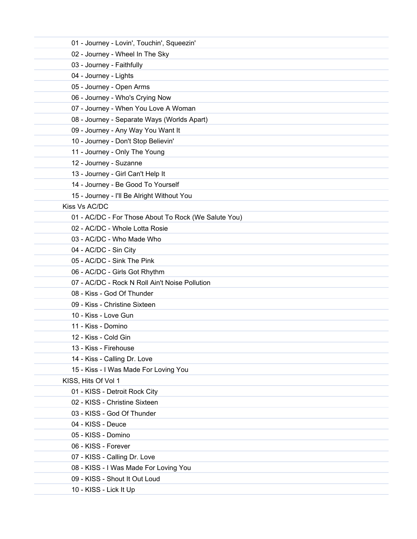| 01 - Journey - Lovin', Touchin', Squeezin'           |
|------------------------------------------------------|
| 02 - Journey - Wheel In The Sky                      |
| 03 - Journey - Faithfully                            |
| 04 - Journey - Lights                                |
| 05 - Journey - Open Arms                             |
| 06 - Journey - Who's Crying Now                      |
| 07 - Journey - When You Love A Woman                 |
| 08 - Journey - Separate Ways (Worlds Apart)          |
| 09 - Journey - Any Way You Want It                   |
| 10 - Journey - Don't Stop Believin'                  |
| 11 - Journey - Only The Young                        |
| 12 - Journey - Suzanne                               |
| 13 - Journey - Girl Can't Help It                    |
| 14 - Journey - Be Good To Yourself                   |
| 15 - Journey - I'll Be Alright Without You           |
| Kiss Vs AC/DC                                        |
| 01 - AC/DC - For Those About To Rock (We Salute You) |
| 02 - AC/DC - Whole Lotta Rosie                       |
| 03 - AC/DC - Who Made Who                            |
| 04 - AC/DC - Sin City                                |
| 05 - AC/DC - Sink The Pink                           |
| 06 - AC/DC - Girls Got Rhythm                        |
| 07 - AC/DC - Rock N Roll Ain't Noise Pollution       |
| 08 - Kiss - God Of Thunder                           |
| 09 - Kiss - Christine Sixteen                        |
| 10 - Kiss - Love Gun                                 |
| 11 - Kiss - Domino                                   |
| 12 - Kiss - Cold Gin                                 |
| 13 - Kiss - Firehouse                                |
| 14 - Kiss - Calling Dr. Love                         |
| 15 - Kiss - I Was Made For Loving You                |
| KISS, Hits Of Vol 1                                  |
| 01 - KISS - Detroit Rock City                        |
| 02 - KISS - Christine Sixteen                        |
| 03 - KISS - God Of Thunder                           |
| 04 - KISS - Deuce                                    |
| 05 - KISS - Domino                                   |
| 06 - KISS - Forever                                  |
| 07 - KISS - Calling Dr. Love                         |
| 08 - KISS - I Was Made For Loving You                |
| 09 - KISS - Shout It Out Loud                        |
| 10 - KISS - Lick It Up                               |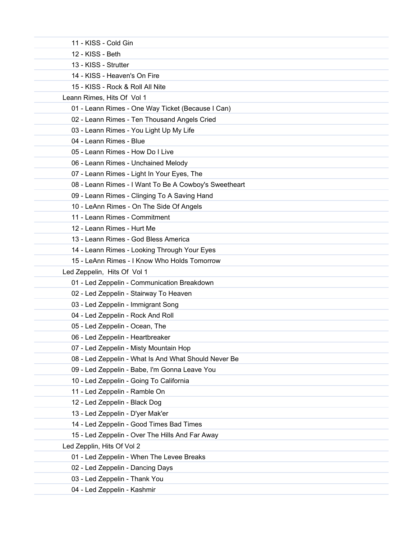| 11 - KISS - Cold Gin                                  |
|-------------------------------------------------------|
| 12 - KISS - Beth                                      |
| 13 - KISS - Strutter                                  |
| 14 - KISS - Heaven's On Fire                          |
| 15 - KISS - Rock & Roll All Nite                      |
| Leann Rimes, Hits Of Vol 1                            |
| 01 - Leann Rimes - One Way Ticket (Because I Can)     |
| 02 - Leann Rimes - Ten Thousand Angels Cried          |
| 03 - Leann Rimes - You Light Up My Life               |
| 04 - Leann Rimes - Blue                               |
| 05 - Leann Rimes - How Do I Live                      |
| 06 - Leann Rimes - Unchained Melody                   |
| 07 - Leann Rimes - Light In Your Eyes, The            |
| 08 - Leann Rimes - I Want To Be A Cowboy's Sweetheart |
| 09 - Leann Rimes - Clinging To A Saving Hand          |
| 10 - LeAnn Rimes - On The Side Of Angels              |
| 11 - Leann Rimes - Commitment                         |
| 12 - Leann Rimes - Hurt Me                            |
| 13 - Leann Rimes - God Bless America                  |
| 14 - Leann Rimes - Looking Through Your Eyes          |
| 15 - LeAnn Rimes - I Know Who Holds Tomorrow          |
| Led Zeppelin, Hits Of Vol 1                           |
| 01 - Led Zeppelin - Communication Breakdown           |
| 02 - Led Zeppelin - Stairway To Heaven                |
| 03 - Led Zeppelin - Immigrant Song                    |
| 04 - Led Zeppelin - Rock And Roll                     |
| 05 - Led Zeppelin - Ocean, The                        |
| 06 - Led Zeppelin - Heartbreaker                      |
| 07 - Led Zeppelin - Misty Mountain Hop                |
| 08 - Led Zeppelin - What Is And What Should Never Be  |
| 09 - Led Zeppelin - Babe, I'm Gonna Leave You         |
| 10 - Led Zeppelin - Going To California               |
| 11 - Led Zeppelin - Ramble On                         |
| 12 - Led Zeppelin - Black Dog                         |
| 13 - Led Zeppelin - D'yer Mak'er                      |
| 14 - Led Zeppelin - Good Times Bad Times              |
| 15 - Led Zeppelin - Over The Hills And Far Away       |
| Led Zepplin, Hits Of Vol 2                            |
| 01 - Led Zeppelin - When The Levee Breaks             |
| 02 - Led Zeppelin - Dancing Days                      |
| 03 - Led Zeppelin - Thank You                         |
| 04 - Led Zeppelin - Kashmir                           |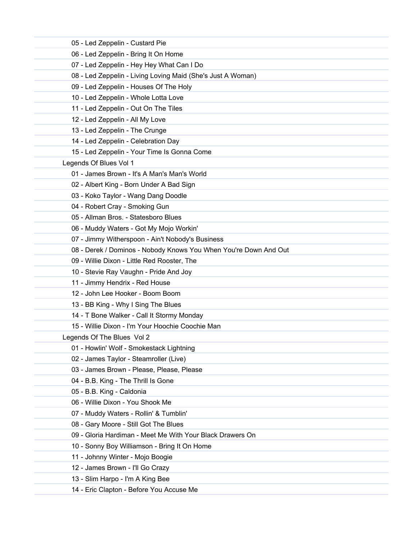| 05 - Led Zeppelin - Custard Pie                                  |
|------------------------------------------------------------------|
| 06 - Led Zeppelin - Bring It On Home                             |
| 07 - Led Zeppelin - Hey Hey What Can I Do                        |
| 08 - Led Zeppelin - Living Loving Maid (She's Just A Woman)      |
| 09 - Led Zeppelin - Houses Of The Holy                           |
| 10 - Led Zeppelin - Whole Lotta Love                             |
| 11 - Led Zeppelin - Out On The Tiles                             |
| 12 - Led Zeppelin - All My Love                                  |
| 13 - Led Zeppelin - The Crunge                                   |
| 14 - Led Zeppelin - Celebration Day                              |
| 15 - Led Zeppelin - Your Time Is Gonna Come                      |
| Legends Of Blues Vol 1                                           |
| 01 - James Brown - It's A Man's Man's World                      |
| 02 - Albert King - Born Under A Bad Sign                         |
| 03 - Koko Taylor - Wang Dang Doodle                              |
| 04 - Robert Cray - Smoking Gun                                   |
| 05 - Allman Bros. - Statesboro Blues                             |
| 06 - Muddy Waters - Got My Mojo Workin'                          |
| 07 - Jimmy Witherspoon - Ain't Nobody's Business                 |
| 08 - Derek / Dominos - Nobody Knows You When You're Down And Out |
| 09 - Willie Dixon - Little Red Rooster, The                      |
| 10 - Stevie Ray Vaughn - Pride And Joy                           |
| 11 - Jimmy Hendrix - Red House                                   |
| 12 - John Lee Hooker - Boom Boom                                 |
| 13 - BB King - Why I Sing The Blues                              |
| 14 - T Bone Walker - Call It Stormy Monday                       |
| 15 - Willie Dixon - I'm Your Hoochie Coochie Man                 |
| Legends Of The Blues Vol 2                                       |
| 01 - Howlin' Wolf - Smokestack Lightning                         |
| 02 - James Taylor - Steamroller (Live)                           |
| 03 - James Brown - Please, Please, Please                        |
| 04 - B.B. King - The Thrill Is Gone                              |
| 05 - B.B. King - Caldonia                                        |
| 06 - Willie Dixon - You Shook Me                                 |
| 07 - Muddy Waters - Rollin' & Tumblin'                           |
| 08 - Gary Moore - Still Got The Blues                            |
| 09 - Gloria Hardiman - Meet Me With Your Black Drawers On        |
| 10 - Sonny Boy Williamson - Bring It On Home                     |
| 11 - Johnny Winter - Mojo Boogie                                 |
| 12 - James Brown - I'll Go Crazy                                 |
| 13 - Slim Harpo - I'm A King Bee                                 |
| 14 - Eric Clapton - Before You Accuse Me                         |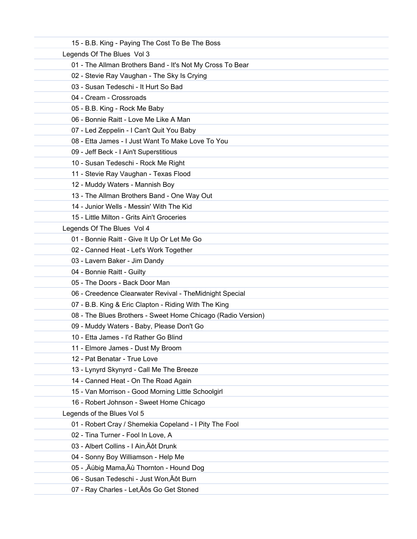| 15 - B.B. King - Paying The Cost To Be The Boss              |
|--------------------------------------------------------------|
| Legends Of The Blues Vol 3                                   |
| 01 - The Allman Brothers Band - It's Not My Cross To Bear    |
| 02 - Stevie Ray Vaughan - The Sky Is Crying                  |
| 03 - Susan Tedeschi - It Hurt So Bad                         |
| 04 - Cream - Crossroads                                      |
| 05 - B.B. King - Rock Me Baby                                |
| 06 - Bonnie Raitt - Love Me Like A Man                       |
| 07 - Led Zeppelin - I Can't Quit You Baby                    |
| 08 - Etta James - I Just Want To Make Love To You            |
| 09 - Jeff Beck - I Ain't Superstitious                       |
| 10 - Susan Tedeschi - Rock Me Right                          |
| 11 - Stevie Ray Vaughan - Texas Flood                        |
| 12 - Muddy Waters - Mannish Boy                              |
| 13 - The Allman Brothers Band - One Way Out                  |
| 14 - Junior Wells - Messin' With The Kid                     |
| 15 - Little Milton - Grits Ain't Groceries                   |
| Legends Of The Blues Vol 4                                   |
| 01 - Bonnie Raitt - Give It Up Or Let Me Go                  |
| 02 - Canned Heat - Let's Work Together                       |
| 03 - Lavern Baker - Jim Dandy                                |
| 04 - Bonnie Raitt - Guilty                                   |
| 05 - The Doors - Back Door Man                               |
| 06 - Creedence Clearwater Revival - TheMidnight Special      |
| 07 - B.B. King & Eric Clapton - Riding With The King         |
| 08 - The Blues Brothers - Sweet Home Chicago (Radio Version) |
| 09 - Muddy Waters - Baby, Please Don't Go                    |
| 10 - Etta James - I'd Rather Go Blind                        |
| 11 - Elmore James - Dust My Broom                            |
| 12 - Pat Benatar - True Love                                 |
| 13 - Lynyrd Skynyrd - Call Me The Breeze                     |
| 14 - Canned Heat - On The Road Again                         |
| 15 - Van Morrison - Good Morning Little Schoolgirl           |
| 16 - Robert Johnson - Sweet Home Chicago                     |
| Legends of the Blues Vol 5                                   |
| 01 - Robert Cray / Shemekia Copeland - I Pity The Fool       |
| 02 - Tina Turner - Fool In Love, A                           |
| 03 - Albert Collins - I Ain, Äôt Drunk                       |
| 04 - Sonny Boy Williamson - Help Me                          |
| 05 - "Äúbig Mama, Äù Thornton - Hound Dog                    |
| 06 - Susan Tedeschi - Just Won, Äôt Burn                     |
| 07 - Ray Charles - Let, Äôs Go Get Stoned                    |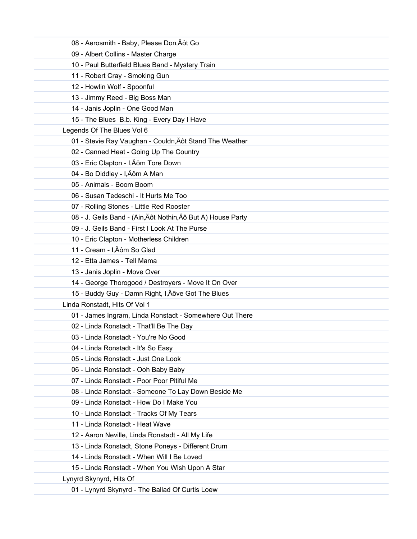| 08 - Aerosmith - Baby, Please Don, Äôt Go                    |
|--------------------------------------------------------------|
| 09 - Albert Collins - Master Charge                          |
| 10 - Paul Butterfield Blues Band - Mystery Train             |
| 11 - Robert Cray - Smoking Gun                               |
| 12 - Howlin Wolf - Spoonful                                  |
| 13 - Jimmy Reed - Big Boss Man                               |
| 14 - Janis Joplin - One Good Man                             |
| 15 - The Blues B.b. King - Every Day I Have                  |
| Legends Of The Blues Vol 6                                   |
| 01 - Stevie Ray Vaughan - Couldn, Äôt Stand The Weather      |
| 02 - Canned Heat - Going Up The Country                      |
| 03 - Eric Clapton - I, Äôm Tore Down                         |
| 04 - Bo Diddley - I, Äôm A Man                               |
| 05 - Animals - Boom Boom                                     |
| 06 - Susan Tedeschi - It Hurts Me Too                        |
| 07 - Rolling Stones - Little Red Rooster                     |
| 08 - J. Geils Band - (Ain, Äôt Nothin, Äô But A) House Party |
| 09 - J. Geils Band - First I Look At The Purse               |
| 10 - Eric Clapton - Motherless Children                      |
| 11 - Cream - I, Äôm So Glad                                  |
| 12 - Etta James - Tell Mama                                  |
| 13 - Janis Joplin - Move Over                                |
| 14 - George Thorogood / Destroyers - Move It On Over         |
| 15 - Buddy Guy - Damn Right, I, Äôve Got The Blues           |
| Linda Ronstadt, Hits Of Vol 1                                |
| 01 - James Ingram, Linda Ronstadt - Somewhere Out There      |
| 02 - Linda Ronstadt - That'll Be The Day                     |
| 03 - Linda Ronstadt - You're No Good                         |
| 04 - Linda Ronstadt - It's So Easy                           |
| 05 - Linda Ronstadt - Just One Look                          |
| 06 - Linda Ronstadt - Ooh Baby Baby                          |
| 07 - Linda Ronstadt - Poor Poor Pitiful Me                   |
| 08 - Linda Ronstadt - Someone To Lay Down Beside Me          |
| 09 - Linda Ronstadt - How Do I Make You                      |
| 10 - Linda Ronstadt - Tracks Of My Tears                     |
| 11 - Linda Ronstadt - Heat Wave                              |
| 12 - Aaron Neville, Linda Ronstadt - All My Life             |
| 13 - Linda Ronstadt, Stone Poneys - Different Drum           |
| 14 - Linda Ronstadt - When Will I Be Loved                   |
| 15 - Linda Ronstadt - When You Wish Upon A Star              |
| Lynyrd Skynyrd, Hits Of                                      |
| 01 - Lynyrd Skynyrd - The Ballad Of Curtis Loew              |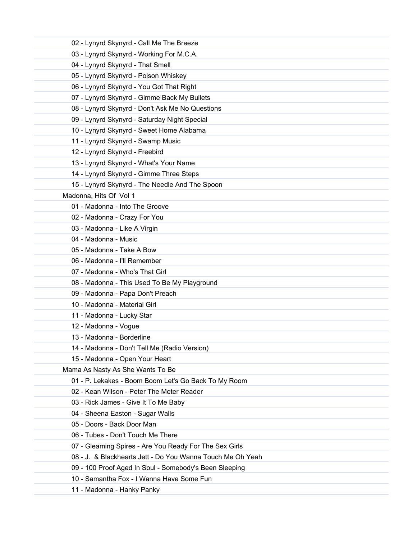| 02 - Lynyrd Skynyrd - Call Me The Breeze                   |
|------------------------------------------------------------|
| 03 - Lynyrd Skynyrd - Working For M.C.A.                   |
| 04 - Lynyrd Skynyrd - That Smell                           |
| 05 - Lynyrd Skynyrd - Poison Whiskey                       |
| 06 - Lynyrd Skynyrd - You Got That Right                   |
| 07 - Lynyrd Skynyrd - Gimme Back My Bullets                |
| 08 - Lynyrd Skynyrd - Don't Ask Me No Questions            |
| 09 - Lynyrd Skynyrd - Saturday Night Special               |
| 10 - Lynyrd Skynyrd - Sweet Home Alabama                   |
| 11 - Lynyrd Skynyrd - Swamp Music                          |
| 12 - Lynyrd Skynyrd - Freebird                             |
| 13 - Lynyrd Skynyrd - What's Your Name                     |
| 14 - Lynyrd Skynyrd - Gimme Three Steps                    |
| 15 - Lynyrd Skynyrd - The Needle And The Spoon             |
| Madonna, Hits Of Vol 1                                     |
| 01 - Madonna - Into The Groove                             |
| 02 - Madonna - Crazy For You                               |
| 03 - Madonna - Like A Virgin                               |
| 04 - Madonna - Music                                       |
| 05 - Madonna - Take A Bow                                  |
| 06 - Madonna - I'll Remember                               |
| 07 - Madonna - Who's That Girl                             |
| 08 - Madonna - This Used To Be My Playground               |
| 09 - Madonna - Papa Don't Preach                           |
| 10 - Madonna - Material Girl                               |
| 11 - Madonna - Lucky Star                                  |
| 12 - Madonna - Vogue                                       |
| 13 - Madonna - Borderline                                  |
| 14 - Madonna - Don't Tell Me (Radio Version)               |
| 15 - Madonna - Open Your Heart                             |
| Mama As Nasty As She Wants To Be                           |
| 01 - P. Lekakes - Boom Boom Let's Go Back To My Room       |
| 02 - Kean Wilson - Peter The Meter Reader                  |
| 03 - Rick James - Give It To Me Baby                       |
| 04 - Sheena Easton - Sugar Walls                           |
| 05 - Doors - Back Door Man                                 |
| 06 - Tubes - Don't Touch Me There                          |
| 07 - Gleaming Spires - Are You Ready For The Sex Girls     |
| 08 - J. & Blackhearts Jett - Do You Wanna Touch Me Oh Yeah |
| 09 - 100 Proof Aged In Soul - Somebody's Been Sleeping     |
| 10 - Samantha Fox - I Wanna Have Some Fun                  |
| 11 - Madonna - Hanky Panky                                 |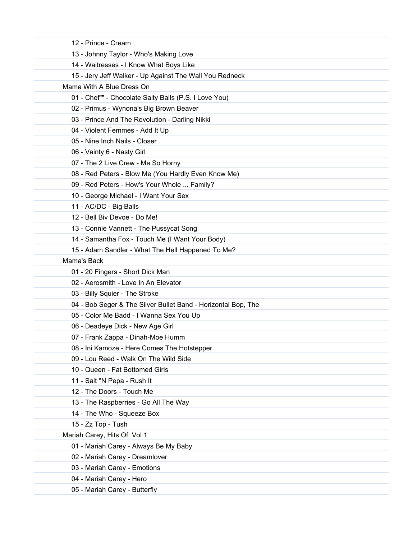| 12 - Prince - Cream                                           |
|---------------------------------------------------------------|
| 13 - Johnny Taylor - Who's Making Love                        |
| 14 - Waitresses - I Know What Boys Like                       |
| 15 - Jery Jeff Walker - Up Against The Wall You Redneck       |
| Mama With A Blue Dress On                                     |
| 01 - Chef"" - Chocolate Salty Balls (P.S. I Love You)         |
| 02 - Primus - Wynona's Big Brown Beaver                       |
| 03 - Prince And The Revolution - Darling Nikki                |
| 04 - Violent Femmes - Add It Up                               |
| 05 - Nine Inch Nails - Closer                                 |
| 06 - Vainty 6 - Nasty Girl                                    |
| 07 - The 2 Live Crew - Me So Horny                            |
| 08 - Red Peters - Blow Me (You Hardly Even Know Me)           |
| 09 - Red Peters - How's Your Whole  Family?                   |
| 10 - George Michael - I Want Your Sex                         |
| 11 - AC/DC - Big Balls                                        |
| 12 - Bell Biv Devoe - Do Me!                                  |
| 13 - Connie Vannett - The Pussycat Song                       |
| 14 - Samantha Fox - Touch Me (I Want Your Body)               |
| 15 - Adam Sandler - What The Hell Happened To Me?             |
| Mama's Back                                                   |
| 01 - 20 Fingers - Short Dick Man                              |
| 02 - Aerosmith - Love In An Elevator                          |
| 03 - Billy Squier - The Stroke                                |
| 04 - Bob Seger & The Silver Bullet Band - Horizontal Bop, The |
| 05 - Color Me Badd - I Wanna Sex You Up                       |
| 06 - Deadeye Dick - New Age Girl                              |
| 07 - Frank Zappa - Dinah-Moe Humm                             |
| 08 - Ini Kamoze - Here Comes The Hotstepper                   |
| 09 - Lou Reed - Walk On The Wild Side                         |
| 10 - Queen - Fat Bottomed Girls                               |
| 11 - Salt "N Pepa - Rush It                                   |
| 12 - The Doors - Touch Me                                     |
| 13 - The Raspberries - Go All The Way                         |
| 14 - The Who - Squeeze Box                                    |
| 15 - Zz Top - Tush                                            |
| Mariah Carey, Hits Of Vol 1                                   |
| 01 - Mariah Carey - Always Be My Baby                         |
| 02 - Mariah Carey - Dreamlover                                |
| 03 - Mariah Carey - Emotions                                  |
| 04 - Mariah Carey - Hero                                      |
| 05 - Mariah Carey - Butterfly                                 |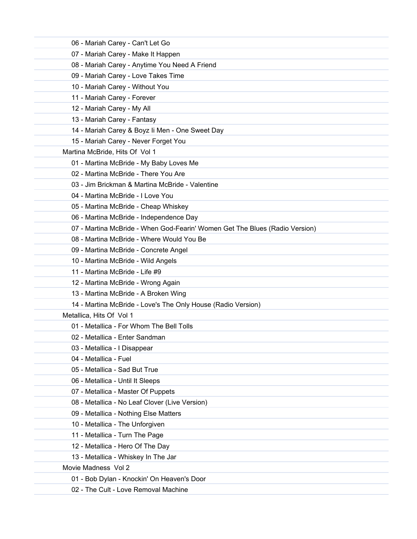| 06 - Mariah Carey - Can't Let Go                                            |
|-----------------------------------------------------------------------------|
| 07 - Mariah Carey - Make It Happen                                          |
| 08 - Mariah Carey - Anytime You Need A Friend                               |
| 09 - Mariah Carey - Love Takes Time                                         |
| 10 - Mariah Carey - Without You                                             |
| 11 - Mariah Carey - Forever                                                 |
| 12 - Mariah Carey - My All                                                  |
| 13 - Mariah Carey - Fantasy                                                 |
| 14 - Mariah Carey & Boyz li Men - One Sweet Day                             |
| 15 - Mariah Carey - Never Forget You                                        |
| Martina McBride, Hits Of Vol 1                                              |
| 01 - Martina McBride - My Baby Loves Me                                     |
| 02 - Martina McBride - There You Are                                        |
| 03 - Jim Brickman & Martina McBride - Valentine                             |
| 04 - Martina McBride - I Love You                                           |
| 05 - Martina McBride - Cheap Whiskey                                        |
| 06 - Martina McBride - Independence Day                                     |
| 07 - Martina McBride - When God-Fearin' Women Get The Blues (Radio Version) |
| 08 - Martina McBride - Where Would You Be                                   |
| 09 - Martina McBride - Concrete Angel                                       |
| 10 - Martina McBride - Wild Angels                                          |
| 11 - Martina McBride - Life #9                                              |
| 12 - Martina McBride - Wrong Again                                          |
| 13 - Martina McBride - A Broken Wing                                        |
| 14 - Martina McBride - Love's The Only House (Radio Version)                |
| Metallica, Hits Of Vol 1                                                    |
| 01 - Metallica - For Whom The Bell Tolls                                    |
| 02 - Metallica - Enter Sandman                                              |
| 03 - Metallica - I Disappear                                                |
| 04 - Metallica - Fuel                                                       |
| 05 - Metallica - Sad But True                                               |
| 06 - Metallica - Until It Sleeps                                            |
| 07 - Metallica - Master Of Puppets                                          |
| 08 - Metallica - No Leaf Clover (Live Version)                              |
| 09 - Metallica - Nothing Else Matters                                       |
| 10 - Metallica - The Unforgiven                                             |
| 11 - Metallica - Turn The Page                                              |
| 12 - Metallica - Hero Of The Day                                            |
| 13 - Metallica - Whiskey In The Jar                                         |
| Movie Madness Vol 2                                                         |
| 01 - Bob Dylan - Knockin' On Heaven's Door                                  |
| 02 - The Cult - Love Removal Machine                                        |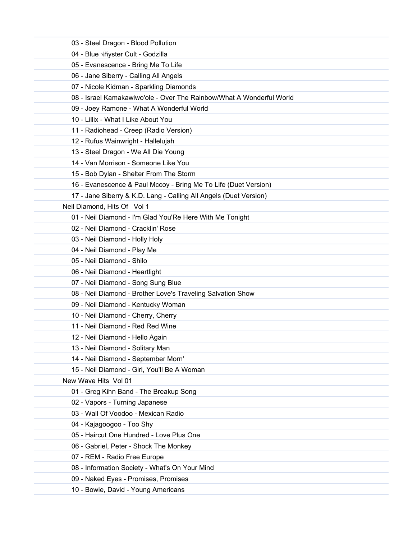| 03 - Steel Dragon - Blood Pollution                                  |  |
|----------------------------------------------------------------------|--|
| 04 - Blue Öyster Cult - Godzilla                                     |  |
| 05 - Evanescence - Bring Me To Life                                  |  |
| 06 - Jane Siberry - Calling All Angels                               |  |
| 07 - Nicole Kidman - Sparkling Diamonds                              |  |
| 08 - Israel Kamakawiwo'ole - Over The Rainbow/What A Wonderful World |  |
| 09 - Joey Ramone - What A Wonderful World                            |  |
| 10 - Lillix - What I Like About You                                  |  |
| 11 - Radiohead - Creep (Radio Version)                               |  |
| 12 - Rufus Wainwright - Hallelujah                                   |  |
| 13 - Steel Dragon - We All Die Young                                 |  |
| 14 - Van Morrison - Someone Like You                                 |  |
| 15 - Bob Dylan - Shelter From The Storm                              |  |
| 16 - Evanescence & Paul Mccoy - Bring Me To Life (Duet Version)      |  |
| 17 - Jane Siberry & K.D. Lang - Calling All Angels (Duet Version)    |  |
| Neil Diamond, Hits Of Vol 1                                          |  |
| 01 - Neil Diamond - I'm Glad You'Re Here With Me Tonight             |  |
| 02 - Neil Diamond - Cracklin' Rose                                   |  |
| 03 - Neil Diamond - Holly Holy                                       |  |
| 04 - Neil Diamond - Play Me                                          |  |
| 05 - Neil Diamond - Shilo                                            |  |
| 06 - Neil Diamond - Heartlight                                       |  |
| 07 - Neil Diamond - Song Sung Blue                                   |  |
| 08 - Neil Diamond - Brother Love's Traveling Salvation Show          |  |
| 09 - Neil Diamond - Kentucky Woman                                   |  |
| 10 - Neil Diamond - Cherry, Cherry                                   |  |
| 11 - Neil Diamond - Red Red Wine                                     |  |
| 12 - Neil Diamond - Hello Again                                      |  |
| 13 - Neil Diamond - Solitary Man                                     |  |
| 14 - Neil Diamond - September Morn'                                  |  |
| 15 - Neil Diamond - Girl, You'll Be A Woman                          |  |
| New Wave Hits Vol 01                                                 |  |
| 01 - Greg Kihn Band - The Breakup Song                               |  |
| 02 - Vapors - Turning Japanese                                       |  |
| 03 - Wall Of Voodoo - Mexican Radio                                  |  |
| 04 - Kajagoogoo - Too Shy                                            |  |
| 05 - Haircut One Hundred - Love Plus One                             |  |
| 06 - Gabriel, Peter - Shock The Monkey                               |  |
| 07 - REM - Radio Free Europe                                         |  |
| 08 - Information Society - What's On Your Mind                       |  |
| 09 - Naked Eyes - Promises, Promises                                 |  |
| 10 - Bowie, David - Young Americans                                  |  |
|                                                                      |  |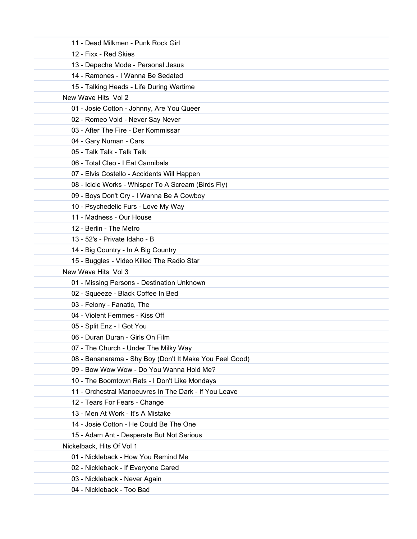| 11 - Dead Milkmen - Punk Rock Girl                      |
|---------------------------------------------------------|
| 12 - Fixx - Red Skies                                   |
| 13 - Depeche Mode - Personal Jesus                      |
| 14 - Ramones - I Wanna Be Sedated                       |
| 15 - Talking Heads - Life During Wartime                |
| New Wave Hits Vol 2                                     |
| 01 - Josie Cotton - Johnny, Are You Queer               |
| 02 - Romeo Void - Never Say Never                       |
| 03 - After The Fire - Der Kommissar                     |
| 04 - Gary Numan - Cars                                  |
| 05 - Talk Talk - Talk Talk                              |
| 06 - Total Cleo - I Eat Cannibals                       |
| 07 - Elvis Costello - Accidents Will Happen             |
| 08 - Icicle Works - Whisper To A Scream (Birds Fly)     |
| 09 - Boys Don't Cry - I Wanna Be A Cowboy               |
| 10 - Psychedelic Furs - Love My Way                     |
| 11 - Madness - Our House                                |
| 12 - Berlin - The Metro                                 |
| 13 - 52's - Private Idaho - B                           |
| 14 - Big Country - In A Big Country                     |
| 15 - Buggles - Video Killed The Radio Star              |
| New Wave Hits Vol 3                                     |
| 01 - Missing Persons - Destination Unknown              |
| 02 - Squeeze - Black Coffee In Bed                      |
| 03 - Felony - Fanatic, The                              |
| 04 - Violent Femmes - Kiss Off                          |
| 05 - Split Enz - I Got You                              |
| 06 - Duran Duran - Girls On Film                        |
| 07 - The Church - Under The Milky Way                   |
| 08 - Bananarama - Shy Boy (Don't It Make You Feel Good) |
| 09 - Bow Wow Wow - Do You Wanna Hold Me?                |
| 10 - The Boomtown Rats - I Don't Like Mondays           |
| 11 - Orchestral Manoeuvres In The Dark - If You Leave   |
| 12 - Tears For Fears - Change                           |
| 13 - Men At Work - It's A Mistake                       |
| 14 - Josie Cotton - He Could Be The One                 |
| 15 - Adam Ant - Desperate But Not Serious               |
| Nickelback, Hits Of Vol 1                               |
| 01 - Nickleback - How You Remind Me                     |
| 02 - Nickleback - If Everyone Cared                     |
| 03 - Nickleback - Never Again                           |
| 04 - Nickleback - Too Bad                               |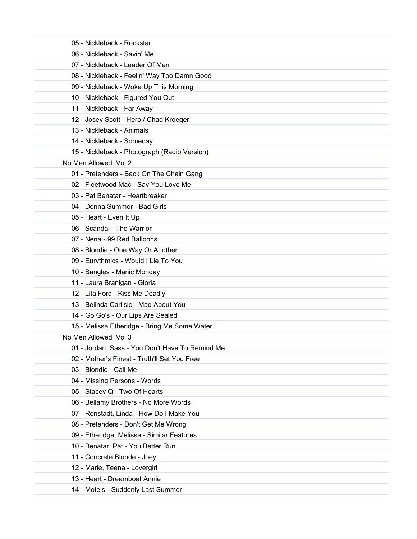| 05 - Nickleback - Rockstar                      |
|-------------------------------------------------|
| 06 - Nickleback - Savin' Me                     |
| 07 - Nickleback - Leader Of Men                 |
| 08 - Nickleback - Feelin' Way Too Damn Good     |
| 09 - Nickleback - Woke Up This Morning          |
| 10 - Nickleback - Figured You Out               |
| 11 - Nickleback - Far Away                      |
| 12 - Josey Scott - Hero / Chad Kroeger          |
| 13 - Nickleback - Animals                       |
| 14 - Nickleback - Someday                       |
| 15 - Nickleback - Photograph (Radio Version)    |
| No Men Allowed Vol 2                            |
| 01 - Pretenders - Back On The Chain Gang        |
| 02 - Fleetwood Mac - Say You Love Me            |
| 03 - Pat Benatar - Heartbreaker                 |
| 04 - Donna Summer - Bad Girls                   |
| 05 - Heart - Even It Up                         |
| 06 - Scandal - The Warrior                      |
| 07 - Nena - 99 Red Balloons                     |
| 08 - Blondie - One Way Or Another               |
| 09 - Eurythmics - Would I Lie To You            |
| 10 - Bangles - Manic Monday                     |
| 11 - Laura Branigan - Gloria                    |
| 12 - Lita Ford - Kiss Me Deadly                 |
| 13 - Belinda Carlisle - Mad About You           |
| 14 - Go Go's - Our Lips Are Sealed              |
| 15 - Melissa Etheridge - Bring Me Some Water    |
| No Men Allowed Vol 3                            |
| 01 - Jordan, Sass - You Don't Have To Remind Me |
| 02 - Mother's Finest - Truth'll Set You Free    |
| 03 - Blondie - Call Me                          |
| 04 - Missing Persons - Words                    |
| 05 - Stacey Q - Two Of Hearts                   |
| 06 - Bellamy Brothers - No More Words           |
| 07 - Ronstadt, Linda - How Do I Make You        |
| 08 - Pretenders - Don't Get Me Wrong            |
| 09 - Etheridge, Melissa - Similar Features      |
| 10 - Benatar, Pat - You Better Run              |
| 11 - Concrete Blonde - Joey                     |
| 12 - Marie, Teena - Lovergirl                   |
| 13 - Heart - Dreamboat Annie                    |
| 14 - Motels - Suddenly Last Summer              |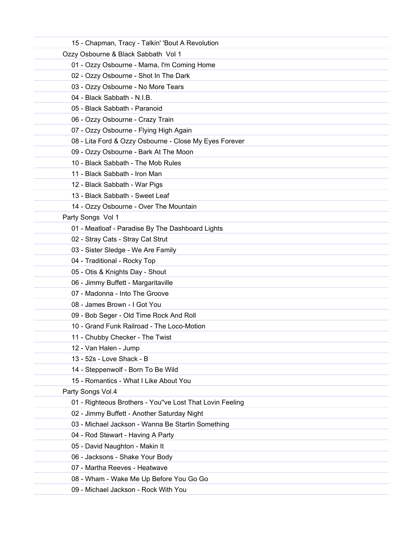| 15 - Chapman, Tracy - Talkin' 'Bout A Revolution         |
|----------------------------------------------------------|
| Ozzy Osbourne & Black Sabbath Vol 1                      |
| 01 - Ozzy Osbourne - Mama, I'm Coming Home               |
| 02 - Ozzy Osbourne - Shot In The Dark                    |
| 03 - Ozzy Osbourne - No More Tears                       |
| 04 - Black Sabbath - N.I.B.                              |
| 05 - Black Sabbath - Paranoid                            |
| 06 - Ozzy Osbourne - Crazy Train                         |
| 07 - Ozzy Osbourne - Flying High Again                   |
| 08 - Lita Ford & Ozzy Osbourne - Close My Eyes Forever   |
| 09 - Ozzy Osbourne - Bark At The Moon                    |
| 10 - Black Sabbath - The Mob Rules                       |
| 11 - Black Sabbath - Iron Man                            |
| 12 - Black Sabbath - War Pigs                            |
| 13 - Black Sabbath - Sweet Leaf                          |
| 14 - Ozzy Osbourne - Over The Mountain                   |
| Party Songs Vol 1                                        |
| 01 - Meatloaf - Paradise By The Dashboard Lights         |
| 02 - Stray Cats - Stray Cat Strut                        |
| 03 - Sister Sledge - We Are Family                       |
| 04 - Traditional - Rocky Top                             |
| 05 - Otis & Knights Day - Shout                          |
| 06 - Jimmy Buffett - Margaritaville                      |
| 07 - Madonna - Into The Groove                           |
| 08 - James Brown - I Got You                             |
| 09 - Bob Seger - Old Time Rock And Roll                  |
| 10 - Grand Funk Railroad - The Loco-Motion               |
| 11 - Chubby Checker - The Twist                          |
| 12 - Van Halen - Jump                                    |
| 13 - 52s - Love Shack - B                                |
| 14 - Steppenwolf - Born To Be Wild                       |
| 15 - Romantics - What I Like About You                   |
| Party Songs Vol.4                                        |
| 01 - Righteous Brothers - You"ve Lost That Lovin Feeling |
| 02 - Jimmy Buffett - Another Saturday Night              |
| 03 - Michael Jackson - Wanna Be Startin Something        |
| 04 - Rod Stewart - Having A Party                        |
| 05 - David Naughton - Makin It                           |
| 06 - Jacksons - Shake Your Body                          |
| 07 - Martha Reeves - Heatwave                            |
| 08 - Wham - Wake Me Up Before You Go Go                  |
| 09 - Michael Jackson - Rock With You                     |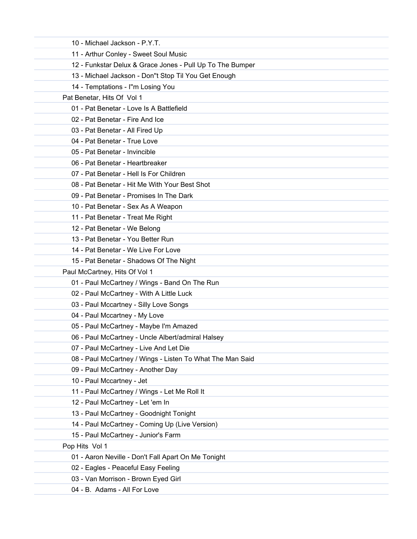| 10 - Michael Jackson - P.Y.T.                             |
|-----------------------------------------------------------|
| 11 - Arthur Conley - Sweet Soul Music                     |
| 12 - Funkstar Delux & Grace Jones - Pull Up To The Bumper |
| 13 - Michael Jackson - Don"t Stop Til You Get Enough      |
| 14 - Temptations - I"m Losing You                         |
| Pat Benetar, Hits Of Vol 1                                |
| 01 - Pat Benetar - Love Is A Battlefield                  |
| 02 - Pat Benetar - Fire And Ice                           |
| 03 - Pat Benetar - All Fired Up                           |
| 04 - Pat Benetar - True Love                              |
| 05 - Pat Benetar - Invincible                             |
| 06 - Pat Benetar - Heartbreaker                           |
| 07 - Pat Benetar - Hell Is For Children                   |
| 08 - Pat Benetar - Hit Me With Your Best Shot             |
| 09 - Pat Benetar - Promises In The Dark                   |
| 10 - Pat Benetar - Sex As A Weapon                        |
| 11 - Pat Benetar - Treat Me Right                         |
| 12 - Pat Benetar - We Belong                              |
| 13 - Pat Benetar - You Better Run                         |
| 14 - Pat Benetar - We Live For Love                       |
| 15 - Pat Benetar - Shadows Of The Night                   |
| Paul McCartney, Hits Of Vol 1                             |
| 01 - Paul McCartney / Wings - Band On The Run             |
| 02 - Paul McCartney - With A Little Luck                  |
| 03 - Paul Mccartney - Silly Love Songs                    |
| 04 - Paul Mccartney - My Love                             |
| 05 - Paul McCartney - Maybe I'm Amazed                    |
| 06 - Paul McCartney - Uncle Albert/admiral Halsey         |
| 07 - Paul McCartney - Live And Let Die                    |
| 08 - Paul McCartney / Wings - Listen To What The Man Said |
| 09 - Paul McCartney - Another Day                         |
| 10 - Paul Mccartney - Jet                                 |
| 11 - Paul McCartney / Wings - Let Me Roll It              |
| 12 - Paul McCartney - Let 'em In                          |
| 13 - Paul McCartney - Goodnight Tonight                   |
| 14 - Paul McCartney - Coming Up (Live Version)            |
| 15 - Paul McCartney - Junior's Farm                       |
| Pop Hits Vol 1                                            |
| 01 - Aaron Neville - Don't Fall Apart On Me Tonight       |
| 02 - Eagles - Peaceful Easy Feeling                       |
| 03 - Van Morrison - Brown Eyed Girl                       |
| 04 - B. Adams - All For Love                              |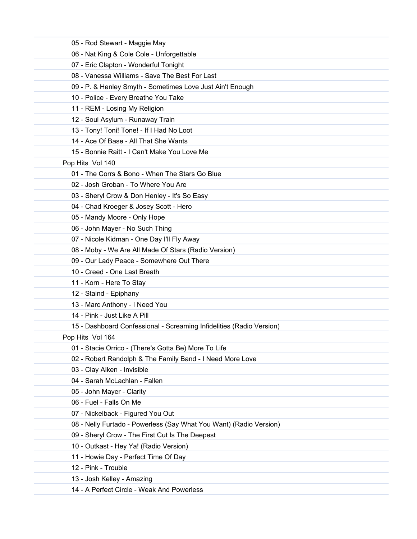| 05 - Rod Stewart - Maggie May                                        |
|----------------------------------------------------------------------|
| 06 - Nat King & Cole Cole - Unforgettable                            |
| 07 - Eric Clapton - Wonderful Tonight                                |
| 08 - Vanessa Williams - Save The Best For Last                       |
| 09 - P. & Henley Smyth - Sometimes Love Just Ain't Enough            |
| 10 - Police - Every Breathe You Take                                 |
| 11 - REM - Losing My Religion                                        |
| 12 - Soul Asylum - Runaway Train                                     |
| 13 - Tony! Toni! Tone! - If I Had No Loot                            |
| 14 - Ace Of Base - All That She Wants                                |
| 15 - Bonnie Raitt - I Can't Make You Love Me                         |
| Pop Hits Vol 140                                                     |
| 01 - The Corrs & Bono - When The Stars Go Blue                       |
| 02 - Josh Groban - To Where You Are                                  |
| 03 - Sheryl Crow & Don Henley - It's So Easy                         |
| 04 - Chad Kroeger & Josey Scott - Hero                               |
| 05 - Mandy Moore - Only Hope                                         |
| 06 - John Mayer - No Such Thing                                      |
| 07 - Nicole Kidman - One Day I'll Fly Away                           |
| 08 - Moby - We Are All Made Of Stars (Radio Version)                 |
| 09 - Our Lady Peace - Somewhere Out There                            |
| 10 - Creed - One Last Breath                                         |
| 11 - Korn - Here To Stay                                             |
| 12 - Staind - Epiphany                                               |
| 13 - Marc Anthony - I Need You                                       |
| 14 - Pink - Just Like A Pill                                         |
| 15 - Dashboard Confessional - Screaming Infidelities (Radio Version) |
| Pop Hits Vol 164                                                     |
| 01 - Stacie Orrico - (There's Gotta Be) More To Life                 |
| 02 - Robert Randolph & The Family Band - I Need More Love            |
| 03 - Clay Aiken - Invisible                                          |
| 04 - Sarah McLachlan - Fallen                                        |
| 05 - John Mayer - Clarity                                            |
| 06 - Fuel - Falls On Me                                              |
| 07 - Nickelback - Figured You Out                                    |
| 08 - Nelly Furtado - Powerless (Say What You Want) (Radio Version)   |
| 09 - Sheryl Crow - The First Cut Is The Deepest                      |
| 10 - Outkast - Hey Ya! (Radio Version)                               |
| 11 - Howie Day - Perfect Time Of Day                                 |
| 12 - Pink - Trouble                                                  |
| 13 - Josh Kelley - Amazing                                           |
| 14 - A Perfect Circle - Weak And Powerless                           |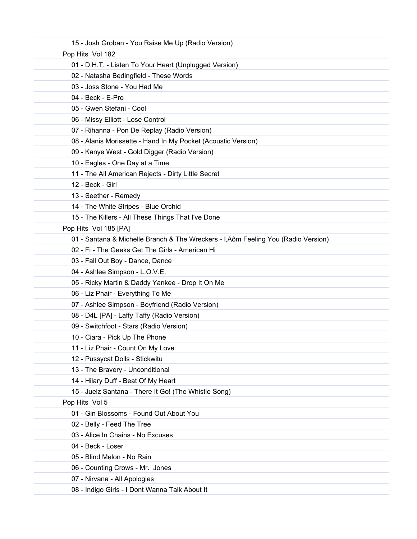| 15 - Josh Groban - You Raise Me Up (Radio Version)                                 |
|------------------------------------------------------------------------------------|
| Pop Hits Vol 182                                                                   |
| 01 - D.H.T. - Listen To Your Heart (Unplugged Version)                             |
| 02 - Natasha Bedingfield - These Words                                             |
| 03 - Joss Stone - You Had Me                                                       |
| 04 - Beck - E-Pro                                                                  |
| 05 - Gwen Stefani - Cool                                                           |
| 06 - Missy Elliott - Lose Control                                                  |
| 07 - Rihanna - Pon De Replay (Radio Version)                                       |
| 08 - Alanis Morissette - Hand In My Pocket (Acoustic Version)                      |
| 09 - Kanye West - Gold Digger (Radio Version)                                      |
| 10 - Eagles - One Day at a Time                                                    |
| 11 - The All American Rejects - Dirty Little Secret                                |
| 12 - Beck - Girl                                                                   |
| 13 - Seether - Remedy                                                              |
| 14 - The White Stripes - Blue Orchid                                               |
| 15 - The Killers - All These Things That I've Done                                 |
| Pop Hits Vol 185 [PA]                                                              |
| 01 - Santana & Michelle Branch & The Wreckers - I, Äôm Feeling You (Radio Version) |
| 02 - Fi - The Geeks Get The Girls - American Hi                                    |
| 03 - Fall Out Boy - Dance, Dance                                                   |
| 04 - Ashlee Simpson - L.O.V.E.                                                     |
| 05 - Ricky Martin & Daddy Yankee - Drop It On Me                                   |
| 06 - Liz Phair - Everything To Me                                                  |
| 07 - Ashlee Simpson - Boyfriend (Radio Version)                                    |
| 08 - D4L [PA] - Laffy Taffy (Radio Version)                                        |
| 09 - Switchfoot - Stars (Radio Version)                                            |
| 10 - Ciara - Pick Up The Phone                                                     |
| 11 - Liz Phair - Count On My Love                                                  |
| 12 - Pussycat Dolls - Stickwitu                                                    |
| 13 - The Bravery - Unconditional                                                   |
| 14 - Hilary Duff - Beat Of My Heart                                                |
| 15 - Juelz Santana - There It Go! (The Whistle Song)                               |
| Pop Hits Vol 5                                                                     |
| 01 - Gin Blossoms - Found Out About You                                            |
| 02 - Belly - Feed The Tree                                                         |
| 03 - Alice In Chains - No Excuses                                                  |
| 04 - Beck - Loser                                                                  |
| 05 - Blind Melon - No Rain                                                         |
| 06 - Counting Crows - Mr. Jones                                                    |
| 07 - Nirvana - All Apologies                                                       |
| 08 - Indigo Girls - I Dont Wanna Talk About It                                     |
|                                                                                    |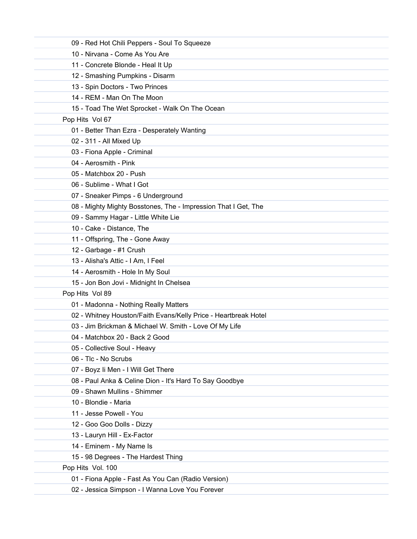| 09 - Red Hot Chili Peppers - Soul To Squeeze                    |
|-----------------------------------------------------------------|
| 10 - Nirvana - Come As You Are                                  |
| 11 - Concrete Blonde - Heal It Up                               |
| 12 - Smashing Pumpkins - Disarm                                 |
| 13 - Spin Doctors - Two Princes                                 |
| 14 - REM - Man On The Moon                                      |
| 15 - Toad The Wet Sprocket - Walk On The Ocean                  |
| Pop Hits Vol 67                                                 |
| 01 - Better Than Ezra - Desperately Wanting                     |
| 02 - 311 - All Mixed Up                                         |
| 03 - Fiona Apple - Criminal                                     |
| 04 - Aerosmith - Pink                                           |
| 05 - Matchbox 20 - Push                                         |
| 06 - Sublime - What I Got                                       |
| 07 - Sneaker Pimps - 6 Underground                              |
| 08 - Mighty Mighty Bosstones, The - Impression That I Get, The  |
| 09 - Sammy Hagar - Little White Lie                             |
| 10 - Cake - Distance, The                                       |
| 11 - Offspring, The - Gone Away                                 |
| 12 - Garbage - #1 Crush                                         |
| 13 - Alisha's Attic - I Am, I Feel                              |
| 14 - Aerosmith - Hole In My Soul                                |
| 15 - Jon Bon Jovi - Midnight In Chelsea                         |
| Pop Hits Vol 89                                                 |
| 01 - Madonna - Nothing Really Matters                           |
| 02 - Whitney Houston/Faith Evans/Kelly Price - Heartbreak Hotel |
| 03 - Jim Brickman & Michael W. Smith - Love Of My Life          |
| 04 - Matchbox 20 - Back 2 Good                                  |
| 05 - Collective Soul - Heavy                                    |
| 06 - Tlc - No Scrubs                                            |
| 07 - Boyz li Men - I Will Get There                             |
| 08 - Paul Anka & Celine Dion - It's Hard To Say Goodbye         |
| 09 - Shawn Mullins - Shimmer                                    |
| 10 - Blondie - Maria                                            |
| 11 - Jesse Powell - You                                         |
| 12 - Goo Goo Dolls - Dizzy                                      |
| 13 - Lauryn Hill - Ex-Factor                                    |
| 14 - Eminem - My Name Is                                        |
| 15 - 98 Degrees - The Hardest Thing                             |
| Pop Hits Vol. 100                                               |
| 01 - Fiona Apple - Fast As You Can (Radio Version)              |
| 02 - Jessica Simpson - I Wanna Love You Forever                 |
|                                                                 |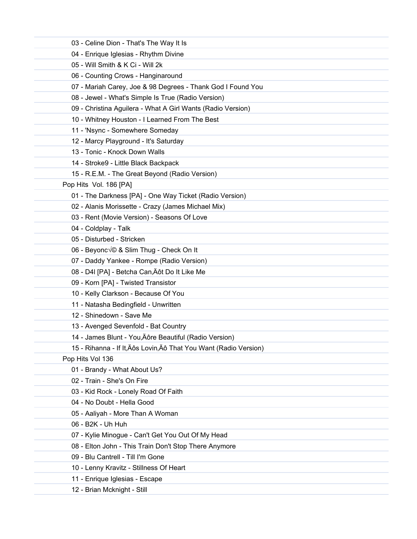| 03 - Celine Dion - That's The Way It Is                           |
|-------------------------------------------------------------------|
| 04 - Enrique Iglesias - Rhythm Divine                             |
| 05 - Will Smith & K Ci - Will 2k                                  |
| 06 - Counting Crows - Hanginaround                                |
| 07 - Mariah Carey, Joe & 98 Degrees - Thank God I Found You       |
| 08 - Jewel - What's Simple Is True (Radio Version)                |
| 09 - Christina Aguilera - What A Girl Wants (Radio Version)       |
| 10 - Whitney Houston - I Learned From The Best                    |
| 11 - 'Nsync - Somewhere Someday                                   |
| 12 - Marcy Playground - It's Saturday                             |
| 13 - Tonic - Knock Down Walls                                     |
| 14 - Stroke9 - Little Black Backpack                              |
| 15 - R.E.M. - The Great Beyond (Radio Version)                    |
| Pop Hits Vol. 186 [PA]                                            |
| 01 - The Darkness [PA] - One Way Ticket (Radio Version)           |
| 02 - Alanis Morissette - Crazy (James Michael Mix)                |
| 03 - Rent (Movie Version) - Seasons Of Love                       |
| 04 - Coldplay - Talk                                              |
| 05 - Disturbed - Stricken                                         |
| 06 - Beyoncé & Slim Thug - Check On It                            |
| 07 - Daddy Yankee - Rompe (Radio Version)                         |
| 08 - D4I [PA] - Betcha Can, Äôt Do It Like Me                     |
| 09 - Korn [PA] - Twisted Transistor                               |
| 10 - Kelly Clarkson - Because Of You                              |
| 11 - Natasha Bedingfield - Unwritten                              |
| 12 - Shinedown - Save Me                                          |
| 13 - Avenged Sevenfold - Bat Country                              |
| 14 - James Blunt - You, Äôre Beautiful (Radio Version)            |
| 15 - Rihanna - If It, Äôs Lovin, Äô That You Want (Radio Version) |
| Pop Hits Vol 136                                                  |
| 01 - Brandy - What About Us?                                      |
| 02 - Train - She's On Fire                                        |
| 03 - Kid Rock - Lonely Road Of Faith                              |
| 04 - No Doubt - Hella Good                                        |
| 05 - Aaliyah - More Than A Woman                                  |
| 06 - B2K - Uh Huh                                                 |
| 07 - Kylie Minogue - Can't Get You Out Of My Head                 |
| 08 - Elton John - This Train Don't Stop There Anymore             |
| 09 - Blu Cantrell - Till I'm Gone                                 |
| 10 - Lenny Kravitz - Stillness Of Heart                           |
| 11 - Enrique Iglesias - Escape                                    |
| 12 - Brian Mcknight - Still                                       |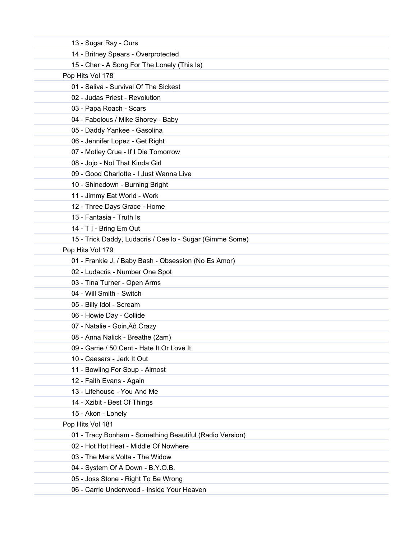| 13 - Sugar Ray - Ours                                    |
|----------------------------------------------------------|
| 14 - Britney Spears - Overprotected                      |
| 15 - Cher - A Song For The Lonely (This Is)              |
| Pop Hits Vol 178                                         |
| 01 - Saliva - Survival Of The Sickest                    |
| 02 - Judas Priest - Revolution                           |
| 03 - Papa Roach - Scars                                  |
| 04 - Fabolous / Mike Shorey - Baby                       |
| 05 - Daddy Yankee - Gasolina                             |
| 06 - Jennifer Lopez - Get Right                          |
| 07 - Motley Crue - If I Die Tomorrow                     |
| 08 - Jojo - Not That Kinda Girl                          |
| 09 - Good Charlotte - I Just Wanna Live                  |
| 10 - Shinedown - Burning Bright                          |
| 11 - Jimmy Eat World - Work                              |
| 12 - Three Days Grace - Home                             |
| 13 - Fantasia - Truth Is                                 |
| 14 - T I - Bring Em Out                                  |
| 15 - Trick Daddy, Ludacris / Cee lo - Sugar (Gimme Some) |
| Pop Hits Vol 179                                         |
| 01 - Frankie J. / Baby Bash - Obsession (No Es Amor)     |
| 02 - Ludacris - Number One Spot                          |
| 03 - Tina Turner - Open Arms                             |
| 04 - Will Smith - Switch                                 |
| 05 - Billy Idol - Scream                                 |
| 06 - Howie Day - Collide                                 |
| 07 - Natalie - Goin, Äô Crazy                            |
| 08 - Anna Nalick - Breathe (2am)                         |
| 09 - Game / 50 Cent - Hate It Or Love It                 |
| 10 - Caesars - Jerk It Out                               |
| 11 - Bowling For Soup - Almost                           |
| 12 - Faith Evans - Again                                 |
| 13 - Lifehouse - You And Me                              |
| 14 - Xzibit - Best Of Things                             |
| 15 - Akon - Lonely                                       |
| Pop Hits Vol 181                                         |
| 01 - Tracy Bonham - Something Beautiful (Radio Version)  |
| 02 - Hot Hot Heat - Middle Of Nowhere                    |
| 03 - The Mars Volta - The Widow                          |
| 04 - System Of A Down - B.Y.O.B.                         |
| 05 - Joss Stone - Right To Be Wrong                      |
| 06 - Carrie Underwood - Inside Your Heaven               |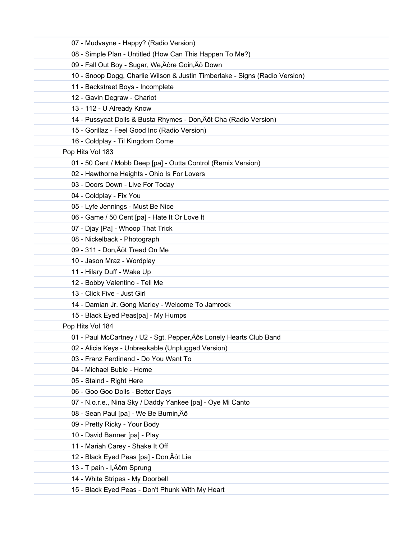| 07 - Mudvayne - Happy? (Radio Version)                                      |  |
|-----------------------------------------------------------------------------|--|
| 08 - Simple Plan - Untitled (How Can This Happen To Me?)                    |  |
| 09 - Fall Out Boy - Sugar, We, Äôre Goin, Äô Down                           |  |
| 10 - Snoop Dogg, Charlie Wilson & Justin Timberlake - Signs (Radio Version) |  |
| 11 - Backstreet Boys - Incomplete                                           |  |
| 12 - Gavin Degraw - Chariot                                                 |  |
| 13 - 112 - U Already Know                                                   |  |
| 14 - Pussycat Dolls & Busta Rhymes - Don, Äôt Cha (Radio Version)           |  |
| 15 - Gorillaz - Feel Good Inc (Radio Version)                               |  |
| 16 - Coldplay - Til Kingdom Come                                            |  |
| Pop Hits Vol 183                                                            |  |
| 01 - 50 Cent / Mobb Deep [pa] - Outta Control (Remix Version)               |  |
| 02 - Hawthorne Heights - Ohio Is For Lovers                                 |  |
| 03 - Doors Down - Live For Today                                            |  |
| 04 - Coldplay - Fix You                                                     |  |
| 05 - Lyfe Jennings - Must Be Nice                                           |  |
| 06 - Game / 50 Cent [pa] - Hate It Or Love It                               |  |
| 07 - Djay [Pa] - Whoop That Trick                                           |  |
| 08 - Nickelback - Photograph                                                |  |
| 09 - 311 - Don, Äôt Tread On Me                                             |  |
| 10 - Jason Mraz - Wordplay                                                  |  |
| 11 - Hilary Duff - Wake Up                                                  |  |
| 12 - Bobby Valentino - Tell Me                                              |  |
| 13 - Click Five - Just Girl                                                 |  |
| 14 - Damian Jr. Gong Marley - Welcome To Jamrock                            |  |
| 15 - Black Eyed Peas[pa] - My Humps                                         |  |
| Pop Hits Vol 184                                                            |  |
| 01 - Paul McCartney / U2 - Sgt. Pepper, Äôs Lonely Hearts Club Band         |  |
| 02 - Alicia Keys - Unbreakable (Unplugged Version)                          |  |
| 03 - Franz Ferdinand - Do You Want To                                       |  |
| 04 - Michael Buble - Home                                                   |  |
| 05 - Staind - Right Here                                                    |  |
| 06 - Goo Goo Dolls - Better Days                                            |  |
| 07 - N.o.r.e., Nina Sky / Daddy Yankee [pa] - Oye Mi Canto                  |  |
| 08 - Sean Paul [pa] - We Be Burnin, Äô                                      |  |
| 09 - Pretty Ricky - Your Body                                               |  |
| 10 - David Banner [pa] - Play                                               |  |
| 11 - Mariah Carey - Shake It Off                                            |  |
| 12 - Black Eyed Peas [pa] - Don, Äôt Lie                                    |  |
| 13 - T pain - I, Äôm Sprung                                                 |  |
| 14 - White Stripes - My Doorbell                                            |  |
| 15 - Black Eyed Peas - Don't Phunk With My Heart                            |  |
|                                                                             |  |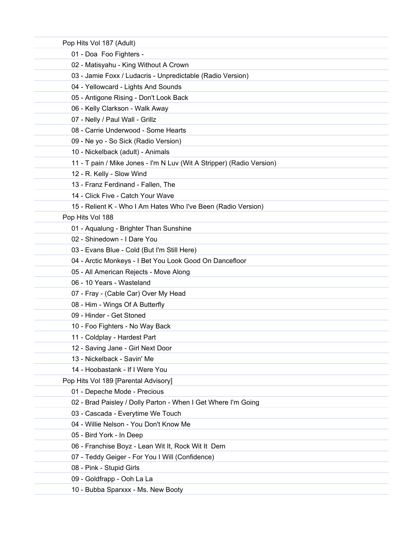| Pop Hits Vol 187 (Adult)                                              |
|-----------------------------------------------------------------------|
| 01 - Doa Foo Fighters -                                               |
| 02 - Matisyahu - King Without A Crown                                 |
| 03 - Jamie Foxx / Ludacris - Unpredictable (Radio Version)            |
| 04 - Yellowcard - Lights And Sounds                                   |
| 05 - Antigone Rising - Don't Look Back                                |
| 06 - Kelly Clarkson - Walk Away                                       |
| 07 - Nelly / Paul Wall - Grillz                                       |
| 08 - Carrie Underwood - Some Hearts                                   |
| 09 - Ne yo - So Sick (Radio Version)                                  |
| 10 - Nickelback (adult) - Animals                                     |
| 11 - T pain / Mike Jones - I'm N Luv (Wit A Stripper) (Radio Version) |
| 12 - R. Kelly - Slow Wind                                             |
| 13 - Franz Ferdinand - Fallen, The                                    |
| 14 - Click Five - Catch Your Wave                                     |
| 15 - Relient K - Who I Am Hates Who I've Been (Radio Version)         |
| Pop Hits Vol 188                                                      |
| 01 - Aqualung - Brighter Than Sunshine                                |
| 02 - Shinedown - I Dare You                                           |
| 03 - Evans Blue - Cold (But I'm Still Here)                           |
| 04 - Arctic Monkeys - I Bet You Look Good On Dancefloor               |
| 05 - All American Rejects - Move Along                                |
| 06 - 10 Years - Wasteland                                             |
| 07 - Fray - (Cable Car) Over My Head                                  |
| 08 - Him - Wings Of A Butterfly                                       |
| 09 - Hinder - Get Stoned                                              |
| 10 - Foo Fighters - No Way Back                                       |
| 11 - Coldplay - Hardest Part                                          |
| 12 - Saving Jane - Girl Next Door                                     |
| 13 - Nickelback - Savin' Me                                           |
| 14 - Hoobastank - If I Were You                                       |
| Pop Hits Vol 189 [Parental Advisory]                                  |
| 01 - Depeche Mode - Precious                                          |
| 02 - Brad Paisley / Dolly Parton - When I Get Where I'm Going         |
| 03 - Cascada - Everytime We Touch                                     |
|                                                                       |
| 04 - Willie Nelson - You Don't Know Me                                |
| 05 - Bird York - In Deep                                              |
| 06 - Franchise Boyz - Lean Wit It, Rock Wit It Dem                    |
| 07 - Teddy Geiger - For You I Will (Confidence)                       |
| 08 - Pink - Stupid Girls                                              |
| 09 - Goldfrapp - Ooh La La                                            |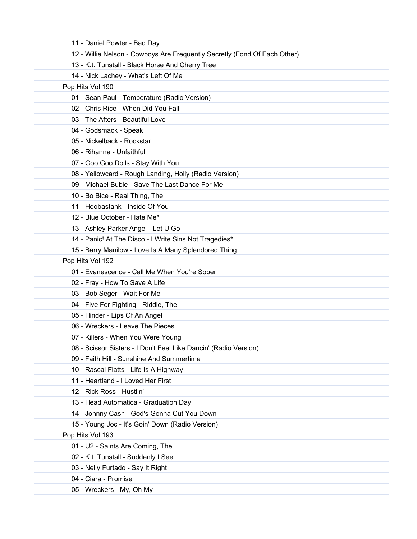| 11 - Daniel Powter - Bad Day                                              |
|---------------------------------------------------------------------------|
| 12 - Willie Nelson - Cowboys Are Frequently Secretly (Fond Of Each Other) |
| 13 - K.t. Tunstall - Black Horse And Cherry Tree                          |
| 14 - Nick Lachey - What's Left Of Me                                      |
| Pop Hits Vol 190                                                          |
| 01 - Sean Paul - Temperature (Radio Version)                              |
| 02 - Chris Rice - When Did You Fall                                       |
| 03 - The Afters - Beautiful Love                                          |
| 04 - Godsmack - Speak                                                     |
| 05 - Nickelback - Rockstar                                                |
| 06 - Rihanna - Unfaithful                                                 |
| 07 - Goo Goo Dolls - Stay With You                                        |
| 08 - Yellowcard - Rough Landing, Holly (Radio Version)                    |
| 09 - Michael Buble - Save The Last Dance For Me                           |
| 10 - Bo Bice - Real Thing, The                                            |
| 11 - Hoobastank - Inside Of You                                           |
| 12 - Blue October - Hate Me*                                              |
| 13 - Ashley Parker Angel - Let U Go                                       |
| 14 - Panic! At The Disco - I Write Sins Not Tragedies*                    |
| 15 - Barry Manilow - Love Is A Many Splendored Thing                      |
| Pop Hits Vol 192                                                          |
| 01 - Evanescence - Call Me When You're Sober                              |
| 02 - Fray - How To Save A Life                                            |
| 03 - Bob Seger - Wait For Me                                              |
| 04 - Five For Fighting - Riddle, The                                      |
| 05 - Hinder - Lips Of An Angel                                            |
| 06 - Wreckers - Leave The Pieces                                          |
| 07 - Killers - When You Were Young                                        |
| 08 - Scissor Sisters - I Don't Feel Like Dancin' (Radio Version)          |
| 09 - Faith Hill - Sunshine And Summertime                                 |
| 10 - Rascal Flatts - Life Is A Highway                                    |
| 11 - Heartland - I Loved Her First                                        |
| 12 - Rick Ross - Hustlin'                                                 |
| 13 - Head Automatica - Graduation Day                                     |
| 14 - Johnny Cash - God's Gonna Cut You Down                               |
| 15 - Young Joc - It's Goin' Down (Radio Version)                          |
| Pop Hits Vol 193                                                          |
| 01 - U2 - Saints Are Coming, The                                          |
| 02 - K.t. Tunstall - Suddenly I See                                       |
| 03 - Nelly Furtado - Say It Right                                         |
| 04 - Ciara - Promise                                                      |
| 05 - Wreckers - My, Oh My                                                 |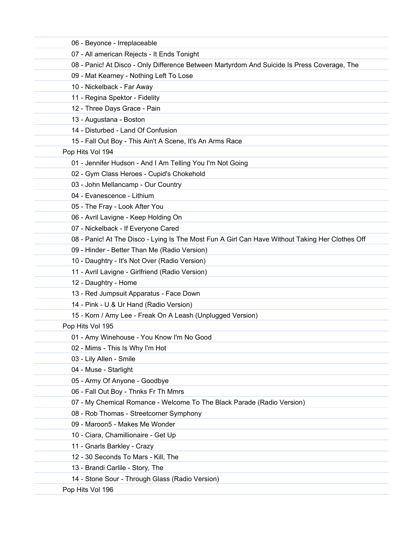| 06 - Beyonce - Irreplaceable                                                                    |
|-------------------------------------------------------------------------------------------------|
| 07 - All american Rejects - It Ends Tonight                                                     |
| 08 - Panic! At Disco - Only Difference Between Martyrdom And Suicide Is Press Coverage, The     |
| 09 - Mat Kearney - Nothing Left To Lose                                                         |
| 10 - Nickelback - Far Away                                                                      |
| 11 - Regina Spektor - Fidelity                                                                  |
| 12 - Three Days Grace - Pain                                                                    |
| 13 - Augustana - Boston                                                                         |
| 14 - Disturbed - Land Of Confusion                                                              |
| 15 - Fall Out Boy - This Ain't A Scene, It's An Arms Race                                       |
| Pop Hits Vol 194                                                                                |
| 01 - Jennifer Hudson - And I Am Telling You I'm Not Going                                       |
| 02 - Gym Class Heroes - Cupid's Chokehold                                                       |
| 03 - John Mellancamp - Our Country                                                              |
| 04 - Evanescence - Lithium                                                                      |
| 05 - The Fray - Look After You                                                                  |
| 06 - Avril Lavigne - Keep Holding On                                                            |
| 07 - Nickelback - If Everyone Cared                                                             |
| 08 - Panic! At The Disco - Lying Is The Most Fun A Girl Can Have Without Taking Her Clothes Off |
| 09 - Hinder - Better Than Me (Radio Version)                                                    |
| 10 - Daughtry - It's Not Over (Radio Version)                                                   |
| 11 - Avril Lavigne - Girlfriend (Radio Version)                                                 |
| 12 - Daughtry - Home                                                                            |
| 13 - Red Jumpsuit Apparatus - Face Down                                                         |
| 14 - Pink - U & Ur Hand (Radio Version)                                                         |
| 15 - Korn / Amy Lee - Freak On A Leash (Unplugged Version)                                      |
| Pop Hits Vol 195                                                                                |
| 01 - Amy Winehouse - You Know I'm No Good                                                       |
| 02 - Mims - This Is Why I'm Hot                                                                 |
| 03 - Lily Allen - Smile                                                                         |
| 04 - Muse - Starlight                                                                           |
| 05 - Army Of Anyone - Goodbye                                                                   |
| 06 - Fall Out Boy - Thnks Fr Th Mmrs                                                            |
| 07 - My Chemical Romance - Welcome To The Black Parade (Radio Version)                          |
| 08 - Rob Thomas - Streetcorner Symphony                                                         |
| 09 - Maroon5 - Makes Me Wonder                                                                  |
| 10 - Ciara, Chamillionaire - Get Up                                                             |
| 11 - Gnarls Barkley - Crazy                                                                     |
| 12 - 30 Seconds To Mars - Kill, The                                                             |
| 13 - Brandi Carlile - Story, The                                                                |
| 14 - Stone Sour - Through Glass (Radio Version)                                                 |
| Pop Hits Vol 196                                                                                |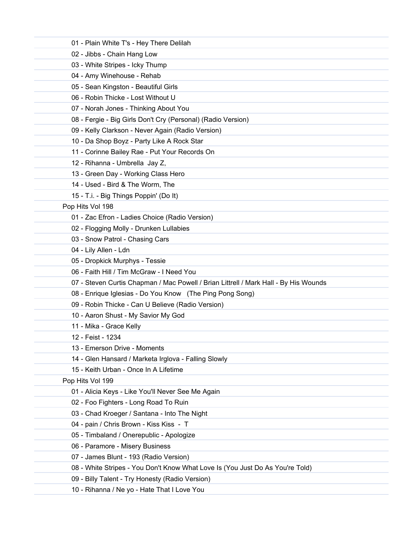| 01 - Plain White T's - Hey There Delilah                                                       |
|------------------------------------------------------------------------------------------------|
| 02 - Jibbs - Chain Hang Low                                                                    |
| 03 - White Stripes - Icky Thump                                                                |
| 04 - Amy Winehouse - Rehab                                                                     |
| 05 - Sean Kingston - Beautiful Girls                                                           |
| 06 - Robin Thicke - Lost Without U                                                             |
| 07 - Norah Jones - Thinking About You                                                          |
| 08 - Fergie - Big Girls Don't Cry (Personal) (Radio Version)                                   |
| 09 - Kelly Clarkson - Never Again (Radio Version)                                              |
| 10 - Da Shop Boyz - Party Like A Rock Star                                                     |
| 11 - Corinne Bailey Rae - Put Your Records On                                                  |
| 12 - Rihanna - Umbrella Jay Z,                                                                 |
| 13 - Green Day - Working Class Hero                                                            |
| 14 - Used - Bird & The Worm, The                                                               |
| 15 - T.i. - Big Things Poppin' (Do It)                                                         |
| Pop Hits Vol 198                                                                               |
| 01 - Zac Efron - Ladies Choice (Radio Version)                                                 |
| 02 - Flogging Molly - Drunken Lullabies                                                        |
| 03 - Snow Patrol - Chasing Cars                                                                |
| 04 - Lily Allen - Ldn                                                                          |
| 05 - Dropkick Murphys - Tessie                                                                 |
| 06 - Faith Hill / Tim McGraw - I Need You                                                      |
| 07 - Steven Curtis Chapman / Mac Powell / Brian Littrell / Mark Hall - By His Wounds           |
| 08 - Enrique Iglesias - Do You Know (The Ping Pong Song)                                       |
| 09 - Robin Thicke - Can U Believe (Radio Version)                                              |
|                                                                                                |
| 10 - Aaron Shust - My Savior My God                                                            |
| 11 - Mika - Grace Kelly                                                                        |
| 12 - Feist - 1234                                                                              |
| 13 - Emerson Drive - Moments                                                                   |
| 14 - Glen Hansard / Marketa Irglova - Falling Slowly                                           |
| 15 - Keith Urban - Once In A Lifetime                                                          |
| Pop Hits Vol 199                                                                               |
| 01 - Alicia Keys - Like You'll Never See Me Again                                              |
| 02 - Foo Fighters - Long Road To Ruin                                                          |
| 03 - Chad Kroeger / Santana - Into The Night                                                   |
| 04 - pain / Chris Brown - Kiss Kiss - T                                                        |
| 05 - Timbaland / Onerepublic - Apologize                                                       |
| 06 - Paramore - Misery Business                                                                |
| 07 - James Blunt - 193 (Radio Version)                                                         |
| 08 - White Stripes - You Don't Know What Love Is (You Just Do As You're Told)                  |
| 09 - Billy Talent - Try Honesty (Radio Version)<br>10 - Rihanna / Ne yo - Hate That I Love You |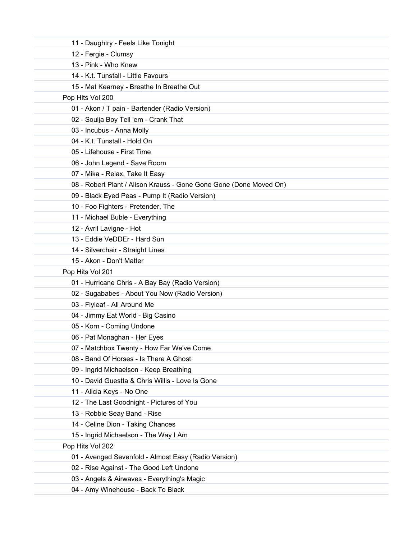| 11 - Daughtry - Feels Like Tonight                                 |
|--------------------------------------------------------------------|
| 12 - Fergie - Clumsy                                               |
| 13 - Pink - Who Knew                                               |
| 14 - K.t. Tunstall - Little Favours                                |
| 15 - Mat Kearney - Breathe In Breathe Out                          |
| Pop Hits Vol 200                                                   |
| 01 - Akon / T pain - Bartender (Radio Version)                     |
| 02 - Soulja Boy Tell 'em - Crank That                              |
| 03 - Incubus - Anna Molly                                          |
| 04 - K.t. Tunstall - Hold On                                       |
| 05 - Lifehouse - First Time                                        |
| 06 - John Legend - Save Room                                       |
| 07 - Mika - Relax, Take It Easy                                    |
| 08 - Robert Plant / Alison Krauss - Gone Gone Gone (Done Moved On) |
| 09 - Black Eyed Peas - Pump It (Radio Version)                     |
| 10 - Foo Fighters - Pretender, The                                 |
| 11 - Michael Buble - Everything                                    |
| 12 - Avril Lavigne - Hot                                           |
| 13 - Eddie VeDDEr - Hard Sun                                       |
| 14 - Silverchair - Straight Lines                                  |
| 15 - Akon - Don't Matter                                           |
| Pop Hits Vol 201                                                   |
| 01 - Hurricane Chris - A Bay Bay (Radio Version)                   |
| 02 - Sugababes - About You Now (Radio Version)                     |
| 03 - Flyleaf - All Around Me                                       |
| 04 - Jimmy Eat World - Big Casino                                  |
| 05 - Korn - Coming Undone                                          |
| 06 - Pat Monaghan - Her Eyes                                       |
| 07 - Matchbox Twenty - How Far We've Come                          |
| 08 - Band Of Horses - Is There A Ghost                             |
| 09 - Ingrid Michaelson - Keep Breathing                            |
| 10 - David Guestta & Chris Willis - Love Is Gone                   |
| 11 - Alicia Keys - No One                                          |
| 12 - The Last Goodnight - Pictures of You                          |
| 13 - Robbie Seay Band - Rise                                       |
| 14 - Celine Dion - Taking Chances                                  |
| 15 - Ingrid Michaelson - The Way I Am                              |
| Pop Hits Vol 202                                                   |
| 01 - Avenged Sevenfold - Almost Easy (Radio Version)               |
| 02 - Rise Against - The Good Left Undone                           |
|                                                                    |
| 03 - Angels & Airwaves - Everything's Magic                        |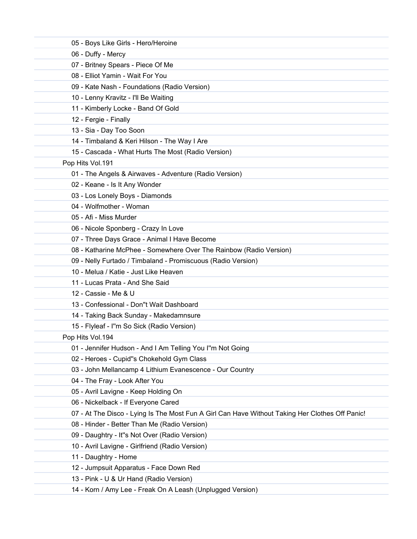| 05 - Boys Like Girls - Hero/Heroine                                                             |
|-------------------------------------------------------------------------------------------------|
| 06 - Duffy - Mercy                                                                              |
| 07 - Britney Spears - Piece Of Me                                                               |
| 08 - Elliot Yamin - Wait For You                                                                |
| 09 - Kate Nash - Foundations (Radio Version)                                                    |
| 10 - Lenny Kravitz - I'll Be Waiting                                                            |
| 11 - Kimberly Locke - Band Of Gold                                                              |
| 12 - Fergie - Finally                                                                           |
| 13 - Sia - Day Too Soon                                                                         |
| 14 - Timbaland & Keri Hilson - The Way I Are                                                    |
| 15 - Cascada - What Hurts The Most (Radio Version)                                              |
| Pop Hits Vol.191                                                                                |
| 01 - The Angels & Airwaves - Adventure (Radio Version)                                          |
| 02 - Keane - Is It Any Wonder                                                                   |
| 03 - Los Lonely Boys - Diamonds                                                                 |
| 04 - Wolfmother - Woman                                                                         |
| 05 - Afi - Miss Murder                                                                          |
| 06 - Nicole Sponberg - Crazy In Love                                                            |
| 07 - Three Days Grace - Animal I Have Become                                                    |
| 08 - Katharine McPhee - Somewhere Over The Rainbow (Radio Version)                              |
| 09 - Nelly Furtado / Timbaland - Promiscuous (Radio Version)                                    |
| 10 - Melua / Katie - Just Like Heaven                                                           |
| 11 - Lucas Prata - And She Said                                                                 |
| 12 - Cassie - Me & U                                                                            |
| 13 - Confessional - Don"t Wait Dashboard                                                        |
| 14 - Taking Back Sunday - Makedamnsure                                                          |
| 15 - Flyleaf - I"m So Sick (Radio Version)                                                      |
| Pop Hits Vol.194                                                                                |
| 01 - Jennifer Hudson - And I Am Telling You I''m Not Going                                      |
| 02 - Heroes - Cupid"s Chokehold Gym Class                                                       |
| 03 - John Mellancamp 4 Lithium Evanescence - Our Country                                        |
| 04 - The Fray - Look After You                                                                  |
| 05 - Avril Lavigne - Keep Holding On                                                            |
| 06 - Nickelback - If Everyone Cared                                                             |
| 07 - At The Disco - Lying Is The Most Fun A Girl Can Have Without Taking Her Clothes Off Panic! |
| 08 - Hinder - Better Than Me (Radio Version)                                                    |
| 09 - Daughtry - It"s Not Over (Radio Version)                                                   |
| 10 - Avril Lavigne - Girlfriend (Radio Version)                                                 |
| 11 - Daughtry - Home                                                                            |
| 12 - Jumpsuit Apparatus - Face Down Red                                                         |
| 13 - Pink - U & Ur Hand (Radio Version)                                                         |
| 14 - Korn / Amy Lee - Freak On A Leash (Unplugged Version)                                      |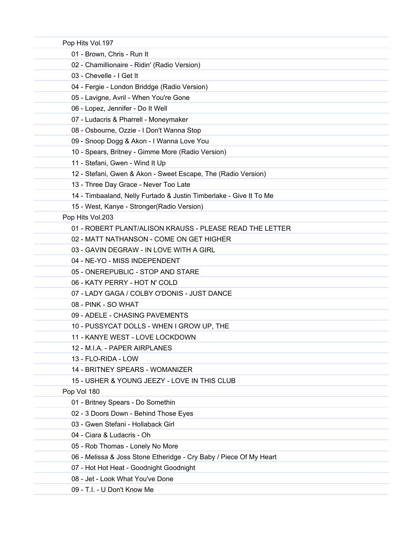| Pop Hits Vol.197                                                   |
|--------------------------------------------------------------------|
| 01 - Brown, Chris - Run It                                         |
| 02 - Chamillionaire - Ridin' (Radio Version)                       |
| 03 - Chevelle - I Get It                                           |
| 04 - Fergie - London Briddge (Radio Version)                       |
| 05 - Lavigne, Avril - When You're Gone                             |
| 06 - Lopez, Jennifer - Do It Well                                  |
| 07 - Ludacris & Pharrell - Moneymaker                              |
| 08 - Osbourne, Ozzie - I Don't Wanna Stop                          |
| 09 - Snoop Dogg & Akon - I Wanna Love You                          |
| 10 - Spears, Britney - Gimme More (Radio Version)                  |
| 11 - Stefani, Gwen - Wind It Up                                    |
| 12 - Stefani, Gwen & Akon - Sweet Escape, The (Radio Version)      |
| 13 - Three Day Grace - Never Too Late                              |
| 14 - Timbaaland, Nelly Furtado & Justin Timberlake - Give It To Me |
| 15 - West, Kanye - Stronger(Radio Version)                         |
| Pop Hits Vol.203                                                   |
| 01 - ROBERT PLANT/ALISON KRAUSS - PLEASE READ THE LETTER           |
| 02 - MATT NATHANSON - COME ON GET HIGHER                           |
| 03 - GAVIN DEGRAW - IN LOVE WITH A GIRL                            |
| 04 - NE-YO - MISS INDEPENDENT                                      |
| 05 - ONEREPUBLIC - STOP AND STARE                                  |
| 06 - KATY PERRY - HOT N' COLD                                      |
| 07 - LADY GAGA / COLBY O'DONIS - JUST DANCE                        |
| 08 - PINK - SO WHAT                                                |
| 09 - ADELE - CHASING PAVEMENTS                                     |
| 10 - PUSSYCAT DOLLS - WHEN I GROW UP, THE                          |
| 11 - KANYE WEST - LOVE LOCKDOWN                                    |
| 12 - M.I.A. - PAPER AIRPLANES                                      |
| 13 - FLO-RIDA - LOW                                                |
| 14 - BRITNEY SPEARS - WOMANIZER                                    |
| 15 - USHER & YOUNG JEEZY - LOVE IN THIS CLUB                       |
| Pop Vol 180                                                        |
| 01 - Britney Spears - Do Somethin                                  |
| 02 - 3 Doors Down - Behind Those Eyes                              |
| 03 - Gwen Stefani - Hollaback Girl                                 |
| 04 - Ciara & Ludacris - Oh                                         |
| 05 - Rob Thomas - Lonely No More                                   |
| 06 - Melissa & Joss Stone Etheridge - Cry Baby / Piece Of My Heart |
| 07 - Hot Hot Heat - Goodnight Goodnight                            |
| 08 - Jet - Look What You've Done                                   |
| 09 - T.I. - U Don't Know Me                                        |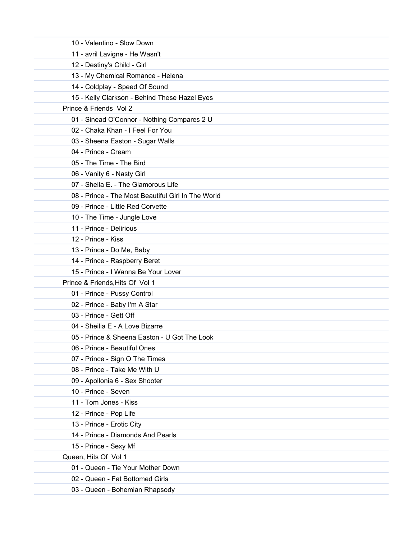| 10 - Valentino - Slow Down                         |
|----------------------------------------------------|
| 11 - avril Lavigne - He Wasn't                     |
| 12 - Destiny's Child - Girl                        |
| 13 - My Chemical Romance - Helena                  |
| 14 - Coldplay - Speed Of Sound                     |
| 15 - Kelly Clarkson - Behind These Hazel Eyes      |
| Prince & Friends Vol 2                             |
| 01 - Sinead O'Connor - Nothing Compares 2 U        |
| 02 - Chaka Khan - I Feel For You                   |
| 03 - Sheena Easton - Sugar Walls                   |
| 04 - Prince - Cream                                |
| 05 - The Time - The Bird                           |
| 06 - Vanity 6 - Nasty Girl                         |
| 07 - Sheila E. - The Glamorous Life                |
| 08 - Prince - The Most Beautiful Girl In The World |
| 09 - Prince - Little Red Corvette                  |
| 10 - The Time - Jungle Love                        |
| 11 - Prince - Delirious                            |
| 12 - Prince - Kiss                                 |
| 13 - Prince - Do Me, Baby                          |
| 14 - Prince - Raspberry Beret                      |
| 15 - Prince - I Wanna Be Your Lover                |
| Prince & Friends, Hits Of Vol 1                    |
| 01 - Prince - Pussy Control                        |
| 02 - Prince - Baby I'm A Star                      |
| 03 - Prince - Gett Off                             |
| 04 - Sheilia E - A Love Bizarre                    |
| 05 - Prince & Sheena Easton - U Got The Look       |
| 06 - Prince - Beautiful Ones                       |
| 07 - Prince - Sign O The Times                     |
| 08 - Prince - Take Me With U                       |
| 09 - Apollonia 6 - Sex Shooter                     |
| 10 - Prince - Seven                                |
| 11 - Tom Jones - Kiss                              |
| 12 - Prince - Pop Life                             |
| 13 - Prince - Erotic City                          |
| 14 - Prince - Diamonds And Pearls                  |
| 15 - Prince - Sexy Mf                              |
| Queen, Hits Of Vol 1                               |
| 01 - Queen - Tie Your Mother Down                  |
| 02 - Queen - Fat Bottomed Girls                    |
| 03 - Queen - Bohemian Rhapsody                     |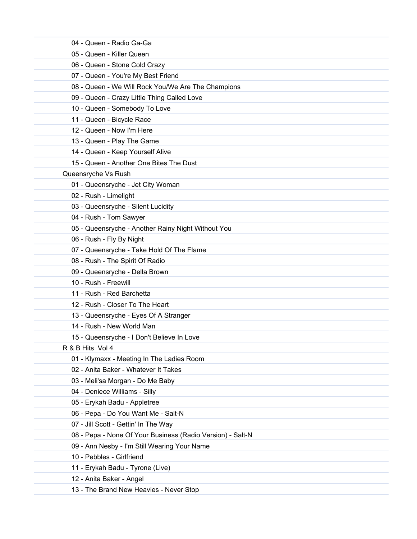| 04 - Queen - Radio Ga-Ga                                   |
|------------------------------------------------------------|
| 05 - Queen - Killer Queen                                  |
| 06 - Queen - Stone Cold Crazy                              |
| 07 - Queen - You're My Best Friend                         |
| 08 - Queen - We Will Rock You/We Are The Champions         |
| 09 - Queen - Crazy Little Thing Called Love                |
| 10 - Queen - Somebody To Love                              |
| 11 - Queen - Bicycle Race                                  |
| 12 - Queen - Now I'm Here                                  |
| 13 - Queen - Play The Game                                 |
| 14 - Queen - Keep Yourself Alive                           |
| 15 - Queen - Another One Bites The Dust                    |
| Queensryche Vs Rush                                        |
| 01 - Queensryche - Jet City Woman                          |
| 02 - Rush - Limelight                                      |
| 03 - Queensryche - Silent Lucidity                         |
| 04 - Rush - Tom Sawyer                                     |
| 05 - Queensryche - Another Rainy Night Without You         |
| 06 - Rush - Fly By Night                                   |
| 07 - Queensryche - Take Hold Of The Flame                  |
| 08 - Rush - The Spirit Of Radio                            |
| 09 - Queensryche - Della Brown                             |
| 10 - Rush - Freewill                                       |
| 11 - Rush - Red Barchetta                                  |
| 12 - Rush - Closer To The Heart                            |
| 13 - Queensryche - Eyes Of A Stranger                      |
| 14 - Rush - New World Man                                  |
| 15 - Queensryche - I Don't Believe In Love                 |
| R & B Hits Vol 4                                           |
| 01 - Klymaxx - Meeting In The Ladies Room                  |
| 02 - Anita Baker - Whatever It Takes                       |
| 03 - Meli'sa Morgan - Do Me Baby                           |
| 04 - Deniece Williams - Silly                              |
| 05 - Erykah Badu - Appletree                               |
| 06 - Pepa - Do You Want Me - Salt-N                        |
| 07 - Jill Scott - Gettin' In The Way                       |
| 08 - Pepa - None Of Your Business (Radio Version) - Salt-N |
| 09 - Ann Nesby - I'm Still Wearing Your Name               |
| 10 - Pebbles - Girlfriend                                  |
| 11 - Erykah Badu - Tyrone (Live)                           |
| 12 - Anita Baker - Angel                                   |
| 13 - The Brand New Heavies - Never Stop                    |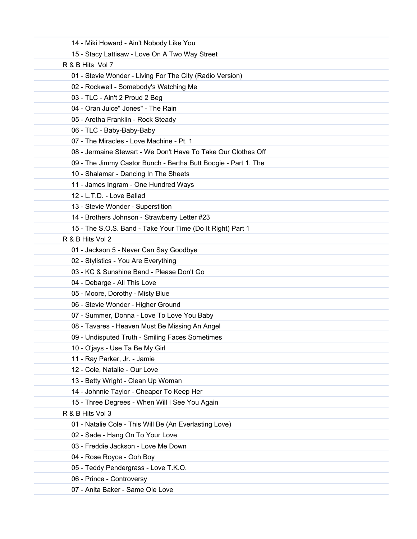| 14 - Miki Howard - Ain't Nobody Like You                       |
|----------------------------------------------------------------|
| 15 - Stacy Lattisaw - Love On A Two Way Street                 |
| R & B Hits Vol 7                                               |
| 01 - Stevie Wonder - Living For The City (Radio Version)       |
| 02 - Rockwell - Somebody's Watching Me                         |
| 03 - TLC - Ain't 2 Proud 2 Beg                                 |
| 04 - Oran Juice" Jones" - The Rain                             |
| 05 - Aretha Franklin - Rock Steady                             |
| 06 - TLC - Baby-Baby-Baby                                      |
| 07 - The Miracles - Love Machine - Pt. 1                       |
| 08 - Jermaine Stewart - We Don't Have To Take Our Clothes Off  |
| 09 - The Jimmy Castor Bunch - Bertha Butt Boogie - Part 1, The |
| 10 - Shalamar - Dancing In The Sheets                          |
| 11 - James Ingram - One Hundred Ways                           |
| 12 - L.T.D. - Love Ballad                                      |
| 13 - Stevie Wonder - Superstition                              |
| 14 - Brothers Johnson - Strawberry Letter #23                  |
| 15 - The S.O.S. Band - Take Your Time (Do It Right) Part 1     |
| R & B Hits Vol 2                                               |
| 01 - Jackson 5 - Never Can Say Goodbye                         |
| 02 - Stylistics - You Are Everything                           |
| 03 - KC & Sunshine Band - Please Don't Go                      |
| 04 - Debarge - All This Love                                   |
| 05 - Moore, Dorothy - Misty Blue                               |
| 06 - Stevie Wonder - Higher Ground                             |
| 07 - Summer, Donna - Love To Love You Baby                     |
| 08 - Tavares - Heaven Must Be Missing An Angel                 |
| 09 - Undisputed Truth - Smiling Faces Sometimes                |
| 10 - O'jays - Use Ta Be My Girl                                |
| 11 - Ray Parker, Jr. - Jamie                                   |
| 12 - Cole, Natalie - Our Love                                  |
| 13 - Betty Wright - Clean Up Woman                             |
| 14 - Johnnie Taylor - Cheaper To Keep Her                      |
| 15 - Three Degrees - When Will I See You Again                 |
| R & B Hits Vol 3                                               |
| 01 - Natalie Cole - This Will Be (An Everlasting Love)         |
| 02 - Sade - Hang On To Your Love                               |
| 03 - Freddie Jackson - Love Me Down                            |
| 04 - Rose Royce - Ooh Boy                                      |
| 05 - Teddy Pendergrass - Love T.K.O.                           |
| 06 - Prince - Controversy                                      |
| 07 - Anita Baker - Same Ole Love                               |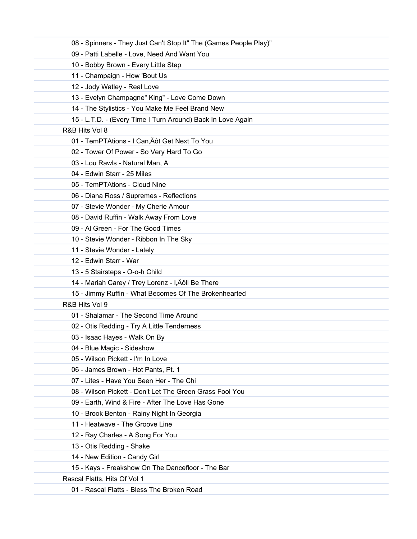| 08 - Spinners - They Just Can't Stop It" The (Games People Play)" |
|-------------------------------------------------------------------|
| 09 - Patti Labelle - Love, Need And Want You                      |
| 10 - Bobby Brown - Every Little Step                              |
| 11 - Champaign - How 'Bout Us                                     |
| 12 - Jody Watley - Real Love                                      |
| 13 - Evelyn Champagne" King" - Love Come Down                     |
| 14 - The Stylistics - You Make Me Feel Brand New                  |
| 15 - L.T.D. - (Every Time I Turn Around) Back In Love Again       |
| R&B Hits Vol 8                                                    |
| 01 - TemPTAtions - I Can, Äôt Get Next To You                     |
| 02 - Tower Of Power - So Very Hard To Go                          |
| 03 - Lou Rawls - Natural Man, A                                   |
| 04 - Edwin Starr - 25 Miles                                       |
| 05 - TemPTAtions - Cloud Nine                                     |
| 06 - Diana Ross / Supremes - Reflections                          |
| 07 - Stevie Wonder - My Cherie Amour                              |
| 08 - David Ruffin - Walk Away From Love                           |
| 09 - Al Green - For The Good Times                                |
| 10 - Stevie Wonder - Ribbon In The Sky                            |
| 11 - Stevie Wonder - Lately                                       |
| 12 - Edwin Starr - War                                            |
| 13 - 5 Stairsteps - O-o-h Child                                   |
| 14 - Mariah Carey / Trey Lorenz - I, Äôll Be There                |
| 15 - Jimmy Ruffin - What Becomes Of The Brokenhearted             |
| R&B Hits Vol 9                                                    |
| 01 - Shalamar - The Second Time Around                            |
| 02 - Otis Redding - Try A Little Tenderness                       |
| 03 - Isaac Hayes - Walk On By                                     |
| 04 - Blue Magic - Sideshow                                        |
| 05 - Wilson Pickett - I'm In Love                                 |
| 06 - James Brown - Hot Pants, Pt. 1                               |
| 07 - Lites - Have You Seen Her - The Chi                          |
| 08 - Wilson Pickett - Don't Let The Green Grass Fool You          |
| 09 - Earth, Wind & Fire - After The Love Has Gone                 |
| 10 - Brook Benton - Rainy Night In Georgia                        |
| 11 - Heatwave - The Groove Line                                   |
| 12 - Ray Charles - A Song For You                                 |
| 13 - Otis Redding - Shake                                         |
| 14 - New Edition - Candy Girl                                     |
| 15 - Kays - Freakshow On The Dancefloor - The Bar                 |
| Rascal Flatts, Hits Of Vol 1                                      |
| 01 - Rascal Flatts - Bless The Broken Road                        |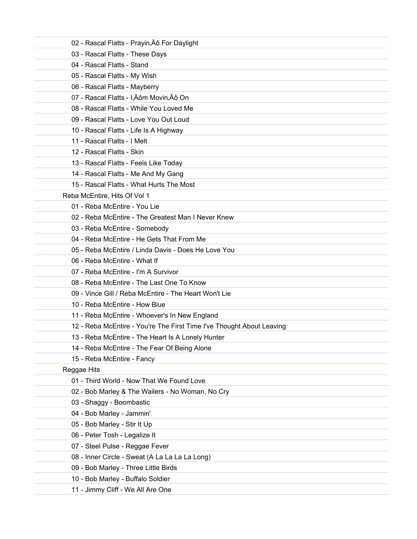| 02 - Rascal Flatts - Prayin, Äô For Daylight                          |
|-----------------------------------------------------------------------|
| 03 - Rascal Flatts - These Days                                       |
| 04 - Rascal Flatts - Stand                                            |
| 05 - Rascal Flatts - My Wish                                          |
| 06 - Rascal Flatts - Mayberry                                         |
| 07 - Rascal Flatts - I,Äôm Movin,Äô On                                |
| 08 - Rascal Flatts - While You Loved Me                               |
| 09 - Rascal Flatts - Love You Out Loud                                |
| 10 - Rascal Flatts - Life Is A Highway                                |
| 11 - Rascal Flatts - I Melt                                           |
| 12 - Rascal Flatts - Skin                                             |
| 13 - Rascal Flatts - Feels Like Today                                 |
| 14 - Rascal Flatts - Me And My Gang                                   |
| 15 - Rascal Flatts - What Hurts The Most                              |
| Reba McEntire, Hits Of Vol 1                                          |
| 01 - Reba McEntire - You Lie                                          |
| 02 - Reba McEntire - The Greatest Man I Never Knew                    |
| 03 - Reba McEntire - Somebody                                         |
| 04 - Reba McEntire - He Gets That From Me                             |
| 05 - Reba McEntire / Linda Davis - Does He Love You                   |
| 06 - Reba McEntire - What If                                          |
| 07 - Reba McEntire - I'm A Survivor                                   |
| 08 - Reba McEntire - The Last One To Know                             |
| 09 - Vince Gill / Reba McEntire - The Heart Won't Lie                 |
| 10 - Reba McEntire - How Blue                                         |
| 11 - Reba McEntire - Whoever's In New England                         |
| 12 - Reba McEntire - You're The First Time I've Thought About Leaving |
| 13 - Reba McEntire - The Heart Is A Lonely Hunter                     |
| 14 - Reba McEntire - The Fear Of Being Alone                          |
| 15 - Reba McEntire - Fancy                                            |
| Reggae Hits                                                           |
| 01 - Third World - Now That We Found Love                             |
| 02 - Bob Marley & The Wailers - No Woman, No Cry                      |
| 03 - Shaggy - Boombastic                                              |
| 04 - Bob Marley - Jammin'                                             |
| 05 - Bob Marley - Stir It Up                                          |
| 06 - Peter Tosh - Legalize It                                         |
| 07 - Steel Pulse - Reggae Fever                                       |
| 08 - Inner Circle - Sweat (A La La La La Long)                        |
| 09 - Bob Marley - Three Little Birds                                  |
| 10 - Bob Marley - Buffalo Soldier                                     |
| 11 - Jimmy Cliff - We All Are One                                     |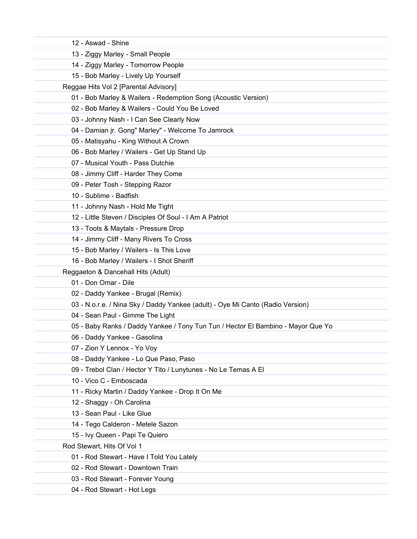| 12 - Aswad - Shine                                                               |
|----------------------------------------------------------------------------------|
| 13 - Ziggy Marley - Small People                                                 |
| 14 - Ziggy Marley - Tomorrow People                                              |
| 15 - Bob Marley - Lively Up Yourself                                             |
| Reggae Hits Vol 2 [Parental Advisory]                                            |
| 01 - Bob Marley & Wailers - Redemption Song (Acoustic Version)                   |
| 02 - Bob Marley & Wailers - Could You Be Loved                                   |
| 03 - Johnny Nash - I Can See Clearly Now                                         |
| 04 - Damian jr. Gong" Marley" - Welcome To Jamrock                               |
| 05 - Matisyahu - King Without A Crown                                            |
| 06 - Bob Marley / Wailers - Get Up Stand Up                                      |
| 07 - Musical Youth - Pass Dutchie                                                |
| 08 - Jimmy Cliff - Harder They Come                                              |
| 09 - Peter Tosh - Stepping Razor                                                 |
| 10 - Sublime - Badfish                                                           |
| 11 - Johnny Nash - Hold Me Tight                                                 |
| 12 - Little Steven / Disciples Of Soul - I Am A Patriot                          |
| 13 - Toots & Maytals - Pressure Drop                                             |
| 14 - Jimmy Cliff - Many Rivers To Cross                                          |
| 15 - Bob Marley / Wailers - Is This Love                                         |
| 16 - Bob Marley / Wailers - I Shot Sheriff                                       |
| Reggaeton & Dancehall Hits (Adult)                                               |
| 01 - Don Omar - Dile                                                             |
| 02 - Daddy Yankee - Brugal (Remix)                                               |
| 03 - N.o.r.e. / Nina Sky / Daddy Yankee (adult) - Oye Mi Canto (Radio Version)   |
| 04 - Sean Paul - Gimme The Light                                                 |
| 05 - Baby Ranks / Daddy Yankee / Tony Tun Tun / Hector El Bambino - Mayor Que Yo |
| 06 - Daddy Yankee - Gasolina                                                     |
| 07 - Zion Y Lennox - Yo Voy                                                      |
| 08 - Daddy Yankee - Lo Que Paso, Paso                                            |
| 09 - Trebol Clan / Hector Y Tito / Lunytunes - No Le Temas A El                  |
| 10 - Vico C - Emboscada                                                          |
| 11 - Ricky Martin / Daddy Yankee - Drop It On Me                                 |
| 12 - Shaggy - Oh Carolina                                                        |
| 13 - Sean Paul - Like Glue                                                       |
| 14 - Tego Calderon - Metele Sazon                                                |
| 15 - Ivy Queen - Papi Te Quiero                                                  |
| Rod Stewart, Hits Of Vol 1                                                       |
| 01 - Rod Stewart - Have I Told You Lately                                        |
| 02 - Rod Stewart - Downtown Train                                                |
| 03 - Rod Stewart - Forever Young                                                 |
| 04 - Rod Stewart - Hot Legs                                                      |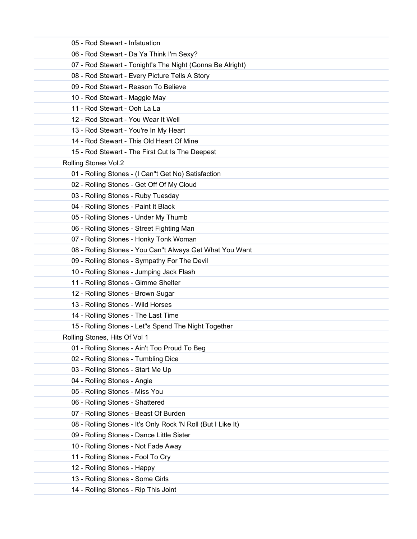| 05 - Rod Stewart - Infatuation                               |
|--------------------------------------------------------------|
| 06 - Rod Stewart - Da Ya Think I'm Sexy?                     |
| 07 - Rod Stewart - Tonight's The Night (Gonna Be Alright)    |
| 08 - Rod Stewart - Every Picture Tells A Story               |
| 09 - Rod Stewart - Reason To Believe                         |
| 10 - Rod Stewart - Maggie May                                |
| 11 - Rod Stewart - Ooh La La                                 |
| 12 - Rod Stewart - You Wear It Well                          |
| 13 - Rod Stewart - You're In My Heart                        |
| 14 - Rod Stewart - This Old Heart Of Mine                    |
| 15 - Rod Stewart - The First Cut Is The Deepest              |
| Rolling Stones Vol.2                                         |
| 01 - Rolling Stones - (I Can"t Get No) Satisfaction          |
| 02 - Rolling Stones - Get Off Of My Cloud                    |
| 03 - Rolling Stones - Ruby Tuesday                           |
| 04 - Rolling Stones - Paint It Black                         |
| 05 - Rolling Stones - Under My Thumb                         |
| 06 - Rolling Stones - Street Fighting Man                    |
| 07 - Rolling Stones - Honky Tonk Woman                       |
| 08 - Rolling Stones - You Can"t Always Get What You Want     |
| 09 - Rolling Stones - Sympathy For The Devil                 |
| 10 - Rolling Stones - Jumping Jack Flash                     |
| 11 - Rolling Stones - Gimme Shelter                          |
| 12 - Rolling Stones - Brown Sugar                            |
| 13 - Rolling Stones - Wild Horses                            |
| 14 - Rolling Stones - The Last Time                          |
| 15 - Rolling Stones - Let"s Spend The Night Together         |
| Rolling Stones, Hits Of Vol 1                                |
| 01 - Rolling Stones - Ain't Too Proud To Beg                 |
| 02 - Rolling Stones - Tumbling Dice                          |
| 03 - Rolling Stones - Start Me Up                            |
| 04 - Rolling Stones - Angie                                  |
| 05 - Rolling Stones - Miss You                               |
| 06 - Rolling Stones - Shattered                              |
| 07 - Rolling Stones - Beast Of Burden                        |
| 08 - Rolling Stones - It's Only Rock 'N Roll (But I Like It) |
| 09 - Rolling Stones - Dance Little Sister                    |
| 10 - Rolling Stones - Not Fade Away                          |
| 11 - Rolling Stones - Fool To Cry                            |
| 12 - Rolling Stones - Happy                                  |
| 13 - Rolling Stones - Some Girls                             |
| 14 - Rolling Stones - Rip This Joint                         |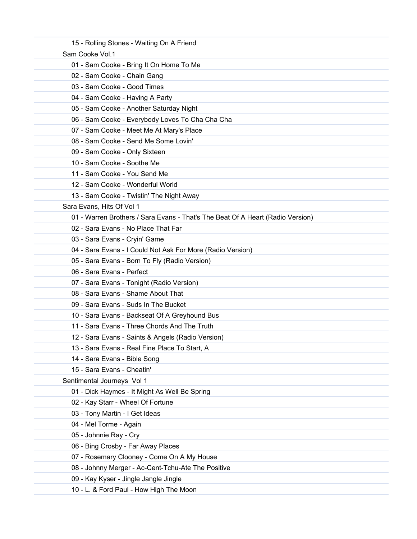| 15 - Rolling Stones - Waiting On A Friend                                      |
|--------------------------------------------------------------------------------|
| Sam Cooke Vol.1                                                                |
| 01 - Sam Cooke - Bring It On Home To Me                                        |
| 02 - Sam Cooke - Chain Gang                                                    |
| 03 - Sam Cooke - Good Times                                                    |
| 04 - Sam Cooke - Having A Party                                                |
| 05 - Sam Cooke - Another Saturday Night                                        |
| 06 - Sam Cooke - Everybody Loves To Cha Cha Cha                                |
| 07 - Sam Cooke - Meet Me At Mary's Place                                       |
| 08 - Sam Cooke - Send Me Some Lovin'                                           |
| 09 - Sam Cooke - Only Sixteen                                                  |
| 10 - Sam Cooke - Soothe Me                                                     |
| 11 - Sam Cooke - You Send Me                                                   |
| 12 - Sam Cooke - Wonderful World                                               |
| 13 - Sam Cooke - Twistin' The Night Away                                       |
| Sara Evans, Hits Of Vol 1                                                      |
| 01 - Warren Brothers / Sara Evans - That's The Beat Of A Heart (Radio Version) |
| 02 - Sara Evans - No Place That Far                                            |
| 03 - Sara Evans - Cryin' Game                                                  |
| 04 - Sara Evans - I Could Not Ask For More (Radio Version)                     |
| 05 - Sara Evans - Born To Fly (Radio Version)                                  |
| 06 - Sara Evans - Perfect                                                      |
| 07 - Sara Evans - Tonight (Radio Version)                                      |
| 08 - Sara Evans - Shame About That                                             |
| 09 - Sara Evans - Suds In The Bucket                                           |
| 10 - Sara Evans - Backseat Of A Greyhound Bus                                  |
| 11 - Sara Evans - Three Chords And The Truth                                   |
| 12 - Sara Evans - Saints & Angels (Radio Version)                              |
| 13 - Sara Evans - Real Fine Place To Start, A                                  |
| 14 - Sara Evans - Bible Song                                                   |
| 15 - Sara Evans - Cheatin'                                                     |
| Sentimental Journeys Vol 1                                                     |
| 01 - Dick Haymes - It Might As Well Be Spring                                  |
| 02 - Kay Starr - Wheel Of Fortune                                              |
| 03 - Tony Martin - I Get Ideas                                                 |
| 04 - Mel Torme - Again                                                         |
| 05 - Johnnie Ray - Cry                                                         |
| 06 - Bing Crosby - Far Away Places                                             |
| 07 - Rosemary Clooney - Come On A My House                                     |
| 08 - Johnny Merger - Ac-Cent-Tchu-Ate The Positive                             |
| 09 - Kay Kyser - Jingle Jangle Jingle                                          |
| 10 - L. & Ford Paul - How High The Moon                                        |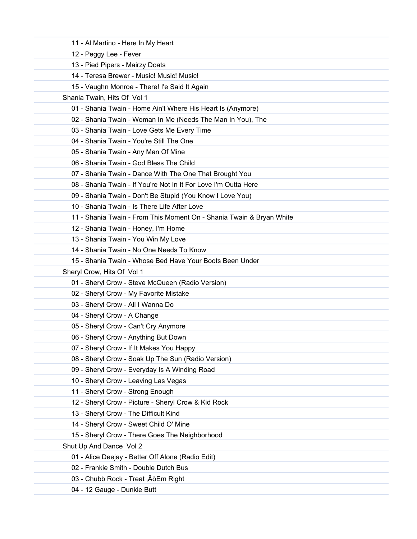| 11 - Al Martino - Here In My Heart                                   |
|----------------------------------------------------------------------|
| 12 - Peggy Lee - Fever                                               |
| 13 - Pied Pipers - Mairzy Doats                                      |
| 14 - Teresa Brewer - Music! Music! Music!                            |
| 15 - Vaughn Monroe - There! I'e Said It Again                        |
| Shania Twain, Hits Of Vol 1                                          |
| 01 - Shania Twain - Home Ain't Where His Heart Is (Anymore)          |
| 02 - Shania Twain - Woman In Me (Needs The Man In You), The          |
| 03 - Shania Twain - Love Gets Me Every Time                          |
| 04 - Shania Twain - You're Still The One                             |
| 05 - Shania Twain - Any Man Of Mine                                  |
| 06 - Shania Twain - God Bless The Child                              |
| 07 - Shania Twain - Dance With The One That Brought You              |
| 08 - Shania Twain - If You're Not In It For Love I'm Outta Here      |
| 09 - Shania Twain - Don't Be Stupid (You Know I Love You)            |
| 10 - Shania Twain - Is There Life After Love                         |
| 11 - Shania Twain - From This Moment On - Shania Twain & Bryan White |
| 12 - Shania Twain - Honey, I'm Home                                  |
| 13 - Shania Twain - You Win My Love                                  |
| 14 - Shania Twain - No One Needs To Know                             |
| 15 - Shania Twain - Whose Bed Have Your Boots Been Under             |
| Sheryl Crow, Hits Of Vol 1                                           |
| 01 - Sheryl Crow - Steve McQueen (Radio Version)                     |
| 02 - Sheryl Crow - My Favorite Mistake                               |
| 03 - Sheryl Crow - All I Wanna Do                                    |
| 04 - Sheryl Crow - A Change                                          |
| 05 - Sheryl Crow - Can't Cry Anymore                                 |
| 06 - Sheryl Crow - Anything But Down                                 |
| 07 - Sheryl Crow - If It Makes You Happy                             |
| 08 - Sheryl Crow - Soak Up The Sun (Radio Version)                   |
| 09 - Sheryl Crow - Everyday Is A Winding Road                        |
| 10 - Sheryl Crow - Leaving Las Vegas                                 |
| 11 - Sheryl Crow - Strong Enough                                     |
| 12 - Sheryl Crow - Picture - Sheryl Crow & Kid Rock                  |
| 13 - Sheryl Crow - The Difficult Kind                                |
| 14 - Sheryl Crow - Sweet Child O' Mine                               |
| 15 - Sheryl Crow - There Goes The Neighborhood                       |
|                                                                      |
| Shut Up And Dance Vol 2                                              |
| 01 - Alice Deejay - Better Off Alone (Radio Edit)                    |
| 02 - Frankie Smith - Double Dutch Bus                                |
| 03 - Chubb Rock - Treat, ÄòEm Right                                  |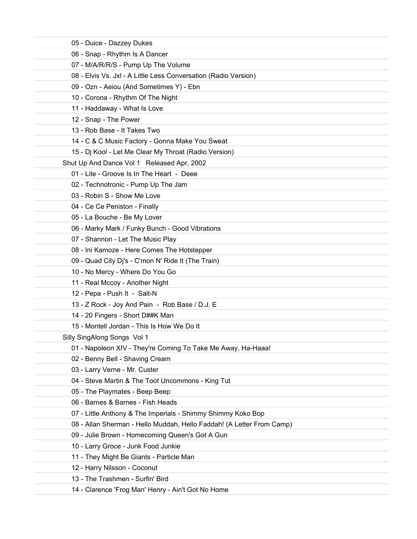| 05 - Duice - Dazzey Dukes                                             |  |
|-----------------------------------------------------------------------|--|
| 06 - Snap - Rhythm Is A Dancer                                        |  |
| 07 - M/A/R/R/S - Pump Up The Volume                                   |  |
| 08 - Elvis Vs. Jxl - A Little Less Conversation (Radio Version)       |  |
| 09 - Ozn - Aeiou (And Sometimes Y) - Ebn                              |  |
| 10 - Corona - Rhythm Of The Night                                     |  |
| 11 - Haddaway - What Is Love                                          |  |
| 12 - Snap - The Power                                                 |  |
| 13 - Rob Base - It Takes Two                                          |  |
| 14 - C & C Music Factory - Gonna Make You Sweat                       |  |
| 15 - Dj Kool - Let Me Clear My Throat (Radio Version)                 |  |
| Shut Up And Dance Vol 1 Released Apr, 2002                            |  |
| 01 - Lite - Groove Is In The Heart - Deee                             |  |
| 02 - Technotronic - Pump Up The Jam                                   |  |
| 03 - Robin S - Show Me Love                                           |  |
| 04 - Ce Ce Peniston - Finally                                         |  |
| 05 - La Bouche - Be My Lover                                          |  |
| 06 - Marky Mark / Funky Bunch - Good Vibrations                       |  |
| 07 - Shannon - Let The Music Play                                     |  |
| 08 - Ini Kamoze - Here Comes The Hotstepper                           |  |
| 09 - Quad City Dj's - C'mon N' Ride It (The Train)                    |  |
| 10 - No Mercy - Where Do You Go                                       |  |
| 11 - Real Mccoy - Another Night                                       |  |
| 12 - Pepa - Push It - Salt-N                                          |  |
| 13 - Z Rock - Joy And Pain - Rob Base / D.J. E                        |  |
| 14 - 20 Fingers - Short D##K Man                                      |  |
| 15 - Montell Jordan - This Is How We Do It                            |  |
| Silly SingAlong Songs Vol 1                                           |  |
| 01 - Napoleon XIV - They're Coming To Take Me Away, Ha-Haaa!          |  |
| 02 - Benny Bell - Shaving Cream                                       |  |
| 03 - Larry Verne - Mr. Custer                                         |  |
| 04 - Steve Martin & The Toot Uncommons - King Tut                     |  |
| 05 - The Playmates - Beep Beep                                        |  |
| 06 - Barnes & Barnes - Fish Heads                                     |  |
| 07 - Little Anthony & The Imperials - Shimmy Shimmy Koko Bop          |  |
| 08 - Allan Sherman - Hello Muddah, Hello Faddah! (A Letter From Camp) |  |
| 09 - Julie Brown - Homecoming Queen's Got A Gun                       |  |
| 10 - Larry Groce - Junk Food Junkie                                   |  |
| 11 - They Might Be Giants - Particle Man                              |  |
| 12 - Harry Nilsson - Coconut                                          |  |
| 13 - The Trashmen - Surfin' Bird                                      |  |
| 14 - Clarence 'Frog Man' Henry - Ain't Got No Home                    |  |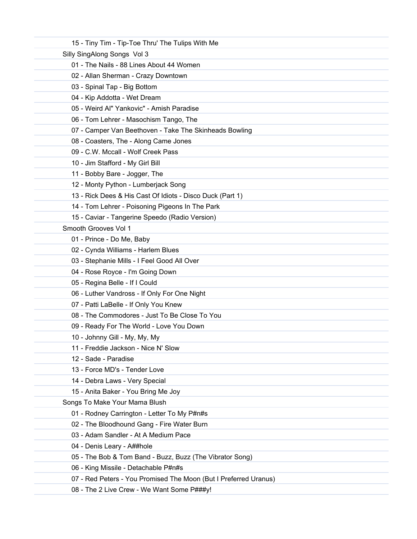| 15 - Tiny Tim - Tip-Toe Thru' The Tulips With Me                 |
|------------------------------------------------------------------|
| Silly SingAlong Songs Vol 3                                      |
| 01 - The Nails - 88 Lines About 44 Women                         |
| 02 - Allan Sherman - Crazy Downtown                              |
| 03 - Spinal Tap - Big Bottom                                     |
| 04 - Kip Addotta - Wet Dream                                     |
| 05 - Weird Al" Yankovic" - Amish Paradise                        |
| 06 - Tom Lehrer - Masochism Tango, The                           |
| 07 - Camper Van Beethoven - Take The Skinheads Bowling           |
| 08 - Coasters, The - Along Came Jones                            |
| 09 - C.W. Mccall - Wolf Creek Pass                               |
| 10 - Jim Stafford - My Girl Bill                                 |
| 11 - Bobby Bare - Jogger, The                                    |
| 12 - Monty Python - Lumberjack Song                              |
| 13 - Rick Dees & His Cast Of Idiots - Disco Duck (Part 1)        |
| 14 - Tom Lehrer - Poisoning Pigeons In The Park                  |
| 15 - Caviar - Tangerine Speedo (Radio Version)                   |
| Smooth Grooves Vol 1                                             |
| 01 - Prince - Do Me, Baby                                        |
| 02 - Cynda Williams - Harlem Blues                               |
| 03 - Stephanie Mills - I Feel Good All Over                      |
| 04 - Rose Royce - I'm Going Down                                 |
| 05 - Regina Belle - If I Could                                   |
| 06 - Luther Vandross - If Only For One Night                     |
| 07 - Patti LaBelle - If Only You Knew                            |
| 08 - The Commodores - Just To Be Close To You                    |
| 09 - Ready For The World - Love You Down                         |
| 10 - Johnny Gill - My, My, My                                    |
| 11 - Freddie Jackson - Nice N' Slow                              |
| 12 - Sade - Paradise                                             |
| 13 - Force MD's - Tender Love                                    |
| 14 - Debra Laws - Very Special                                   |
| 15 - Anita Baker - You Bring Me Joy                              |
| Songs To Make Your Mama Blush                                    |
| 01 - Rodney Carrington - Letter To My P#n#s                      |
| 02 - The Bloodhound Gang - Fire Water Burn                       |
| 03 - Adam Sandler - At A Medium Pace                             |
| 04 - Denis Leary - A##hole                                       |
| 05 - The Bob & Tom Band - Buzz, Buzz (The Vibrator Song)         |
| 06 - King Missile - Detachable P#n#s                             |
| 07 - Red Peters - You Promised The Moon (But I Preferred Uranus) |
| 08 - The 2 Live Crew - We Want Some P###y!                       |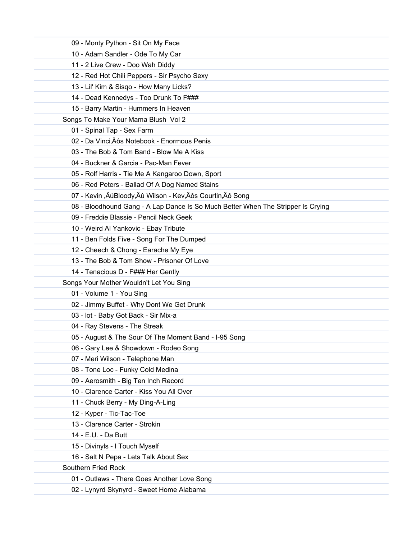| 09 - Monty Python - Sit On My Face                                               |  |
|----------------------------------------------------------------------------------|--|
| 10 - Adam Sandler - Ode To My Car                                                |  |
| 11 - 2 Live Crew - Doo Wah Diddy                                                 |  |
| 12 - Red Hot Chili Peppers - Sir Psycho Sexy                                     |  |
| 13 - Lil' Kim & Sisqo - How Many Licks?                                          |  |
| 14 - Dead Kennedys - Too Drunk To F###                                           |  |
| 15 - Barry Martin - Hummers In Heaven                                            |  |
| Songs To Make Your Mama Blush Vol 2                                              |  |
| 01 - Spinal Tap - Sex Farm                                                       |  |
| 02 - Da Vinci, Äôs Notebook - Enormous Penis                                     |  |
| 03 - The Bob & Tom Band - Blow Me A Kiss                                         |  |
| 04 - Buckner & Garcia - Pac-Man Fever                                            |  |
| 05 - Rolf Harris - Tie Me A Kangaroo Down, Sport                                 |  |
| 06 - Red Peters - Ballad Of A Dog Named Stains                                   |  |
| 07 - Kevin ,ÄúBloody,Äù Wilson - Kev,Äôs Courtin,Äô Song                         |  |
| 08 - Bloodhound Gang - A Lap Dance Is So Much Better When The Stripper Is Crying |  |
| 09 - Freddie Blassie - Pencil Neck Geek                                          |  |
| 10 - Weird Al Yankovic - Ebay Tribute                                            |  |
| 11 - Ben Folds Five - Song For The Dumped                                        |  |
| 12 - Cheech & Chong - Earache My Eye                                             |  |
| 13 - The Bob & Tom Show - Prisoner Of Love                                       |  |
| 14 - Tenacious D - F### Her Gently                                               |  |
| Songs Your Mother Wouldn't Let You Sing                                          |  |
| 01 - Volume 1 - You Sing                                                         |  |
| 02 - Jimmy Buffet - Why Dont We Get Drunk                                        |  |
| 03 - lot - Baby Got Back - Sir Mix-a                                             |  |
| 04 - Ray Stevens - The Streak                                                    |  |
| 05 - August & The Sour Of The Moment Band - I-95 Song                            |  |
| 06 - Gary Lee & Showdown - Rodeo Song                                            |  |
| 07 - Meri Wilson - Telephone Man                                                 |  |
| 08 - Tone Loc - Funky Cold Medina                                                |  |
| 09 - Aerosmith - Big Ten Inch Record                                             |  |
| 10 - Clarence Carter - Kiss You All Over                                         |  |
| 11 - Chuck Berry - My Ding-A-Ling                                                |  |
| 12 - Kyper - Tic-Tac-Toe                                                         |  |
| 13 - Clarence Carter - Strokin                                                   |  |
| 14 - E.U. - Da Butt                                                              |  |
| 15 - Divinyls - I Touch Myself                                                   |  |
| 16 - Salt N Pepa - Lets Talk About Sex                                           |  |
| Southern Fried Rock                                                              |  |
| 01 - Outlaws - There Goes Another Love Song                                      |  |
| 02 - Lynyrd Skynyrd - Sweet Home Alabama                                         |  |
|                                                                                  |  |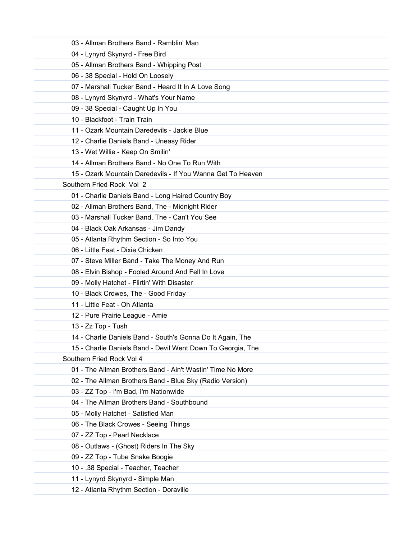| 03 - Allman Brothers Band - Ramblin' Man                    |  |
|-------------------------------------------------------------|--|
| 04 - Lynyrd Skynyrd - Free Bird                             |  |
| 05 - Allman Brothers Band - Whipping Post                   |  |
| 06 - 38 Special - Hold On Loosely                           |  |
| 07 - Marshall Tucker Band - Heard It In A Love Song         |  |
| 08 - Lynyrd Skynyrd - What's Your Name                      |  |
| 09 - 38 Special - Caught Up In You                          |  |
| 10 - Blackfoot - Train Train                                |  |
| 11 - Ozark Mountain Daredevils - Jackie Blue                |  |
| 12 - Charlie Daniels Band - Uneasy Rider                    |  |
| 13 - Wet Willie - Keep On Smilin'                           |  |
| 14 - Allman Brothers Band - No One To Run With              |  |
| 15 - Ozark Mountain Daredevils - If You Wanna Get To Heaven |  |
| Southern Fried Rock Vol 2                                   |  |
| 01 - Charlie Daniels Band - Long Haired Country Boy         |  |
| 02 - Allman Brothers Band, The - Midnight Rider             |  |
| 03 - Marshall Tucker Band, The - Can't You See              |  |
| 04 - Black Oak Arkansas - Jim Dandy                         |  |
| 05 - Atlanta Rhythm Section - So Into You                   |  |
| 06 - Little Feat - Dixie Chicken                            |  |
| 07 - Steve Miller Band - Take The Money And Run             |  |
| 08 - Elvin Bishop - Fooled Around And Fell In Love          |  |
| 09 - Molly Hatchet - Flirtin' With Disaster                 |  |
| 10 - Black Crowes, The - Good Friday                        |  |
| 11 - Little Feat - Oh Atlanta                               |  |
| 12 - Pure Prairie League - Amie                             |  |
| 13 - Zz Top - Tush                                          |  |
| 14 - Charlie Daniels Band - South's Gonna Do It Again, The  |  |
| 15 - Charlie Daniels Band - Devil Went Down To Georgia, The |  |
| Southern Fried Rock Vol 4                                   |  |
| 01 - The Allman Brothers Band - Ain't Wastin' Time No More  |  |
| 02 - The Allman Brothers Band - Blue Sky (Radio Version)    |  |
| 03 - ZZ Top - I'm Bad, I'm Nationwide                       |  |
| 04 - The Allman Brothers Band - Southbound                  |  |
| 05 - Molly Hatchet - Satisfied Man                          |  |
| 06 - The Black Crowes - Seeing Things                       |  |
| 07 - ZZ Top - Pearl Necklace                                |  |
| 08 - Outlaws - (Ghost) Riders In The Sky                    |  |
| 09 - ZZ Top - Tube Snake Boogie                             |  |
| 10 - .38 Special - Teacher, Teacher                         |  |
| 11 - Lynyrd Skynyrd - Simple Man                            |  |
| 12 - Atlanta Rhythm Section - Doraville                     |  |
|                                                             |  |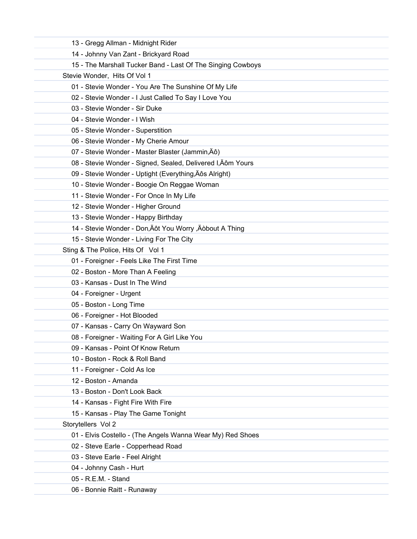| 13 - Gregg Allman - Midnight Rider                          |
|-------------------------------------------------------------|
| 14 - Johnny Van Zant - Brickyard Road                       |
| 15 - The Marshall Tucker Band - Last Of The Singing Cowboys |
| Stevie Wonder, Hits Of Vol 1                                |
| 01 - Stevie Wonder - You Are The Sunshine Of My Life        |
| 02 - Stevie Wonder - I Just Called To Say I Love You        |
| 03 - Stevie Wonder - Sir Duke                               |
| 04 - Stevie Wonder - I Wish                                 |
| 05 - Stevie Wonder - Superstition                           |
| 06 - Stevie Wonder - My Cherie Amour                        |
| 07 - Stevie Wonder - Master Blaster (Jammin, Äô)            |
| 08 - Stevie Wonder - Signed, Sealed, Delivered I,Äôm Yours  |
| 09 - Stevie Wonder - Uptight (Everything, Äôs Alright)      |
| 10 - Stevie Wonder - Boogie On Reggae Woman                 |
| 11 - Stevie Wonder - For Once In My Life                    |
| 12 - Stevie Wonder - Higher Ground                          |
| 13 - Stevie Wonder - Happy Birthday                         |
| 14 - Stevie Wonder - Don, Äôt You Worry, Äòbout A Thing     |
| 15 - Stevie Wonder - Living For The City                    |
| Sting & The Police, Hits Of Vol 1                           |
| 01 - Foreigner - Feels Like The First Time                  |
| 02 - Boston - More Than A Feeling                           |
| 03 - Kansas - Dust In The Wind                              |
| 04 - Foreigner - Urgent                                     |
| 05 - Boston - Long Time                                     |
| 06 - Foreigner - Hot Blooded                                |
| 07 - Kansas - Carry On Wayward Son                          |
| 08 - Foreigner - Waiting For A Girl Like You                |
| 09 - Kansas - Point Of Know Return                          |
| 10 - Boston - Rock & Roll Band                              |
| 11 - Foreigner - Cold As Ice                                |
| 12 - Boston - Amanda                                        |
| 13 - Boston - Don't Look Back                               |
| 14 - Kansas - Fight Fire With Fire                          |
| 15 - Kansas - Play The Game Tonight                         |
| Storytellers Vol 2                                          |
| 01 - Elvis Costello - (The Angels Wanna Wear My) Red Shoes  |
| 02 - Steve Earle - Copperhead Road                          |
| 03 - Steve Earle - Feel Alright                             |
| 04 - Johnny Cash - Hurt                                     |
| 05 - R.E.M. - Stand                                         |
| 06 - Bonnie Raitt - Runaway                                 |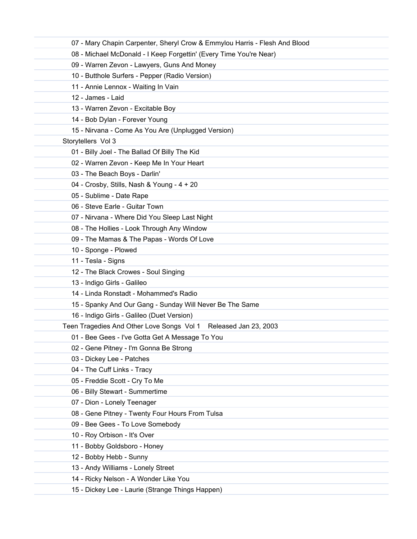| 07 - Mary Chapin Carpenter, Sheryl Crow & Emmylou Harris - Flesh And Blood |
|----------------------------------------------------------------------------|
| 08 - Michael McDonald - I Keep Forgettin' (Every Time You're Near)         |
| 09 - Warren Zevon - Lawyers, Guns And Money                                |
| 10 - Butthole Surfers - Pepper (Radio Version)                             |
| 11 - Annie Lennox - Waiting In Vain                                        |
| 12 - James - Laid                                                          |
| 13 - Warren Zevon - Excitable Boy                                          |
| 14 - Bob Dylan - Forever Young                                             |
| 15 - Nirvana - Come As You Are (Unplugged Version)                         |
| Storytellers Vol 3                                                         |
| 01 - Billy Joel - The Ballad Of Billy The Kid                              |
| 02 - Warren Zevon - Keep Me In Your Heart                                  |
| 03 - The Beach Boys - Darlin'                                              |
| 04 - Crosby, Stills, Nash & Young - 4 + 20                                 |
| 05 - Sublime - Date Rape                                                   |
| 06 - Steve Earle - Guitar Town                                             |
| 07 - Nirvana - Where Did You Sleep Last Night                              |
| 08 - The Hollies - Look Through Any Window                                 |
| 09 - The Mamas & The Papas - Words Of Love                                 |
| 10 - Sponge - Plowed                                                       |
| 11 - Tesla - Signs                                                         |
| 12 - The Black Crowes - Soul Singing                                       |
| 13 - Indigo Girls - Galileo                                                |
| 14 - Linda Ronstadt - Mohammed's Radio                                     |
| 15 - Spanky And Our Gang - Sunday Will Never Be The Same                   |
| 16 - Indigo Girls - Galileo (Duet Version)                                 |
| Teen Tragedies And Other Love Songs Vol 1 Released Jan 23, 2003            |
| 01 - Bee Gees - I've Gotta Get A Message To You                            |
| 02 - Gene Pitney - I'm Gonna Be Strong                                     |
| 03 - Dickey Lee - Patches                                                  |
| 04 - The Cuff Links - Tracy                                                |
| 05 - Freddie Scott - Cry To Me                                             |
| 06 - Billy Stewart - Summertime                                            |
| 07 - Dion - Lonely Teenager                                                |
| 08 - Gene Pitney - Twenty Four Hours From Tulsa                            |
| 09 - Bee Gees - To Love Somebody                                           |
| 10 - Roy Orbison - It's Over                                               |
| 11 - Bobby Goldsboro - Honey                                               |
| 12 - Bobby Hebb - Sunny                                                    |
| 13 - Andy Williams - Lonely Street                                         |
| 14 - Ricky Nelson - A Wonder Like You                                      |
| 15 - Dickey Lee - Laurie (Strange Things Happen)                           |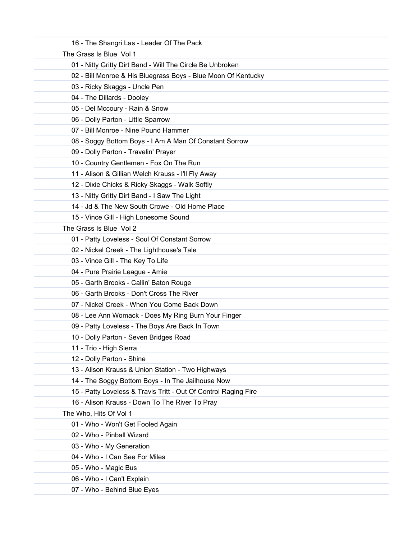| 16 - The Shangri Las - Leader Of The Pack                       |
|-----------------------------------------------------------------|
| The Grass Is Blue Vol 1                                         |
| 01 - Nitty Gritty Dirt Band - Will The Circle Be Unbroken       |
| 02 - Bill Monroe & His Bluegrass Boys - Blue Moon Of Kentucky   |
| 03 - Ricky Skaggs - Uncle Pen                                   |
| 04 - The Dillards - Dooley                                      |
| 05 - Del Mccoury - Rain & Snow                                  |
| 06 - Dolly Parton - Little Sparrow                              |
| 07 - Bill Monroe - Nine Pound Hammer                            |
| 08 - Soggy Bottom Boys - I Am A Man Of Constant Sorrow          |
| 09 - Dolly Parton - Travelin' Prayer                            |
| 10 - Country Gentlemen - Fox On The Run                         |
| 11 - Alison & Gillian Welch Krauss - I'll Fly Away              |
| 12 - Dixie Chicks & Ricky Skaggs - Walk Softly                  |
| 13 - Nitty Gritty Dirt Band - I Saw The Light                   |
| 14 - Jd & The New South Crowe - Old Home Place                  |
| 15 - Vince Gill - High Lonesome Sound                           |
| The Grass Is Blue Vol 2                                         |
| 01 - Patty Loveless - Soul Of Constant Sorrow                   |
| 02 - Nickel Creek - The Lighthouse's Tale                       |
| 03 - Vince Gill - The Key To Life                               |
| 04 - Pure Prairie League - Amie                                 |
| 05 - Garth Brooks - Callin' Baton Rouge                         |
| 06 - Garth Brooks - Don't Cross The River                       |
| 07 - Nickel Creek - When You Come Back Down                     |
| 08 - Lee Ann Womack - Does My Ring Burn Your Finger             |
| 09 - Patty Loveless - The Boys Are Back In Town                 |
| 10 - Dolly Parton - Seven Bridges Road                          |
| 11 - Trio - High Sierra                                         |
| 12 - Dolly Parton - Shine                                       |
| 13 - Alison Krauss & Union Station - Two Highways               |
| 14 - The Soggy Bottom Boys - In The Jailhouse Now               |
| 15 - Patty Loveless & Travis Tritt - Out Of Control Raging Fire |
| 16 - Alison Krauss - Down To The River To Pray                  |
| The Who, Hits Of Vol 1                                          |
| 01 - Who - Won't Get Fooled Again                               |
| 02 - Who - Pinball Wizard                                       |
| 03 - Who - My Generation                                        |
| 04 - Who - I Can See For Miles                                  |
| 05 - Who - Magic Bus                                            |
| 06 - Who - I Can't Explain                                      |
| 07 - Who - Behind Blue Eyes                                     |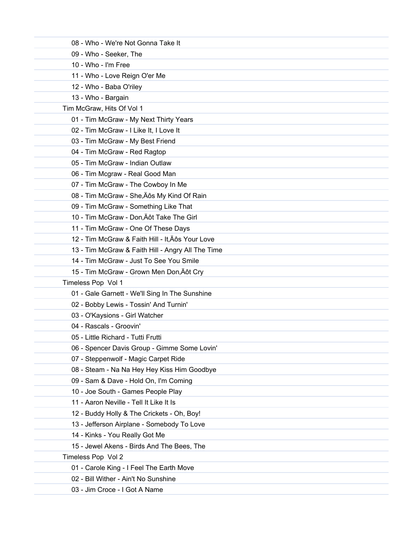| 08 - Who - We're Not Gonna Take It                |
|---------------------------------------------------|
| 09 - Who - Seeker, The                            |
| 10 - Who - I'm Free                               |
| 11 - Who - Love Reign O'er Me                     |
| 12 - Who - Baba O'riley                           |
| 13 - Who - Bargain                                |
| Tim McGraw, Hits Of Vol 1                         |
| 01 - Tim McGraw - My Next Thirty Years            |
| 02 - Tim McGraw - I Like It, I Love It            |
| 03 - Tim McGraw - My Best Friend                  |
| 04 - Tim McGraw - Red Ragtop                      |
| 05 - Tim McGraw - Indian Outlaw                   |
| 06 - Tim Mcgraw - Real Good Man                   |
| 07 - Tim McGraw - The Cowboy In Me                |
| 08 - Tim McGraw - She, Äôs My Kind Of Rain        |
| 09 - Tim McGraw - Something Like That             |
| 10 - Tim McGraw - Don, Äôt Take The Girl          |
| 11 - Tim McGraw - One Of These Days               |
| 12 - Tim McGraw & Faith Hill - It, Äôs Your Love  |
| 13 - Tim McGraw & Faith Hill - Angry All The Time |
| 14 - Tim McGraw - Just To See You Smile           |
| 15 - Tim McGraw - Grown Men Don, Äôt Cry          |
| Timeless Pop Vol 1                                |
| 01 - Gale Garnett - We'll Sing In The Sunshine    |
| 02 - Bobby Lewis - Tossin' And Turnin'            |
| 03 - O'Kaysions - Girl Watcher                    |
| 04 - Rascals - Groovin'                           |
| 05 - Little Richard - Tutti Frutti                |
| 06 - Spencer Davis Group - Gimme Some Lovin'      |
| 07 - Steppenwolf - Magic Carpet Ride              |
| 08 - Steam - Na Na Hey Hey Kiss Him Goodbye       |
| 09 - Sam & Dave - Hold On, I'm Coming             |
| 10 - Joe South - Games People Play                |
| 11 - Aaron Neville - Tell It Like It Is           |
| 12 - Buddy Holly & The Crickets - Oh, Boy!        |
| 13 - Jefferson Airplane - Somebody To Love        |
| 14 - Kinks - You Really Got Me                    |
| 15 - Jewel Akens - Birds And The Bees, The        |
| Timeless Pop Vol 2                                |
| 01 - Carole King - I Feel The Earth Move          |
| 02 - Bill Wither - Ain't No Sunshine              |
| 03 - Jim Croce - I Got A Name                     |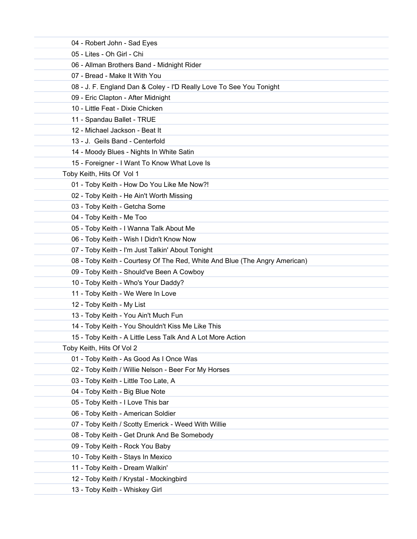| 04 - Robert John - Sad Eyes                                                |  |
|----------------------------------------------------------------------------|--|
| 05 - Lites - Oh Girl - Chi                                                 |  |
| 06 - Allman Brothers Band - Midnight Rider                                 |  |
| 07 - Bread - Make It With You                                              |  |
| 08 - J. F. England Dan & Coley - I'D Really Love To See You Tonight        |  |
| 09 - Eric Clapton - After Midnight                                         |  |
| 10 - Little Feat - Dixie Chicken                                           |  |
| 11 - Spandau Ballet - TRUE                                                 |  |
| 12 - Michael Jackson - Beat It                                             |  |
| 13 - J. Geils Band - Centerfold                                            |  |
| 14 - Moody Blues - Nights In White Satin                                   |  |
| 15 - Foreigner - I Want To Know What Love Is                               |  |
| Toby Keith, Hits Of Vol 1                                                  |  |
| 01 - Toby Keith - How Do You Like Me Now?!                                 |  |
| 02 - Toby Keith - He Ain't Worth Missing                                   |  |
| 03 - Toby Keith - Getcha Some                                              |  |
| 04 - Toby Keith - Me Too                                                   |  |
| 05 - Toby Keith - I Wanna Talk About Me                                    |  |
| 06 - Toby Keith - Wish I Didn't Know Now                                   |  |
| 07 - Toby Keith - I'm Just Talkin' About Tonight                           |  |
| 08 - Toby Keith - Courtesy Of The Red, White And Blue (The Angry American) |  |
| 09 - Toby Keith - Should've Been A Cowboy                                  |  |
| 10 - Toby Keith - Who's Your Daddy?                                        |  |
| 11 - Toby Keith - We Were In Love                                          |  |
| 12 - Toby Keith - My List                                                  |  |
| 13 - Toby Keith - You Ain't Much Fun                                       |  |
| 14 - Toby Keith - You Shouldn't Kiss Me Like This                          |  |
| 15 - Toby Keith - A Little Less Talk And A Lot More Action                 |  |
| Toby Keith, Hits Of Vol 2                                                  |  |
| 01 - Toby Keith - As Good As I Once Was                                    |  |
| 02 - Toby Keith / Willie Nelson - Beer For My Horses                       |  |
| 03 - Toby Keith - Little Too Late, A                                       |  |
| 04 - Toby Keith - Big Blue Note                                            |  |
| 05 - Toby Keith - I Love This bar                                          |  |
| 06 - Toby Keith - American Soldier                                         |  |
| 07 - Toby Keith / Scotty Emerick - Weed With Willie                        |  |
| 08 - Toby Keith - Get Drunk And Be Somebody                                |  |
| 09 - Toby Keith - Rock You Baby                                            |  |
| 10 - Toby Keith - Stays In Mexico                                          |  |
| 11 - Toby Keith - Dream Walkin'                                            |  |
| 12 - Toby Keith / Krystal - Mockingbird                                    |  |
| 13 - Toby Keith - Whiskey Girl                                             |  |
|                                                                            |  |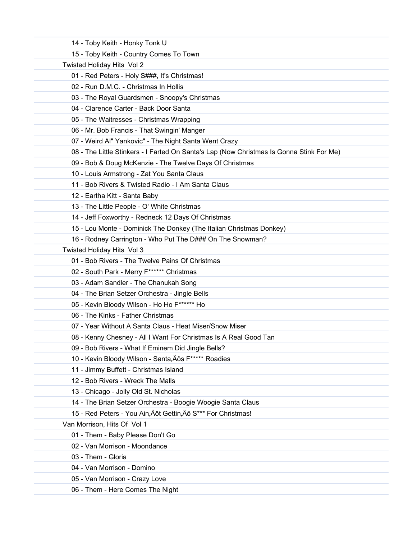| 14 - Toby Keith - Honky Tonk U                                                           |
|------------------------------------------------------------------------------------------|
| 15 - Toby Keith - Country Comes To Town                                                  |
| Twisted Holiday Hits Vol 2                                                               |
| 01 - Red Peters - Holy S###, It's Christmas!                                             |
| 02 - Run D.M.C. - Christmas In Hollis                                                    |
| 03 - The Royal Guardsmen - Snoopy's Christmas                                            |
| 04 - Clarence Carter - Back Door Santa                                                   |
| 05 - The Waitresses - Christmas Wrapping                                                 |
| 06 - Mr. Bob Francis - That Swingin' Manger                                              |
| 07 - Weird Al" Yankovic" - The Night Santa Went Crazy                                    |
| 08 - The Little Stinkers - I Farted On Santa's Lap (Now Christmas Is Gonna Stink For Me) |
| 09 - Bob & Doug McKenzie - The Twelve Days Of Christmas                                  |
| 10 - Louis Armstrong - Zat You Santa Claus                                               |
| 11 - Bob Rivers & Twisted Radio - I Am Santa Claus                                       |
| 12 - Eartha Kitt - Santa Baby                                                            |
| 13 - The Little People - O' White Christmas                                              |
| 14 - Jeff Foxworthy - Redneck 12 Days Of Christmas                                       |
| 15 - Lou Monte - Dominick The Donkey (The Italian Christmas Donkey)                      |
| 16 - Rodney Carrington - Who Put The D### On The Snowman?                                |
| Twisted Holiday Hits Vol 3                                                               |
| 01 - Bob Rivers - The Twelve Pains Of Christmas                                          |
| 02 - South Park - Merry F****** Christmas                                                |
| 03 - Adam Sandler - The Chanukah Song                                                    |
| 04 - The Brian Setzer Orchestra - Jingle Bells                                           |
| 05 - Kevin Bloody Wilson - Ho Ho F****** Ho                                              |
| 06 - The Kinks - Father Christmas                                                        |
| 07 - Year Without A Santa Claus - Heat Miser/Snow Miser                                  |
| 08 - Kenny Chesney - All I Want For Christmas Is A Real Good Tan                         |
| 09 - Bob Rivers - What If Eminem Did Jingle Bells?                                       |
| 10 - Kevin Bloody Wilson - Santa, Äôs F***** Roadies                                     |
| 11 - Jimmy Buffett - Christmas Island                                                    |
| 12 - Bob Rivers - Wreck The Malls                                                        |
| 13 - Chicago - Jolly Old St. Nicholas                                                    |
| 14 - The Brian Setzer Orchestra - Boogie Woogie Santa Claus                              |
| 15 - Red Peters - You Ain, Äôt Gettin, Äô S*** For Christmas!                            |
| Van Morrison, Hits Of Vol 1                                                              |
| 01 - Them - Baby Please Don't Go                                                         |
| 02 - Van Morrison - Moondance                                                            |
| 03 - Them - Gloria                                                                       |
| 04 - Van Morrison - Domino                                                               |
| 05 - Van Morrison - Crazy Love                                                           |
| 06 - Them - Here Comes The Night                                                         |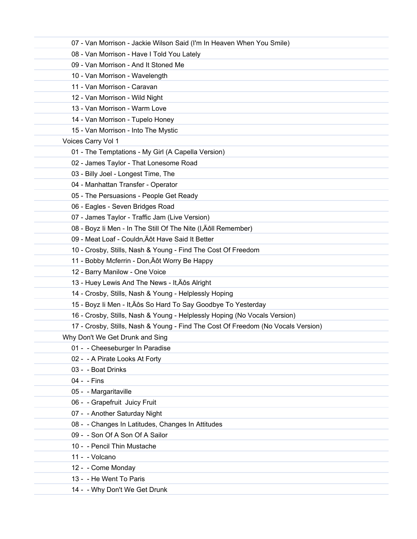| 07 - Van Morrison - Jackie Wilson Said (I'm In Heaven When You Smile)            |
|----------------------------------------------------------------------------------|
| 08 - Van Morrison - Have I Told You Lately                                       |
| 09 - Van Morrison - And It Stoned Me                                             |
| 10 - Van Morrison - Wavelength                                                   |
| 11 - Van Morrison - Caravan                                                      |
| 12 - Van Morrison - Wild Night                                                   |
| 13 - Van Morrison - Warm Love                                                    |
| 14 - Van Morrison - Tupelo Honey                                                 |
| 15 - Van Morrison - Into The Mystic                                              |
| Voices Carry Vol 1                                                               |
| 01 - The Temptations - My Girl (A Capella Version)                               |
| 02 - James Taylor - That Lonesome Road                                           |
| 03 - Billy Joel - Longest Time, The                                              |
| 04 - Manhattan Transfer - Operator                                               |
| 05 - The Persuasions - People Get Ready                                          |
| 06 - Eagles - Seven Bridges Road                                                 |
| 07 - James Taylor - Traffic Jam (Live Version)                                   |
| 08 - Boyz li Men - In The Still Of The Nite (I, Äôll Remember)                   |
| 09 - Meat Loaf - Couldn, Äôt Have Said It Better                                 |
| 10 - Crosby, Stills, Nash & Young - Find The Cost Of Freedom                     |
| 11 - Bobby Mcferrin - Don, Äôt Worry Be Happy                                    |
| 12 - Barry Manilow - One Voice                                                   |
| 13 - Huey Lewis And The News - It, Äôs Alright                                   |
| 14 - Crosby, Stills, Nash & Young - Helplessly Hoping                            |
| 15 - Boyz li Men - It, Äôs So Hard To Say Goodbye To Yesterday                   |
| 16 - Crosby, Stills, Nash & Young - Helplessly Hoping (No Vocals Version)        |
| 17 - Crosby, Stills, Nash & Young - Find The Cost Of Freedom (No Vocals Version) |
| Why Don't We Get Drunk and Sing                                                  |
| 01 - - Cheeseburger In Paradise                                                  |
| 02 - - A Pirate Looks At Forty                                                   |
| 03 - - Boat Drinks                                                               |
| 04 - - Fins                                                                      |
| 05 - - Margaritaville                                                            |
| 06 - - Grapefruit Juicy Fruit                                                    |
| 07 - - Another Saturday Night                                                    |
| 08 - - Changes In Latitudes, Changes In Attitudes                                |
| 09 - - Son Of A Son Of A Sailor                                                  |
| 10 - - Pencil Thin Mustache                                                      |
| 11 - - Volcano                                                                   |
| 12 - - Come Monday                                                               |
| 13 - - He Went To Paris                                                          |
| 14 - - Why Don't We Get Drunk                                                    |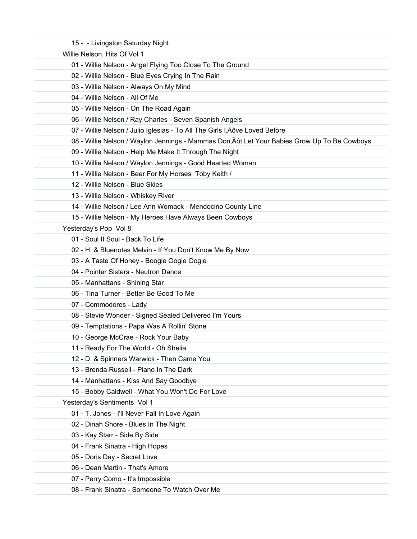| 15 - - Livingston Saturday Night                                                             |
|----------------------------------------------------------------------------------------------|
| Willie Nelson, Hits Of Vol 1                                                                 |
| 01 - Willie Nelson - Angel Flying Too Close To The Ground                                    |
| 02 - Willie Nelson - Blue Eyes Crying In The Rain                                            |
| 03 - Willie Nelson - Always On My Mind                                                       |
| 04 - Willie Nelson - All Of Me                                                               |
| 05 - Willie Nelson - On The Road Again                                                       |
| 06 - Willie Nelson / Ray Charles - Seven Spanish Angels                                      |
| 07 - Willie Nelson / Julio Iglesias - To All The Girls I, Äôve Loved Before                  |
| 08 - Willie Nelson / Waylon Jennings - Mammas Don, Äôt Let Your Babies Grow Up To Be Cowboys |
| 09 - Willie Nelson - Help Me Make It Through The Night                                       |
| 10 - Willie Nelson / Waylon Jennings - Good Hearted Woman                                    |
| 11 - Willie Nelson - Beer For My Horses Toby Keith /                                         |
| 12 - Willie Nelson - Blue Skies                                                              |
| 13 - Willie Nelson - Whiskey River                                                           |
| 14 - Willie Nelson / Lee Ann Womack - Mendocino County Line                                  |
| 15 - Willie Nelson - My Heroes Have Always Been Cowboys                                      |
| Yesterday's Pop Vol 8                                                                        |
| 01 - Soul II Soul - Back To Life                                                             |
| 02 - H. & Bluenotes Melvin - If You Don't Know Me By Now                                     |
| 03 - A Taste Of Honey - Boogie Oogie Oogie                                                   |
| 04 - Pointer Sisters - Neutron Dance                                                         |
| 05 - Manhattans - Shining Star                                                               |
| 06 - Tina Turner - Better Be Good To Me                                                      |
| 07 - Commodores - Lady                                                                       |
| 08 - Stevie Wonder - Signed Sealed Delivered I'm Yours                                       |
| 09 - Temptations - Papa Was A Rollin' Stone                                                  |
| 10 - George McCrae - Rock Your Baby                                                          |
| 11 - Ready For The World - Oh Shelia                                                         |
| 12 - D. & Spinners Warwick - Then Came You                                                   |
| 13 - Brenda Russell - Piano In The Dark                                                      |
| 14 - Manhattans - Kiss And Say Goodbye                                                       |
| 15 - Bobby Caldwell - What You Won't Do For Love                                             |
| Yesterday's Sentiments Vol 1                                                                 |
| 01 - T. Jones - I'll Never Fall In Love Again                                                |
| 02 - Dinah Shore - Blues In The Night                                                        |
| 03 - Kay Starr - Side By Side                                                                |
| 04 - Frank Sinatra - High Hopes                                                              |
| 05 - Doris Day - Secret Love                                                                 |
| 06 - Dean Martin - That's Amore                                                              |
| 07 - Perry Como - It's Impossible                                                            |
| 08 - Frank Sinatra - Someone To Watch Over Me                                                |
|                                                                                              |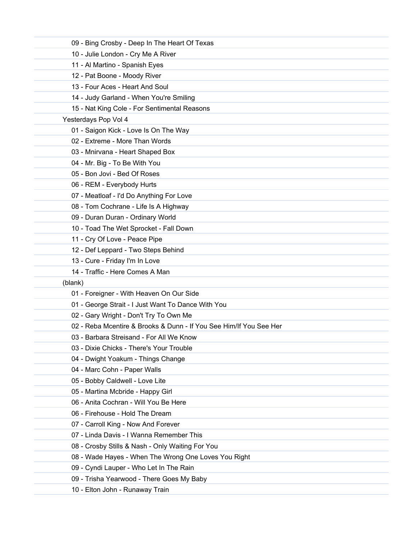| 09 - Bing Crosby - Deep In The Heart Of Texas                      |
|--------------------------------------------------------------------|
| 10 - Julie London - Cry Me A River                                 |
| 11 - Al Martino - Spanish Eyes                                     |
| 12 - Pat Boone - Moody River                                       |
| 13 - Four Aces - Heart And Soul                                    |
| 14 - Judy Garland - When You're Smiling                            |
| 15 - Nat King Cole - For Sentimental Reasons                       |
| Yesterdays Pop Vol 4                                               |
| 01 - Saigon Kick - Love Is On The Way                              |
| 02 - Extreme - More Than Words                                     |
| 03 - Mnirvana - Heart Shaped Box                                   |
| 04 - Mr. Big - To Be With You                                      |
| 05 - Bon Jovi - Bed Of Roses                                       |
| 06 - REM - Everybody Hurts                                         |
| 07 - Meatloaf - I'd Do Anything For Love                           |
| 08 - Tom Cochrane - Life Is A Highway                              |
| 09 - Duran Duran - Ordinary World                                  |
| 10 - Toad The Wet Sprocket - Fall Down                             |
| 11 - Cry Of Love - Peace Pipe                                      |
| 12 - Def Leppard - Two Steps Behind                                |
| 13 - Cure - Friday I'm In Love                                     |
| 14 - Traffic - Here Comes A Man                                    |
| (blank)                                                            |
| 01 - Foreigner - With Heaven On Our Side                           |
| 01 - George Strait - I Just Want To Dance With You                 |
| 02 - Gary Wright - Don't Try To Own Me                             |
| 02 - Reba Mcentire & Brooks & Dunn - If You See Him/If You See Her |
| 03 - Barbara Streisand - For All We Know                           |
| 03 - Dixie Chicks - There's Your Trouble                           |
| 04 - Dwight Yoakum - Things Change                                 |
| 04 - Marc Cohn - Paper Walls                                       |
| 05 - Bobby Caldwell - Love Lite                                    |
| 05 - Martina Mcbride - Happy Girl                                  |
| 06 - Anita Cochran - Will You Be Here                              |
| 06 - Firehouse - Hold The Dream                                    |
| 07 - Carroll King - Now And Forever                                |
| 07 - Linda Davis - I Wanna Remember This                           |
| 08 - Crosby Stills & Nash - Only Waiting For You                   |
| 08 - Wade Hayes - When The Wrong One Loves You Right               |
| 09 - Cyndi Lauper - Who Let In The Rain                            |
| 09 - Trisha Yearwood - There Goes My Baby                          |
| 10 - Elton John - Runaway Train                                    |